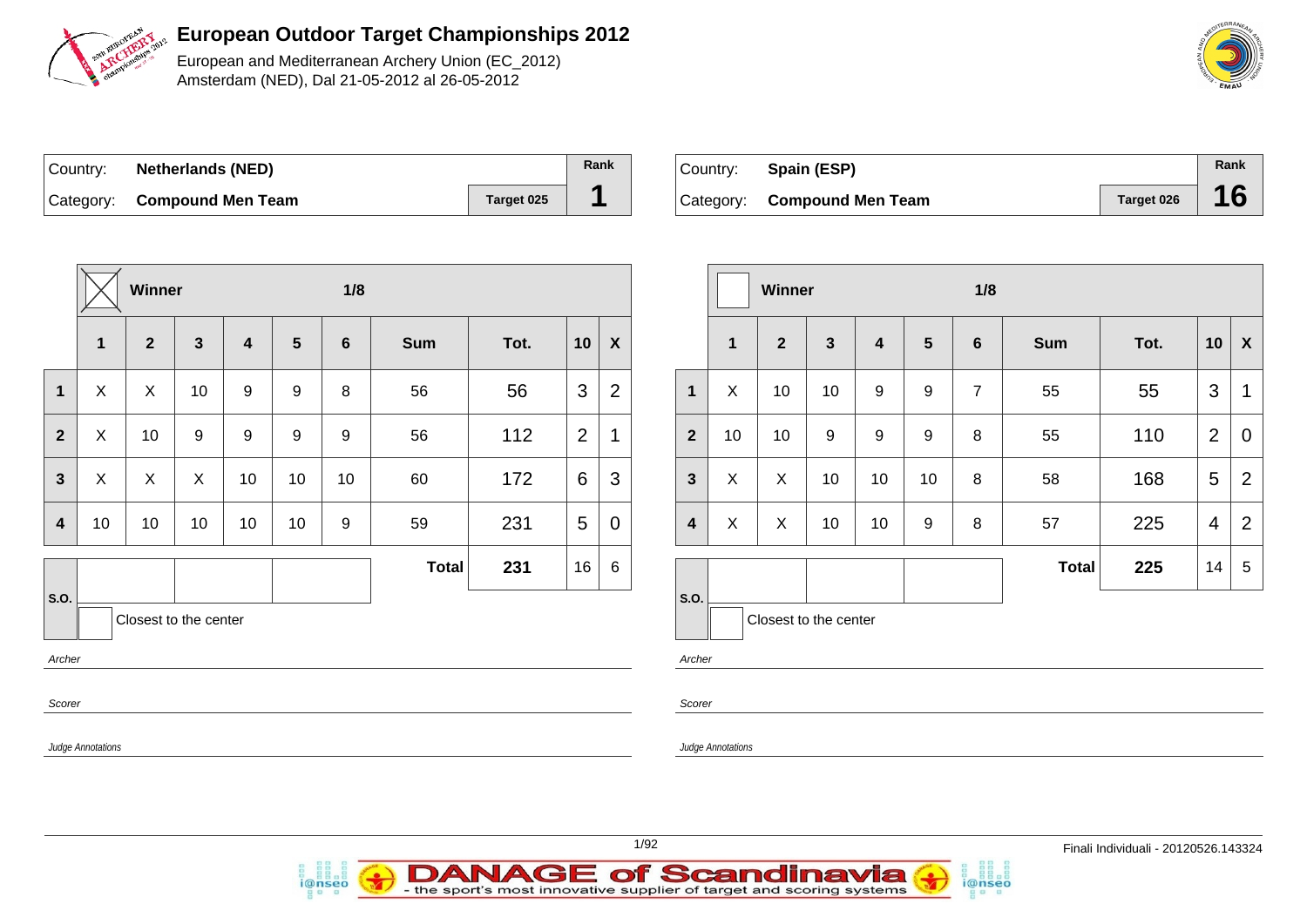

European and Mediterranean Archery Union (EC\_2012) Amsterdam (NED), Dal 21-05-2012 al 26-05-2012

| ∣Country: | <b>Netherlands (NED)</b>    |            | Rank |
|-----------|-----------------------------|------------|------|
|           | Category: Compound Men Team | Target 025 |      |

i@nseo

| Country: Spain (ESP)        |            | Rank |
|-----------------------------|------------|------|
| Category: Compound Men Team | Target 026 | 16   |

i@nseo

|                         |                           | Winner         |                       |                  |                  | 1/8     |              |      |                 | Winner           |                         |                          |                       | 1/8          |    |                |                |              |      |                 |                           |
|-------------------------|---------------------------|----------------|-----------------------|------------------|------------------|---------|--------------|------|-----------------|------------------|-------------------------|--------------------------|-----------------------|--------------|----|----------------|----------------|--------------|------|-----------------|---------------------------|
|                         | $\mathbf 1$               | $\overline{2}$ | $\mathbf{3}$          | 4                | $5\phantom{1}$   | $\bf 6$ | <b>Sum</b>   | Tot. | 10              | $\boldsymbol{X}$ |                         | $\overline{1}$           | $\overline{2}$        | $\mathbf{3}$ | 4  | $5\phantom{1}$ | 6              | <b>Sum</b>   | Tot. | 10              | $\boldsymbol{\mathsf{X}}$ |
| $\mathbf{1}$            | $\mathsf{X}$              | $\mathsf X$    | 10 <sup>°</sup>       | $\boldsymbol{9}$ | $\boldsymbol{9}$ | 8       | 56           | 56   | 3               | $\overline{2}$   | $\mathbf{1}$            | X                        | 10                    | 10           | 9  | 9              | $\overline{7}$ | 55           | 55   | 3               | $\mathbf{1}$              |
| $\mathbf{2}$            | $\boldsymbol{\mathsf{X}}$ | 10             | 9                     | $\boldsymbol{9}$ | 9                | 9       | 56           | 112  | $\overline{2}$  | $\mathbf 1$      | $\overline{2}$          | 10                       | 10                    | 9            | 9  | 9              | 8              | 55           | 110  | 2               | $\mathbf 0$               |
| $\mathbf{3}$            | $\boldsymbol{\mathsf{X}}$ | $\mathsf X$    | $\boldsymbol{X}$      | 10               | 10               | 10      | 60           | 172  | $6\phantom{1}6$ | $\mathbf{3}$     | $\mathbf{3}$            | X                        | $\mathsf{X}$          | 10           | 10 | 10             | 8              | 58           | 168  | $5\phantom{.0}$ | $\overline{2}$            |
| $\overline{\mathbf{4}}$ | 10                        | 10             | 10                    | 10               | 10               | 9       | 59           | 231  | 5               | $\overline{0}$   | $\overline{\mathbf{4}}$ | X                        | $\mathsf{X}$          | 10           | 10 | 9              | 8              | 57           | 225  | $\overline{4}$  | $\overline{2}$            |
|                         |                           |                |                       |                  |                  |         | <b>Total</b> | 231  | 16              | $6\phantom{1}6$  |                         |                          |                       |              |    |                |                | <b>Total</b> | 225  | 14              | 5                         |
| S.O.<br>Archer          |                           |                | Closest to the center |                  |                  |         |              |      |                 |                  | <b>S.O.</b><br>Archer   |                          | Closest to the center |              |    |                |                |              |      |                 |                           |
| Scorer                  |                           |                |                       |                  |                  |         |              |      |                 |                  | Scorer                  |                          |                       |              |    |                |                |              |      |                 |                           |
|                         | <b>Judge Annotations</b>  |                |                       |                  |                  |         |              |      |                 |                  |                         | <b>Judge Annotations</b> |                       |              |    |                |                |              |      |                 |                           |
|                         |                           |                |                       |                  |                  |         |              |      |                 |                  |                         |                          |                       |              |    |                |                |              |      |                 |                           |

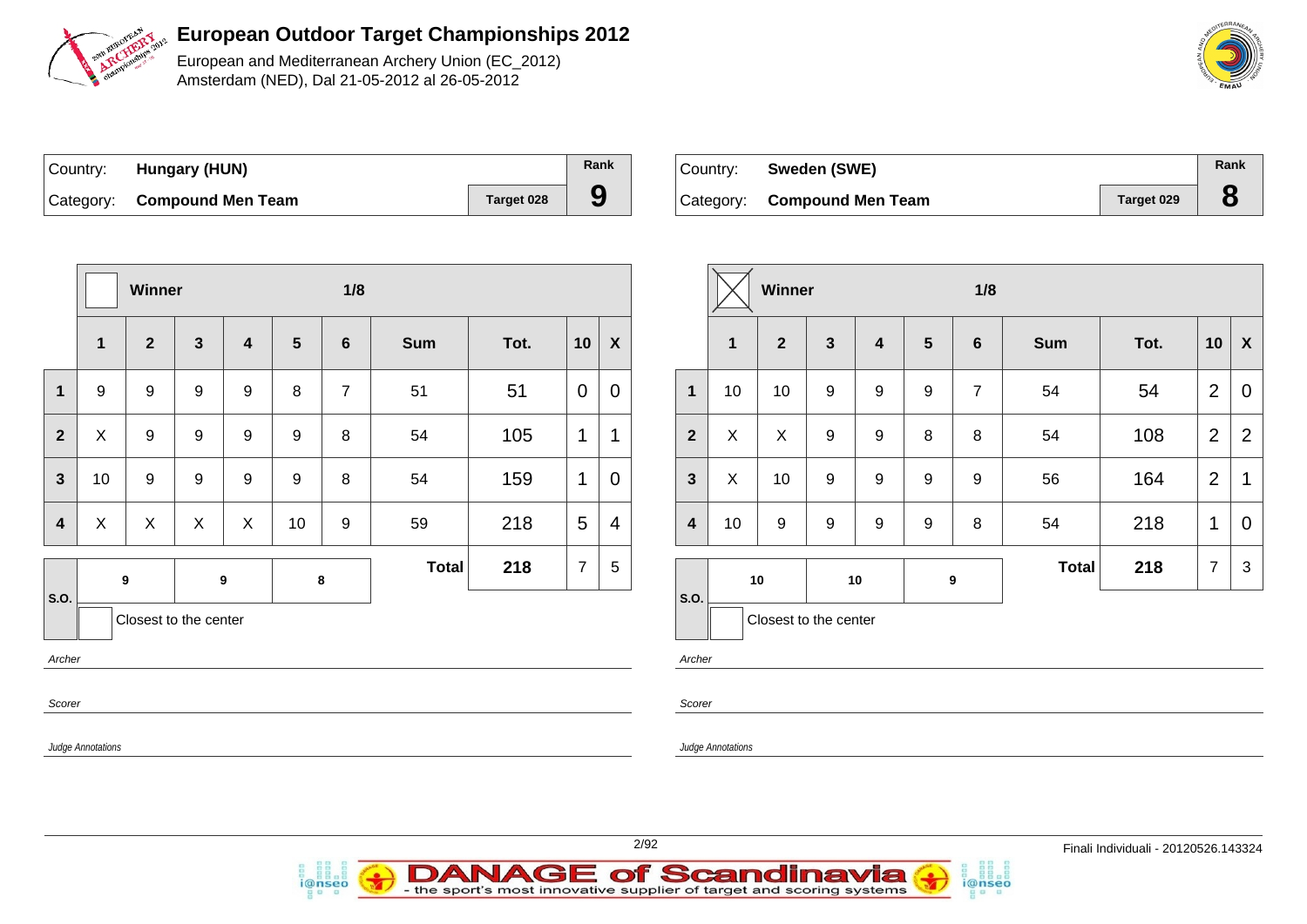

European and Mediterranean Archery Union (EC\_2012) Amsterdam (NED), Dal 21-05-2012 al 26-05-2012

| Country: <b>Hungary (HUN)</b> |                   | Rank |
|-------------------------------|-------------------|------|
| Category: Compound Men Team   | <b>Target 028</b> | 9    |

i@nseo

| Country: | Sweden (SWE)                |            | Rank |
|----------|-----------------------------|------------|------|
|          | Category: Compound Men Team | Target 029 |      |

i@nseo

|                |                                                      | Winner                |                  |                  |                  | 1/8              |              |      |                 | Winner           |                         |                          |                       |                  |                  |                 | 1/8              |              |      |                |                           |  |
|----------------|------------------------------------------------------|-----------------------|------------------|------------------|------------------|------------------|--------------|------|-----------------|------------------|-------------------------|--------------------------|-----------------------|------------------|------------------|-----------------|------------------|--------------|------|----------------|---------------------------|--|
|                | $\mathbf{1}$                                         | $\mathbf{2}$          | $\mathbf{3}$     | $\boldsymbol{4}$ | $5\phantom{1}$   | $6\phantom{1}$   | <b>Sum</b>   | Tot. | 10              | $\boldsymbol{X}$ |                         | $\mathbf{1}$             | $\mathbf{2}$          | $\mathbf{3}$     | 4                | $5\overline{)}$ | $6\phantom{1}$   | <b>Sum</b>   | Tot. | 10             | $\boldsymbol{\mathsf{X}}$ |  |
| $\mathbf 1$    | 9                                                    | 9                     | $\boldsymbol{9}$ | $\boldsymbol{9}$ | 8                | $\overline{7}$   | 51           | 51   | $\overline{0}$  | $\pmb{0}$        | $\mathbf{1}$            | 10                       | 10                    | $\boldsymbol{9}$ | $\boldsymbol{9}$ | 9               | $\overline{7}$   | 54           | 54   | $\overline{2}$ | $\mathbf 0$               |  |
| $\overline{2}$ | $\pmb{\times}$                                       | $\boldsymbol{9}$      | $\boldsymbol{9}$ | $\boldsymbol{9}$ | $\boldsymbol{9}$ | 8                | 54           | 105  | $\mathbf{1}$    | $\mathbf 1$      | $\overline{2}$          | X                        | X                     | 9                | 9                | 8               | 8                | 54           | 108  | $\overline{2}$ | $\overline{2}$            |  |
| $\mathbf{3}$   | 10                                                   | $\boldsymbol{9}$      | $\boldsymbol{9}$ | 9                | 9                | $\, 8$           | 54           | 159  | $\mathbf 1$     | $\mathbf 0$      | $\mathbf{3}$            | X                        | 10                    | 9                | 9                | 9               | 9                | 56           | 164  | $\overline{2}$ | $\mathbf 1$               |  |
|                | $\boldsymbol{\mathsf{X}}$<br>$\overline{\mathbf{4}}$ | X                     | $\pmb{\times}$   | $\pmb{\times}$   | 10               | $\boldsymbol{9}$ | 59           | 218  | $5\phantom{.0}$ | 4                | $\overline{\mathbf{4}}$ | 10                       | 9                     | 9                | $\boldsymbol{9}$ | 9               | 8                | 54           | 218  | $\mathbf{1}$   | $\mathbf 0$               |  |
|                |                                                      | 9                     |                  | $\boldsymbol{9}$ |                  | 8                | <b>Total</b> | 218  | $\overline{7}$  | $\,$ 5 $\,$      |                         |                          | 10                    |                  | 10               |                 | $\boldsymbol{9}$ | <b>Total</b> | 218  | $\overline{7}$ | 3                         |  |
| S.O.           |                                                      | Closest to the center |                  |                  |                  |                  |              |      |                 |                  | $\vert$ S.O.            |                          | Closest to the center |                  |                  |                 |                  |              |      |                |                           |  |
|                | Archer                                               |                       |                  |                  |                  |                  |              |      |                 |                  | Archer                  |                          |                       |                  |                  |                 |                  |              |      |                |                           |  |
|                | Scorer                                               |                       |                  |                  |                  |                  |              |      |                 |                  | Scorer                  |                          |                       |                  |                  |                 |                  |              |      |                |                           |  |
|                | Judge Annotations                                    |                       |                  |                  |                  |                  |              |      |                 |                  |                         | <b>Judge Annotations</b> |                       |                  |                  |                 |                  |              |      |                |                           |  |
|                |                                                      |                       |                  |                  |                  |                  |              |      |                 |                  |                         |                          |                       |                  |                  |                 |                  |              |      |                |                           |  |

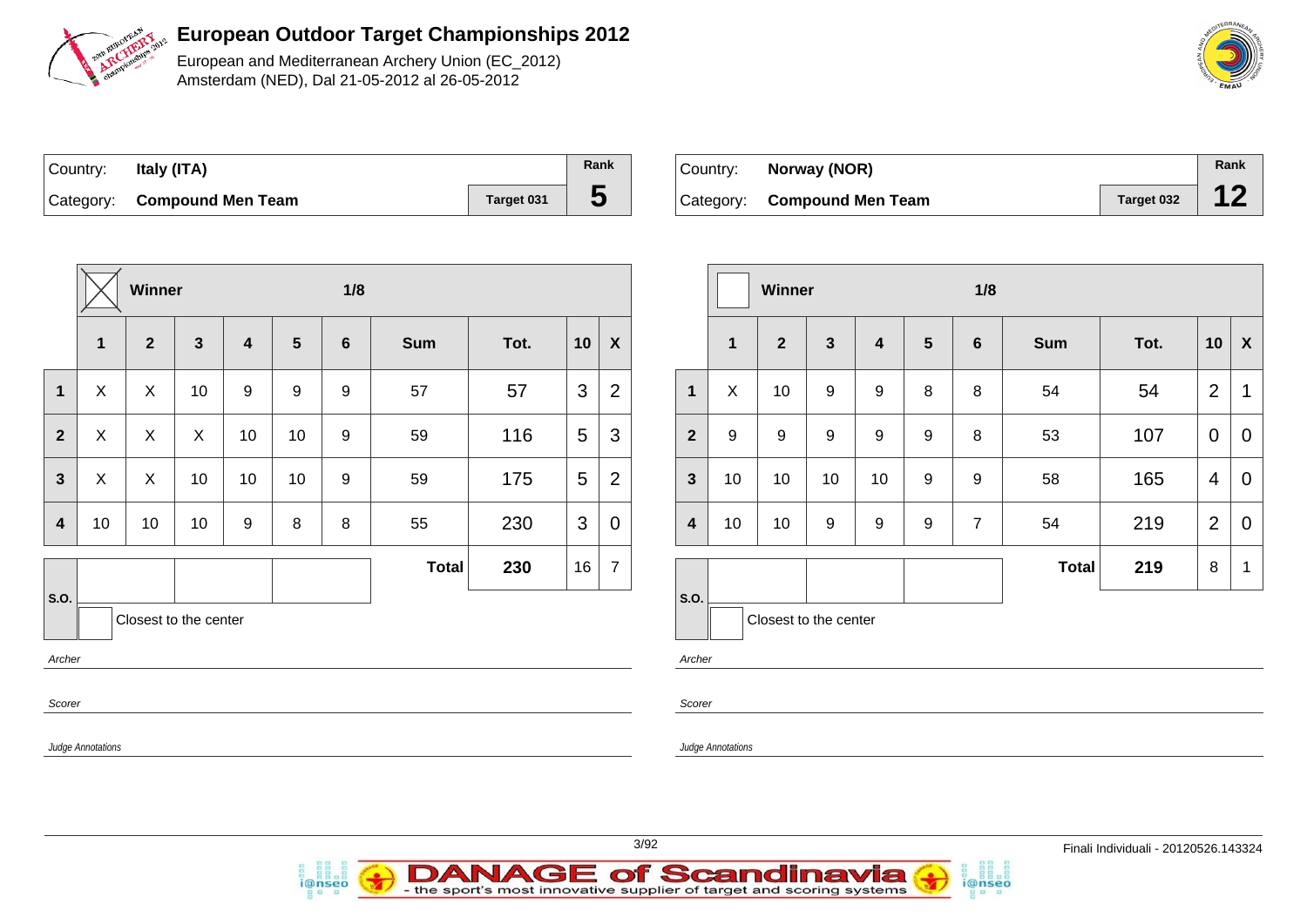

European and Mediterranean Archery Union (EC\_2012) Amsterdam (NED), Dal 21-05-2012 al 26-05-2012

| ∣Country: | Italy (ITA)                 |            | Rank |
|-----------|-----------------------------|------------|------|
|           | Category: Compound Men Team | Target 031 | ე    |

i@nseo

| Country: | Norway (NOR)                |            | Rank |
|----------|-----------------------------|------------|------|
|          | Category: Compound Men Team | Target 032 |      |

|                         |                   | Winner         |                       |                  |                | 1/8            |              |      |                |                    |                         |                          | Winner                |                  |                  |         | 1/8            |              |      |                |                           |  |
|-------------------------|-------------------|----------------|-----------------------|------------------|----------------|----------------|--------------|------|----------------|--------------------|-------------------------|--------------------------|-----------------------|------------------|------------------|---------|----------------|--------------|------|----------------|---------------------------|--|
|                         | $\mathbf{1}$      | $\overline{2}$ | $\mathbf{3}$          | 4                | $5\phantom{1}$ | $6\phantom{1}$ | <b>Sum</b>   | Tot. | 10             | $\pmb{\mathsf{X}}$ |                         | $\mathbf{1}$             | $\mathbf{2}$          | $\mathbf{3}$     | 4                | 5       | 6              | <b>Sum</b>   | Tot. | 10             | $\boldsymbol{\mathsf{x}}$ |  |
| $\mathbf{1}$            | $\pmb{\times}$    | X              | 10                    | 9                | 9              | 9              | 57           | 57   | 3              | $\overline{2}$     | $\mathbf{1}$            | X                        | 10                    | $\boldsymbol{9}$ | $\boldsymbol{9}$ | $\,8\,$ | $\,8\,$        | 54           | 54   | $\overline{2}$ | $\mathbf 1$               |  |
| $\mathbf{2}$            | $\mathsf{X}$      | $\mathsf{X}$   | $\mathsf{X}$          | 10               | 10             | 9              | 59           | 116  | 5              | 3                  | $\overline{2}$          | 9                        | 9                     | 9                | 9                | 9       | 8              | 53           | 107  | $\overline{0}$ | $\mathbf 0$               |  |
| $\mathbf{3}$            | $\pmb{\times}$    | $\mathsf{X}$   | 10                    | 10               | 10             | 9              | 59           | 175  | 5              | $\mathbf 2$        | $\mathbf{3}$            | 10                       | 10                    | 10               | 10               | 9       | 9              | 58           | 165  | $\overline{4}$ | $\mathbf 0$               |  |
| $\overline{\mathbf{4}}$ | 10                | 10             | 10                    | $\boldsymbol{9}$ | 8              | 8              | 55           | 230  | $\mathfrak{S}$ | $\pmb{0}$          | $\overline{\mathbf{4}}$ | 10                       | 10                    | 9                | 9                | 9       | $\overline{7}$ | 54           | 219  | 2              | $\mathbf 0$               |  |
|                         |                   |                |                       |                  |                |                | <b>Total</b> | 230  | 16             | $\overline{7}$     |                         |                          |                       |                  |                  |         |                | <b>Total</b> | 219  | 8              | - 1                       |  |
| S.O.<br>Archer          |                   |                | Closest to the center |                  |                |                |              |      |                |                    | S.O.<br>Archer          |                          | Closest to the center |                  |                  |         |                |              |      |                |                           |  |
| Scorer                  |                   |                |                       |                  |                |                |              |      |                |                    | Scorer                  |                          |                       |                  |                  |         |                |              |      |                |                           |  |
|                         | Judge Annotations |                |                       |                  |                |                |              |      |                |                    |                         | <b>Judge Annotations</b> |                       |                  |                  |         |                |              |      |                |                           |  |
|                         |                   |                |                       |                  |                |                |              |      |                |                    |                         |                          |                       |                  |                  |         |                |              |      |                |                           |  |



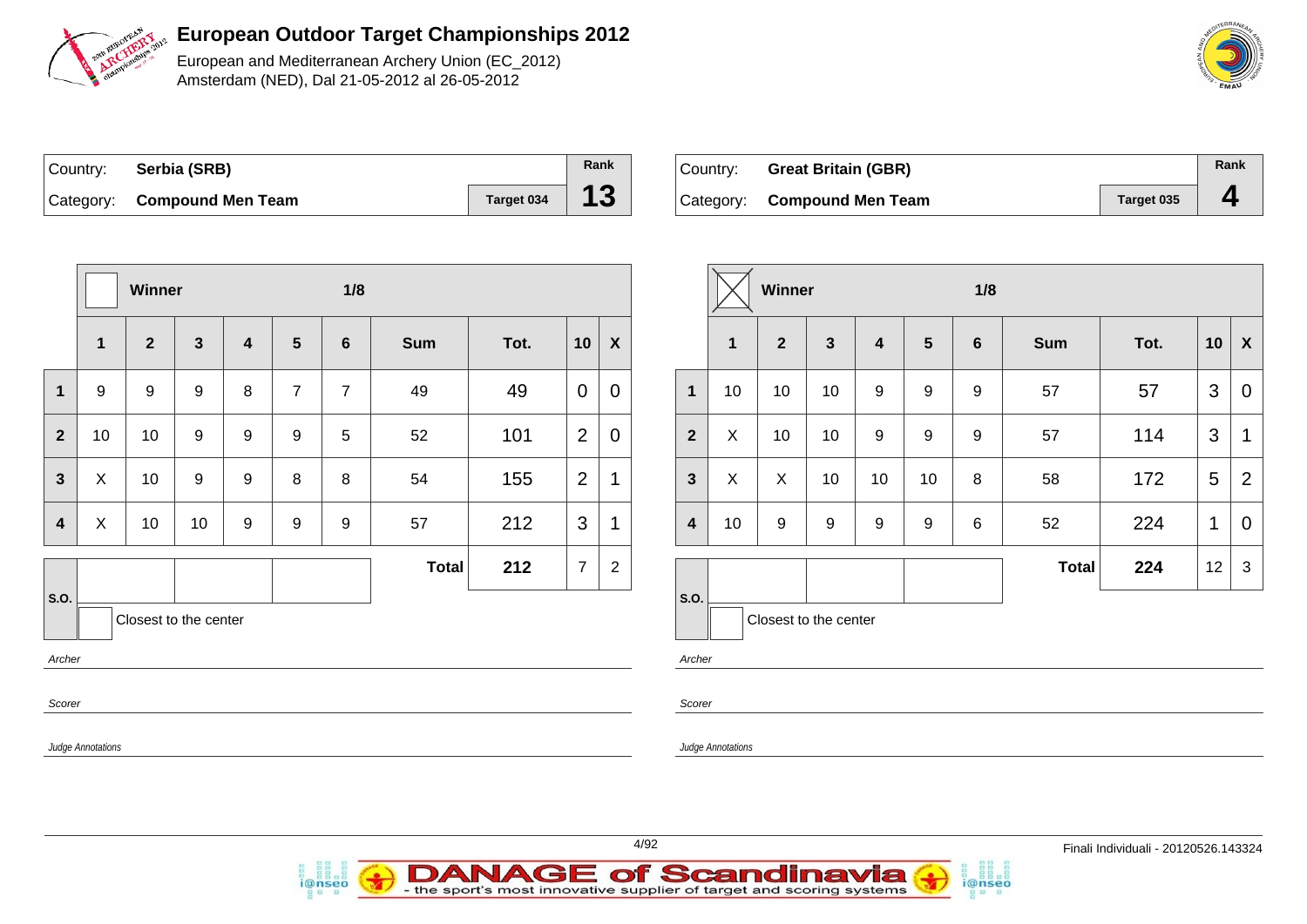

European and Mediterranean Archery Union (EC\_2012) Amsterdam (NED), Dal 21-05-2012 al 26-05-2012

| Country: Serbia (SRB)       |            | Rank |
|-----------------------------|------------|------|
| Category: Compound Men Team | Target 034 | 13   |

*i*@nseo

| Country: | <b>Great Britain (GBR)</b>  |            | Rank |
|----------|-----------------------------|------------|------|
|          | Category: Compound Men Team | Target 035 |      |

i@nseo

|                                                      |                           | Winner                  |                       |                  |                | 1/8             |              |      |                | Winner                    |                         |                  |                       | 1/8          |                         |                |                  |       |      |                 |                |
|------------------------------------------------------|---------------------------|-------------------------|-----------------------|------------------|----------------|-----------------|--------------|------|----------------|---------------------------|-------------------------|------------------|-----------------------|--------------|-------------------------|----------------|------------------|-------|------|-----------------|----------------|
|                                                      | $\mathbf{1}$              | $\overline{\mathbf{2}}$ | $\mathbf{3}$          | $\boldsymbol{4}$ | 5              | $6\phantom{1}6$ | Sum          | Tot. | 10             | $\boldsymbol{\mathsf{X}}$ |                         | $\mathbf 1$      | $\overline{2}$        | $\mathbf{3}$ | $\overline{\mathbf{4}}$ | $5\phantom{1}$ | $6\phantom{1}$   | Sum   | Tot. |                 | $10 \mid X$    |
| $\mathbf 1$                                          | 9                         | 9                       | 9                     | 8                | $\overline{7}$ | $\overline{7}$  | 49           | 49   | $\overline{0}$ | $\mathbf 0$               | $\mathbf{1}$            | 10               | 10                    | 10           | 9                       | 9              | $\boldsymbol{9}$ | 57    | 57   | $\mathbf{3}$    | $\overline{0}$ |
| $\mathbf{2}$                                         | 10                        | 10                      | 9                     | 9                | 9              | 5               | 52           | 101  | 2              | $\mathbf 0$               | $\overline{2}$          | X                | 10                    | 10           | 9                       | 9              | 9                | 57    | 114  | $\mathbf{3}$    | $\mathbf{1}$   |
| $\mathbf{3}$                                         | $\boldsymbol{\mathsf{X}}$ | 10                      | 9                     | $\boldsymbol{9}$ | 8              | $\, 8$          | 54           | 155  | 2              | $\mathbf{1}$              | $\mathbf{3}$            | $\boldsymbol{X}$ | $\boldsymbol{X}$      | 10           | 10                      | 10             | $\, 8$           | 58    | 172  | $5\overline{)}$ | $\overline{2}$ |
| $\overline{\mathbf{4}}$                              | $\boldsymbol{X}$          | 10                      | 10                    | $\boldsymbol{9}$ | 9              | 9               | 57           | 212  | $\mathbf{3}$   | $\mathbf{1}$              | $\overline{\mathbf{4}}$ | 10               | 9                     | $9\,$        | 9                       | $9\,$          | $\,6\,$          | 52    | 224  | $\mathbf{1}$    | $\overline{0}$ |
|                                                      |                           |                         |                       |                  |                |                 | <b>Total</b> | 212  | $\overline{7}$ | $\mathbf{2}$              |                         |                  |                       |              |                         |                |                  | Total | 224  | 12              | $\mathbf{3}$   |
| S.O.                                                 |                           |                         | Closest to the center |                  |                |                 |              |      |                |                           | S.O.                    |                  | Closest to the center |              |                         |                |                  |       |      |                 |                |
| Archer                                               |                           |                         |                       |                  |                |                 |              |      |                |                           | Archer                  |                  |                       |              |                         |                |                  |       |      |                 |                |
| Scorer                                               |                           |                         |                       |                  |                |                 |              |      |                |                           | Scorer                  |                  |                       |              |                         |                |                  |       |      |                 |                |
| <b>Judge Annotations</b><br><b>Judge Annotations</b> |                           |                         |                       |                  |                |                 |              |      |                |                           |                         |                  |                       |              |                         |                |                  |       |      |                 |                |

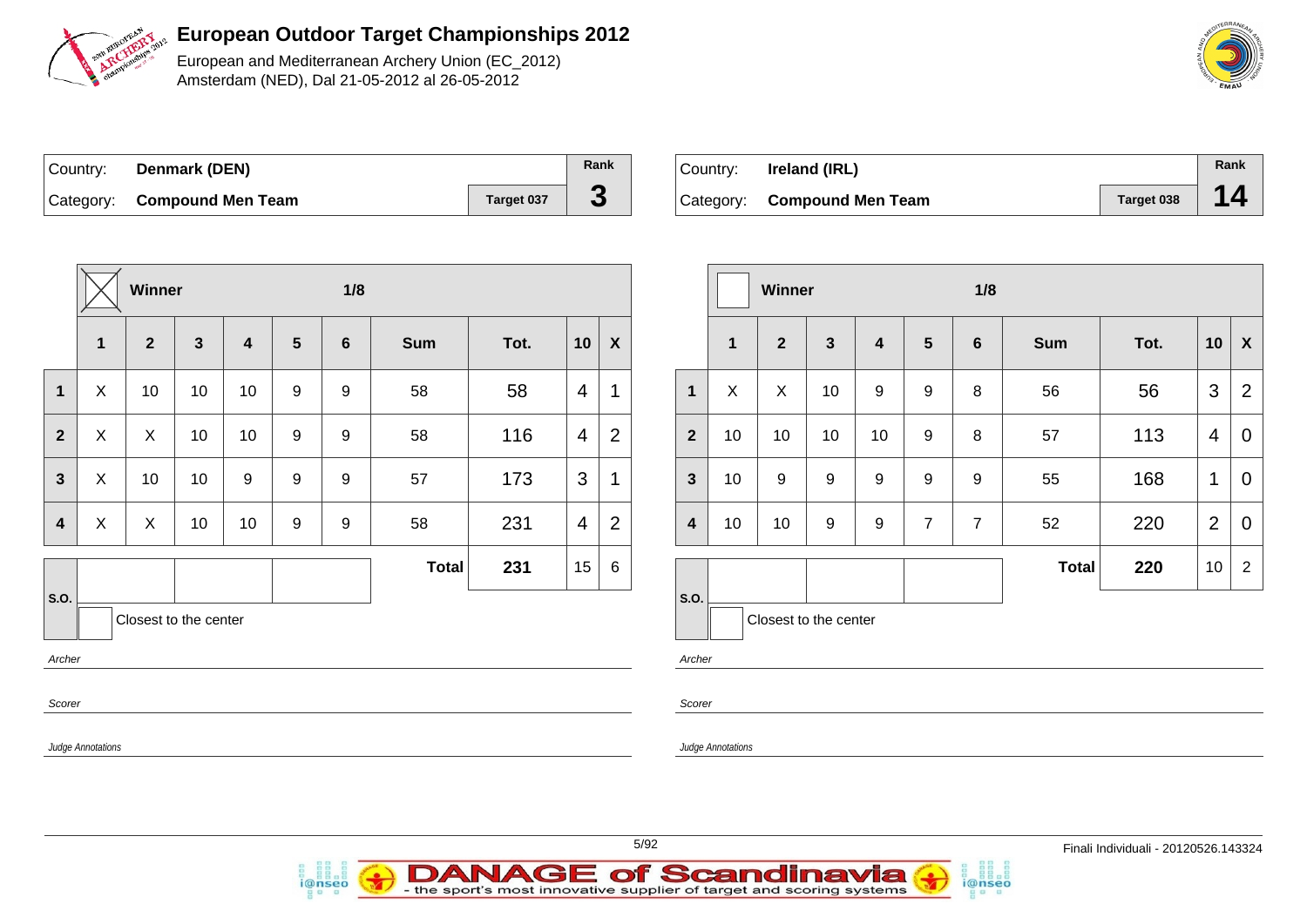

European and Mediterranean Archery Union (EC\_2012) Amsterdam (NED), Dal 21-05-2012 al 26-05-2012

| Country: | Denmark (DEN)               |            | Rank |
|----------|-----------------------------|------------|------|
|          | Category: Compound Men Team | Target 037 |      |

| ∣Country: | Ireland (IRL)               |            | Rank |
|-----------|-----------------------------|------------|------|
|           | Category: Compound Men Team | Target 038 | 14   |

|                         |                                                                  | Winner         |              |                 |                  | 1/8              |              |      |                |                           |  |                         |                 | Winner           |                  |             |                  | 1/8             |
|-------------------------|------------------------------------------------------------------|----------------|--------------|-----------------|------------------|------------------|--------------|------|----------------|---------------------------|--|-------------------------|-----------------|------------------|------------------|-------------|------------------|-----------------|
|                         | 1                                                                | $\mathbf{2}$   | $\mathbf{3}$ | 4               | 5                | $6\phantom{1}6$  | <b>Sum</b>   | Tot. | 10             | $\boldsymbol{\mathsf{X}}$ |  |                         | $\mathbf{1}$    | $\mathbf{2}$     | $\mathbf{3}$     | 4           | $5\phantom{1}$   | $6\phantom{1}6$ |
| $\mathbf 1$             | $\boldsymbol{\mathsf{X}}$                                        | 10             | 10           | 10 <sup>1</sup> | 9                | $9\,$            | 58           | 58   | $\overline{4}$ | $\mathbf{1}$              |  | $\mathbf{1}$            | $\mathsf{X}$    | X                | 10               | 9           | 9                | 8               |
| $\overline{\mathbf{2}}$ | $\boldsymbol{\mathsf{X}}$                                        | $\pmb{\times}$ | 10           | 10              | 9                | $\boldsymbol{9}$ | 58           | 116  | $\overline{4}$ | $\overline{2}$            |  | $\overline{2}$          | 10 <sub>1</sub> | 10               | 10               | 10          | $\boldsymbol{9}$ | 8               |
| $\mathbf{3}$            | $\boldsymbol{\mathsf{X}}$                                        | 10             | 10           | 9               | $\mathsf g$      | $\boldsymbol{9}$ | 57           | 173  | 3              | $\mathbf{1}$              |  | $\mathbf{3}$            | 10 <sup>1</sup> | $\boldsymbol{9}$ | 9                | $\mathsf g$ | $9\,$            | 9               |
| $\boldsymbol{4}$        | $\times$                                                         | X              | 10           | 10 <sub>1</sub> | $\boldsymbol{9}$ | $9\,$            | 58           | 231  | $\overline{4}$ | $\overline{2}$            |  | $\overline{\mathbf{4}}$ | 10 <sub>1</sub> | 10               | $\boldsymbol{9}$ | 9           | $\overline{7}$   | $\overline{7}$  |
|                         |                                                                  |                |              |                 |                  |                  | <b>Total</b> | 231  | 15             | 6                         |  |                         |                 |                  |                  |             |                  |                 |
| S.O.<br>Archer          | S.O.<br>Closest to the center<br>Closest to the center<br>Archer |                |              |                 |                  |                  |              |      |                |                           |  |                         |                 |                  |                  |             |                  |                 |
|                         | Scorer<br>Scorer                                                 |                |              |                 |                  |                  |              |      |                |                           |  |                         |                 |                  |                  |             |                  |                 |
|                         | <b>Judge Annotations</b><br><b>Judge Annotations</b>             |                |              |                 |                  |                  |              |      |                |                           |  |                         |                 |                  |                  |             |                  |                 |
|                         |                                                                  |                |              |                 |                  |                  |              |      |                |                           |  |                         |                 |                  |                  |             |                  |                 |

|                  | $\mathbf{1}$ | $\overline{2}$        | $\overline{\mathbf{3}}$ | $\overline{\mathbf{4}}$ | $5\phantom{1}$ | $6\phantom{1}$ | <b>Sum</b>   | Tot. | 10             | $\pmb{\mathsf{X}}$ |
|------------------|--------------|-----------------------|-------------------------|-------------------------|----------------|----------------|--------------|------|----------------|--------------------|
| $\mathbf{1}$     | X            | X                     | 10                      | 9                       | 9              | 8              | 56           | 56   | 3              | $\overline{2}$     |
| $\overline{2}$   | 10           | 10                    | 10                      | 10                      | 9              | 8              | 57           | 113  | 4              | 0                  |
| $\mathbf{3}$     | 10           | 9                     | 9                       | 9                       | 9              | 9              | 55           | 168  | 1              | 0                  |
| $\boldsymbol{4}$ | 10           | 10                    | $\boldsymbol{9}$        | 9                       | $\overline{7}$ | $\overline{7}$ | 52           | 220  | $\overline{2}$ | $\mathbf 0$        |
|                  |              |                       |                         |                         |                |                | <b>Total</b> | 220  | 10             | $\overline{2}$     |
| S.O.             |              | Closest to the center |                         |                         |                |                |              |      |                |                    |

i@nseo

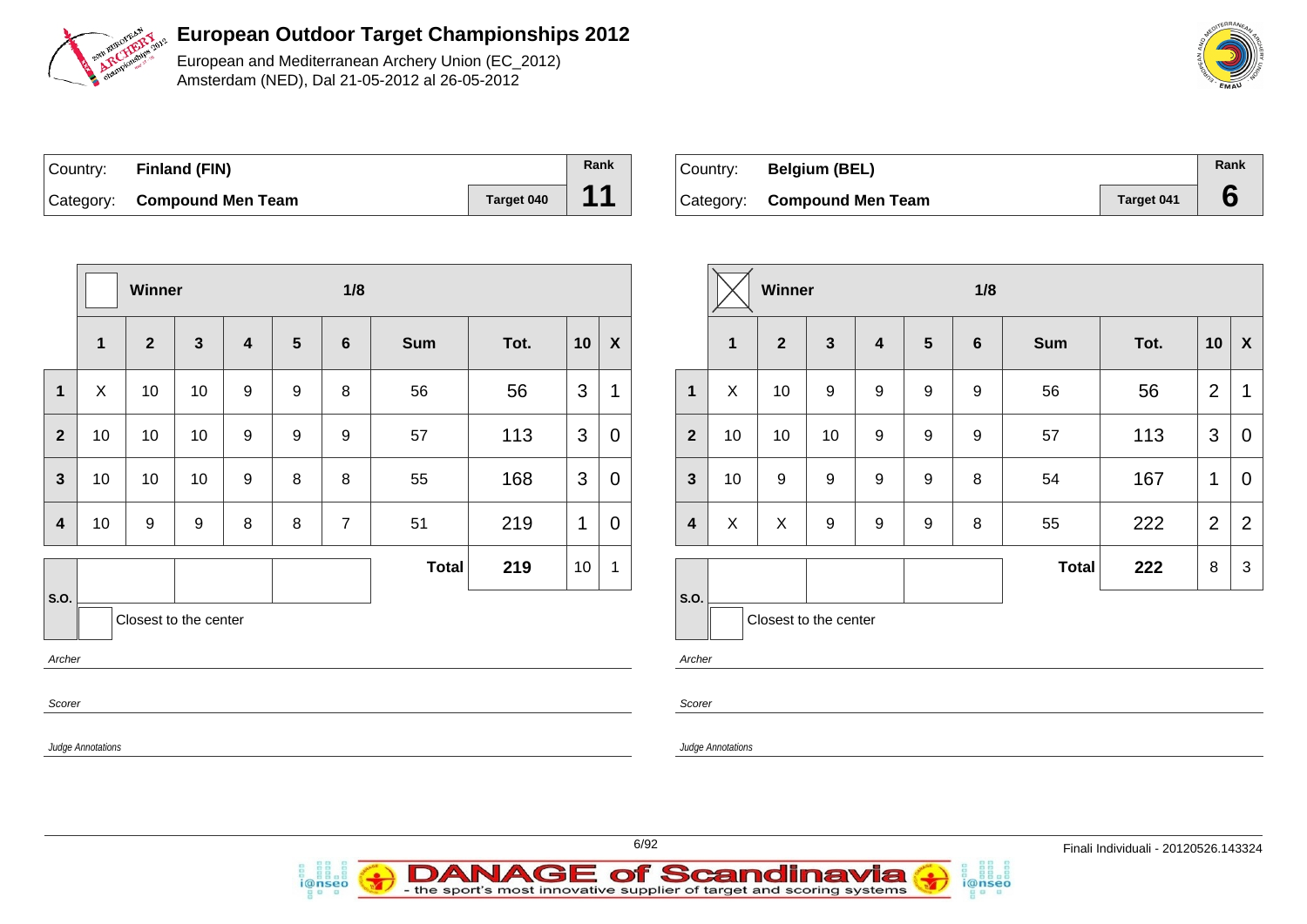

European and Mediterranean Archery Union (EC\_2012) Amsterdam (NED), Dal 21-05-2012 al 26-05-2012

| Country: Finland (FIN)      |            | Rank |
|-----------------------------|------------|------|
| Category: Compound Men Team | Target 040 | 11   |

i@nseo

| Country: | <b>Belgium (BEL)</b>        |                   | Rank |
|----------|-----------------------------|-------------------|------|
|          | Category: Compound Men Team | <b>Target 041</b> |      |

i@nseo

|                         |                          | Winner       |                       |                  |                  | 1/8             |              |      |              |                           |                         |                          | Winner                |                  |                  |                  | 1/8              |              |      |                |                           |
|-------------------------|--------------------------|--------------|-----------------------|------------------|------------------|-----------------|--------------|------|--------------|---------------------------|-------------------------|--------------------------|-----------------------|------------------|------------------|------------------|------------------|--------------|------|----------------|---------------------------|
|                         | $\overline{1}$           | $\mathbf{2}$ | $\mathbf{3}$          | 4                | $5\phantom{1}$   | $6\phantom{1}6$ | <b>Sum</b>   | Tot. | 10           | $\boldsymbol{\mathsf{X}}$ |                         | $\mathbf 1$              | $\mathbf{2}$          | 3                | 4                | $5\phantom{1}$   | 6                | Sum          | Tot. | 10             | $\boldsymbol{\mathsf{X}}$ |
| $\mathbf{1}$            | $\pmb{\times}$           | 10           | 10                    | $\mathsf g$      | $\boldsymbol{9}$ | 8               | 56           | 56   | 3            | 1                         | $\mathbf{1}$            | $\mathsf X$              | 10                    | $\boldsymbol{9}$ | $\boldsymbol{9}$ | $\boldsymbol{9}$ | $\boldsymbol{9}$ | 56           | 56   | $\overline{2}$ | $\mathbf 1$               |
| $\overline{2}$          | 10                       | 10           | 10                    | $\mathsf g$      | $\mathsf g$      | 9               | 57           | 113  | 3            | $\mathbf 0$               | $\overline{2}$          | 10                       | 10                    | 10               | $\boldsymbol{9}$ | 9                | $\boldsymbol{9}$ | 57           | 113  | $\mathbf{3}$   | $\overline{0}$            |
| $\mathbf{3}$            | 10                       | 10           | 10                    | $\boldsymbol{9}$ | 8                | 8               | 55           | 168  | 3            | $\mathbf 0$               | $\mathbf{3}$            | 10                       | $\boldsymbol{9}$      | 9                | $\boldsymbol{9}$ | $\boldsymbol{9}$ | 8                | 54           | 167  | $\mathbf{1}$   | $\mathbf 0$               |
| $\overline{\mathbf{4}}$ | 10                       | 9            | $\boldsymbol{9}$      | 8                | $\,8\,$          | $\overline{7}$  | 51           | 219  | $\mathbf{1}$ | $\overline{0}$            | $\overline{\mathbf{4}}$ | $\sf X$                  | $\sf X$               | $\boldsymbol{9}$ | $\boldsymbol{9}$ | 9                | 8                | 55           | 222  | $\overline{2}$ | $\overline{2}$            |
|                         |                          |              |                       |                  |                  |                 | <b>Total</b> | 219  | 10           | $\mathbf 1$               |                         |                          |                       |                  |                  |                  |                  | <b>Total</b> | 222  | 8              | 3                         |
| S.O.<br>Archer          |                          |              | Closest to the center |                  |                  |                 |              |      |              |                           | S.O.<br>Archer          |                          | Closest to the center |                  |                  |                  |                  |              |      |                |                           |
| Scorer                  |                          |              |                       |                  |                  |                 |              |      |              |                           | Scorer                  |                          |                       |                  |                  |                  |                  |              |      |                |                           |
|                         | <b>Judge Annotations</b> |              |                       |                  |                  |                 |              |      |              |                           |                         | <b>Judge Annotations</b> |                       |                  |                  |                  |                  |              |      |                |                           |



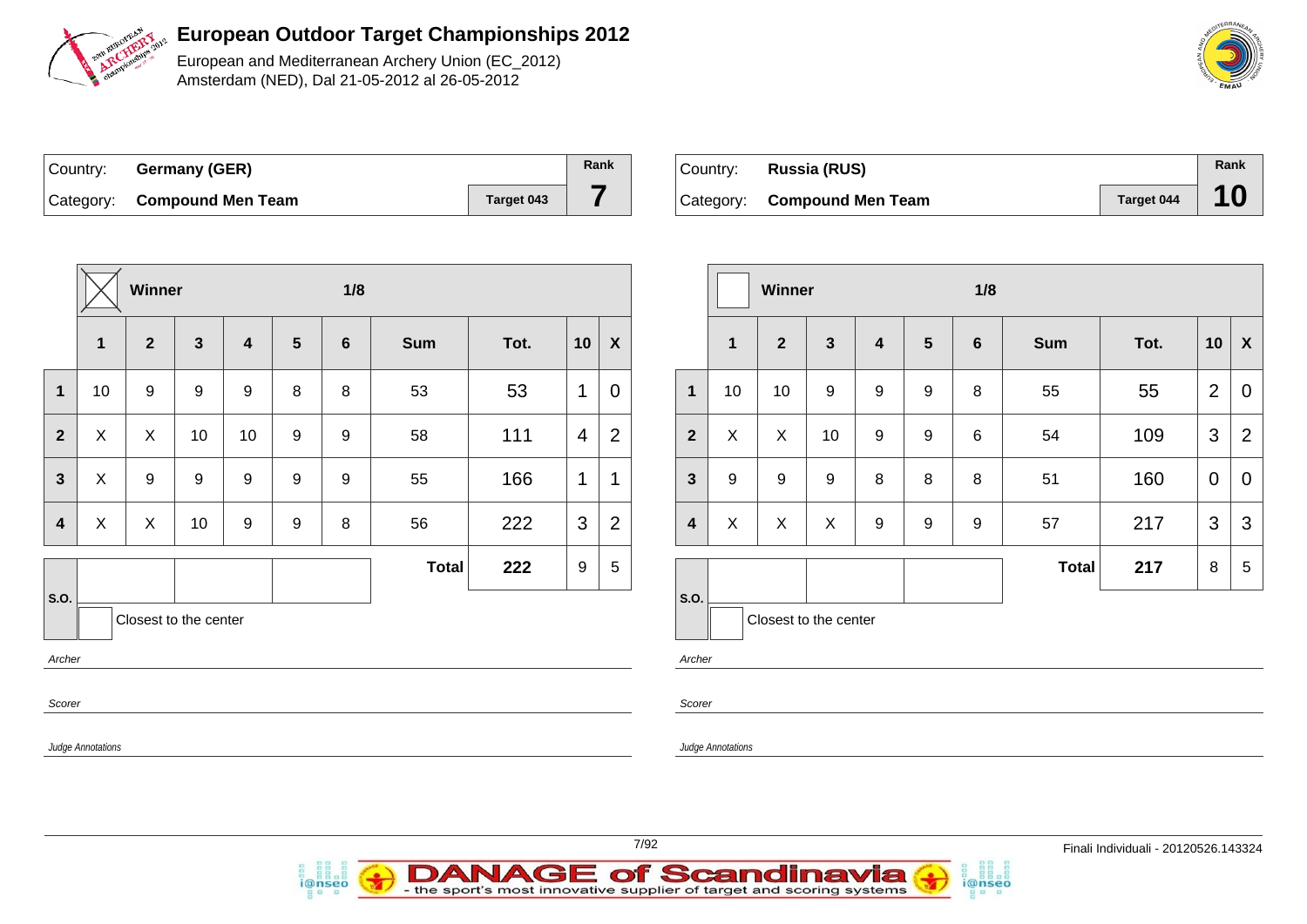

European and Mediterranean Archery Union (EC\_2012) Amsterdam (NED), Dal 21-05-2012 al 26-05-2012

| Country: Germany (GER)      |            | Rank |
|-----------------------------|------------|------|
| Category: Compound Men Team | Target 043 |      |

| Country: Russia (RUS)       |            | Rank |
|-----------------------------|------------|------|
| Category: Compound Men Team | Target 044 |      |

|                         |                           | Winner           |                       |                         |                  | 1/8              |              |      |                |                  |                         |                |
|-------------------------|---------------------------|------------------|-----------------------|-------------------------|------------------|------------------|--------------|------|----------------|------------------|-------------------------|----------------|
|                         | 1                         | $\overline{2}$   | $\mathbf{3}$          | $\overline{\mathbf{4}}$ | 5                | $6\phantom{1}6$  | <b>Sum</b>   | Tot. | 10             | $\boldsymbol{X}$ |                         | 1              |
| 1                       | 10                        | $\boldsymbol{9}$ | $\boldsymbol{9}$      | $\boldsymbol{9}$        | $\,8\,$          | 8                | 53           | 53   | 1              | $\mathbf 0$      | 1                       | 1 <sub>0</sub> |
| $\mathbf{2}$            | X                         | X                | 10                    | 10                      | $\boldsymbol{9}$ | $\boldsymbol{9}$ | 58           | 111  | $\overline{4}$ | $\overline{2}$   | $\overline{2}$          | X              |
| $\mathbf{3}$            | $\boldsymbol{\mathsf{X}}$ | $\boldsymbol{9}$ | $\boldsymbol{9}$      | $\boldsymbol{9}$        | $\boldsymbol{9}$ | 9                | 55           | 166  | 1              | 1                | $\mathbf{3}$            | 9              |
| $\overline{\mathbf{4}}$ | X                         | X                | 10                    | $\boldsymbol{9}$        | $\boldsymbol{9}$ | 8                | 56           | 222  | 3              | $\overline{2}$   | $\overline{\mathbf{4}}$ | X              |
|                         |                           |                  |                       |                         |                  |                  | <b>Total</b> | 222  | 9              | 5                |                         |                |
| S.O.                    |                           |                  | Closest to the center |                         |                  |                  |              |      |                |                  | S.O.                    |                |
| Archer                  |                           |                  |                       |                         |                  |                  |              |      |                |                  | Archer                  |                |
| Scorer                  |                           |                  |                       |                         |                  |                  |              |      |                |                  | Scorer                  |                |
|                         | <b>Judge Annotations</b>  |                  |                       |                         |                  |                  |              |      |                |                  | Judge Annotat           |                |



|                         |              | Winner                |                  |                         |                | 1/8            |              |      |                |                           |  |  |  |  |
|-------------------------|--------------|-----------------------|------------------|-------------------------|----------------|----------------|--------------|------|----------------|---------------------------|--|--|--|--|
|                         | $\mathbf{1}$ | $\overline{2}$        | $\mathbf{3}$     | $\overline{\mathbf{4}}$ | $5\phantom{1}$ | $6\phantom{1}$ | <b>Sum</b>   | Tot. | 10             | $\boldsymbol{\mathsf{X}}$ |  |  |  |  |
| $\mathbf{1}$            | 10           | 10                    | $\boldsymbol{9}$ | $\boldsymbol{9}$        | 9              | 8              | 55           | 55   | $\overline{2}$ | 0                         |  |  |  |  |
| $\overline{2}$          | X            | X                     | 10               | 9                       | 9              | 6              | 54           | 109  | 3              | $\overline{2}$            |  |  |  |  |
| $\mathbf{3}$            | 9            | 9                     | 9                | 8                       | 8              | 8              | 51           | 160  | 0              | 0                         |  |  |  |  |
| $\overline{\mathbf{4}}$ | X            | X                     | X                | 9                       | 9              | 9              | 57           | 217  | 3              | 3                         |  |  |  |  |
|                         |              |                       |                  |                         |                |                | <b>Total</b> | 217  | 8              | 5                         |  |  |  |  |
| S.O.                    |              | Closest to the center |                  |                         |                |                |              |      |                |                           |  |  |  |  |

i@nseo

ntions



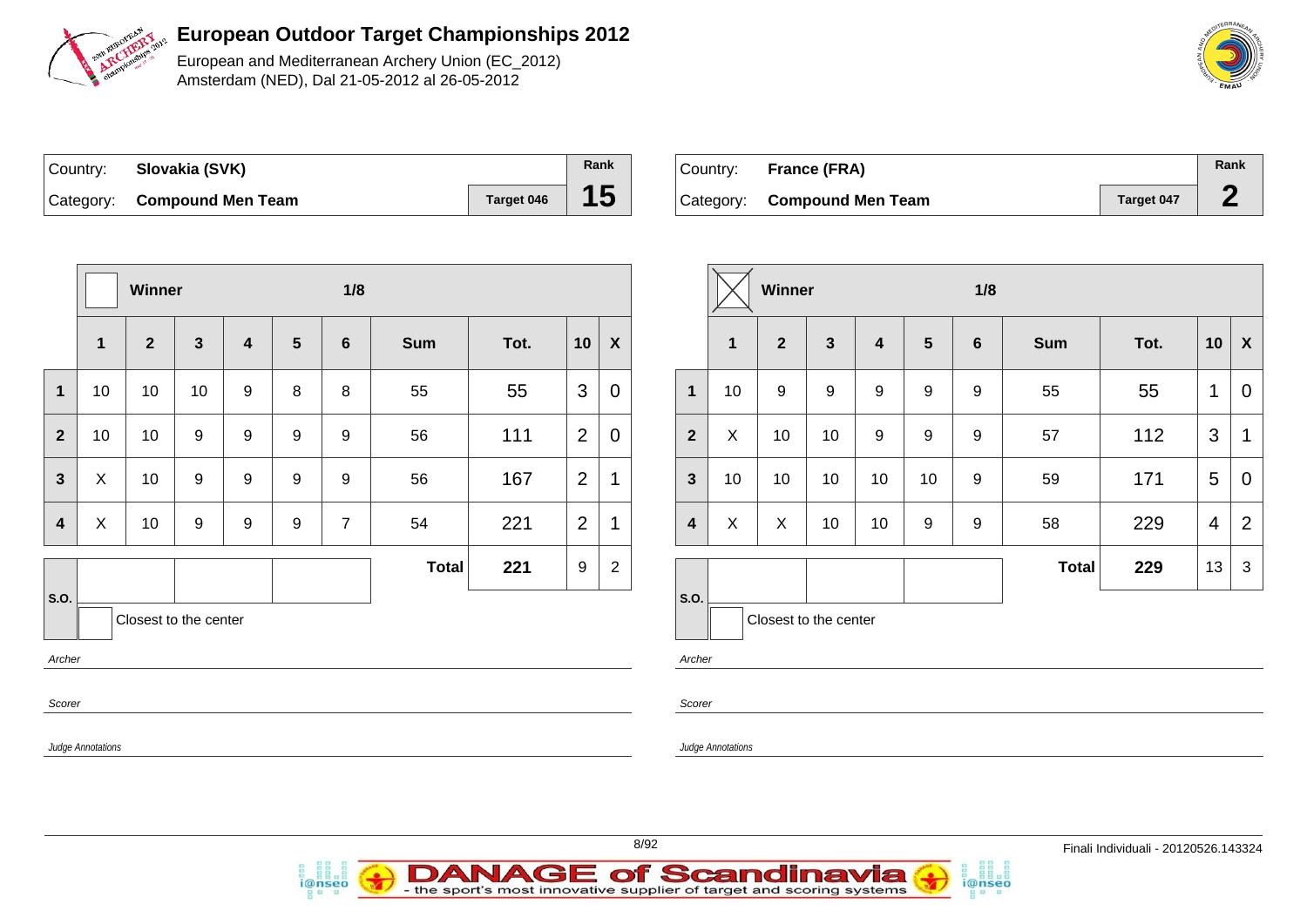

European and Mediterranean Archery Union (EC\_2012) Amsterdam (NED), Dal 21-05-2012 al 26-05-2012

| Country: Slovakia (SVK)     |            | Rank |
|-----------------------------|------------|------|
| Category: Compound Men Team | Target 046 | 15   |

i@nseo

| Country: France (FRA)       |            | Rank |
|-----------------------------|------------|------|
| Category: Compound Men Team | Target 047 |      |

|                          | 1/8<br>Winner             |                       |              |   |                |                  |              |      |                |                           |                          |                           | Winner                |                  | 1/8                     |                  |                  |              |      |                 |                           |
|--------------------------|---------------------------|-----------------------|--------------|---|----------------|------------------|--------------|------|----------------|---------------------------|--------------------------|---------------------------|-----------------------|------------------|-------------------------|------------------|------------------|--------------|------|-----------------|---------------------------|
|                          | $\mathbf{1}$              | $\overline{2}$        | $\mathbf{3}$ | 4 | $5\phantom{1}$ | 6                | <b>Sum</b>   | Tot. | 10             | $\boldsymbol{\mathsf{X}}$ |                          | $\overline{1}$            | $\overline{2}$        | $\mathbf{3}$     | $\overline{\mathbf{4}}$ | $5\phantom{1}$   | $6\phantom{1}6$  | <b>Sum</b>   | Tot. | 10              | $\boldsymbol{\mathsf{X}}$ |
| $\mathbf 1$              | 10                        | 10                    | 10           | 9 | 8              | 8                | 55           | 55   | 3              | $\mathbf 0$               | $\mathbf 1$              | 10                        | 9                     | $\boldsymbol{9}$ | 9                       | 9                | 9                | 55           | 55   | $\mathbf 1$     | $\overline{0}$            |
| $\overline{2}$           | 10                        | 10                    | 9            | 9 | 9              | $\boldsymbol{9}$ | 56           | 111  | $\overline{2}$ | $\mathbf 0$               | $\overline{\mathbf{2}}$  | $\boldsymbol{\mathsf{X}}$ | 10                    | 10               | 9                       | $\boldsymbol{9}$ | $\boldsymbol{9}$ | 57           | 112  | $\mathbf{3}$    | $\overline{1}$            |
| $\mathbf{3}$             | $\pmb{\times}$            | 10                    | 9            | 9 | 9              | 9                | 56           | 167  | 2              | $\mathbf 1$               | $\mathbf{3}$             | 10                        | 10                    | 10               | 10                      | 10               | 9                | 59           | 171  | $5\phantom{.0}$ | $\mathbf 0$               |
| $\overline{\mathbf{4}}$  | $\boldsymbol{\mathsf{X}}$ | 10                    | 9            | 9 | 9              | $\overline{7}$   | 54           | 221  | 2              | $\mathbf 1$               | $\overline{\mathbf{4}}$  | X                         | $\mathsf{X}$          | 10               | 10                      | 9                | 9                | 58           | 229  | $\overline{4}$  | $\overline{2}$            |
|                          |                           |                       |              |   |                |                  | <b>Total</b> | 221  | 9              | $\overline{2}$            |                          |                           |                       |                  |                         |                  |                  | <b>Total</b> | 229  | 13 <sup>°</sup> | $\mathbf{3}$              |
| S.O.<br>Archer<br>Scorer | <b>Judge Annotations</b>  | Closest to the center |              |   |                |                  |              |      |                |                           | S.O.<br>Archer<br>Scorer | <b>Judge Annotations</b>  | Closest to the center |                  |                         |                  |                  |              |      |                 |                           |
|                          |                           |                       |              |   |                |                  |              |      |                |                           |                          |                           |                       |                  |                         |                  |                  |              |      |                 |                           |

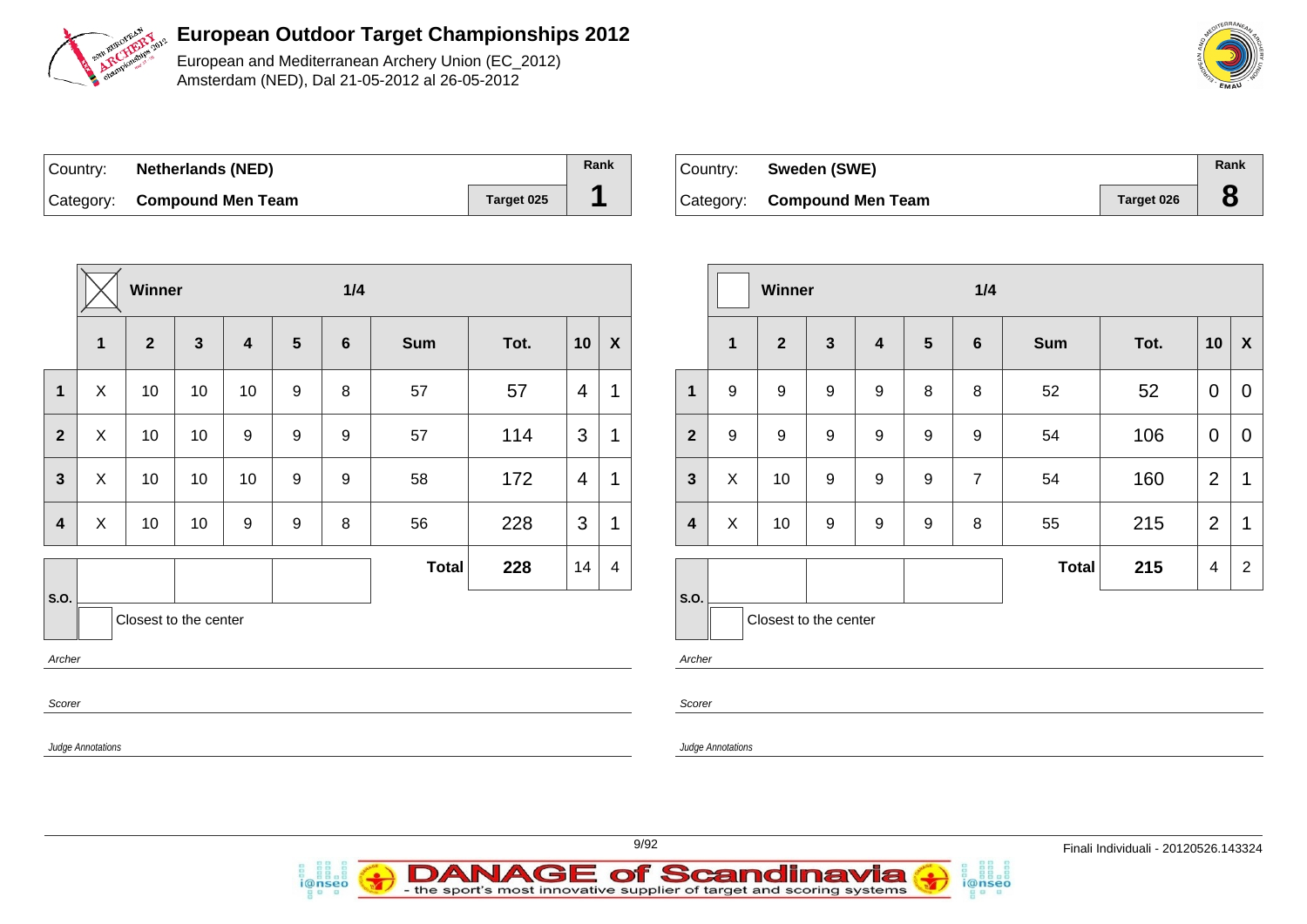

European and Mediterranean Archery Union (EC\_2012) Amsterdam (NED), Dal 21-05-2012 al 26-05-2012

| ∣Country: | <b>Netherlands (NED)</b>    |            | Rank |
|-----------|-----------------------------|------------|------|
|           | Category: Compound Men Team | Target 025 |      |

*i*@nseo

| Country: | Sweden (SWE)                |            | Rank |
|----------|-----------------------------|------------|------|
|          | Category: Compound Men Team | Target 026 |      |

i@nseo

|                          | $1/4$<br>Winner           |                       |              |                |                |                |              |      |                          |                    |                         |              | Winner         |                       |                         |                | 1/4            |              |      |                |                           |
|--------------------------|---------------------------|-----------------------|--------------|----------------|----------------|----------------|--------------|------|--------------------------|--------------------|-------------------------|--------------|----------------|-----------------------|-------------------------|----------------|----------------|--------------|------|----------------|---------------------------|
|                          | $\mathbf 1$               | $\overline{2}$        | $\mathbf{3}$ | $\overline{4}$ | $5\phantom{1}$ | $6\phantom{1}$ | <b>Sum</b>   | Tot. | 10                       | $\pmb{\mathsf{X}}$ |                         | $\mathbf{1}$ | $\overline{2}$ | $\mathbf{3}$          | $\overline{\mathbf{4}}$ | $5\phantom{1}$ | 6              | Sum          | Tot. | 10             | $\boldsymbol{\mathsf{X}}$ |
| $\mathbf 1$              | $\boldsymbol{\mathsf{X}}$ | 10                    | 10           | 10             | 9              | 8              | 57           | 57   | $\overline{4}$           | $\mathbf 1$        | $\mathbf{1}$            | $9\,$        | 9              | 9                     | 9                       | 8              | 8              | 52           | 52   | $\overline{0}$ | $\mathbf 0$               |
| $\overline{2}$           | X                         | 10                    | 10           | 9              | 9              | 9              | 57           | 114  | $\mathfrak{S}$           | 1                  | $\overline{2}$          | 9            | 9              | 9                     | 9                       | 9              | 9              | 54           | 106  | $\overline{0}$ | $\overline{0}$            |
| $\mathbf{3}$             | X                         | 10                    | 10           | 10             | 9              | 9              | 58           | 172  | $\overline{4}$           | $\mathbf{1}$       | $\mathbf{3}$            | X            | 10             | 9                     | 9                       | 9              | $\overline{7}$ | 54           | 160  | 2              | $\mathbf 1$               |
| $\overline{\mathbf{4}}$  | $\boldsymbol{X}$          | 10                    | 10           | 9              | 9              | 8              | 56           | 228  | $\mathbf{3}$             | $\mathbf 1$        | $\overline{\mathbf{4}}$ | X            | 10             | 9                     | 9                       | 9              | 8              | 55           | 215  | 2              | $\overline{1}$            |
|                          |                           |                       |              |                |                |                | <b>Total</b> | 228  | 14                       | $\overline{4}$     |                         |              |                |                       |                         |                |                | <b>Total</b> | 215  | $\overline{4}$ | $\overline{2}$            |
| S.O.                     |                           | Closest to the center |              |                |                |                |              |      |                          |                    | <b>S.O.</b>             |              |                | Closest to the center |                         |                |                |              |      |                |                           |
| Archer                   |                           |                       |              |                |                |                |              |      |                          |                    | Archer                  |              |                |                       |                         |                |                |              |      |                |                           |
| Scorer                   |                           |                       |              |                |                |                |              |      | Scorer                   |                    |                         |              |                |                       |                         |                |                |              |      |                |                           |
| <b>Judge Annotations</b> |                           |                       |              |                |                |                |              |      | <b>Judge Annotations</b> |                    |                         |              |                |                       |                         |                |                |              |      |                |                           |

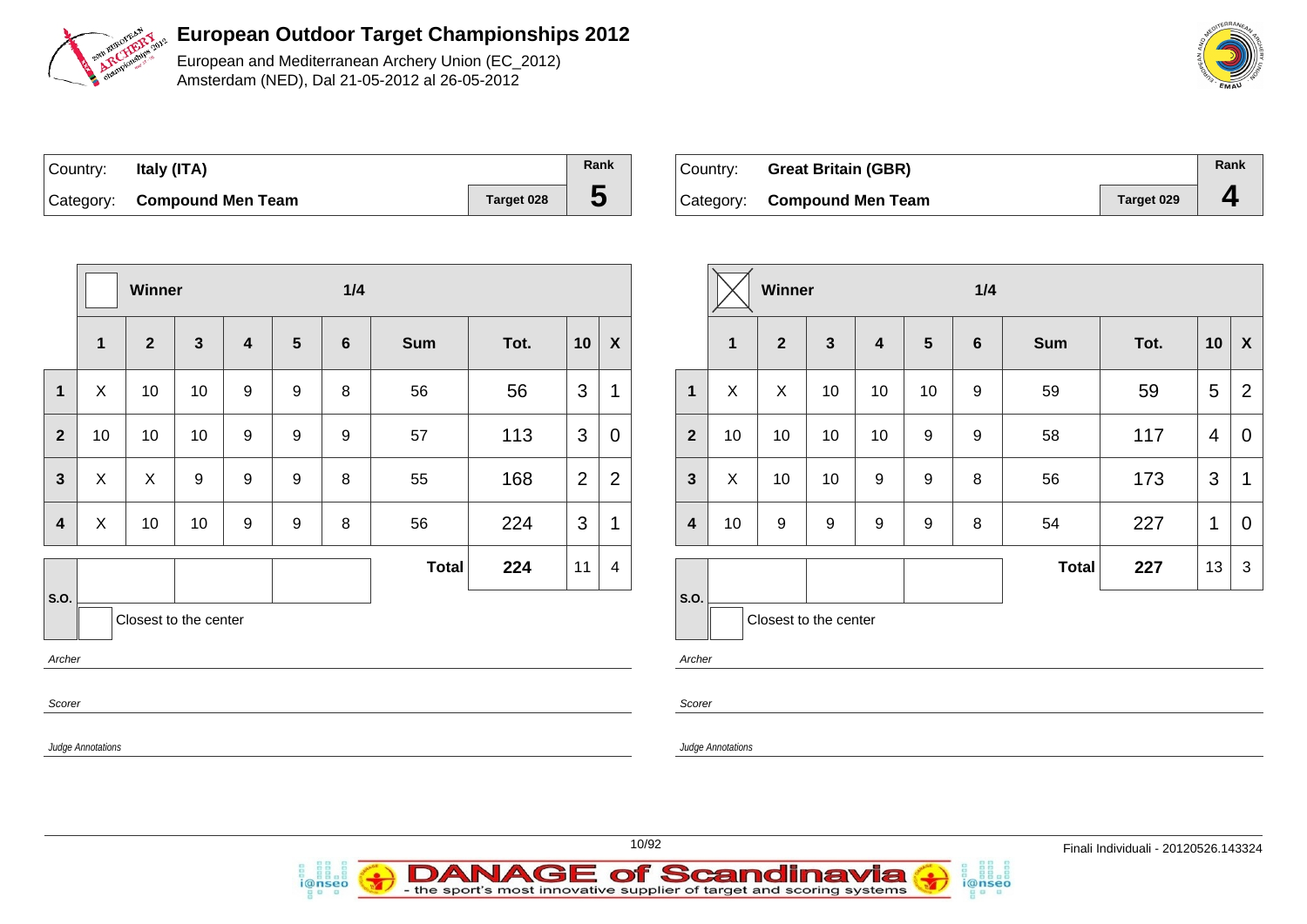

European and Mediterranean Archery Union (EC\_2012) Amsterdam (NED), Dal 21-05-2012 al 26-05-2012

| Country: | ltaly (ITA)                 |            | Rank |
|----------|-----------------------------|------------|------|
|          | Category: Compound Men Team | Target 028 | C    |

*i*@nseo

| ∣Country: | <b>Great Britain (GBR)</b>  |                   | Rank |
|-----------|-----------------------------|-------------------|------|
|           | Category: Compound Men Team | <b>Target 029</b> |      |

i@nseo

|                         | 1/4<br>Winner            |                       |              |   |                 |                  |              |      |                |                  |                         |                          | Winner                |                  |                  |                  | 1/4              |       |      |                 |                  |
|-------------------------|--------------------------|-----------------------|--------------|---|-----------------|------------------|--------------|------|----------------|------------------|-------------------------|--------------------------|-----------------------|------------------|------------------|------------------|------------------|-------|------|-----------------|------------------|
|                         | $\mathbf{1}$             | $\overline{2}$        | $\mathbf{3}$ | 4 | $5\phantom{.0}$ | $6\phantom{1}$   | <b>Sum</b>   | Tot. | 10             | $\boldsymbol{X}$ |                         | $\mathbf{1}$             | $\overline{2}$        | $\mathbf{3}$     | $\overline{4}$   | $5\phantom{1}$   | $6\phantom{1}6$  | Sum   | Tot. | 10              | $\boldsymbol{X}$ |
| $\mathbf{1}$            | X                        | 10                    | 10           | 9 | 9               | 8                | 56           | 56   | 3              |                  | $\mathbf{1}$            | X                        | $\boldsymbol{X}$      | 10               | 10               | 10               | 9                | 59    | 59   | $5\phantom{.0}$ | $\overline{2}$   |
| $\overline{2}$          | 10                       | 10                    | 10           | 9 | 9               | $\boldsymbol{9}$ | 57           | 113  | 3              | $\mathbf 0$      | $\overline{2}$          | 10                       | 10                    | 10               | 10               | 9                | $\boldsymbol{9}$ | 58    | 117  | $\overline{4}$  | $\pmb{0}$        |
| $\mathbf{3}$            | $\mathsf{X}$             | $\mathsf{X}$          | 9            | 9 | 9               | 8                | 55           | 168  | $\overline{2}$ | $\overline{2}$   | $\mathbf{3}$            | $\boldsymbol{X}$         | 10                    | 10               | 9                | 9                | 8                | 56    | 173  | 3               | $\mathbf 1$      |
| $\overline{\mathbf{4}}$ | X                        | 10                    | 10           | 9 | 9               | $\,8\,$          | 56           | 224  | 3              | $\overline{1}$   | $\overline{\mathbf{4}}$ | 10                       | $\boldsymbol{9}$      | $\boldsymbol{9}$ | $\boldsymbol{9}$ | $\boldsymbol{9}$ | 8                | 54    | 227  | $\mathbf{1}$    | $\pmb{0}$        |
|                         |                          |                       |              |   |                 |                  | <b>Total</b> | 224  | 11             | 4                |                         |                          |                       |                  |                  |                  |                  | Total | 227  | 13              | $\sqrt{3}$       |
| <b>S.O.</b>             |                          | Closest to the center |              |   |                 |                  |              |      |                |                  | S.O.                    |                          | Closest to the center |                  |                  |                  |                  |       |      |                 |                  |
| Archer                  |                          |                       |              |   |                 |                  |              |      |                |                  | Archer                  |                          |                       |                  |                  |                  |                  |       |      |                 |                  |
| Scorer                  |                          |                       |              |   |                 |                  |              |      |                |                  | Scorer                  |                          |                       |                  |                  |                  |                  |       |      |                 |                  |
|                         | <b>Judge Annotations</b> |                       |              |   |                 |                  |              |      |                |                  |                         | <b>Judge Annotations</b> |                       |                  |                  |                  |                  |       |      |                 |                  |

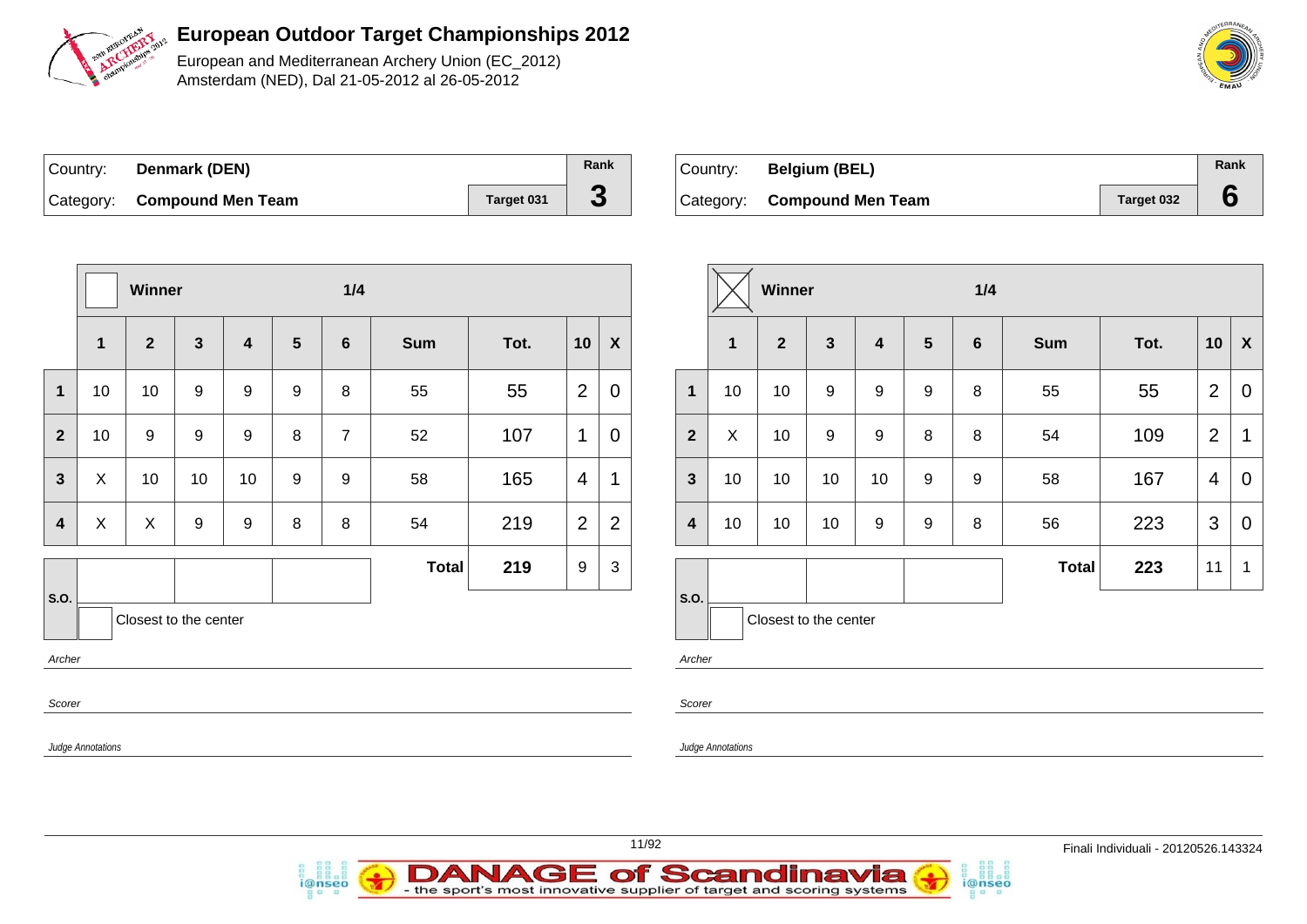

European and Mediterranean Archery Union (EC\_2012) Amsterdam (NED), Dal 21-05-2012 al 26-05-2012

| ∣Country: | Denmark (DEN)               |            | Rank |
|-----------|-----------------------------|------------|------|
|           | Category: Compound Men Team | Target 031 |      |

*i*@nseo

| Country: | <b>Belgium (BEL)</b>        |            | Rank |
|----------|-----------------------------|------------|------|
|          | Category: Compound Men Team | Target 032 |      |

i@nseo

|                         |                          | 1/4<br><b>Winner</b>  |              |                  |                 |                |              |      |                |                           |                         |                          | Winner                |                  |                         |                  | 1/4            |       |      |                |                         |  |
|-------------------------|--------------------------|-----------------------|--------------|------------------|-----------------|----------------|--------------|------|----------------|---------------------------|-------------------------|--------------------------|-----------------------|------------------|-------------------------|------------------|----------------|-------|------|----------------|-------------------------|--|
|                         | $\mathbf{1}$             | $\overline{2}$        | $\mathbf{3}$ | 4                | $5\phantom{.0}$ | 6              | <b>Sum</b>   | Tot. | 10             | $\boldsymbol{\mathsf{X}}$ |                         | $\mathbf{1}$             | $\overline{2}$        | $\mathbf{3}$     | $\overline{\mathbf{4}}$ | $5\phantom{.0}$  | $6\phantom{1}$ | Sum   | Tot. |                | $10 \mid X$             |  |
| $\mathbf{1}$            | 10                       | 10                    | 9            | $\boldsymbol{9}$ | 9               | 8              | 55           | 55   | $\overline{2}$ | $\mathbf 0$               | $\mathbf{1}$            | 10                       | 10                    | $\boldsymbol{9}$ | $\boldsymbol{9}$        | $\boldsymbol{9}$ | $\, 8$         | 55    | 55   | $\overline{2}$ | $\overline{0}$          |  |
| $\overline{2}$          | 10                       | 9                     | 9            | 9                | 8               | $\overline{7}$ | 52           | 107  | $\mathbf{1}$   | $\boldsymbol{0}$          | 2 <sup>2</sup>          | $\pmb{\times}$           | 10                    | $9\,$            | $\boldsymbol{9}$        | $\,8\,$          | 8              | 54    | 109  | $\overline{2}$ | $\overline{\mathbf{1}}$ |  |
| $\mathbf{3}$            | $\sf X$                  | 10                    | 10           | 10               | 9               | 9              | 58           | 165  | $\overline{4}$ | $\mathbf 1$               | $\mathbf{3}$            | 10                       | 10                    | 10               | 10                      | 9                | 9              | 58    | 167  | $\overline{4}$ | $\overline{0}$          |  |
| $\overline{\mathbf{4}}$ | $\boldsymbol{X}$         | X                     | 9            | 9                | 8               | 8              | 54           | 219  | 2              | $\overline{2}$            | $\overline{\mathbf{4}}$ | 10                       | 10                    | 10               | 9                       | 9                | 8              | 56    | 223  | 3              | $\overline{0}$          |  |
|                         |                          |                       |              |                  |                 |                | <b>Total</b> | 219  | 9              | $\mathfrak{S}$            |                         |                          |                       |                  |                         |                  |                | Total | 223  | 11             | $\overline{1}$          |  |
| S.O.                    |                          | Closest to the center |              |                  |                 |                |              |      |                |                           | <b>S.O.</b>             |                          | Closest to the center |                  |                         |                  |                |       |      |                |                         |  |
| Archer                  |                          |                       |              |                  |                 |                |              |      |                |                           | Archer                  |                          |                       |                  |                         |                  |                |       |      |                |                         |  |
| Scorer                  |                          |                       |              |                  |                 |                |              |      | Scorer         |                           |                         |                          |                       |                  |                         |                  |                |       |      |                |                         |  |
|                         | <b>Judge Annotations</b> |                       |              |                  |                 |                |              |      |                |                           |                         | <b>Judge Annotations</b> |                       |                  |                         |                  |                |       |      |                |                         |  |

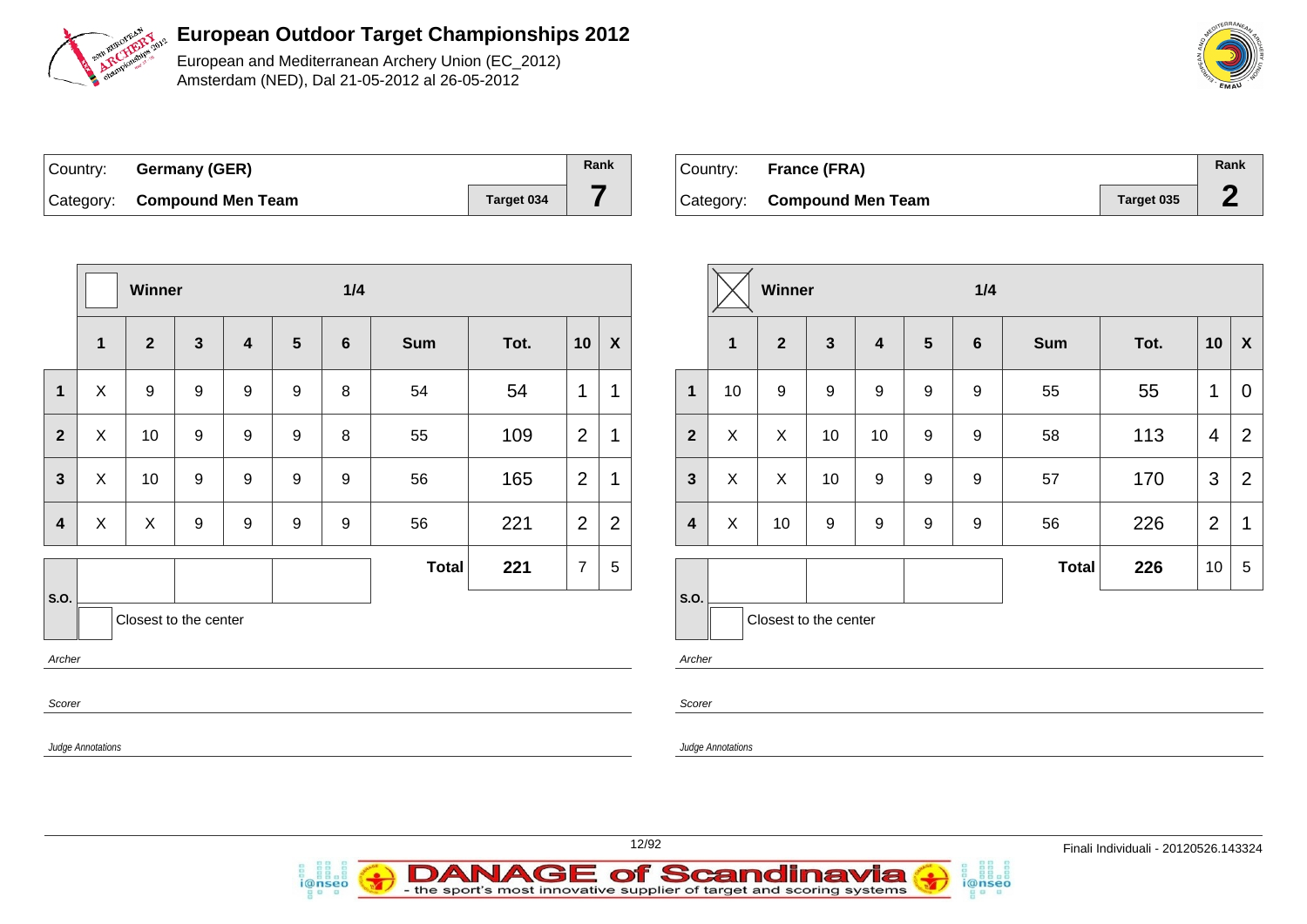

European and Mediterranean Archery Union (EC\_2012) Amsterdam (NED), Dal 21-05-2012 al 26-05-2012

| Country: Germany (GER)      |            | Rank |
|-----------------------------|------------|------|
| Category: Compound Men Team | Target 034 |      |

| Country: | France (FRA)                |            | Rank |
|----------|-----------------------------|------------|------|
|          | Category: Compound Men Team | Target 035 |      |

|                         |                           | Winner                |                  |                  |                  | 1/4              |              |      |                |                  |                         |                   | Winner                |                  |                         |                  | 1/4              |              |      |                 |                           |
|-------------------------|---------------------------|-----------------------|------------------|------------------|------------------|------------------|--------------|------|----------------|------------------|-------------------------|-------------------|-----------------------|------------------|-------------------------|------------------|------------------|--------------|------|-----------------|---------------------------|
|                         | 1                         | $\mathbf{2}$          | $\mathbf{3}$     | 4                | $5\phantom{1}$   | $6\phantom{1}$   | <b>Sum</b>   | Tot. | 10             | $\boldsymbol{X}$ |                         | $\mathbf{1}$      | $\overline{2}$        | $\mathbf{3}$     | $\overline{\mathbf{4}}$ | $5\phantom{1}$   | 6                | <b>Sum</b>   | Tot. | 10              | $\boldsymbol{\mathsf{X}}$ |
| $\mathbf 1$             | $\boldsymbol{\mathsf{X}}$ | $\boldsymbol{9}$      | $\boldsymbol{9}$ | $\boldsymbol{9}$ | $\boldsymbol{9}$ | 8                | 54           | 54   | $\mathbf{1}$   | 1                | $\overline{1}$          | 10                | $\boldsymbol{9}$      | 9                | 9                       | $\mathsf g$      | 9                | 55           | 55   | $\mathbf 1$     | $\overline{0}$            |
| $\overline{2}$          | $\mathsf X$               | 10 <sup>1</sup>       | 9                | 9                | $9\,$            | 8                | 55           | 109  | 2              | 1                | $\overline{\mathbf{2}}$ | $\mathsf X$       | $\mathsf{X}$          | 10               | 10                      | 9                | 9                | 58           | 113  | $\overline{4}$  | $\overline{2}$            |
| $\mathbf{3}$            | $\pmb{\times}$            | 10                    | $\boldsymbol{9}$ | 9                | 9                | 9                | 56           | 165  | 2              | 1                | $\mathbf{3}$            | X                 | $\mathsf X$           | 10               | 9                       | 9                | 9                | 57           | 170  | $\mathbf{3}$    | $\overline{2}$            |
| $\overline{\mathbf{4}}$ | $\mathsf X$               | X                     | $\boldsymbol{9}$ | $\boldsymbol{9}$ | $\boldsymbol{9}$ | $\boldsymbol{9}$ | 56           | 221  | 2              | $\overline{2}$   | $\overline{\mathbf{4}}$ | $\pmb{\times}$    | 10                    | $\boldsymbol{9}$ | $\boldsymbol{9}$        | $\boldsymbol{9}$ | $\boldsymbol{9}$ | 56           | 226  | $\overline{2}$  | $\mathbf{1}$              |
|                         |                           |                       |                  |                  |                  |                  | <b>Total</b> | 221  | $\overline{7}$ | $\,$ 5 $\,$      |                         |                   |                       |                  |                         |                  |                  | <b>Total</b> | 226  | 10 <sup>1</sup> | $5\phantom{.0}$           |
| <b>S.O.</b><br>Archer   |                           | Closest to the center |                  |                  |                  |                  |              |      |                |                  | s.o.<br>Archer          |                   | Closest to the center |                  |                         |                  |                  |              |      |                 |                           |
| Scorer                  |                           |                       |                  |                  |                  |                  |              |      |                |                  | Scorer                  |                   |                       |                  |                         |                  |                  |              |      |                 |                           |
|                         | Judge Annotations         |                       |                  |                  |                  |                  |              |      |                |                  |                         | Judge Annotations |                       |                  |                         |                  |                  |              |      |                 |                           |
|                         |                           |                       |                  |                  |                  |                  |              |      |                |                  |                         |                   |                       |                  |                         |                  |                  |              |      |                 |                           |

| Country: France (FRA)       |            | Rank |
|-----------------------------|------------|------|
| Category: Compound Men Team | Target 035 |      |



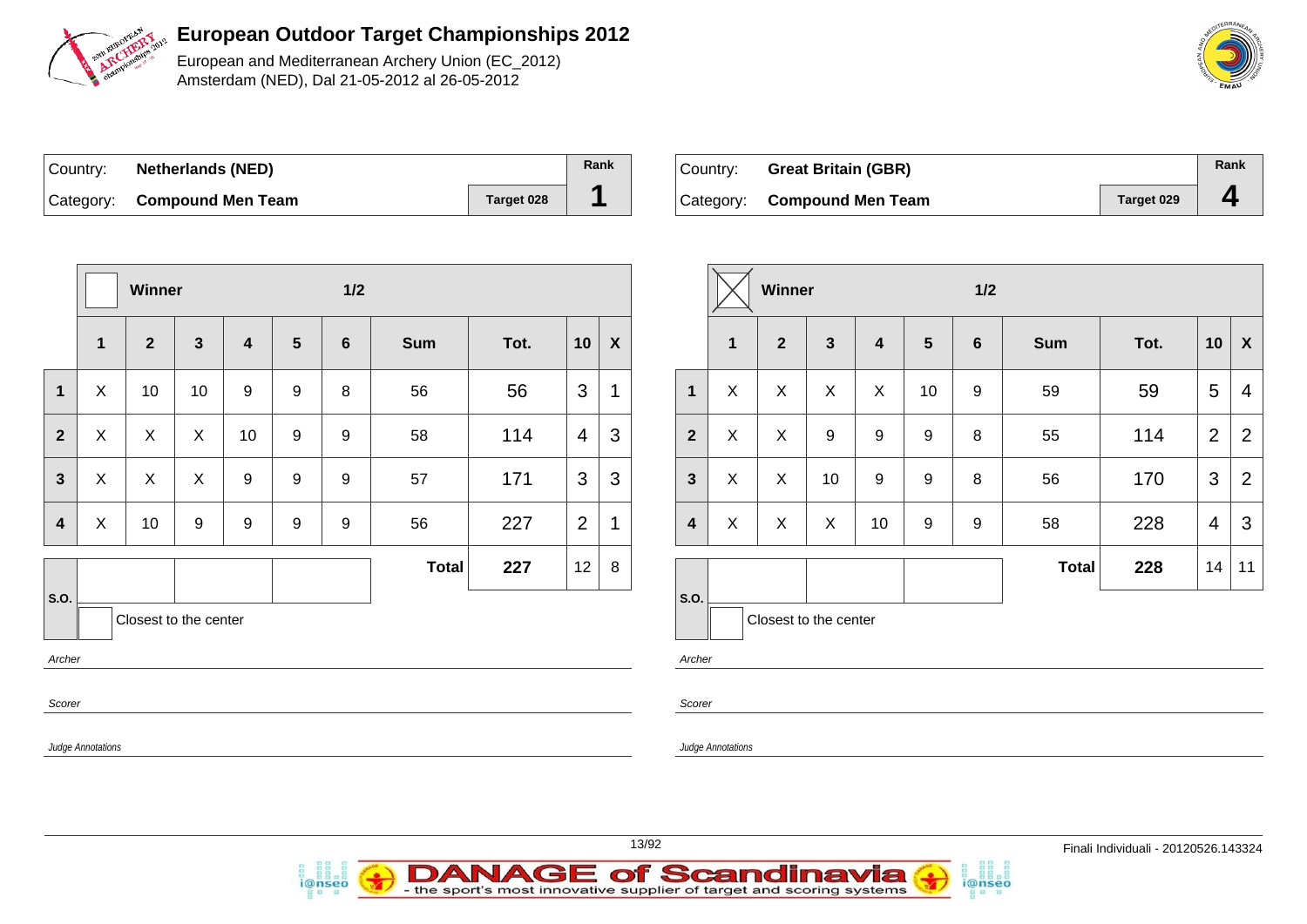

European and Mediterranean Archery Union (EC\_2012) Amsterdam (NED), Dal 21-05-2012 al 26-05-2012

| ∣Country: | <b>Netherlands (NED)</b>    |            | Rank |
|-----------|-----------------------------|------------|------|
|           | Category: Compound Men Team | Target 028 |      |

*i*@nseo

| ∣Country: | <b>Great Britain (GBR)</b>  |                   | Rank |
|-----------|-----------------------------|-------------------|------|
|           | Category: Compound Men Team | <b>Target 029</b> |      |

i@nseo

|                          |                           | Winner                  |                           |                  |                  | $1/2$            |              |      |                |                  |                          |                   | Winner                |              |    |    | 1/2              |              |      |                 |                           |
|--------------------------|---------------------------|-------------------------|---------------------------|------------------|------------------|------------------|--------------|------|----------------|------------------|--------------------------|-------------------|-----------------------|--------------|----|----|------------------|--------------|------|-----------------|---------------------------|
|                          | $\mathbf{1}$              | $\overline{\mathbf{2}}$ | $\mathbf{3}$              | 4                | $5\phantom{1}$   | $6\phantom{1}$   | <b>Sum</b>   | Tot. | 10             | $\boldsymbol{X}$ |                          | 1                 | $\overline{2}$        | $\mathbf{3}$ | 4  | 5  | $6\phantom{1}6$  | <b>Sum</b>   | Tot. | 10              | $\boldsymbol{\mathsf{X}}$ |
| $\mathbf 1$              | $\boldsymbol{\mathsf{X}}$ | 10 <sub>1</sub>         | 10                        | $\boldsymbol{9}$ | $\boldsymbol{9}$ | 8                | 56           | 56   | $\mathbf{3}$   | 1                | $\mathbf 1$              | X                 | X                     | $\sf X$      | X  | 10 | $\boldsymbol{9}$ | 59           | 59   | $5\phantom{.0}$ | $\overline{4}$            |
| $\overline{2}$           | $\sf X$                   | $\mathsf X$             | $\mathsf{X}$              | 10               | $\boldsymbol{9}$ | $\boldsymbol{9}$ | 58           | 114  | $\overline{4}$ | $\mathbf{3}$     | $\overline{2}$           | $\mathsf{X}$      | $\mathsf{X}$          | 9            | 9  | 9  | 8                | 55           | 114  | 2               | $\overline{2}$            |
| $\mathbf{3}$             | $\boldsymbol{\mathsf{X}}$ | $\mathsf{X}$            | $\boldsymbol{\mathsf{X}}$ | $\boldsymbol{9}$ | $\boldsymbol{9}$ | $\boldsymbol{9}$ | 57           | 171  | $\mathfrak{S}$ | $\mathbf{3}$     | $\mathbf{3}$             | $\mathsf X$       | $\mathsf X$           | 10           | 9  | 9  | 8                | 56           | 170  | $\mathbf{3}$    | $\overline{2}$            |
| $\overline{\mathbf{4}}$  | $\boldsymbol{\mathsf{X}}$ | 10                      | $\boldsymbol{9}$          | 9                | $\boldsymbol{9}$ | 9                | 56           | 227  | $\overline{2}$ | 1                | $\overline{\mathbf{4}}$  | X                 | $\mathsf X$           | $\mathsf X$  | 10 | 9  | 9                | 58           | 228  | $\overline{4}$  | 3                         |
|                          |                           |                         |                           |                  |                  |                  | <b>Total</b> | 227  | 12             | $8\phantom{1}$   |                          |                   |                       |              |    |    |                  | <b>Total</b> | 228  | 14              | 11                        |
| S.O.<br>Archer<br>Scorer |                           |                         | Closest to the center     |                  |                  |                  |              |      |                |                  | S.O.<br>Archer<br>Scorer |                   | Closest to the center |              |    |    |                  |              |      |                 |                           |
|                          | <b>Judge Annotations</b>  |                         |                           |                  |                  |                  |              |      |                |                  |                          | Judge Annotations |                       |              |    |    |                  |              |      |                 |                           |

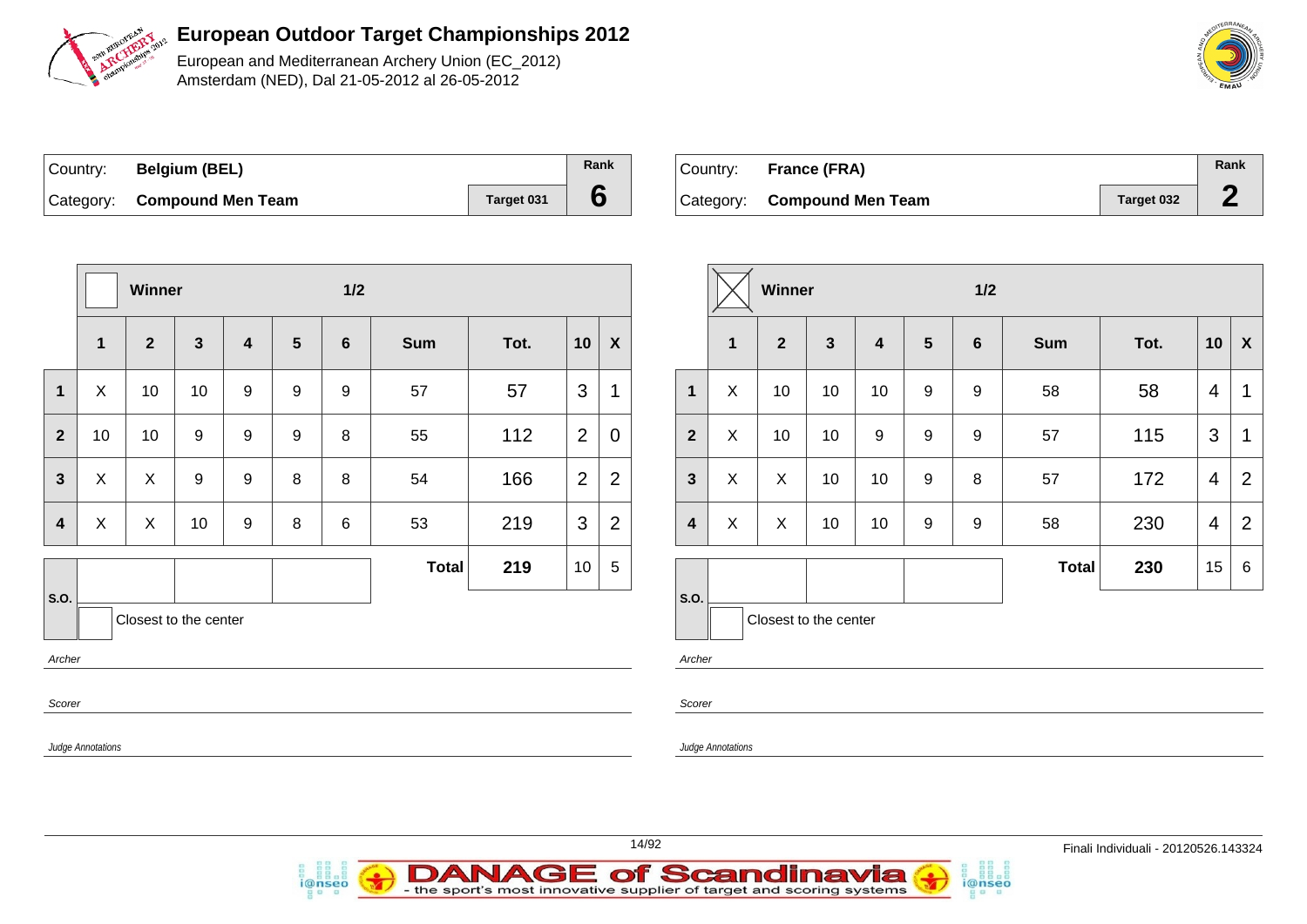

European and Mediterranean Archery Union (EC\_2012) Amsterdam (NED), Dal 21-05-2012 al 26-05-2012

| Country: | <b>Belgium (BEL)</b>        |            | Rank |
|----------|-----------------------------|------------|------|
|          | Category: Compound Men Team | Target 031 |      |

*i*@nseo

| Country: France (FRA)       |            | Rank |
|-----------------------------|------------|------|
| Category: Compound Men Team | Target 032 |      |

i@nseo

|                          |                          | Winner         |                       |             |                 | $1/2$       |              |      |                |                           |                          |                           | Winner                    |              |                  |                  | $1/2$           |              |      |                |                |
|--------------------------|--------------------------|----------------|-----------------------|-------------|-----------------|-------------|--------------|------|----------------|---------------------------|--------------------------|---------------------------|---------------------------|--------------|------------------|------------------|-----------------|--------------|------|----------------|----------------|
|                          | $\mathbf 1$              | $\mathbf{2}$   | $\mathbf{3}$          | 4           | $5\phantom{.0}$ | 6           | <b>Sum</b>   | Tot. | 10             | $\boldsymbol{\mathsf{X}}$ |                          | $\mathbf{1}$              | $\overline{2}$            | $\mathbf{3}$ | $\boldsymbol{4}$ | 5                | $6\phantom{1}6$ | <b>Sum</b>   | Tot. | 10             | $\mathbf{X}$   |
| $\mathbf{1}$             | X                        | 10             | 10                    | $\mathsf g$ | $\mathsf g$     | $\mathsf g$ | 57           | 57   | $\mathbf{3}$   | $\mathbf 1$               | $\mathbf 1$              | $\boldsymbol{\mathsf{X}}$ | 10                        | 10           | 10               | 9                | 9               | 58           | 58   | $\overline{4}$ | $\mathbf{1}$   |
| $\overline{2}$           | 10                       | 10             | 9                     | $\mathsf g$ | $\mathsf g$     | 8           | 55           | 112  | $\overline{2}$ | $\overline{0}$            | $\mathbf{2}$             | $\boldsymbol{\mathsf{X}}$ | 10                        | 10           | 9                | 9                | 9               | 57           | 115  | 3              | $\mathbf{1}$   |
| $\mathbf{3}$             | X                        | $\pmb{\times}$ | 9                     | 9           | 8               | 8           | 54           | 166  | 2              | $\overline{2}$            | $\mathbf{3}$             | $\boldsymbol{\mathsf{X}}$ | $\boldsymbol{X}$          | 10           | 10               | 9                | 8               | 57           | 172  | $\overline{4}$ | $\overline{2}$ |
| $\overline{\mathbf{4}}$  | X                        | $\mathsf X$    | 10                    | 9           | 8               | 6           | 53           | 219  | $\mathbf{3}$   | $\overline{2}$            | $\overline{\mathbf{4}}$  | $\boldsymbol{\mathsf{X}}$ | $\boldsymbol{\mathsf{X}}$ | 10           | 10               | $\boldsymbol{9}$ | 9               | 58           | 230  | $\overline{4}$ | 2              |
|                          |                          |                |                       |             |                 |             | <b>Total</b> | 219  | 10             | $5\,$                     |                          |                           |                           |              |                  |                  |                 | <b>Total</b> | 230  | 15             | 6              |
| S.O.<br>Archer<br>Scorer |                          |                | Closest to the center |             |                 |             |              |      |                |                           | S.O.<br>Archer<br>Scorer |                           | Closest to the center     |              |                  |                  |                 |              |      |                |                |
|                          | <b>Judge Annotations</b> |                |                       |             |                 |             |              |      |                |                           |                          | Judge Annotations         |                           |              |                  |                  |                 |              |      |                |                |

| Country: France (FRA)       |            | Rank |
|-----------------------------|------------|------|
| Category: Compound Men Team | Target 032 |      |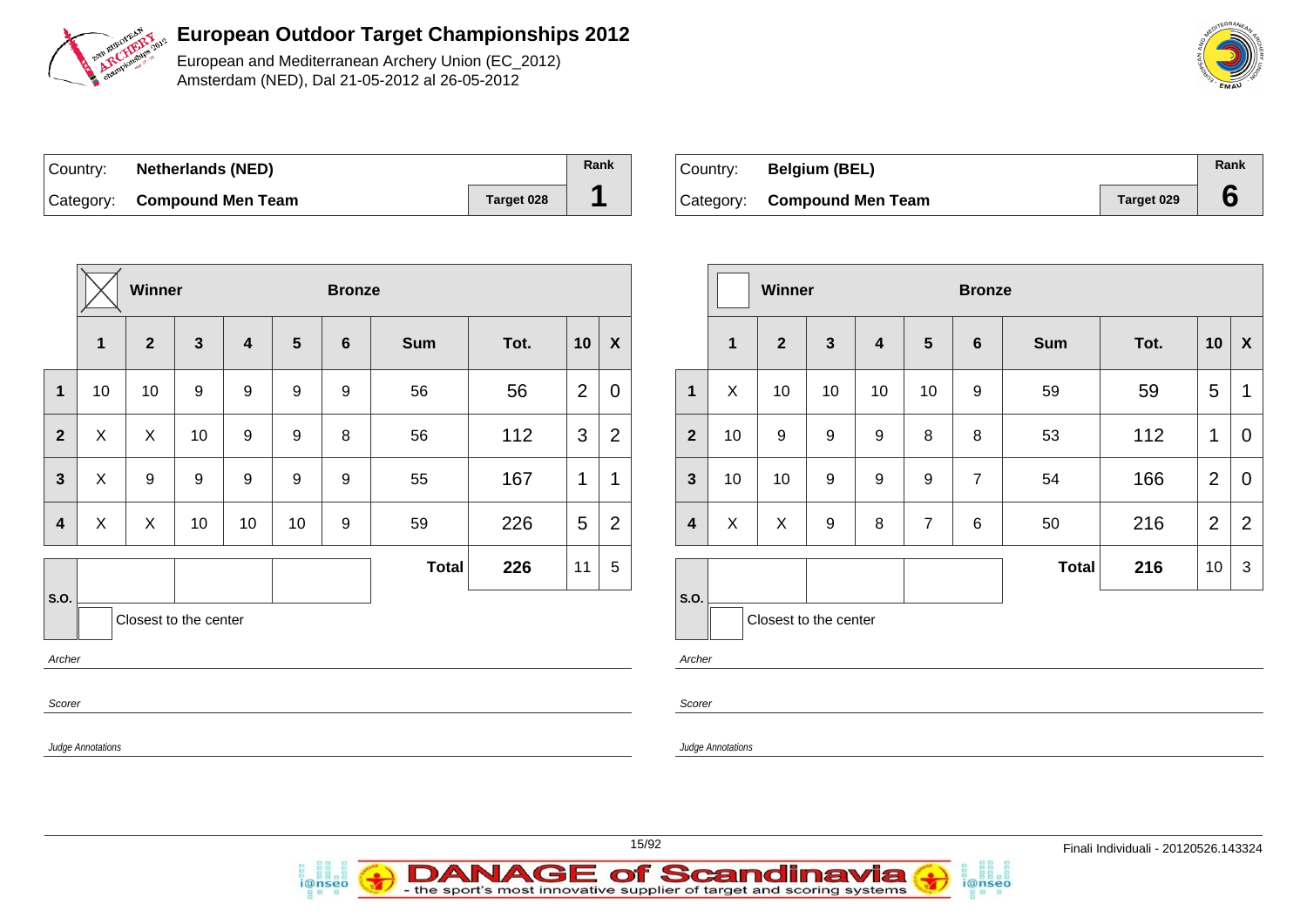

European and Mediterranean Archery Union (EC\_2012) Amsterdam (NED), Dal 21-05-2012 al 26-05-2012

| Country: | <b>Netherlands (NED)</b>    |            | Rank |
|----------|-----------------------------|------------|------|
|          | Category: Compound Men Team | Target 028 |      |

| Country: | <b>Belgium (BEL)</b>        |            | Rank |
|----------|-----------------------------|------------|------|
|          | Category: Compound Men Team | Target 029 |      |

|                         |                          | <b>Winner</b>         |                  |                         |                  | <b>Bronze</b>    |              |      |                |                |
|-------------------------|--------------------------|-----------------------|------------------|-------------------------|------------------|------------------|--------------|------|----------------|----------------|
|                         | 1                        | $\overline{2}$        | $\mathbf{3}$     | $\overline{\mathbf{4}}$ | $5\phantom{1}$   | $6\phantom{1}$   | <b>Sum</b>   | Tot. | 10             | X              |
| 1                       | 10                       | 10                    | 9                | 9                       | 9                | 9                | 56           | 56   | $\overline{2}$ | $\mathbf 0$    |
| $\overline{2}$          | X                        | X                     | 10               | $\boldsymbol{9}$        | $\boldsymbol{9}$ | 8                | 56           | 112  | 3              | $\overline{2}$ |
| 3                       | X                        | 9                     | $\boldsymbol{9}$ | 9                       | $\boldsymbol{9}$ | $\boldsymbol{9}$ | 55           | 167  | 1              | 1              |
| $\overline{\mathbf{4}}$ | X                        | X                     | 10               | 10                      | 10               | $\boldsymbol{9}$ | 59           | 226  | 5              | $\overline{2}$ |
|                         |                          |                       |                  |                         |                  |                  | <b>Total</b> | 226  | 11             | 5              |
| S.O.<br>Archer          |                          | Closest to the center |                  |                         |                  |                  |              |      |                |                |
| Scorer                  |                          |                       |                  |                         |                  |                  |              |      |                |                |
|                         | <b>Judge Annotations</b> |                       |                  |                         |                  |                  |              |      |                |                |

i@nseo

|                         |              | <b>Winner</b>         |              |    |                | <b>Bronze</b>   |              |      |                |                |
|-------------------------|--------------|-----------------------|--------------|----|----------------|-----------------|--------------|------|----------------|----------------|
|                         | $\mathbf{1}$ | $\overline{2}$        | $\mathbf{3}$ | 4  | $5\phantom{1}$ | $6\phantom{1}6$ | <b>Sum</b>   | Tot. | 10             | X              |
| $\mathbf{1}$            | X            | 10                    | 10           | 10 | 10             | 9               | 59           | 59   | 5              | 1              |
| $\overline{2}$          | 10           | 9                     | 9            | 9  | 8              | 8               | 53           | 112  | 1              | 0              |
| $\mathbf{3}$            | 10           | 10                    | 9            | 9  | 9              | $\overline{7}$  | 54           | 166  | $\overline{2}$ | 0              |
| $\overline{\mathbf{4}}$ | X            | X                     | 9            | 8  | $\overline{7}$ | 6               | 50           | 216  | $\overline{2}$ | $\overline{2}$ |
|                         |              |                       |              |    |                |                 | <b>Total</b> | 216  | 10             | $\mathfrak{S}$ |
| S.O.                    |              | Closest to the center |              |    |                |                 |              |      |                |                |

i@nseo

Archer

Scorer

Judge Annotations



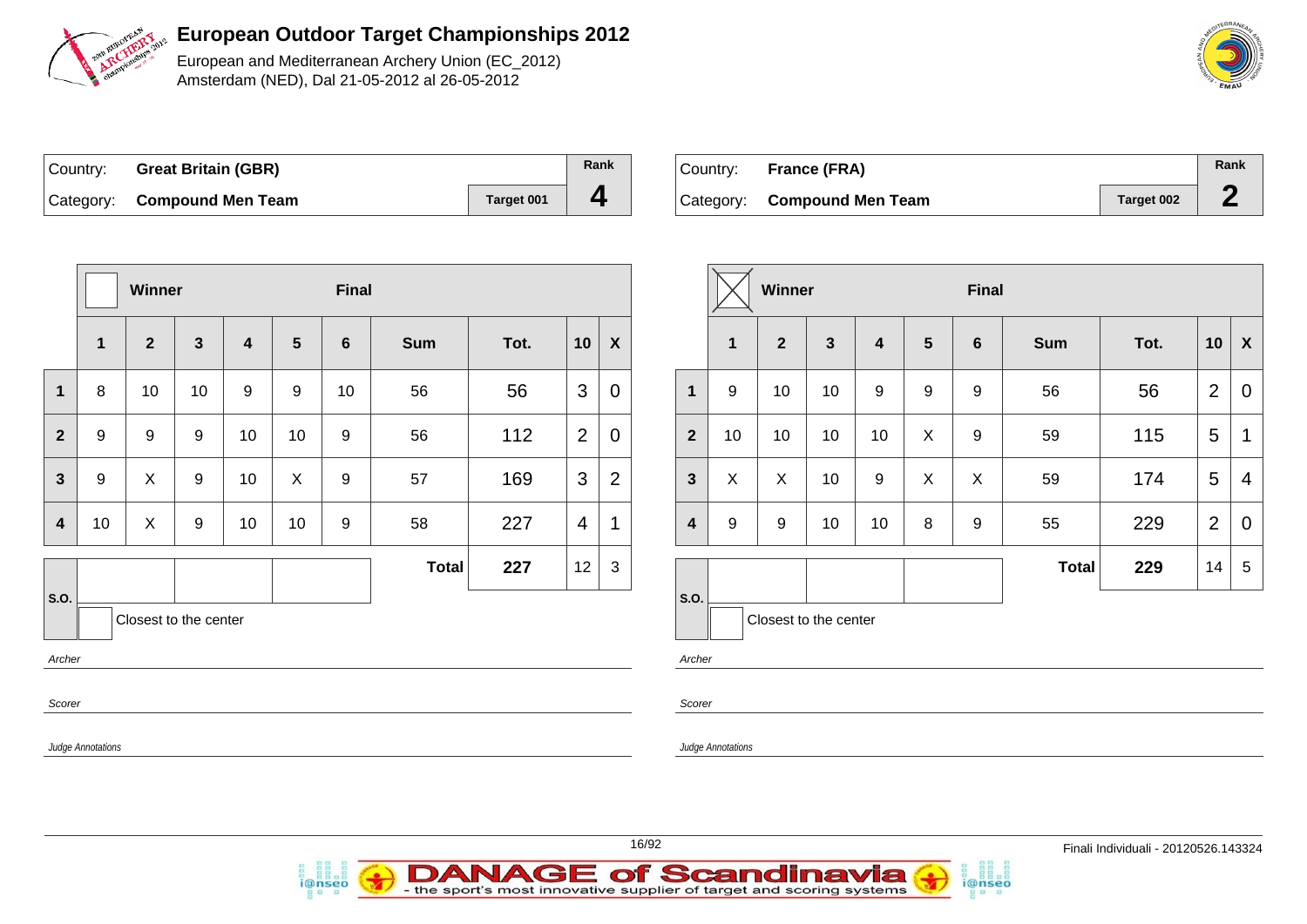

European and Mediterranean Archery Union (EC\_2012) Amsterdam (NED), Dal 21-05-2012 al 26-05-2012

| Country: Great Britain (GBR) |            | Rank |
|------------------------------|------------|------|
| Category: Compound Men Team  | Target 001 |      |

| Country: | France (FRA)                |            | Rank |
|----------|-----------------------------|------------|------|
|          | Category: Compound Men Team | Target 002 |      |

|                         |                   | Winner           |                       |                         |                  | <b>Final</b>   |              |      |                |                  |
|-------------------------|-------------------|------------------|-----------------------|-------------------------|------------------|----------------|--------------|------|----------------|------------------|
|                         | 1                 | $\overline{2}$   | $\mathbf{3}$          | $\overline{\mathbf{4}}$ | $5\phantom{1}$   | $6\phantom{1}$ | <b>Sum</b>   | Tot. | 10             | $\boldsymbol{X}$ |
| 1                       | 8                 | 10               | 10                    | $\boldsymbol{9}$        | $\boldsymbol{9}$ | 10             | 56           | 56   | 3              | 0                |
| $\mathbf{2}$            | $\boldsymbol{9}$  | $\boldsymbol{9}$ | $\boldsymbol{9}$      | 10                      | 10               | 9              | 56           | 112  | $\overline{2}$ | 0                |
| $\overline{\mathbf{3}}$ | $\boldsymbol{9}$  | X                | $\boldsymbol{9}$      | 10                      | X                | 9              | 57           | 169  | 3              | $\overline{2}$   |
| 4                       | 10                | X                | $\boldsymbol{9}$      | 10                      | 10               | 9              | 58           | 227  | $\overline{4}$ | 1                |
|                         |                   |                  |                       |                         |                  |                | <b>Total</b> | 227  | 12             | $\mathbf{3}$     |
| S.O.                    |                   |                  | Closest to the center |                         |                  |                |              |      |                |                  |
| Archer                  |                   |                  |                       |                         |                  |                |              |      |                |                  |
| Scorer                  |                   |                  |                       |                         |                  |                |              |      |                |                  |
|                         | Judge Annotations |                  |                       |                         |                  |                |              |      |                |                  |

|                         |              | Winner                |              |                         |                | <b>Final</b>   |              |      |                |             |
|-------------------------|--------------|-----------------------|--------------|-------------------------|----------------|----------------|--------------|------|----------------|-------------|
|                         | $\mathbf{1}$ | $\overline{2}$        | $\mathbf{3}$ | $\overline{\mathbf{4}}$ | $5\phantom{1}$ | $6\phantom{1}$ | <b>Sum</b>   | Tot. | 10             | X           |
| $\mathbf{1}$            | 9            | 10                    | 10           | 9                       | 9              | 9              | 56           | 56   | $\overline{2}$ | $\mathbf 0$ |
| $\overline{2}$          | 10           | 10                    | 10           | 10                      | X              | 9              | 59           | 115  | 5              | $\mathbf 1$ |
| $\mathbf{3}$            | X            | X                     | 10           | 9                       | X              | X              | 59           | 174  | 5              | 4           |
| $\overline{\mathbf{4}}$ | 9            | 9                     | 10           | 10                      | 8              | 9              | 55           | 229  | $\overline{2}$ | 0           |
|                         |              |                       |              |                         |                |                | <b>Total</b> | 229  | 14             | 5           |
| S.O.                    |              | Closest to the center |              |                         |                |                |              |      |                |             |

i@nseo

notations

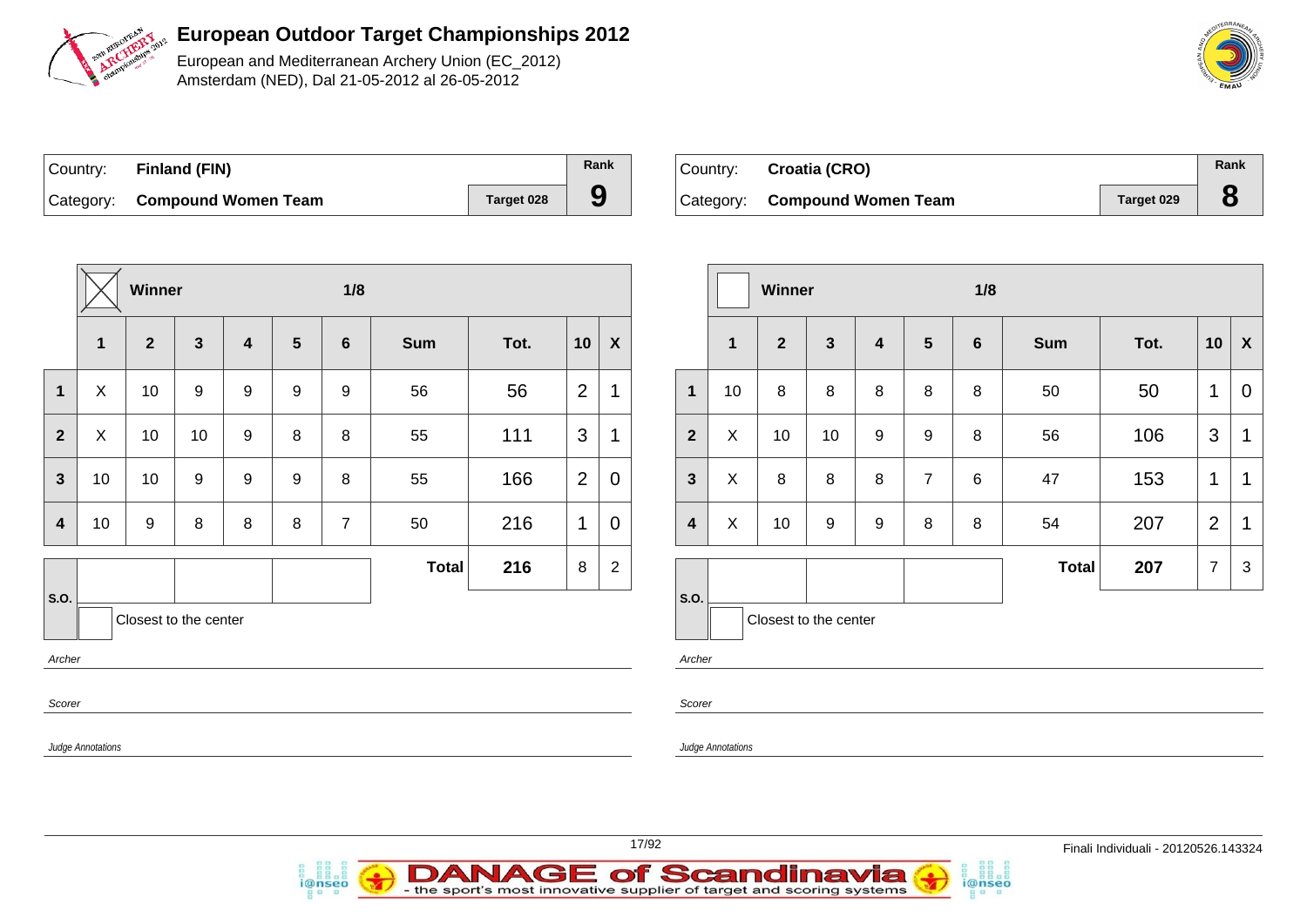

European and Mediterranean Archery Union (EC\_2012) Amsterdam (NED), Dal 21-05-2012 al 26-05-2012

| Country: | <b>Finland (FIN)</b>          |            | Rank |
|----------|-------------------------------|------------|------|
|          | Category: Compound Women Team | Target 028 | 9    |

i@nseo

| Country: Croatia (CRO)        |            | Rank |
|-------------------------------|------------|------|
| Category: Compound Women Team | Target 029 |      |

i@nseo

|                          |                          | Winner                  |              |                         |                 | 1/8              |              |      |                |                           |                                  |                          | Winner                |              |         |                 | 1/8     |              |      |                |                           |
|--------------------------|--------------------------|-------------------------|--------------|-------------------------|-----------------|------------------|--------------|------|----------------|---------------------------|----------------------------------|--------------------------|-----------------------|--------------|---------|-----------------|---------|--------------|------|----------------|---------------------------|
|                          | $\mathbf 1$              | $\overline{\mathbf{2}}$ | $\mathbf{3}$ | $\overline{\mathbf{4}}$ | $5\phantom{.0}$ | $6\phantom{1}$   | <b>Sum</b>   | Tot. | 10             | $\boldsymbol{\mathsf{x}}$ |                                  | $\overline{1}$           | $\mathbf{2}$          | $\mathbf{3}$ | 4       | $5\phantom{.0}$ | 6       | <b>Sum</b>   | Tot. | 10             | $\boldsymbol{\mathsf{X}}$ |
| $\mathbf 1$              | X                        | 10                      | 9            | 9                       | 9               | $\boldsymbol{9}$ | 56           | 56   | $\overline{2}$ | 1                         | $\mathbf 1$                      | 10                       | $\bf 8$               | $\bf 8$      | $\bf 8$ | $\,8\,$         | $\,8\,$ | 50           | 50   | $\mathbf{1}$   | $\mathbf 0$               |
| $\overline{2}$           | $\sf X$                  | 10                      | 10           | 9                       | 8               | 8                | 55           | 111  | 3              |                           | $\overline{2}$                   | $\pmb{\times}$           | 10                    | 10           | 9       | 9               | 8       | 56           | 106  | 3              | $\mathbf 1$               |
| $\mathbf{3}$             | 10                       | 10                      | 9            | 9                       | 9               | 8                | 55           | 166  | 2              | $\mathbf 0$               | $\mathbf{3}$                     | X                        | 8                     | 8            | 8       | $\overline{7}$  | 6       | 47           | 153  | $\mathbf{1}$   | $\mathbf{1}$              |
| $\overline{\mathbf{4}}$  | 10                       | $9\,$                   | 8            | 8                       | 8               | $\overline{7}$   | 50           | 216  | $\mathbf{1}$   | $\mathbf 0$               | $\boldsymbol{4}$                 | $\pmb{\times}$           | 10                    | 9            | 9       | 8               | 8       | 54           | 207  | 2              | $\mathbf 1$               |
|                          |                          |                         |              |                         |                 |                  | <b>Total</b> | 216  | $\bf 8$        | $\overline{2}$            |                                  |                          |                       |              |         |                 |         | <b>Total</b> | 207  | $\overline{7}$ | 3                         |
| S.O.<br>Archer<br>Scorer |                          | Closest to the center   |              |                         |                 |                  |              |      |                |                           | $\vert$ S.O.<br>Archer<br>Scorer |                          | Closest to the center |              |         |                 |         |              |      |                |                           |
|                          | <b>Judge Annotations</b> |                         |              |                         |                 |                  |              |      |                |                           |                                  | <b>Judge Annotations</b> |                       |              |         |                 |         |              |      |                |                           |

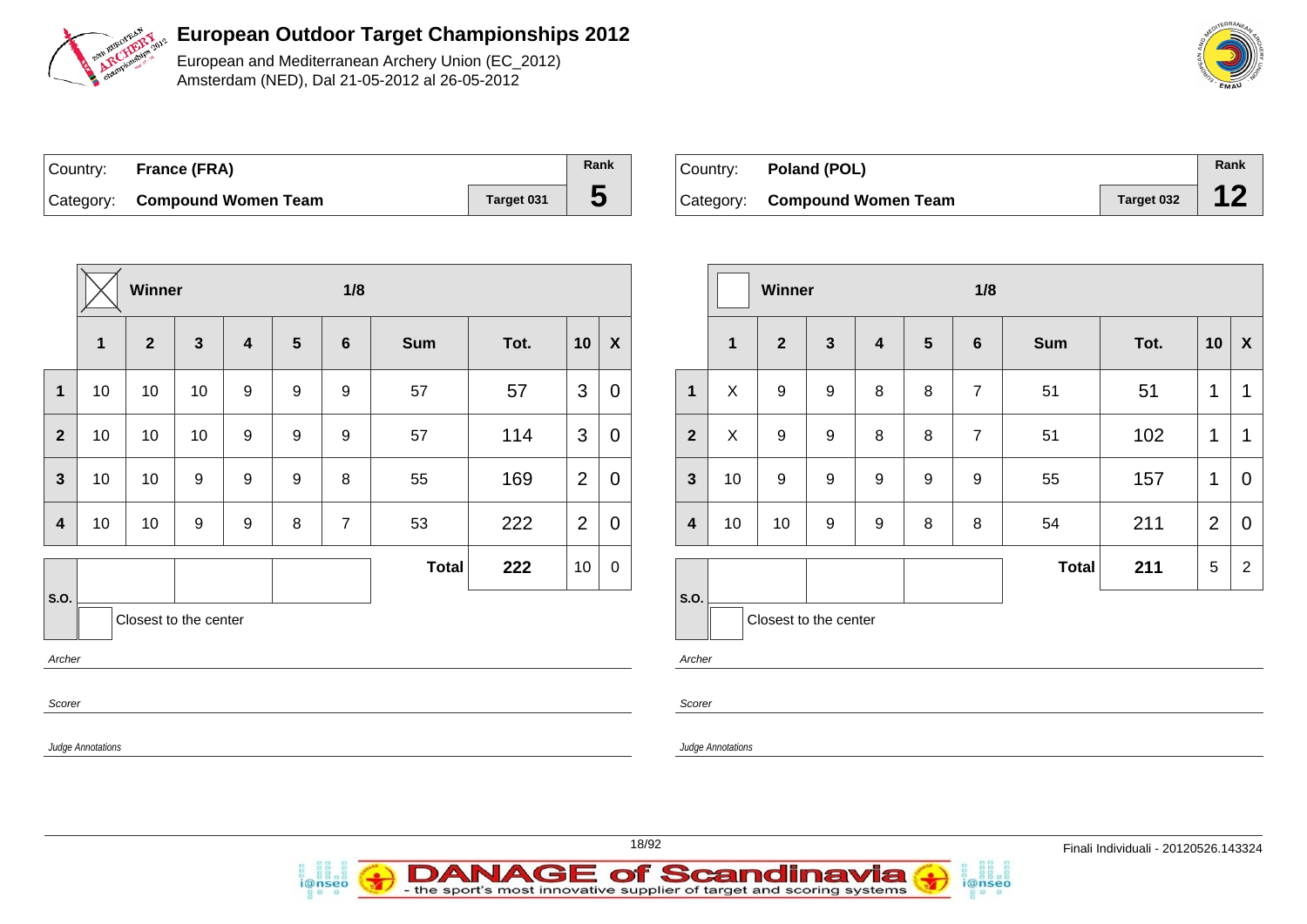

European and Mediterranean Archery Union (EC\_2012) Amsterdam (NED), Dal 21-05-2012 al 26-05-2012

| Country: France (FRA)         |            | Rank |
|-------------------------------|------------|------|
| Category: Compound Women Team | Target 031 | b    |

| Country: <b>Poland (POL)</b>  |            | Rank |
|-------------------------------|------------|------|
| Category: Compound Women Team | Target 032 |      |

|                         |              | <b>Winner</b>         |                         |                         |                  | 1/8              |              |      |                |                  |
|-------------------------|--------------|-----------------------|-------------------------|-------------------------|------------------|------------------|--------------|------|----------------|------------------|
|                         | $\mathbf{1}$ | $\overline{2}$        | $\overline{\mathbf{3}}$ | $\overline{\mathbf{4}}$ | $5\phantom{1}$   | $6\phantom{1}$   | <b>Sum</b>   | Tot. | 10             | $\boldsymbol{X}$ |
| $\mathbf{1}$            | 10           | 10                    | 10                      | 9                       | 9                | 9                | 57           | 57   | 3              | $\mathbf 0$      |
| $\overline{2}$          | 10           | 10                    | 10                      | $\boldsymbol{9}$        | $\boldsymbol{9}$ | $\boldsymbol{9}$ | 57           | 114  | 3              | $\overline{0}$   |
| $\overline{\mathbf{3}}$ | 10           | 10                    | $\boldsymbol{9}$        | $\boldsymbol{9}$        | $\boldsymbol{9}$ | 8                | 55           | 169  | $\overline{2}$ | $\overline{0}$   |
| 4                       | 10           | 10                    | $\boldsymbol{9}$        | 9                       | 8                | $\overline{7}$   | 53           | 222  | $\overline{2}$ | $\mathbf 0$      |
|                         |              |                       |                         |                         |                  |                  | <b>Total</b> | 222  | 10             | $\boldsymbol{0}$ |
| S.O.<br>Archer          |              | Closest to the center |                         |                         |                  |                  |              |      |                |                  |

i@nseo

|                         |              | Winner                |                  |                         |                 | 1/8             |              |      |                |                    |
|-------------------------|--------------|-----------------------|------------------|-------------------------|-----------------|-----------------|--------------|------|----------------|--------------------|
|                         | $\mathbf{1}$ | $\overline{2}$        | $\mathbf{3}$     | $\overline{\mathbf{4}}$ | $5\phantom{.0}$ | $6\phantom{1}6$ | <b>Sum</b>   | Tot. | 10             | $\pmb{\mathsf{X}}$ |
| $\mathbf{1}$            | X            | 9                     | 9                | 8                       | 8               | $\overline{7}$  | 51           | 51   | $\mathbf 1$    | 1                  |
| $\overline{2}$          | X            | 9                     | 9                | 8                       | 8               | $\overline{7}$  | 51           | 102  | 1              | 1                  |
| $\mathbf{3}$            | 10           | $\boldsymbol{9}$      | $\boldsymbol{9}$ | $\boldsymbol{9}$        | 9               | 9               | 55           | 157  | 1              | 0                  |
| $\overline{\mathbf{4}}$ | 10           | 10                    | 9                | $\boldsymbol{9}$        | 8               | 8               | 54           | 211  | $\overline{2}$ | $\overline{0}$     |
|                         |              |                       |                  |                         |                 |                 | <b>Total</b> | 211  | 5              | $\overline{2}$     |
| S.O.                    |              |                       |                  |                         |                 |                 |              |      |                |                    |
|                         |              | Closest to the center |                  |                         |                 |                 |              |      |                |                    |

i@nseo

Archer

Scorer

Judge Annotations

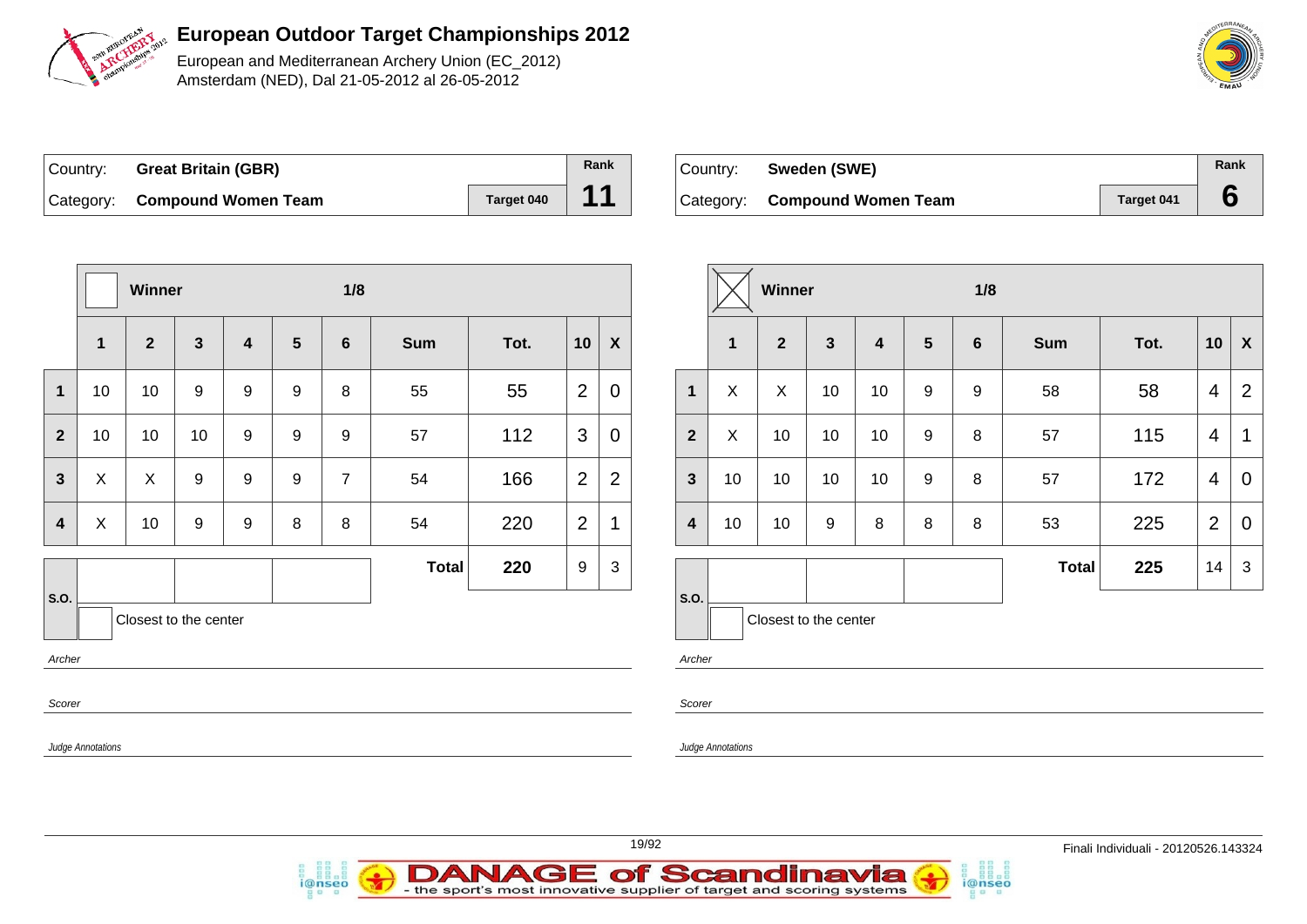

European and Mediterranean Archery Union (EC\_2012) Amsterdam (NED), Dal 21-05-2012 al 26-05-2012

| Country: Great Britain (GBR)  |            | Rank |
|-------------------------------|------------|------|
| Category: Compound Women Team | Target 040 | 44   |

| Country: Sweden (SWE)         |            | Rank |
|-------------------------------|------------|------|
| Category: Compound Women Team | Target 041 |      |

i@nseo

|                                    |                | Winner                    |                  | 1/8              |                  |                  |            |      |                |                           |                         |                          | 1/8<br>Winner         |    |                         |                 |   |              |      |                |                           |
|------------------------------------|----------------|---------------------------|------------------|------------------|------------------|------------------|------------|------|----------------|---------------------------|-------------------------|--------------------------|-----------------------|----|-------------------------|-----------------|---|--------------|------|----------------|---------------------------|
|                                    | $\mathbf{1}$   | $\overline{2}$            | $\mathbf{3}$     | 4                | $5\phantom{.0}$  | $6\phantom{1}6$  | <b>Sum</b> | Tot. | 10             | $\boldsymbol{\mathsf{X}}$ |                         | $\mathbf{1}$             | $\overline{2}$        | 3  | $\overline{\mathbf{4}}$ | $5\phantom{.0}$ | 6 | Sum          | Tot. | 10             | $\boldsymbol{\mathsf{X}}$ |
| $\mathbf 1$                        | 10             | 10                        | $\boldsymbol{9}$ | 9                | $\boldsymbol{9}$ | 8                | 55         | 55   | $\overline{2}$ | $\mathbf 0$               | $\mathbf 1$             | X                        | $\pmb{\times}$        | 10 | 10                      | 9               | 9 | 58           | 58   | $\overline{4}$ | $\overline{2}$            |
| $\overline{2}$                     | 10             | 10                        | 10               | $\boldsymbol{9}$ | $\boldsymbol{9}$ | $\boldsymbol{9}$ | 57         | 112  | 3              | $\mathbf 0$               | $\overline{2}$          | X                        | 10                    | 10 | 10                      | 9               | 8 | 57           | 115  | $\overline{4}$ | $\mathbf 1$               |
| $\mathbf{3}$                       | X              | $\boldsymbol{\mathsf{X}}$ | 9                | 9                | 9                | $\overline{7}$   | 54         | 166  | $\overline{2}$ | $\mathbf 2$               | $\mathbf{3}$            | 10                       | 10                    | 10 | 10                      | 9               | 8 | 57           | 172  | $\overline{4}$ | $\mathbf 0$               |
| $\overline{\mathbf{4}}$            | $\pmb{\times}$ | 10                        | 9                | 9                | 8                | 8                | 54         | 220  | $\mathbf 2$    | $\overline{\mathbf{1}}$   | $\overline{\mathbf{4}}$ | 10                       | 10                    | 9  | 8                       | 8               | 8 | 53           | 225  | $\overline{2}$ | $\mathbf 0$               |
|                                    |                |                           |                  |                  |                  |                  | Total      | 220  | $9\,$          | $\mathbf{3}$              |                         |                          |                       |    |                         |                 |   | <b>Total</b> | 225  | 14             | $\mathbf{3}$              |
| <b>S.O.</b><br>Archer              |                | Closest to the center     |                  |                  |                  |                  |            |      |                |                           | S.O.<br>Archer          |                          | Closest to the center |    |                         |                 |   |              |      |                |                           |
| Scorer<br><b>Judge Annotations</b> |                |                           |                  |                  |                  |                  |            |      |                |                           | Scorer                  | <b>Judge Annotations</b> |                       |    |                         |                 |   |              |      |                |                           |

- the sport's most innovative supplier of target and scoring systems

IAGE

DAN

i@nseo

of Scandinavia

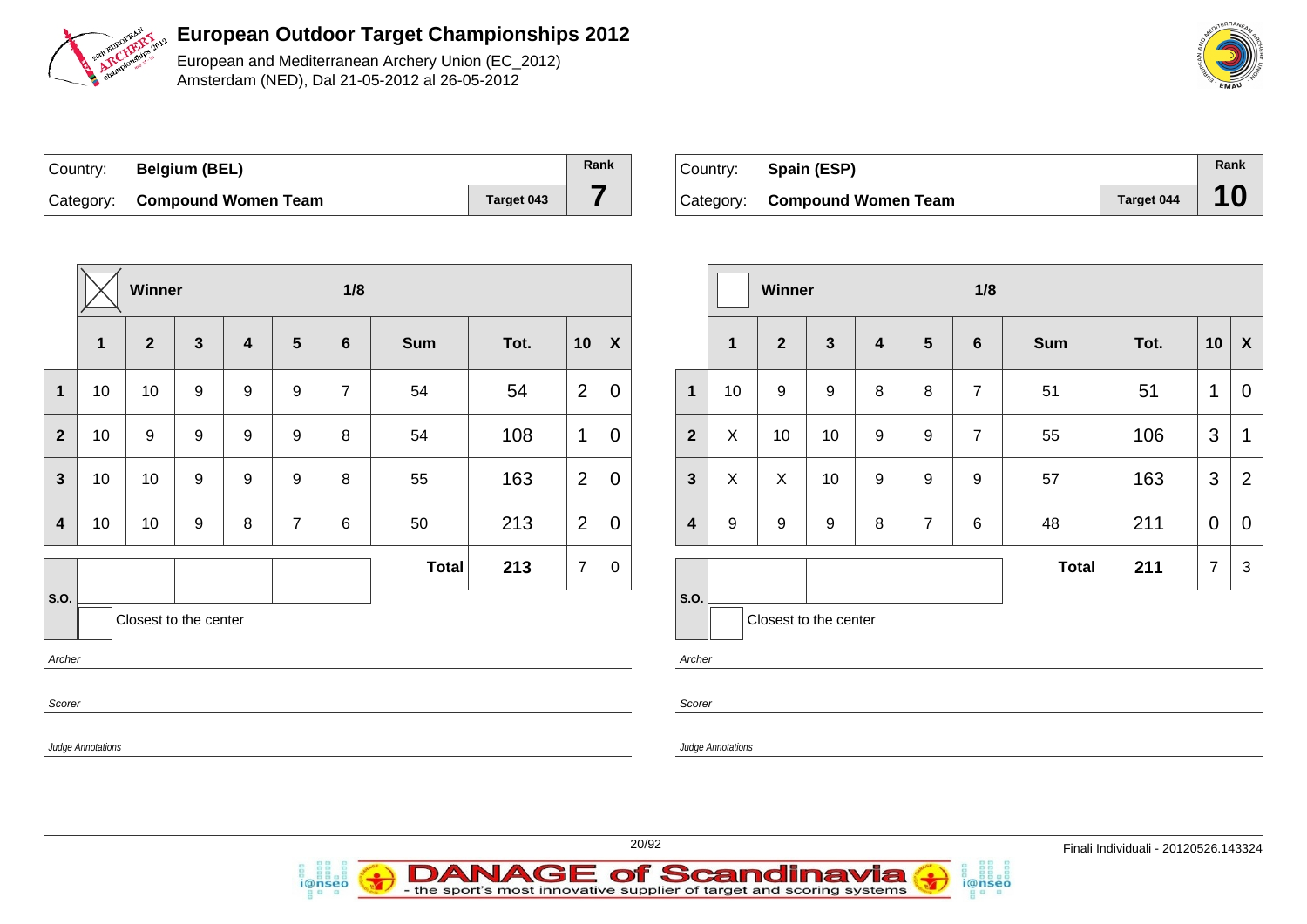

European and Mediterranean Archery Union (EC\_2012) Amsterdam (NED), Dal 21-05-2012 al 26-05-2012

| Country: | <b>Belgium (BEL)</b>          |            | Rank |
|----------|-------------------------------|------------|------|
|          | Category: Compound Women Team | Target 043 |      |

*i*@nseo

| Country: Spain (ESP)          |            | Rank |
|-------------------------------|------------|------|
| Category: Compound Women Team | Target 044 | 10   |

|                |                          | Winner                |                  |                         |                  | 1/8            |              |      |                |                  |  |                         |                   | Winner           |                  |
|----------------|--------------------------|-----------------------|------------------|-------------------------|------------------|----------------|--------------|------|----------------|------------------|--|-------------------------|-------------------|------------------|------------------|
|                | $\mathbf{1}$             | $\overline{2}$        | $\mathbf{3}$     | $\overline{\mathbf{4}}$ | 5                | $6\phantom{1}$ | <b>Sum</b>   | Tot. | 10             | $\boldsymbol{X}$ |  |                         | $\mathbf 1$       | $\overline{2}$   | $\mathbf{3}$     |
| $\mathbf{1}$   | 10                       | 10                    | 9                | $\boldsymbol{9}$        | $\boldsymbol{9}$ | $\overline{7}$ | 54           | 54   | $\overline{2}$ | $\mathbf 0$      |  | $\mathbf{1}$            | 10                | 9                | $9\,$            |
| $\overline{2}$ | 10                       | $\boldsymbol{9}$      | $\boldsymbol{9}$ | $\boldsymbol{9}$        | $\boldsymbol{9}$ | 8              | 54           | 108  | 1              | $\mathbf 0$      |  | $\overline{2}$          | X                 | 10               | 10               |
| $\mathbf{3}$   | 10 <sup>°</sup>          | 10                    | $\boldsymbol{9}$ | $\boldsymbol{9}$        | $\boldsymbol{9}$ | 8              | 55           | 163  | $\overline{2}$ | $\mathbf 0$      |  | $\mathbf{3}$            | X                 | X                | 10               |
| $\overline{4}$ | 10                       | 10                    | $\boldsymbol{9}$ | 8                       | $\overline{7}$   | $\,6$          | 50           | 213  | $\overline{2}$ | $\mathbf 0$      |  | $\overline{\mathbf{4}}$ | 9                 | $\boldsymbol{9}$ | $\boldsymbol{9}$ |
|                |                          |                       |                  |                         |                  |                | <b>Total</b> | 213  | $\overline{7}$ | $\mathbf 0$      |  |                         |                   |                  |                  |
| S.O.           |                          | Closest to the center |                  |                         |                  |                |              |      |                |                  |  | S.O.                    |                   | Closest to the c |                  |
| Archer         |                          |                       |                  |                         |                  |                |              |      |                |                  |  | Archer                  |                   |                  |                  |
| Scorer         |                          |                       |                  |                         |                  |                |              |      |                |                  |  | Scorer                  |                   |                  |                  |
|                | <b>Judge Annotations</b> |                       |                  |                         |                  |                |              |      |                |                  |  |                         | Judge Annotations |                  |                  |

|                         |             | Winner                |              |                  |                | 1/8             |              |      |                |                |
|-------------------------|-------------|-----------------------|--------------|------------------|----------------|-----------------|--------------|------|----------------|----------------|
|                         | $\mathbf 1$ | $\overline{2}$        | $\mathbf{3}$ | 4                | 5              | $6\phantom{1}6$ | <b>Sum</b>   | Tot. | 10             | X              |
| $\mathbf{1}$            | 10          | 9                     | 9            | 8                | 8              | $\overline{7}$  | 51           | 51   | 1              | 0              |
| $\overline{2}$          | X           | 10                    | 10           | $\boldsymbol{9}$ | 9              | $\overline{7}$  | 55           | 106  | 3              | 1              |
| $\mathbf{3}$            | X           | X                     | 10           | 9                | 9              | 9               | 57           | 163  | 3              | $\overline{2}$ |
| $\overline{\mathbf{4}}$ | 9           | 9                     | 9            | 8                | $\overline{7}$ | 6               | 48           | 211  | $\overline{0}$ | 0              |
|                         |             |                       |              |                  |                |                 | <b>Total</b> | 211  | $\overline{7}$ | 3              |
| S.O.                    |             | Closest to the center |              |                  |                |                 |              |      |                |                |

i@nseo



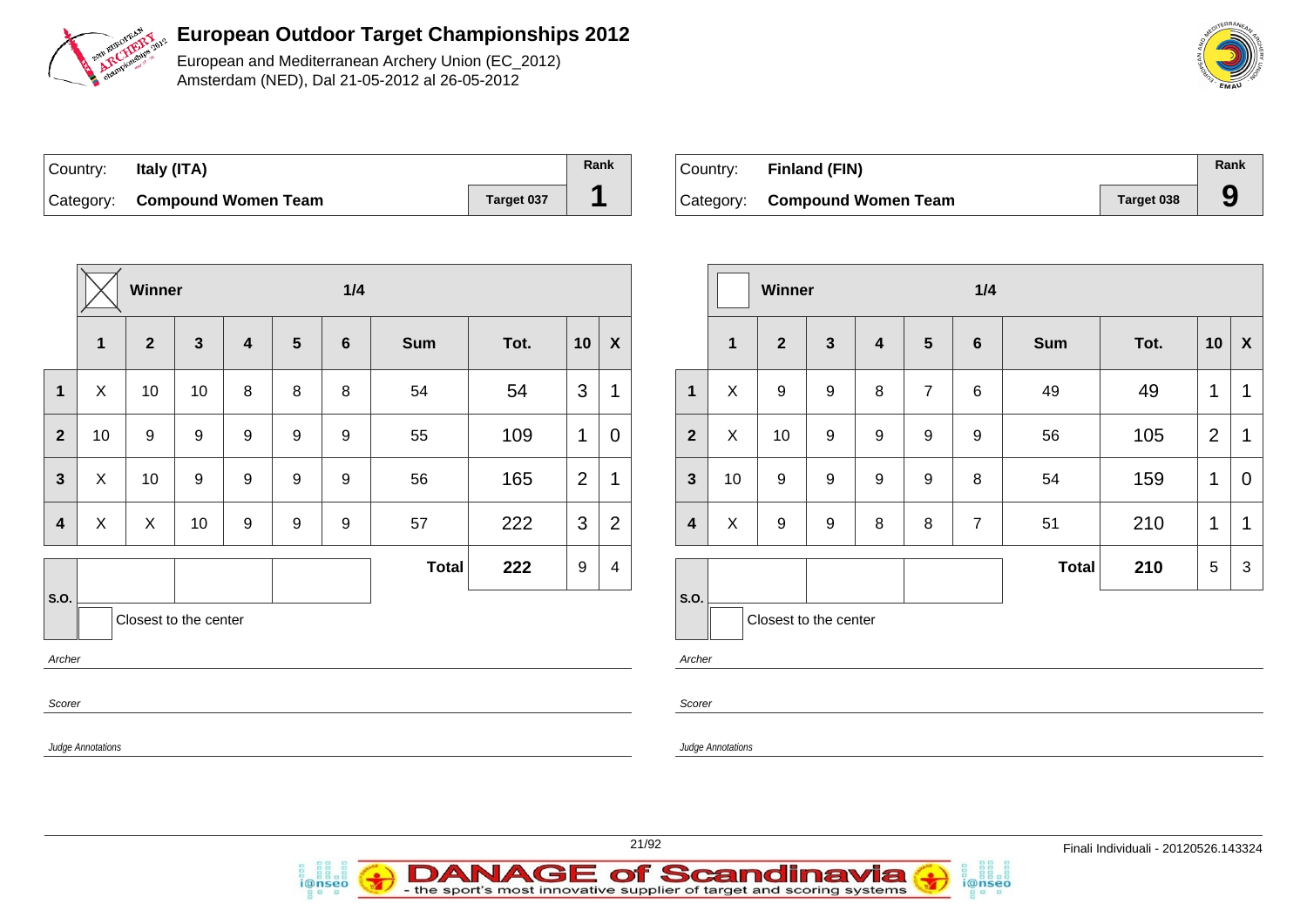

European and Mediterranean Archery Union (EC\_2012) Amsterdam (NED), Dal 21-05-2012 al 26-05-2012

| Country: | Italy (ITA)                   |            | Rank |
|----------|-------------------------------|------------|------|
|          | Category: Compound Women Team | Target 037 |      |

| Country: Finland (FIN)        |            | Rank |
|-------------------------------|------------|------|
| Category: Compound Women Team | Target 038 | g    |

|                |             | Winner         |                       |                         |   | 1/4             |              |      |                |                           |
|----------------|-------------|----------------|-----------------------|-------------------------|---|-----------------|--------------|------|----------------|---------------------------|
|                | $\mathbf 1$ | $\overline{2}$ | $\mathbf{3}$          | $\overline{\mathbf{4}}$ | 5 | $6\phantom{1}6$ | <b>Sum</b>   | Tot. | 10             | $\boldsymbol{\mathsf{X}}$ |
| $\mathbf{1}$   | X           | 10             | 10                    | 8                       | 8 | 8               | 54           | 54   | 3              | 1                         |
| $\overline{2}$ | 10          | 9              | 9                     | 9                       | 9 | 9               | 55           | 109  | $\mathbf 1$    | 0                         |
| $\overline{3}$ | X           | 10             | $\boldsymbol{9}$      | $\boldsymbol{9}$        | 9 | 9               | 56           | 165  | $\overline{2}$ | 1                         |
| 4              | X           | X              | 10                    | 9                       | 9 | 9               | 57           | 222  | 3              | $\overline{2}$            |
|                |             |                |                       |                         |   |                 | <b>Total</b> | 222  | 9              | 4                         |
| S.O.           |             |                | Closest to the center |                         |   |                 |              |      |                |                           |
| Archer         |             |                |                       |                         |   |                 |              |      |                |                           |
| Scorer         |             |                |                       |                         |   |                 |              |      |                |                           |

|                         |    | <b>Winner</b>         |                  |                         |                | 1/4            |              |      |                |                |
|-------------------------|----|-----------------------|------------------|-------------------------|----------------|----------------|--------------|------|----------------|----------------|
|                         | 1  | 2 <sup>1</sup>        | $\mathbf{3}$     | $\overline{\mathbf{4}}$ | $5\phantom{1}$ | $\bf 6$        | <b>Sum</b>   | Tot. | 10             | X              |
| 1                       | X  | 9                     | 9                | 8                       | $\overline{7}$ | 6              | 49           | 49   | 1              | 1              |
| $\overline{2}$          | X  | 10                    | $\boldsymbol{9}$ | $\boldsymbol{9}$        | 9              | 9              | 56           | 105  | $\overline{2}$ | 1              |
| $\mathbf{3}$            | 10 | 9                     | 9                | 9                       | 9              | 8              | 54           | 159  | 1              | $\overline{0}$ |
| $\overline{\mathbf{4}}$ | X  | $\boldsymbol{9}$      | $\boldsymbol{9}$ | 8                       | 8              | $\overline{7}$ | 51           | 210  | $\mathbf 1$    | 1              |
|                         |    |                       |                  |                         |                |                | <b>Total</b> | 210  | 5              | 3              |
| S.O.                    |    | Closest to the center |                  |                         |                |                |              |      |                |                |

i@nseo

Archer

Scorer

Judge Annotations



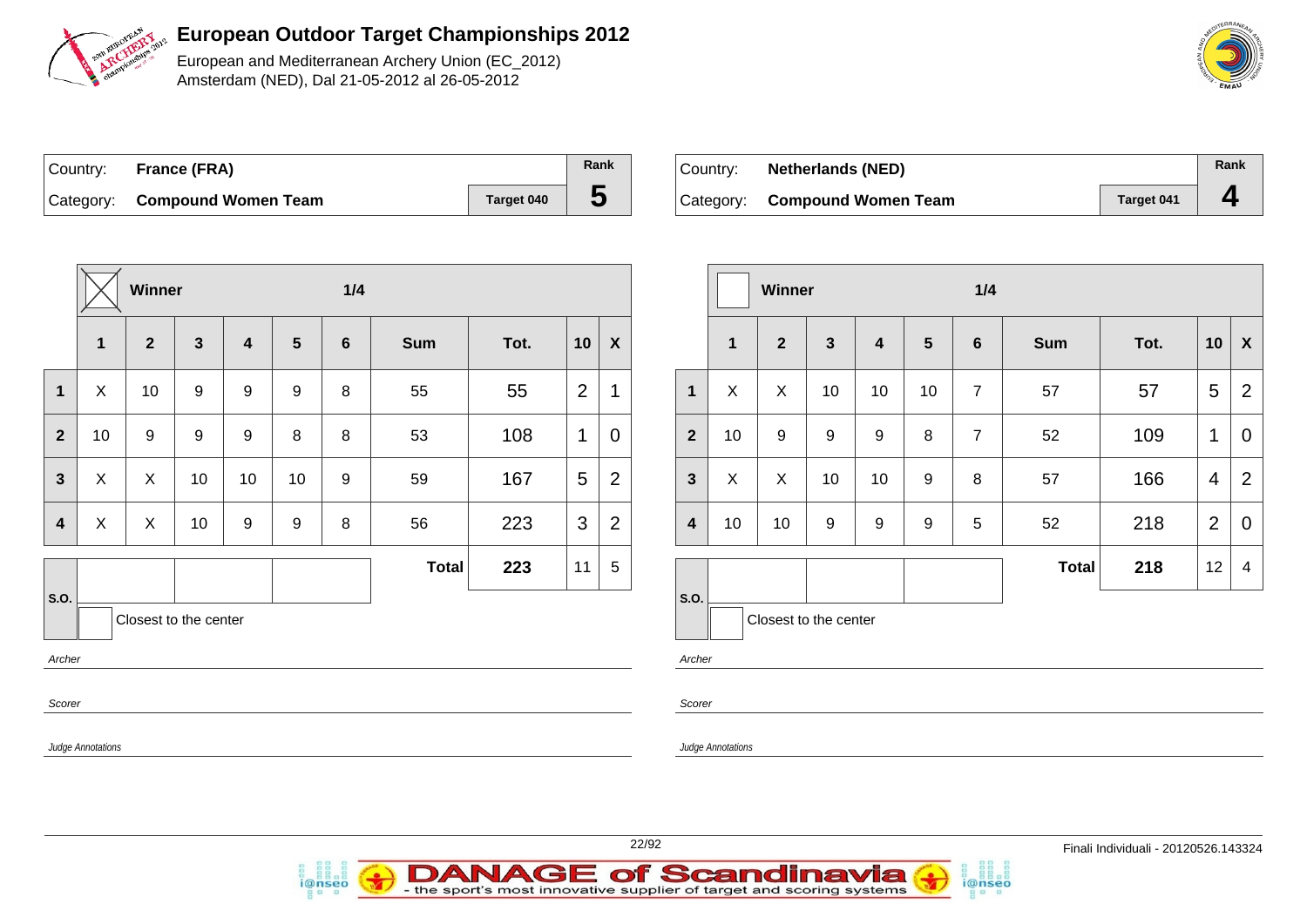

European and Mediterranean Archery Union (EC\_2012) Amsterdam (NED), Dal 21-05-2012 al 26-05-2012

| Country: France (FRA)         |            | Rank |
|-------------------------------|------------|------|
| Category: Compound Women Team | Target 040 | ა    |

*i*@nseo

| Country: | <b>Netherlands (NED)</b>      |                   | Rank |
|----------|-------------------------------|-------------------|------|
|          | Category: Compound Women Team | <b>Target 041</b> |      |

i@nseo

|                         |                          | Winner                |              |                |                | 1/4            |              |      |                 |                           |                         |                          | Winner                |                  |                  |                  | 1/4             |            |      |                 |                |
|-------------------------|--------------------------|-----------------------|--------------|----------------|----------------|----------------|--------------|------|-----------------|---------------------------|-------------------------|--------------------------|-----------------------|------------------|------------------|------------------|-----------------|------------|------|-----------------|----------------|
|                         | 1                        | $\overline{2}$        | $\mathbf{3}$ | $\overline{4}$ | $5\phantom{1}$ | $6\phantom{1}$ | <b>Sum</b>   | Tot. | 10              | $\boldsymbol{\mathsf{X}}$ |                         | $\mathbf 1$              | $\mathbf{2}$          | $\mathbf{3}$     | 4                | $5\phantom{1}$   | $6\phantom{1}6$ | <b>Sum</b> | Tot. | 10              | $\mathbf{x}$   |
| $\mathbf 1$             | $\sf X$                  | 10                    | 9            | 9              | 9              | 8              | 55           | 55   | 2               | $\mathbf 1$               | $\mathbf{1}$            | X                        | X                     | 10               | 10               | 10               | $\overline{7}$  | 57         | 57   | $5\phantom{.0}$ | $\overline{2}$ |
| $\overline{2}$          | 10                       | 9                     | 9            | 9              | 8              | 8              | 53           | 108  | $\mathbf{1}$    | $\mathbf 0$               | $\overline{2}$          | 10                       | $\boldsymbol{9}$      | $\boldsymbol{9}$ | $\boldsymbol{9}$ | $\, 8$           | $\overline{7}$  | 52         | 109  | $\mathbf{1}$    | $\overline{0}$ |
| $\mathbf{3}$            | $\sf X$                  | $\sf X$               | 10           | 10             | 10             | 9              | 59           | 167  | $5\phantom{.0}$ | $\overline{2}$            | $3\phantom{a}$          | X                        | $\sf X$               | 10               | 10               | $\boldsymbol{9}$ | 8               | 57         | 166  | $\overline{4}$  | $\overline{2}$ |
| $\overline{\mathbf{4}}$ | $\boldsymbol{X}$         | $\mathsf X$           | 10           | 9              | 9              | 8              | 56           | 223  | $\mathbf{3}$    | 2                         | $\overline{\mathbf{4}}$ | 10                       | 10                    | 9                | 9                | $\boldsymbol{9}$ | 5               | 52         | 218  | 2               | $\overline{0}$ |
|                         |                          |                       |              |                |                |                | <b>Total</b> | 223  | 11              | $\sqrt{5}$                |                         |                          |                       |                  |                  |                  |                 | Total      | 218  | 12              | $\overline{4}$ |
| S.O.<br>Archer          |                          | Closest to the center |              |                |                |                |              |      |                 |                           | S.O.<br>Archer          |                          | Closest to the center |                  |                  |                  |                 |            |      |                 |                |
| Scorer                  |                          |                       |              |                |                |                |              |      |                 |                           | Scorer                  |                          |                       |                  |                  |                  |                 |            |      |                 |                |
|                         | <b>Judge Annotations</b> |                       |              |                |                |                |              |      |                 |                           |                         | <b>Judge Annotations</b> |                       |                  |                  |                  |                 |            |      |                 |                |
|                         |                          |                       |              |                |                |                |              |      |                 |                           |                         |                          |                       |                  |                  |                  |                 |            |      |                 |                |

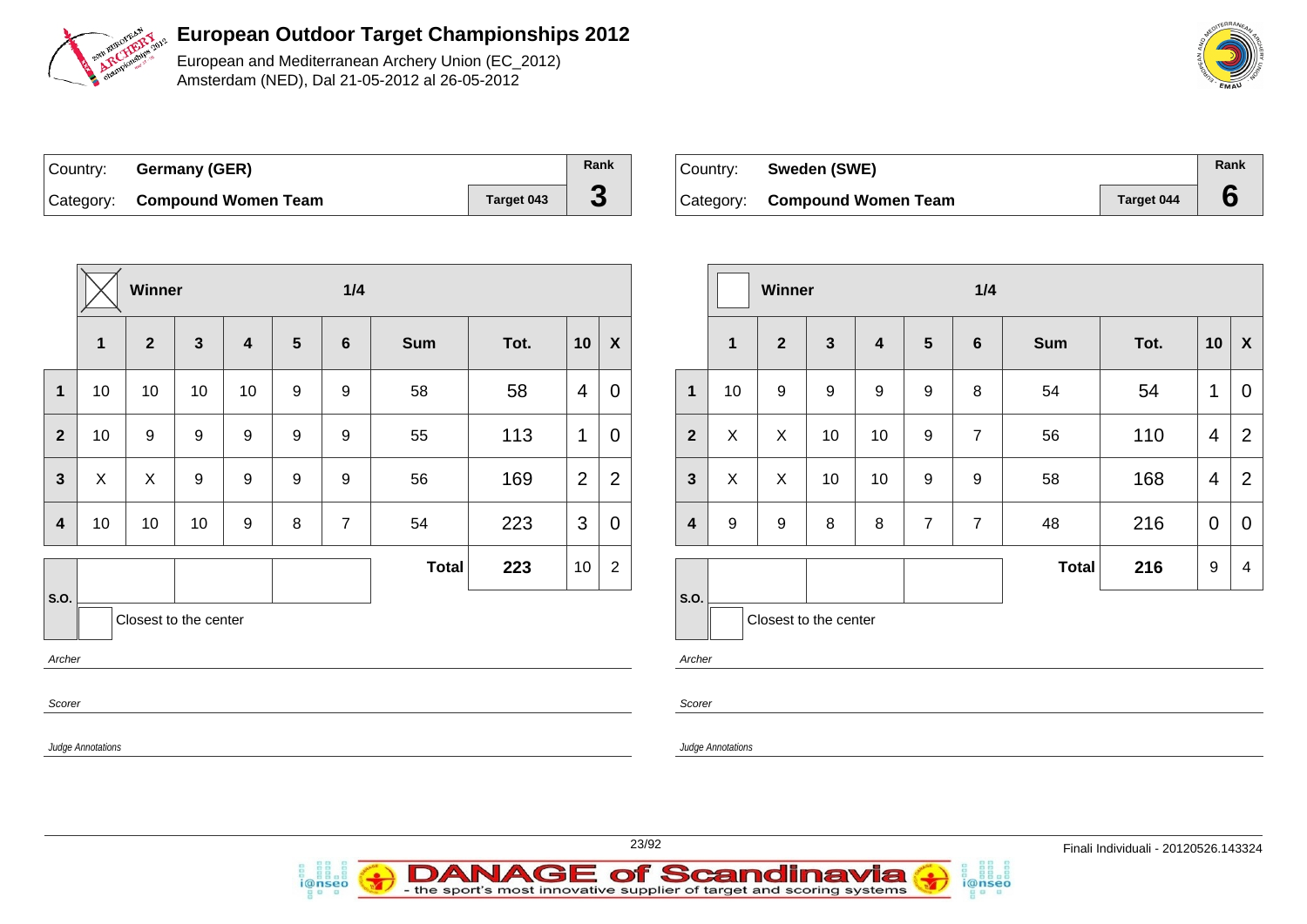

European and Mediterranean Archery Union (EC\_2012) Amsterdam (NED), Dal 21-05-2012 al 26-05-2012

| Country: | Germany (GER)                 |                   | Rank |
|----------|-------------------------------|-------------------|------|
|          | Category: Compound Women Team | <b>Target 043</b> | J    |

| ∣Country: | Sweden (SWE)                  |            | Rank |
|-----------|-------------------------------|------------|------|
|           | Category: Compound Women Team | Target 044 |      |

|                         |                   | Winner                |                  |                         |                  | 1/4            |              |      |                |                  |
|-------------------------|-------------------|-----------------------|------------------|-------------------------|------------------|----------------|--------------|------|----------------|------------------|
|                         | 1                 | $\overline{2}$        | $\overline{3}$   | $\overline{\mathbf{4}}$ | $5\phantom{1}$   | $6\phantom{1}$ | <b>Sum</b>   | Tot. | 10             | $\boldsymbol{X}$ |
| $\mathbf 1$             | 10                | 10                    | 10               | 10                      | 9                | 9              | 58           | 58   | 4              | $\mathbf 0$      |
| $\overline{2}$          | 10                | 9                     | $\boldsymbol{9}$ | $\boldsymbol{9}$        | $\boldsymbol{9}$ | 9              | 55           | 113  | $\mathbf{1}$   | $\overline{0}$   |
| $\overline{\mathbf{3}}$ | $\pmb{\times}$    | $\mathsf{X}$          | 9                | 9                       | $\boldsymbol{9}$ | $\mathsf g$    | 56           | 169  | $\overline{2}$ | $\overline{2}$   |
| 4                       | 10                | 10                    | 10               | $\boldsymbol{9}$        | 8                | $\overline{7}$ | 54           | 223  | 3              | $\mathbf 0$      |
|                         |                   |                       |                  |                         |                  |                | <b>Total</b> | 223  | 10             | $\overline{2}$   |
| S.O.<br>Archer          |                   | Closest to the center |                  |                         |                  |                |              |      |                |                  |
| Scorer                  |                   |                       |                  |                         |                  |                |              |      |                |                  |
|                         | Judge Annotations |                       |                  |                         |                  |                |              |      |                |                  |

|                         |                  | Winner                |                  |    |                  | 1/4             |              |      |                |                |
|-------------------------|------------------|-----------------------|------------------|----|------------------|-----------------|--------------|------|----------------|----------------|
|                         | $\mathbf{1}$     | $\overline{2}$        | $\mathbf{3}$     | 4  | $5\phantom{.0}$  | $6\phantom{1}6$ | <b>Sum</b>   | Tot. | 10             | X              |
| $\mathbf{1}$            | 10               | 9                     | $\boldsymbol{9}$ | 9  | 9                | 8               | 54           | 54   | 1              | $\mathbf 0$    |
| $\overline{2}$          | X                | X                     | 10               | 10 | $\boldsymbol{9}$ | $\overline{7}$  | 56           | 110  | $\overline{4}$ | $\overline{2}$ |
| $\overline{\mathbf{3}}$ | X                | X                     | 10               | 10 | 9                | 9               | 58           | 168  | $\overline{4}$ | $\overline{2}$ |
| $\overline{\mathbf{4}}$ | $\boldsymbol{9}$ | 9                     | 8                | 8  | $\overline{7}$   | $\overline{7}$  | 48           | 216  | $\mathbf 0$    | $\mathbf 0$    |
|                         |                  |                       |                  |    |                  |                 | <b>Total</b> | 216  | 9              | $\overline{4}$ |
| S.O.                    |                  | Closest to the center |                  |    |                  |                 |              |      |                |                |

i@nseo

Archer

Scorer

Judge Annotations



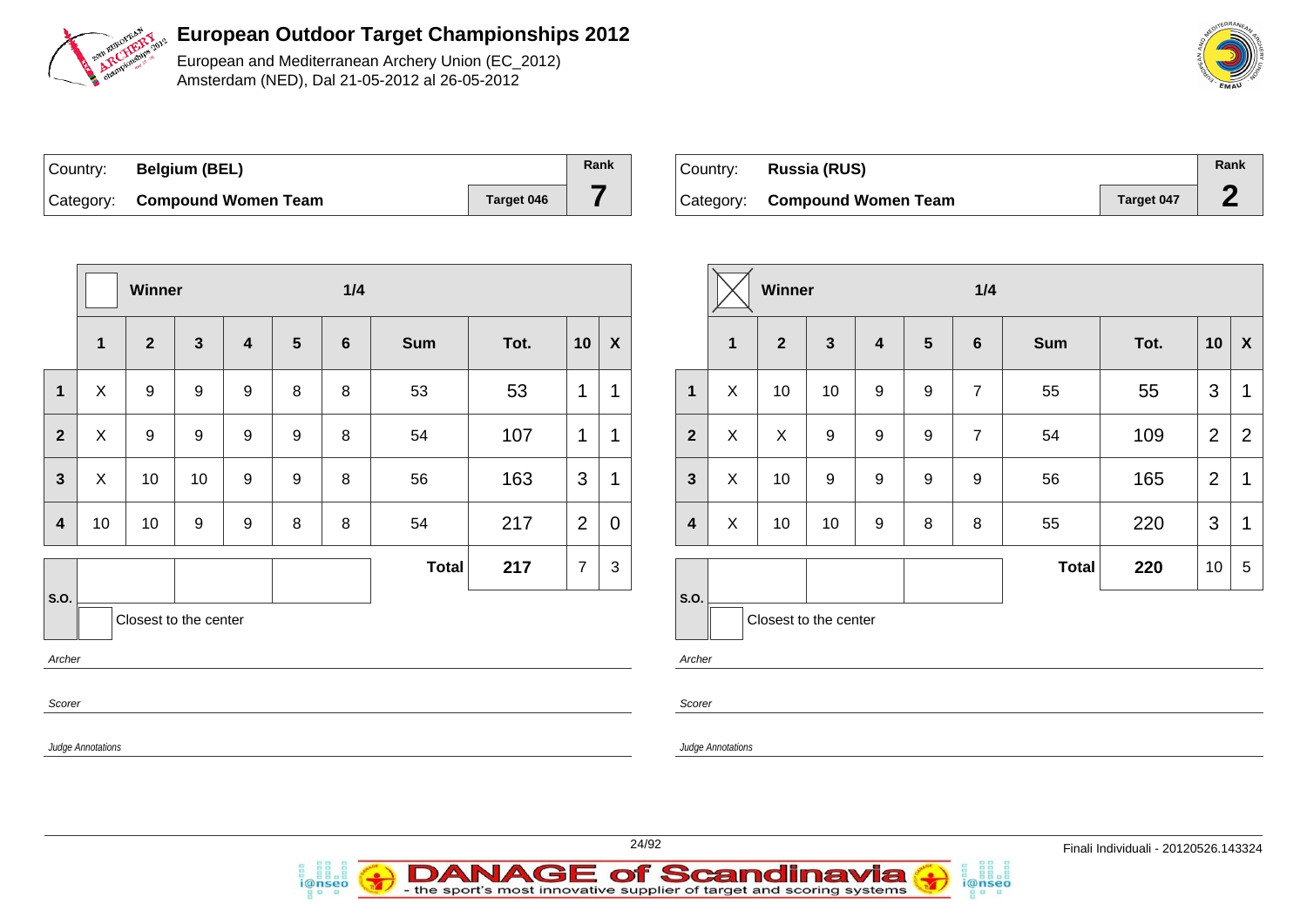

European and Mediterranean Archery Union (EC\_2012) Amsterdam (NED), Dal 21-05-2012 al 26-05-2012

| Country: | <b>Belgium (BEL)</b>          |            | Rank |
|----------|-------------------------------|------------|------|
|          | Category: Compound Women Team | Target 046 |      |

i@nseo

| ∣Country: | Russia (RUS)                  |                   | Rank |
|-----------|-------------------------------|-------------------|------|
|           | Category: Compound Women Team | <b>Target 047</b> |      |

|                         |                           | Winner                |                  |                         |                 | 1/4             |              |      |                |                  |                  |                          | Winner                |              |   |                  | 1/4             |
|-------------------------|---------------------------|-----------------------|------------------|-------------------------|-----------------|-----------------|--------------|------|----------------|------------------|------------------|--------------------------|-----------------------|--------------|---|------------------|-----------------|
|                         | 1                         | $\mathbf{2}$          | $\mathbf{3}$     | $\overline{\mathbf{4}}$ | $5\phantom{.0}$ | $6\phantom{1}6$ | <b>Sum</b>   | Tot. | 10             | $\boldsymbol{X}$ |                  | $\mathbf{1}$             | $\mathbf{2}$          | $\mathbf{3}$ | 4 | $5\phantom{1}$   | $6\phantom{1}6$ |
| $\overline{\mathbf{1}}$ | $\sf X$                   | $\boldsymbol{9}$      | $\boldsymbol{9}$ | 9                       | 8               | 8               | 53           | 53   | $\mathbf 1$    | $\mathbf 1$      | $\mathbf{1}$     | $\pmb{\times}$           | 10                    | 10           | 9 | $\boldsymbol{9}$ | $\overline{7}$  |
| $\mathbf{2}$            | $\boldsymbol{\mathsf{X}}$ | $\boldsymbol{9}$      | 9                | 9                       | 9               | $\, 8$          | 54           | 107  | 1              | $\mathbf 1$      | $\overline{2}$   | $\pmb{\times}$           | $\mathsf{X}$          | $\mathsf g$  | 9 | $\boldsymbol{9}$ | $\overline{7}$  |
| $\mathbf{3}$            | $\boldsymbol{\mathsf{X}}$ | 10                    | 10               | 9                       | 9               | 8               | 56           | 163  | 3              | $\mathbf 1$      | $\mathbf{3}$     | $\pmb{\times}$           | 10                    | 9            | 9 | $\boldsymbol{9}$ | 9               |
| $\overline{\mathbf{4}}$ | 10                        | 10                    | 9                | $\boldsymbol{9}$        | 8               | 8               | 54           | 217  | 2              | $\overline{0}$   | $\boldsymbol{4}$ | $\sf X$                  | 10                    | 10           | 9 | 8                | 8               |
|                         |                           |                       |                  |                         |                 |                 | <b>Total</b> | 217  | $\overline{7}$ | 3                |                  |                          |                       |              |   |                  |                 |
| S.O.                    |                           | Closest to the center |                  |                         |                 |                 |              |      |                |                  | S.O.             |                          | Closest to the center |              |   |                  |                 |
| Archer                  |                           |                       |                  |                         |                 |                 |              |      |                |                  | Archer           |                          |                       |              |   |                  |                 |
| Scorer                  |                           |                       |                  |                         |                 |                 |              |      |                |                  | Scorer           |                          |                       |              |   |                  |                 |
|                         | <b>Judge Annotations</b>  |                       |                  |                         |                 |                 |              |      |                |                  |                  | <b>Judge Annotations</b> |                       |              |   |                  |                 |



i@nseo

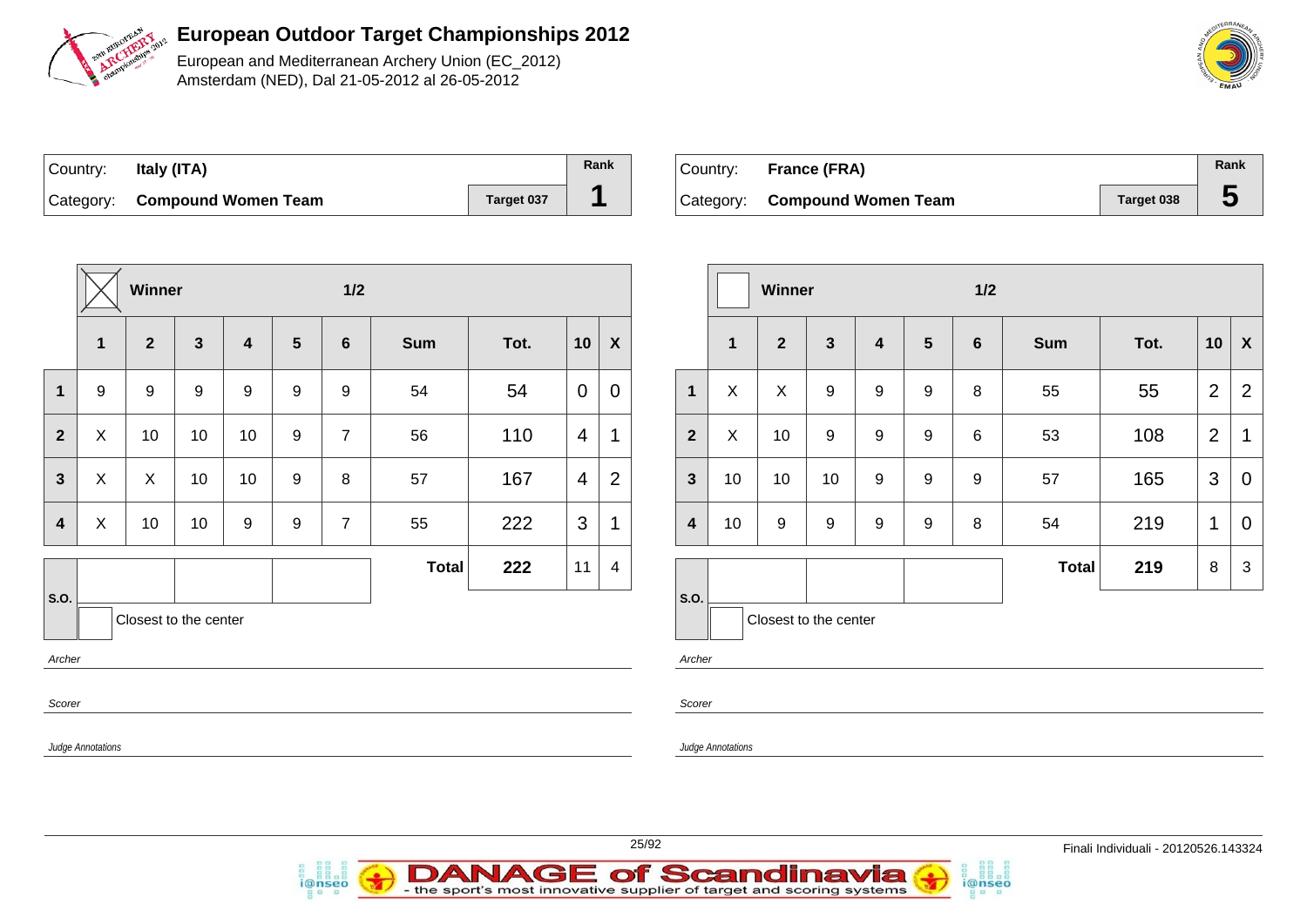

European and Mediterranean Archery Union (EC\_2012) Amsterdam (NED), Dal 21-05-2012 al 26-05-2012

| Country: | Italy (ITA)                   |            | Rank |
|----------|-------------------------------|------------|------|
|          | Category: Compound Women Team | Target 037 |      |

| Country: France (FRA)         |                   | Rank |
|-------------------------------|-------------------|------|
| Category: Compound Women Team | <b>Target 038</b> |      |

|                |                  | Winner                |                         |                |                 | 1/2            |              |      |                |                           |
|----------------|------------------|-----------------------|-------------------------|----------------|-----------------|----------------|--------------|------|----------------|---------------------------|
|                | $\mathbf{1}$     | $\overline{2}$        | $\overline{\mathbf{3}}$ | $\overline{4}$ | $5\phantom{.0}$ | $6\phantom{1}$ | <b>Sum</b>   | Tot. | 10             | $\boldsymbol{\mathsf{X}}$ |
| $\mathbf 1$    | $\boldsymbol{9}$ | $\boldsymbol{9}$      | 9                       | 9              | 9<br>9<br>54    |                |              | 54   | 0              | $\mathbf 0$               |
| $\overline{2}$ | X                | 10                    | 10                      | 10             | 9               | $\overline{7}$ | 56           | 110  | $\overline{4}$ | $\mathbf{1}$              |
| $\overline{3}$ | $\pmb{\times}$   | X                     | 10                      | 10             | 9               | 8              | 57           | 167  | 4              | $\overline{2}$            |
| 4              | X                | 10                    | 10                      | 9              | 9               | $\overline{7}$ | 55           | 222  | 3              | 1                         |
|                |                  |                       |                         |                |                 |                | <b>Total</b> | 222  | 11             | 4                         |
| S.O.           |                  | Closest to the center |                         |                |                 |                |              |      |                |                           |
| Archer         |                  |                       |                         |                |                 |                |              |      |                |                           |
| Scorer         |                  |                       |                         |                |                 |                |              |      |                |                           |

|                         |              | Winner                |                  |                  |                  | $1/2$           |              |      |                |                |
|-------------------------|--------------|-----------------------|------------------|------------------|------------------|-----------------|--------------|------|----------------|----------------|
|                         | $\mathbf{1}$ | $\overline{2}$        | $\mathbf{3}$     | 4                | $5\phantom{1}$   | $6\phantom{1}6$ | <b>Sum</b>   | Tot. | 10             | X              |
| $\mathbf{1}$            | X            | X                     | 9                | 9                | 9                | 8               | 55           | 55   | $\overline{2}$ | $\overline{2}$ |
| $\overline{\mathbf{2}}$ | X            | 10                    | $\boldsymbol{9}$ | $\boldsymbol{9}$ | $\boldsymbol{9}$ | 6               | 53           | 108  | $\overline{2}$ | 1              |
| $\mathbf{3}$            | 10           | 10                    | 10               | 9                | 9                | 9<br>57         |              | 165  | 3              | $\mathbf 0$    |
| $\overline{\mathbf{4}}$ | 10           | 9                     | 9                | 9<br>9<br>8      |                  |                 | 54           | 219  | $\mathbf 1$    | $\overline{0}$ |
|                         |              |                       |                  |                  |                  |                 | <b>Total</b> | 219  | 8              | $\mathfrak{S}$ |
| S.O.                    |              | Closest to the center |                  |                  |                  |                 |              |      |                |                |

i@nseo

Archer

Scorer

Judge Annotations



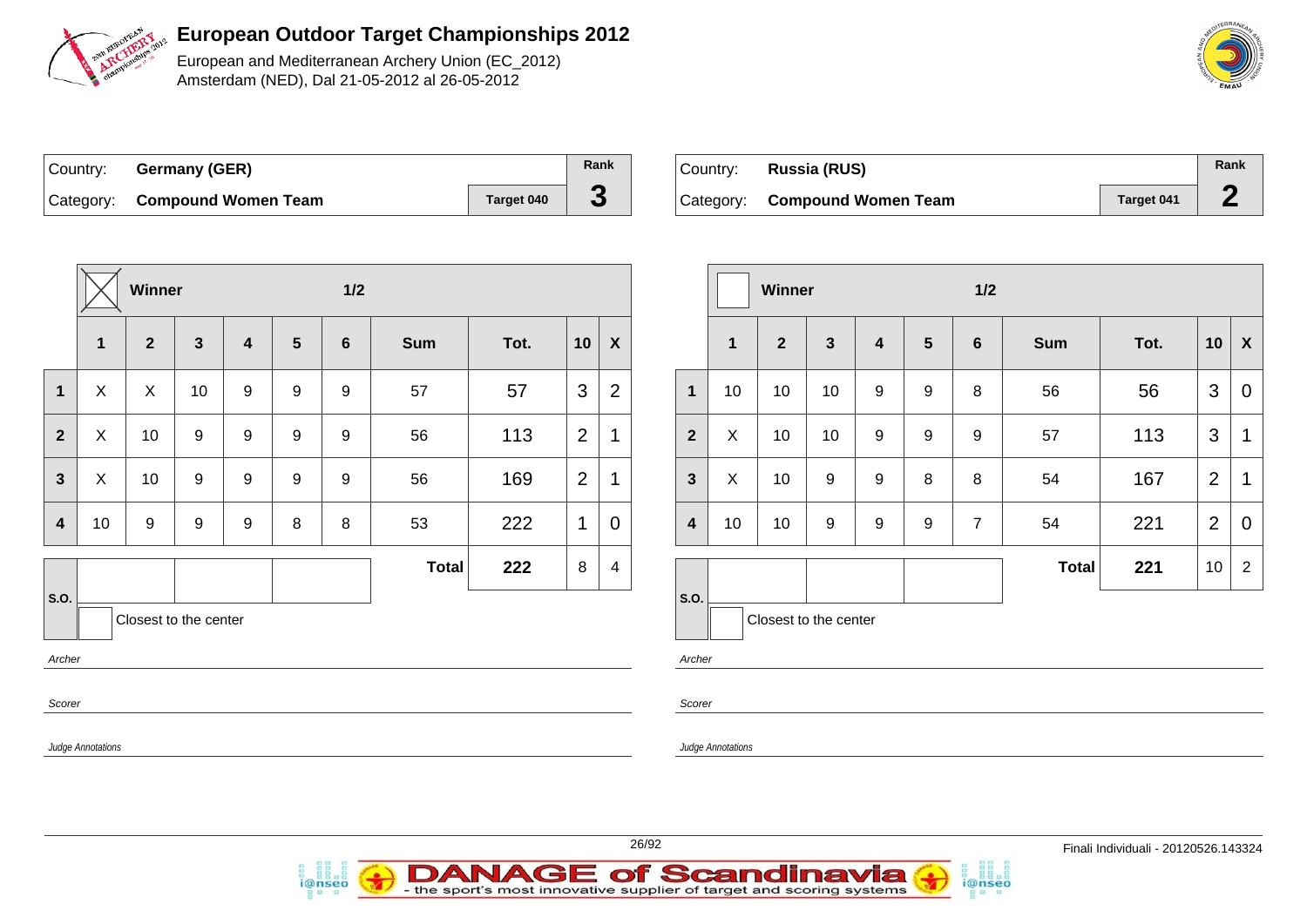

European and Mediterranean Archery Union (EC\_2012) Amsterdam (NED), Dal 21-05-2012 al 26-05-2012

| Country: Germany (GER)        |            | Rank |
|-------------------------------|------------|------|
| Category: Compound Women Team | Target 040 | J    |

*i*@nseo

| ∣Country: | Russia (RUS)                  |            | Rank |
|-----------|-------------------------------|------------|------|
|           | Category: Compound Women Team | Target 041 |      |

i@nseo

|                                                                               |                  | Winner                  |                  |                  |                  | $1/2$          |              |      |                          |                          |                         |                         | Winner         |              |                         |                |                | $1/2$        |      |                 |                |  |
|-------------------------------------------------------------------------------|------------------|-------------------------|------------------|------------------|------------------|----------------|--------------|------|--------------------------|--------------------------|-------------------------|-------------------------|----------------|--------------|-------------------------|----------------|----------------|--------------|------|-----------------|----------------|--|
|                                                                               | $\mathbf{1}$     | $\overline{\mathbf{2}}$ | $\mathbf{3}$     | 4                | $5\phantom{1}$   | $6\phantom{1}$ | <b>Sum</b>   | Tot. | 10                       | $\boldsymbol{X}$         |                         | $\overline{\mathbf{1}}$ | $\overline{2}$ | $\mathbf{3}$ | $\overline{\mathbf{4}}$ | $5\phantom{1}$ | 6              | <b>Sum</b>   | Tot. |                 | $10 \mid X$    |  |
| $\mathbf 1$                                                                   | $\boldsymbol{X}$ | $\mathsf{X}$            | 10               | $\boldsymbol{9}$ | $\boldsymbol{9}$ | 9              | 57           | 57   | $\mathbf{3}$             | $\overline{2}$           | $\mathbf{1}$            | 10                      | 10             | 10           | 9                       | 9              | 8              | 56           | 56   | 3               | $\mathbf 0$    |  |
| $\mathbf{2}$                                                                  | $\mathsf X$      | 10                      | $9\,$            | 9                | $\boldsymbol{9}$ | 9              | 56           | 113  | 2                        | 1                        | $\overline{2}$          | $\pmb{\times}$          | 10             | 10           | 9                       | 9              | 9              | 57           | 113  | $\mathbf{3}$    | $\mathbf{1}$   |  |
| $\mathbf{3}$                                                                  | $\sf X$          | 10                      | 9                | 9                | $\boldsymbol{9}$ | 9              | 56           | 169  | $\overline{2}$           |                          | $\mathbf{3}$            | X                       | 10             | 9            | 9                       | 8              | 8              | 54           | 167  | $\overline{2}$  | $\mathbf 1$    |  |
| $\overline{\mathbf{4}}$                                                       | 10               | $\boldsymbol{9}$        | $\boldsymbol{9}$ | $\boldsymbol{9}$ | $\,8\,$          | $\, 8$         | 53           | 222  | 1                        | $\mathbf 0$              | $\overline{\mathbf{4}}$ | 10                      | 10             | 9            | 9                       | 9              | $\overline{7}$ | 54           | 221  | $\overline{2}$  | $\mathbf 0$    |  |
|                                                                               |                  |                         |                  |                  |                  |                | <b>Total</b> | 222  | 8                        | 4                        |                         |                         |                |              |                         |                |                | <b>Total</b> | 221  | 10 <sup>1</sup> | $\overline{2}$ |  |
| S.O.<br>Closest to the center<br>Archer<br>Scorer<br><b>Judge Annotations</b> |                  |                         |                  |                  |                  |                |              |      | S.O.<br>Archer<br>Scorer | <b>Judge Annotations</b> | Closest to the center   |                         |                |              |                         |                |                |              |      |                 |                |  |
|                                                                               |                  |                         |                  |                  |                  |                |              |      |                          |                          |                         |                         |                |              |                         |                |                |              |      |                 |                |  |



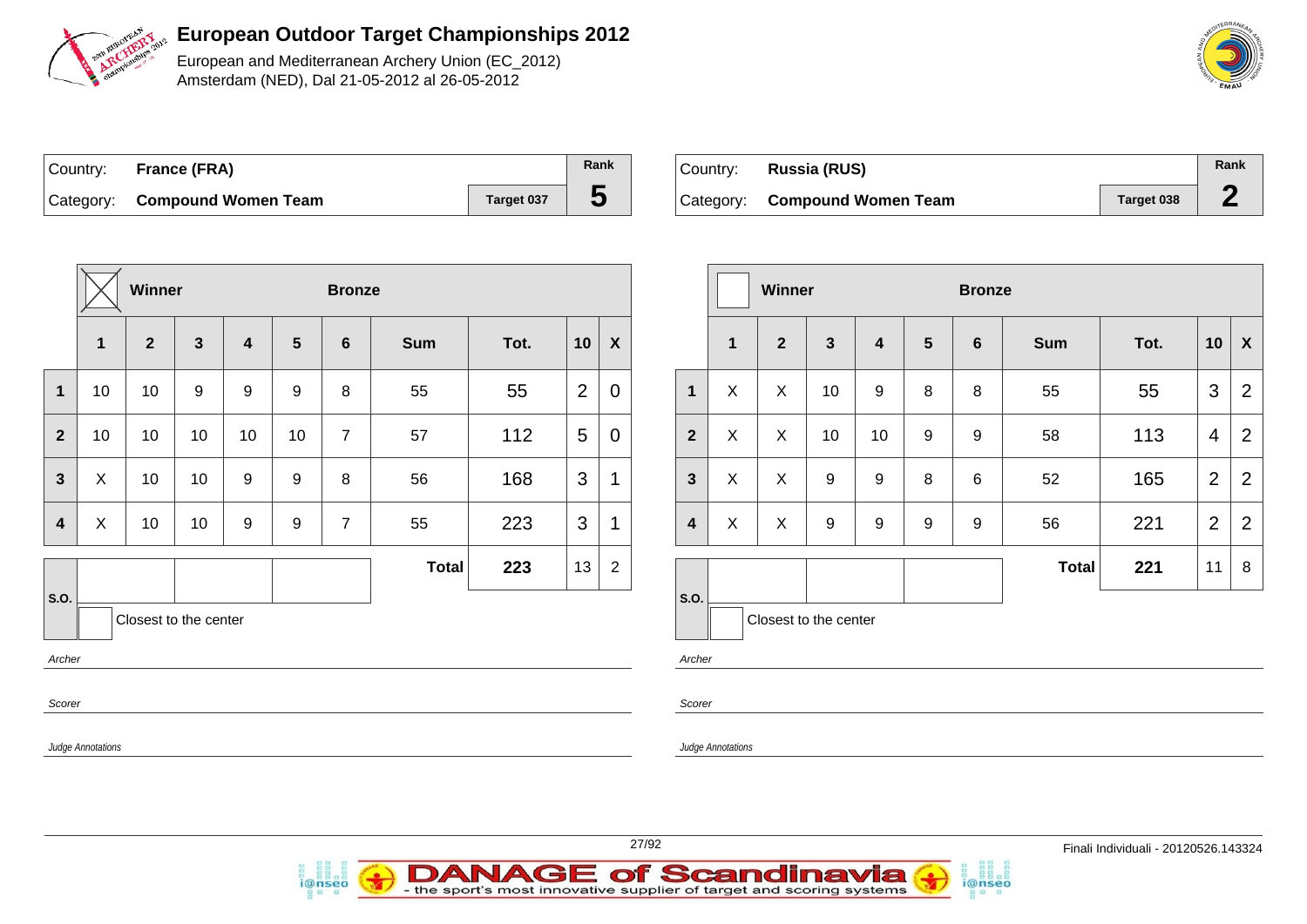

European and Mediterranean Archery Union (EC\_2012) Amsterdam (NED), Dal 21-05-2012 al 26-05-2012

| Country: France (FRA)         |            | Rank |
|-------------------------------|------------|------|
| Category: Compound Women Team | Target 037 | უ    |

| Country: Russia (RUS)         |            | Rank |
|-------------------------------|------------|------|
| Category: Compound Women Team | Target 038 |      |

|                                         |                   | <b>Winner</b>  |                  |                         |                  | <b>Bronze</b>   |              |      |                |                  |   |   |
|-----------------------------------------|-------------------|----------------|------------------|-------------------------|------------------|-----------------|--------------|------|----------------|------------------|---|---|
|                                         | $\mathbf{1}$      | $\overline{2}$ | $\mathbf{3}$     | $\overline{\mathbf{4}}$ | 5                | $6\phantom{1}6$ | <b>Sum</b>   | Tot. | 10             | $\boldsymbol{X}$ |   |   |
| $\mathbf 1$                             | 10                | 10             | $\boldsymbol{9}$ | 9                       | 9                | 8               | 55           | 55   | $\overline{2}$ | $\mathbf 0$      |   |   |
| $\overline{2}$                          | 10                | 10             | 10               | 10                      | 10               | $\overline{7}$  | 57           | 112  | 5              | 0                |   |   |
| $\overline{\mathbf{3}}$                 | X                 | 10             |                  |                         | 10               | 9               | 9            | 8    | 56             | 168              | 3 | 1 |
| $\overline{\mathbf{4}}$                 | X                 | 10             | 10               | 9                       | $\boldsymbol{9}$ | $\overline{7}$  | 55           | 223  | 3              | 1                |   |   |
|                                         |                   |                |                  |                         |                  |                 | <b>Total</b> | 223  | 13             | $\overline{c}$   |   |   |
| S.O.<br>Closest to the center<br>Archer |                   |                |                  |                         |                  |                 |              |      |                |                  |   |   |
| Scorer                                  |                   |                |                  |                         |                  |                 |              |      |                |                  |   |   |
|                                         | Judge Annotations |                |                  |                         |                  |                 |              |      |                |                  |   |   |

i@nseo

|                         |              | Winner                |              |    |                | <b>Bronze</b>   |              |      |                |                |
|-------------------------|--------------|-----------------------|--------------|----|----------------|-----------------|--------------|------|----------------|----------------|
|                         | $\mathbf{1}$ | $\overline{2}$        | $\mathbf{3}$ | 4  | $5\phantom{1}$ | $6\phantom{1}6$ | <b>Sum</b>   | Tot. | 10             | X              |
| 1                       | X            | X                     | 10           | 9  | 8              | 8               | 55           | 55   | 3              | $\overline{2}$ |
| $\overline{2}$          | X            | X                     | 10           | 10 | 9              | 9               | 58           | 113  | 4              | $\overline{2}$ |
| $\mathbf{3}$            | X            | X                     | 9            | 9  | 8              | 6               | 52           | 165  | $\overline{2}$ | 2              |
| $\overline{\mathbf{4}}$ | X            | X                     | 9            | 9  | 9              | 9               | 56           | 221  | $\overline{2}$ | $\overline{2}$ |
|                         |              |                       |              |    |                |                 | <b>Total</b> | 221  | 11             | 8              |
| S.O.                    |              | Closest to the center |              |    |                |                 |              |      |                |                |

i@nseo

Archer

Scorer

Judge Annotations



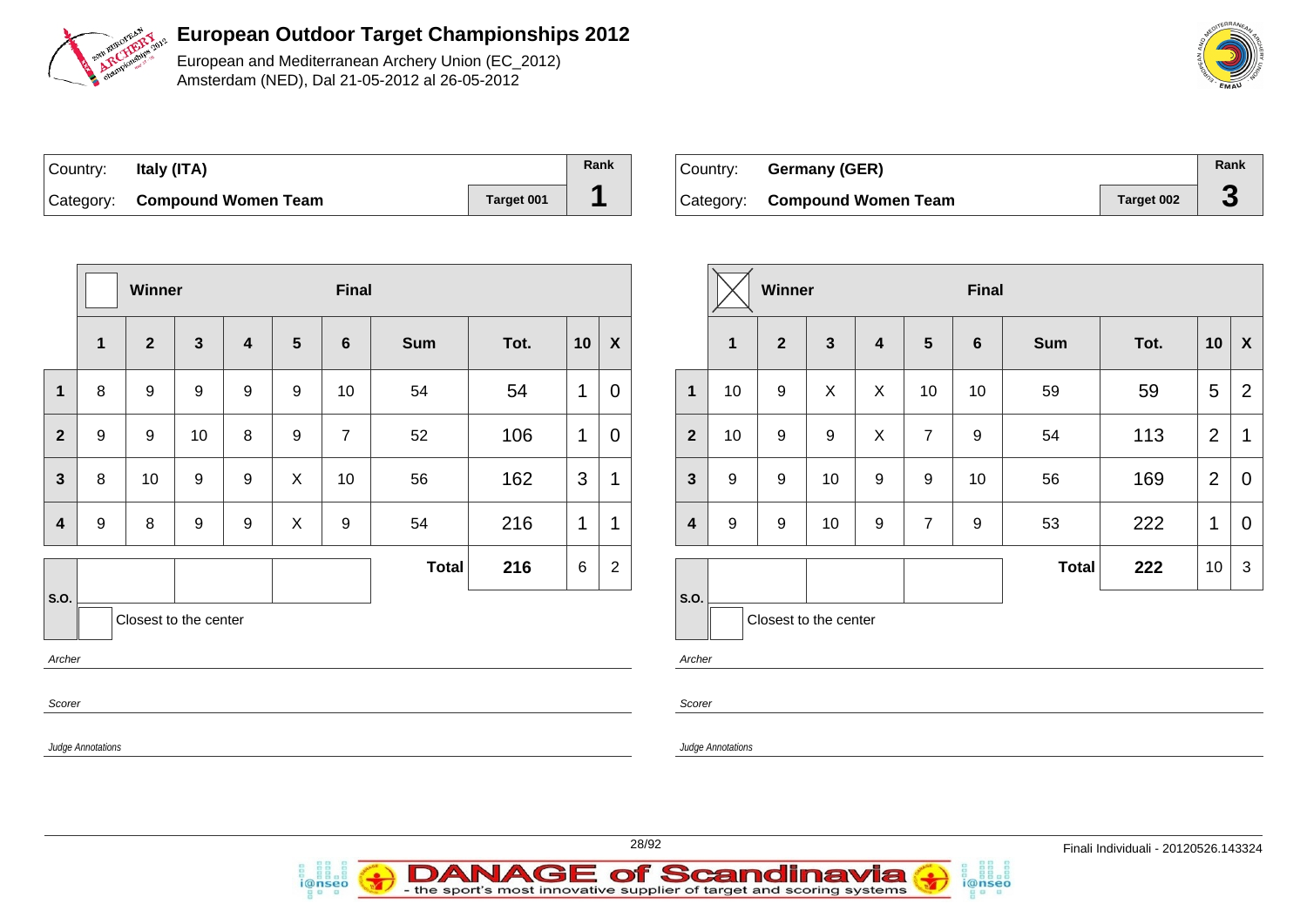

European and Mediterranean Archery Union (EC\_2012) Amsterdam (NED), Dal 21-05-2012 al 26-05-2012

| Country: | Italy (ITA)                   |                   | Rank |
|----------|-------------------------------|-------------------|------|
|          | Category: Compound Women Team | <b>Target 001</b> |      |

*i*@nseo

| ⊺Countr∨: | Germany (GER)                 |            | Rank |
|-----------|-------------------------------|------------|------|
|           | Category: Compound Women Team | Target 002 | -5   |

i@nseo

|                                                   |                   | Winner         |              |                  |              | Final            |              |                          |                |                    |                         |                          | Winner           |                |                |                | Final |              |      |                 |                           |
|---------------------------------------------------|-------------------|----------------|--------------|------------------|--------------|------------------|--------------|--------------------------|----------------|--------------------|-------------------------|--------------------------|------------------|----------------|----------------|----------------|-------|--------------|------|-----------------|---------------------------|
|                                                   | $\mathbf{1}$      | $\overline{2}$ | $\mathbf{3}$ | $\overline{4}$   | ${\bf 5}$    | $6\phantom{1}$   | <b>Sum</b>   | Tot.                     | 10             | $\pmb{\mathsf{X}}$ |                         | $\overline{\mathbf{1}}$  | $\mathbf{2}$     | $\mathbf{3}$   | 4              | 5              | 6     | <b>Sum</b>   | Tot. | 10              | $\boldsymbol{\mathsf{X}}$ |
| $\mathbf{1}$                                      | $\,8\,$           | 9              | 9            | 9                | 9            | 10               | 54           | 54                       |                | $\pmb{0}$          | $\mathbf 1$             | 10                       | 9                | $\pmb{\times}$ | $\pmb{\times}$ | 10             | 10    | 59           | 59   | $5\overline{)}$ | $\overline{2}$            |
| $\overline{2}$                                    | 9                 | 9              | 10           | 8                | 9            | $\overline{7}$   | 52           | 106                      | $\mathbf{1}$   | $\boldsymbol{0}$   | $\overline{2}$          | 10                       | 9                | 9              | $\sf X$        | $\overline{7}$ | 9     | 54           | 113  | $\overline{2}$  | $\mathbf 1$               |
| $\mathbf{3}$                                      | 8                 | 10             | 9            | 9                | $\mathsf{X}$ | 10               | 56           | 162                      | $\mathfrak{S}$ |                    | $\mathbf{3}$            | 9                        | 9                | 10             | 9              | 9              | 10    | 56           | 169  | $\overline{2}$  | $\mathbf 0$               |
| $\overline{\mathbf{4}}$                           | $\boldsymbol{9}$  | 8              | 9            | $\boldsymbol{9}$ | $\mathsf X$  | $\boldsymbol{9}$ | 54           | 216                      | $\mathbf 1$    | 1                  | $\overline{\mathbf{4}}$ | 9                        | $\boldsymbol{9}$ | 10             | 9              | $\overline{7}$ | 9     | 53           | 222  | $\mathbf{1}$    | $\mathbf 0$               |
|                                                   |                   |                |              |                  |              |                  | <b>Total</b> | 216                      | 6              | $\sqrt{2}$         |                         |                          |                  |                |                |                |       | <b>Total</b> | 222  | 10 <sub>1</sub> | 3                         |
| S.O.<br>Closest to the center<br>Archer<br>Scorer |                   |                |              |                  |              |                  |              | S.O.<br>Archer<br>Scorer |                |                    | Closest to the center   |                          |                  |                |                |                |       |              |      |                 |                           |
|                                                   | Judge Annotations |                |              |                  |              |                  |              |                          |                |                    |                         | <b>Judge Annotations</b> |                  |                |                |                |       |              |      |                 |                           |
|                                                   |                   |                |              |                  |              |                  |              |                          |                |                    |                         |                          |                  |                |                |                |       |              |      |                 |                           |



28/92 Finali Individuali - 20120526.143324

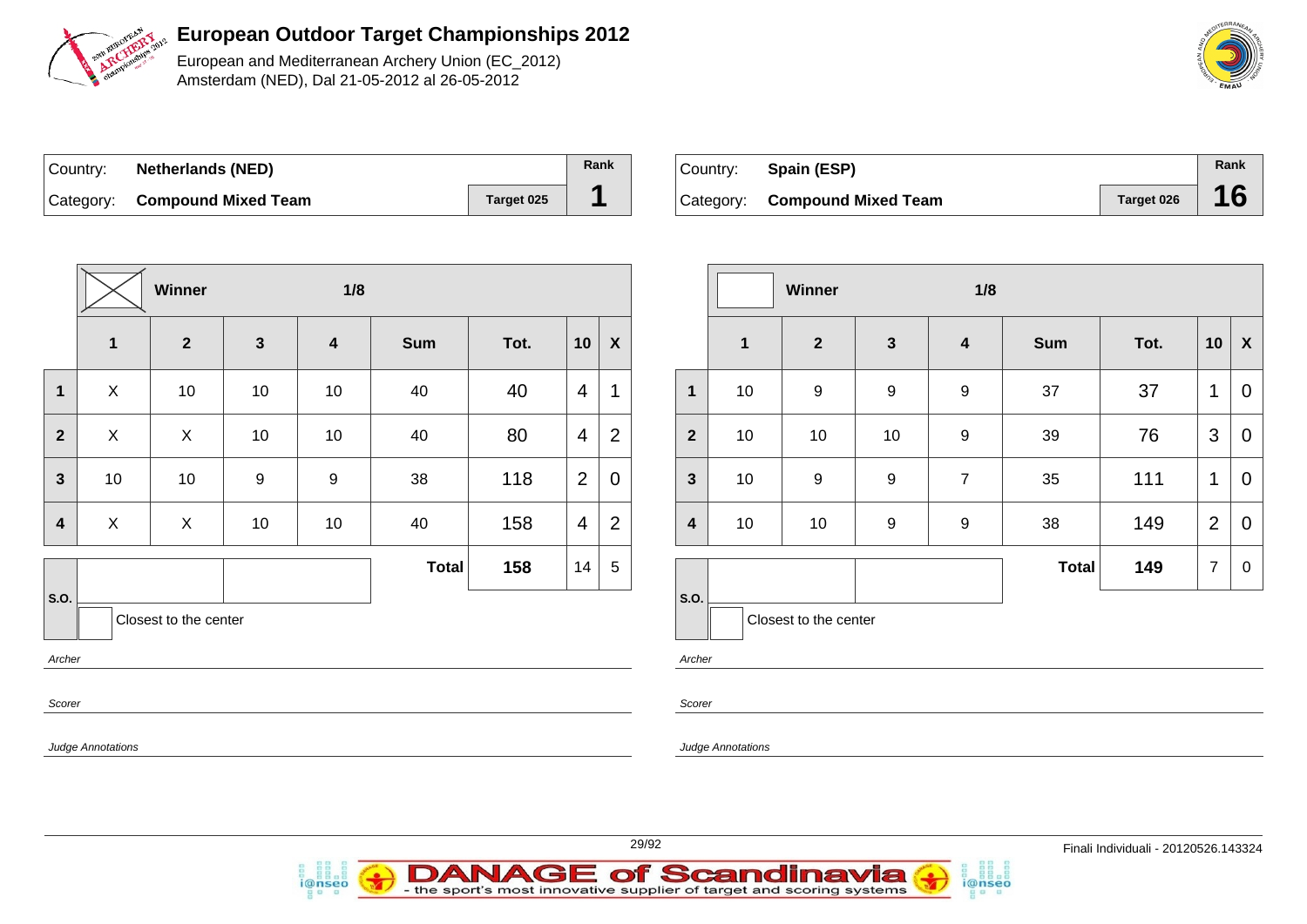

European and Mediterranean Archery Union (EC\_2012) Amsterdam (NED), Dal 21-05-2012 al 26-05-2012

| ∣Country: | <b>Netherlands (NED)</b>      |            | Rank |
|-----------|-------------------------------|------------|------|
|           | Category: Compound Mixed Team | Target 025 |      |

| Country: | Spain (ESP)                   |            | Rank |
|----------|-------------------------------|------------|------|
|          | Category: Compound Mixed Team | Target 026 | 16   |

|                                         |                          | Winner<br>1/8 |              |                         |              |      |                |                           |  |  |
|-----------------------------------------|--------------------------|---------------|--------------|-------------------------|--------------|------|----------------|---------------------------|--|--|
|                                         | $\mathbf{1}$             | $\mathbf{2}$  | $\mathbf{3}$ | $\overline{\mathbf{4}}$ | <b>Sum</b>   | Tot. | 10             | $\boldsymbol{\mathsf{X}}$ |  |  |
| $\mathbf{1}$                            | $\mathsf{X}$             | 10            | 10           | 10                      | 40           | 40   | 4              | 1                         |  |  |
| $\overline{2}$                          | X                        | X             | 10           | 10                      | 40           | 80   | 4              | $\overline{2}$            |  |  |
| $\mathbf{3}$                            | 10                       | 10            | 9            | $\boldsymbol{9}$        | 38           | 118  | $\overline{2}$ | $\overline{0}$            |  |  |
| 4                                       | $\mathsf{X}$             | X             | 10           | 10                      | 40           | 158  | 4              | $\overline{2}$            |  |  |
|                                         |                          |               |              |                         | <b>Total</b> | 158  | 14             | 5                         |  |  |
| S.O.<br>Closest to the center<br>Archer |                          |               |              |                         |              |      |                |                           |  |  |
| Scorer                                  |                          |               |              |                         |              |      |                |                           |  |  |
|                                         | <b>Judge Annotations</b> |               |              |                         |              |      |                |                           |  |  |

i@nseo

|                         |              | Winner                |                  | 1/8                     |              |      |                |                |
|-------------------------|--------------|-----------------------|------------------|-------------------------|--------------|------|----------------|----------------|
|                         | $\mathbf{1}$ | $\mathbf{2}$          | $\mathbf{3}$     | $\overline{\mathbf{4}}$ | <b>Sum</b>   | Tot. | 10             | X              |
| 1                       | 10           | $\boldsymbol{9}$      | $\boldsymbol{9}$ | $\boldsymbol{9}$        | 37           | 37   | 1              | 0              |
| $\overline{2}$          | 10           | 10                    | 10               | $\boldsymbol{9}$        | 39           | 76   | 3              | $\mathbf 0$    |
| $\mathbf{3}$            | 10           | 9                     | $\boldsymbol{9}$ | $\overline{7}$          | 35           | 111  | 1              | $\overline{0}$ |
| $\overline{\mathbf{4}}$ | 10<br>10     |                       | $\boldsymbol{9}$ | 9                       | 38           | 149  | $\overline{2}$ | $\mathbf 0$    |
|                         |              |                       |                  |                         | <b>Total</b> | 149  | $\overline{7}$ | $\mathbf 0$    |
| S.O.                    |              | Closest to the center |                  |                         |              |      |                |                |

i@nseo

Archer

Scorer

Judge Annotations



**DANAGE of Scandinavia** 

- the sport's most innovative supplier of target and scoring systems

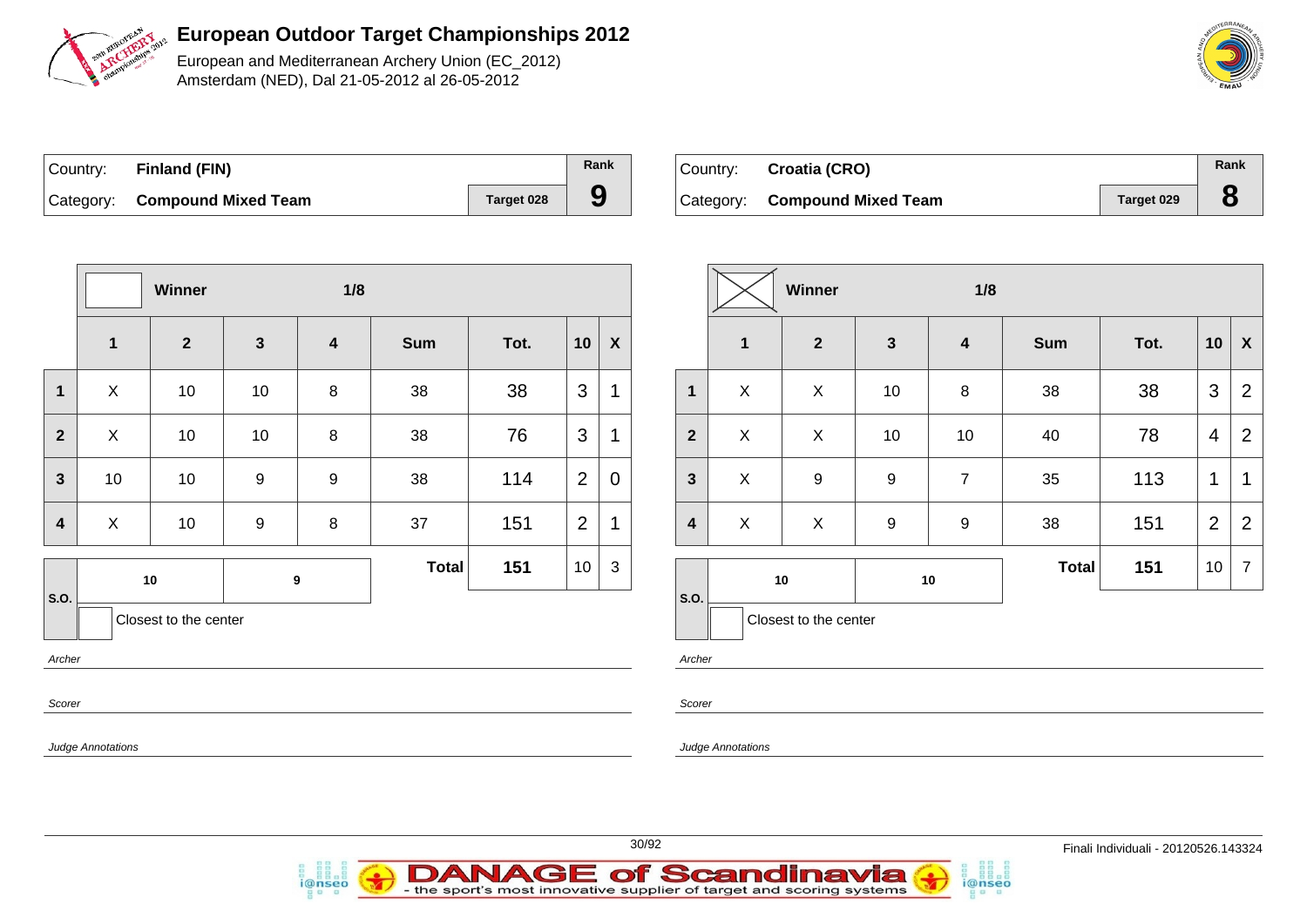

European and Mediterranean Archery Union (EC\_2012) Amsterdam (NED), Dal 21-05-2012 al 26-05-2012

| Country: Finland (FIN)        |                   | Rank |
|-------------------------------|-------------------|------|
| Category: Compound Mixed Team | <b>Target 028</b> | 9    |

*i*@nseo

| Country: | Croatia (CRO)                 |            | Rank |
|----------|-------------------------------|------------|------|
|          | Category: Compound Mixed Team | Target 029 |      |

|                |                          | Winner                |                  | 1/8                     |              |      |                |                  |              |                          | W  |
|----------------|--------------------------|-----------------------|------------------|-------------------------|--------------|------|----------------|------------------|--------------|--------------------------|----|
|                | $\mathbf{1}$             | $\overline{2}$        | $\mathbf{3}$     | $\overline{\mathbf{4}}$ | <b>Sum</b>   | Tot. | 10             | $\boldsymbol{X}$ |              | 1                        |    |
| $\mathbf{1}$   | X                        | 10                    | 10               | 8                       | 38           | 38   | 3              | $\mathbf 1$      | 1            | $\pmb{\times}$           |    |
| $\overline{2}$ | X                        | 10                    | 10               | 8                       | 38           | 76   | 3              | 1                | $\mathbf{2}$ | $\pmb{\times}$           |    |
| $\mathbf{3}$   | 10                       | 10                    | $\boldsymbol{9}$ | $\boldsymbol{9}$        | 38           | 114  | $\overline{2}$ | $\mathbf 0$      | $\mathbf{3}$ | X                        |    |
| 4              | X                        | 10 <sub>1</sub>       | $\boldsymbol{9}$ | 8                       | 37           | 151  | $\overline{2}$ | 1                | 4            | X                        |    |
|                |                          | 10                    |                  | 9                       | <b>Total</b> | 151  | 3<br>10        |                  |              |                          | 10 |
| S.O.           |                          | Closest to the center |                  |                         |              |      |                |                  | S.O.         | Closest <sup>1</sup>     |    |
| Archer         |                          |                       |                  |                         |              |      |                |                  | Archer       |                          |    |
| Scorer         |                          |                       |                  |                         |              |      |                |                  | Scorer       |                          |    |
|                | <b>Judge Annotations</b> |                       |                  |                         |              |      |                |                  |              | <b>Judge Annotations</b> |    |
|                |                          |                       |                  |                         |              |      |                |                  |              |                          |    |

|                         |              | Winner                |                  | 1/8                     |            |      |                |                  |
|-------------------------|--------------|-----------------------|------------------|-------------------------|------------|------|----------------|------------------|
|                         | $\mathbf{1}$ | $\mathbf{2}$          | $\mathbf{3}$     | $\overline{\mathbf{4}}$ | <b>Sum</b> | Tot. | 10             | $\boldsymbol{X}$ |
| 1                       | X            | X                     | 10               | 8                       | 38         | 38   | 3              | 2                |
| $\overline{2}$          | X            | X                     | 10               | 10                      | 40         | 78   | 4              | $\overline{2}$   |
| $\mathbf{3}$            | X            | $\boldsymbol{9}$      | $\boldsymbol{9}$ | $\overline{7}$          | 35         | 113  | 1              | 1                |
| $\overline{\mathbf{4}}$ | X            | X                     | $\boldsymbol{9}$ | 9                       | 38         | 151  | $\overline{2}$ | 2                |
|                         | 10<br>10     |                       |                  | <b>Total</b>            | 151        | 10   | $\overline{7}$ |                  |
| S.O.                    |              | Closest to the center |                  |                         |            |      |                |                  |

i@nseo



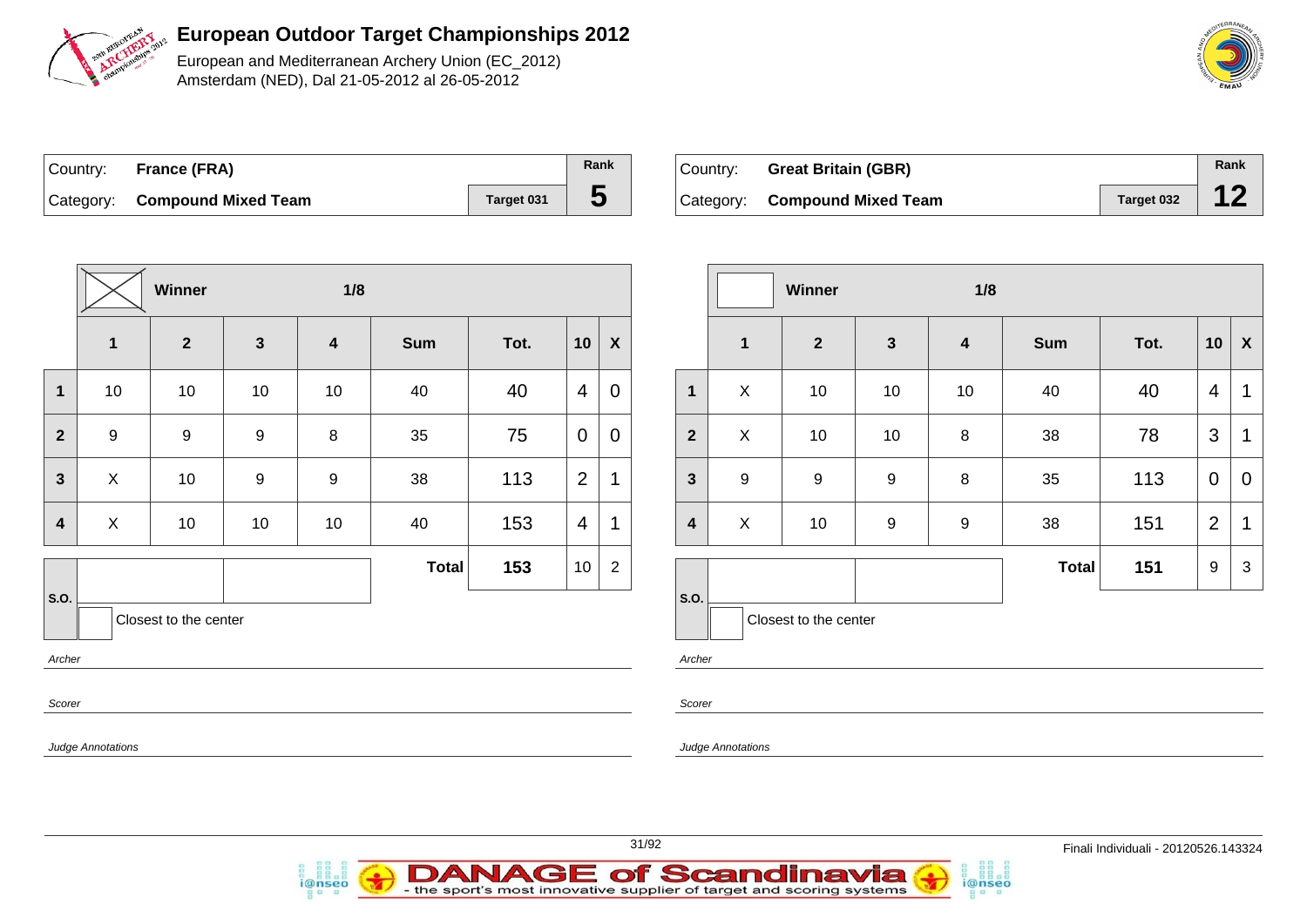

European and Mediterranean Archery Union (EC\_2012) Amsterdam (NED), Dal 21-05-2012 al 26-05-2012

| Country: France (FRA)         |            | Rank |
|-------------------------------|------------|------|
| Category: Compound Mixed Team | Target 031 | C    |

| Country: Great Britain (GBR)  |            | Rank |
|-------------------------------|------------|------|
| Category: Compound Mixed Team | Target 032 |      |

|                |                   | Winner                  |                  | 1/8                     |              |      |                |                           |  |                         |  |
|----------------|-------------------|-------------------------|------------------|-------------------------|--------------|------|----------------|---------------------------|--|-------------------------|--|
|                | $\mathbf{1}$      | $\overline{\mathbf{2}}$ | $\mathbf{3}$     | $\overline{\mathbf{4}}$ | <b>Sum</b>   | Tot. | 10             | $\boldsymbol{\mathsf{X}}$ |  |                         |  |
| $\mathbf{1}$   | 10                | 10                      | 10               | 10                      | 40           | 40   | $\overline{4}$ | $\mathbf 0$               |  | 1                       |  |
| $\overline{2}$ | $\boldsymbol{9}$  | $\boldsymbol{9}$        | $\boldsymbol{9}$ | $\bf 8$                 | 35           | 75   | $\mathbf 0$    | $\mathbf 0$               |  | $\overline{2}$          |  |
| $\mathbf{3}$   | X                 | 10                      | $\boldsymbol{9}$ | $\boldsymbol{9}$        | 38           | 113  | $\overline{2}$ | $\mathbf 1$               |  | $\mathbf{3}$            |  |
| 4              | $\pmb{\times}$    | 10                      | 10               | 10                      | 40           | 153  | $\overline{4}$ | $\mathbf 1$               |  | $\overline{\mathbf{4}}$ |  |
|                |                   |                         |                  |                         | <b>Total</b> | 153  | $10$           | $\mathbf 2$               |  |                         |  |
| S.O.           |                   | Closest to the center   |                  |                         |              |      |                |                           |  | S.O.                    |  |
| Archer         |                   |                         |                  |                         |              |      |                |                           |  | Archer                  |  |
| Scorer         |                   |                         |                  |                         |              |      |                |                           |  | Scorer                  |  |
|                | Judge Annotations |                         |                  |                         |              |      |                |                           |  | Judge Ann               |  |

DAN

i@nseo

|                |                  | Winner                |              | 1/8                     |              |      |                |             |
|----------------|------------------|-----------------------|--------------|-------------------------|--------------|------|----------------|-------------|
|                | 1                | $\overline{2}$        | $\mathbf{3}$ | $\overline{\mathbf{4}}$ | <b>Sum</b>   | Tot. | 10             | X           |
| $\mathbf{1}$   | X                | 10                    | 10           | 10                      | 40           | 40   | 4              | 1           |
| $\overline{2}$ | X                | 10                    | 10           | 8                       | 38           | 78   | 3              | 1           |
| $\mathbf{3}$   | $\boldsymbol{9}$ | $\boldsymbol{9}$      | 9            | 8                       | 35           | 113  | $\mathbf 0$    | $\mathbf 0$ |
| 4              | X                | $10$                  | 9            | 9                       | 38           | 151  | $\overline{2}$ | 1           |
|                |                  |                       |              |                         | <b>Total</b> | 151  | 9              | $\sqrt{3}$  |
| S.O.           |                  | Closest to the center |              |                         |              |      |                |             |

i@nseo

*notations* 

**IAGE of Scandinavia** 



- the sport's most innovative supplier of target and scoring systems

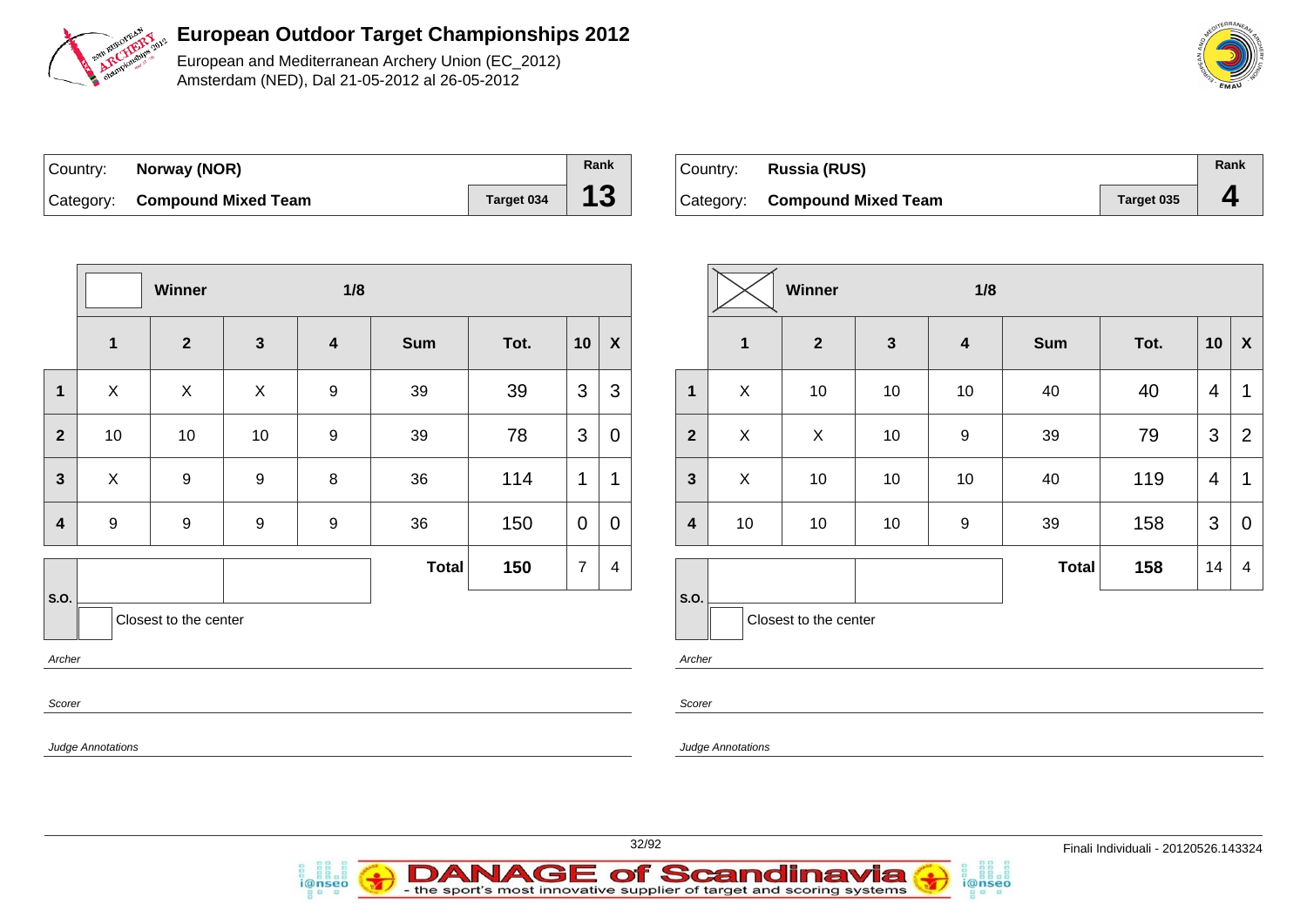

European and Mediterranean Archery Union (EC\_2012) Amsterdam (NED), Dal 21-05-2012 al 26-05-2012

| Country: | Norway (NOR)                  |            | Rank |
|----------|-------------------------------|------------|------|
|          | Category: Compound Mixed Team | Target 034 | 13   |

| Country: | Russia (RUS)                  |            | Rank |
|----------|-------------------------------|------------|------|
|          | Category: Compound Mixed Team | Target 035 |      |

|                         |                          | Winner                |                  | 1/8                     |              |      |                |                           |                         |                   |
|-------------------------|--------------------------|-----------------------|------------------|-------------------------|--------------|------|----------------|---------------------------|-------------------------|-------------------|
|                         | $\mathbf 1$              | $\overline{2}$        | $\mathbf{3}$     | $\overline{\mathbf{4}}$ | <b>Sum</b>   | Tot. | 10             | $\boldsymbol{\mathsf{X}}$ |                         | 1                 |
| 1                       | $\pmb{\times}$           | $\mathsf{X}$          | $\mathsf{X}$     | $\boldsymbol{9}$        | 39           | 39   | 3              | 3                         | 1                       | $\mathsf{X}$      |
| $\overline{2}$          | 10                       | 10                    | 10               | $\boldsymbol{9}$        | 39           | 78   | 3              | 0                         | $\overline{2}$          | X                 |
| $\mathbf{3}$            | X                        | $\boldsymbol{9}$      | $\boldsymbol{9}$ | $\,8\,$                 | 36           | 114  | 1              | 1                         | $\mathbf{3}$            | X                 |
| $\overline{\mathbf{4}}$ | $\boldsymbol{9}$         | $\boldsymbol{9}$      | $\boldsymbol{9}$ | $\boldsymbol{9}$        | 36           | 150  | $\mathbf 0$    | 0                         | $\overline{\mathbf{4}}$ | 10                |
|                         |                          |                       |                  |                         | <b>Total</b> | 150  | $\overline{7}$ | $\overline{\mathbf{4}}$   |                         |                   |
| S.O.                    |                          | Closest to the center |                  |                         |              |      |                |                           | S.O.                    | Clo               |
| Archer                  |                          |                       |                  |                         |              |      |                |                           | Archer                  |                   |
| Scorer                  |                          |                       |                  |                         |              |      |                |                           | Scorer                  |                   |
|                         | <b>Judge Annotations</b> |                       |                  |                         |              |      |                |                           |                         | Judge Annotations |

*i*@nseo

|                |              | Winner                |              | 1/8              |              |      |    |                           |
|----------------|--------------|-----------------------|--------------|------------------|--------------|------|----|---------------------------|
|                | $\mathbf{1}$ | $\overline{2}$        | $\mathbf{3}$ | $\boldsymbol{4}$ | <b>Sum</b>   | Tot. | 10 | $\boldsymbol{\mathsf{X}}$ |
| $\mathbf{1}$   | X            | 10                    | 10           | 10               | 40           | 40   | 4  | $\mathbf 1$               |
| $\overline{2}$ | X            | X                     | 10           | $\boldsymbol{9}$ | 39           | 79   | 3  | $\overline{2}$            |
| $\mathbf{3}$   | X            | 10                    | 10           | 10               | 40           | 119  | 4  | $\mathbf 1$               |
| 4              | 10           | 10                    | 10           | 9                | 39           | 158  | 3  | $\mathbf 0$               |
|                |              |                       |              |                  | <b>Total</b> | 158  | 14 | 4                         |
| S.O.           |              | Closest to the center |              |                  |              |      |    |                           |

i@nseo



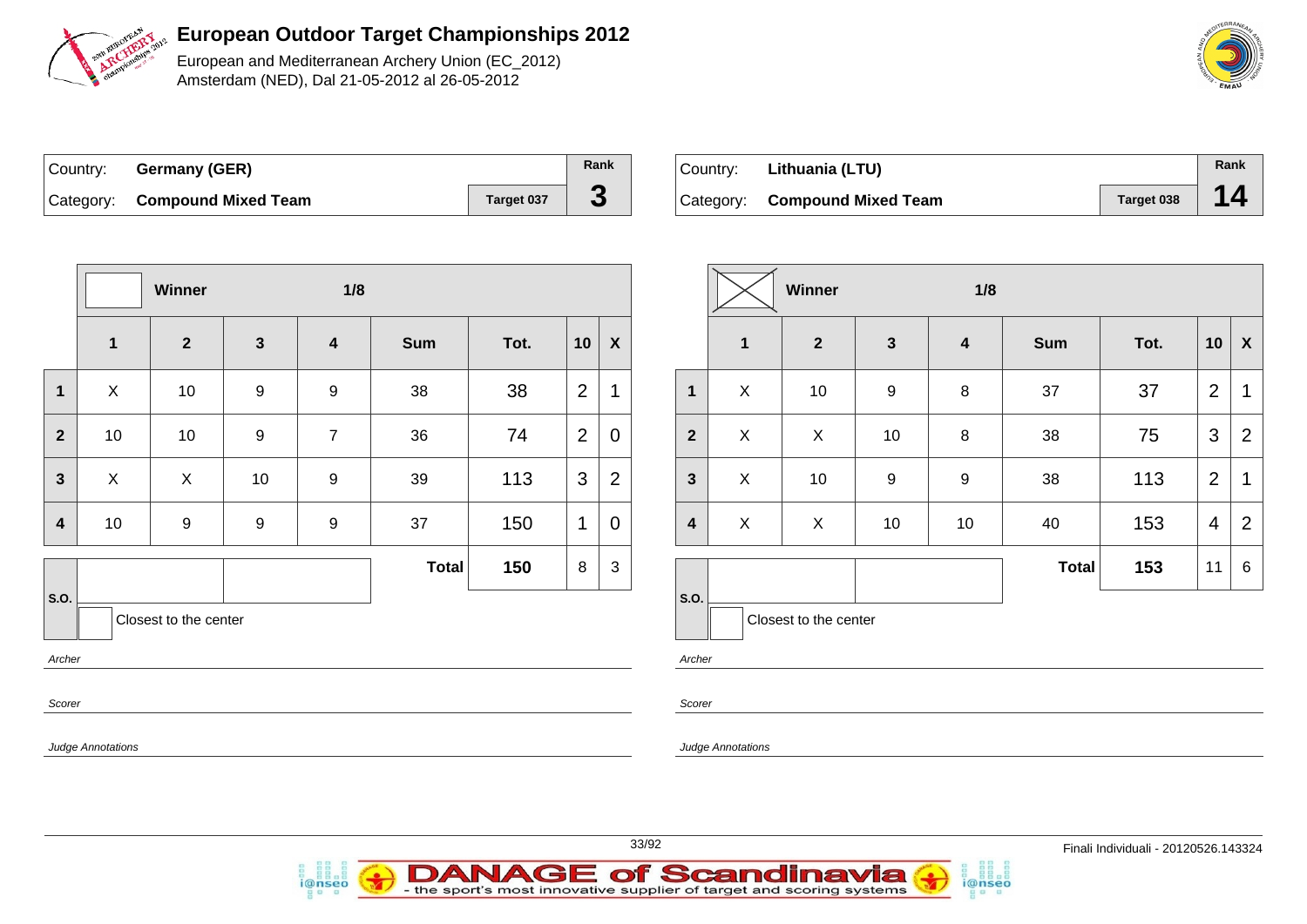

European and Mediterranean Archery Union (EC\_2012) Amsterdam (NED), Dal 21-05-2012 al 26-05-2012

| ∣Country: | <b>Germany (GER)</b>          |                   | Rank |
|-----------|-------------------------------|-------------------|------|
|           | Category: Compound Mixed Team | <b>Target 037</b> | J    |

| ⊺Country: | Lithuania (LTU)               |            | Rank |
|-----------|-------------------------------|------------|------|
|           | Category: Compound Mixed Team | Target 038 | 14   |

|                | Winner                   |                       |                  | 1/8                     |              |      |                |                  |                         |  |
|----------------|--------------------------|-----------------------|------------------|-------------------------|--------------|------|----------------|------------------|-------------------------|--|
|                | $\mathbf 1$              | $\overline{2}$        | $\mathbf{3}$     | $\overline{\mathbf{4}}$ | <b>Sum</b>   | Tot. | 10             | $\boldsymbol{X}$ |                         |  |
| $\mathbf 1$    | $\mathsf X$              | 10                    | $\boldsymbol{9}$ | 9                       | 38           | 38   | $\overline{2}$ | 1                | 1                       |  |
| $\overline{2}$ | 10                       | 10                    | $\boldsymbol{9}$ | $\overline{7}$          | 36           | 74   | $\overline{2}$ | $\mathbf 0$      | $\overline{2}$          |  |
| $\mathbf{3}$   | $\pmb{\times}$           | $\mathsf{X}$          | 10               | $\boldsymbol{9}$        | 39           | 113  | 3              | $\overline{2}$   | $\mathbf{3}$            |  |
| $\overline{4}$ | 10                       | $\boldsymbol{9}$      | $\boldsymbol{9}$ | $\boldsymbol{9}$        | 37           | 150  | 1              | $\overline{0}$   | $\overline{\mathbf{4}}$ |  |
|                |                          |                       |                  |                         | <b>Total</b> | 150  | 8              | $\mathfrak{S}$   |                         |  |
| S.O.           |                          | Closest to the center |                  |                         |              |      |                |                  | S.O.                    |  |
| Archer         |                          |                       |                  |                         |              |      |                |                  | Archer                  |  |
| Scorer         |                          |                       |                  |                         |              |      |                |                  | Scorer                  |  |
|                | <b>Judge Annotations</b> |                       |                  |                         |              |      |                |                  | Judge Ani               |  |

i@nseo

|                         |              | <b>Winner</b>         |                  | 1/8              |              |      |                |                  |
|-------------------------|--------------|-----------------------|------------------|------------------|--------------|------|----------------|------------------|
|                         | 1            | $\overline{2}$        | $\mathbf{3}$     | $\boldsymbol{4}$ | <b>Sum</b>   | Tot. | 10             | $\boldsymbol{X}$ |
| $\mathbf 1$             | X            | 10                    | 9                | 8                | 37           | 37   | $\overline{2}$ | 1                |
| $\overline{2}$          | $\mathsf{X}$ | X                     | $10$             | $\bf 8$          | 38           | 75   | 3              | $\overline{2}$   |
| $\overline{\mathbf{3}}$ | X            | 10                    | $\boldsymbol{9}$ | $\boldsymbol{9}$ | 38           | 113  | $\overline{2}$ | 1                |
| $\overline{\mathbf{4}}$ | X            | X                     | 10               | 10               | 40           | 153  | 4              | $\overline{2}$   |
|                         |              |                       |                  |                  | <b>Total</b> | 153  | 11             | 6                |
| S.O.                    |              | Closest to the center |                  |                  |              |      |                |                  |

i@nseo

notations



**DANAGE of Scandinavia** 

- the sport's most innovative supplier of target and scoring systems

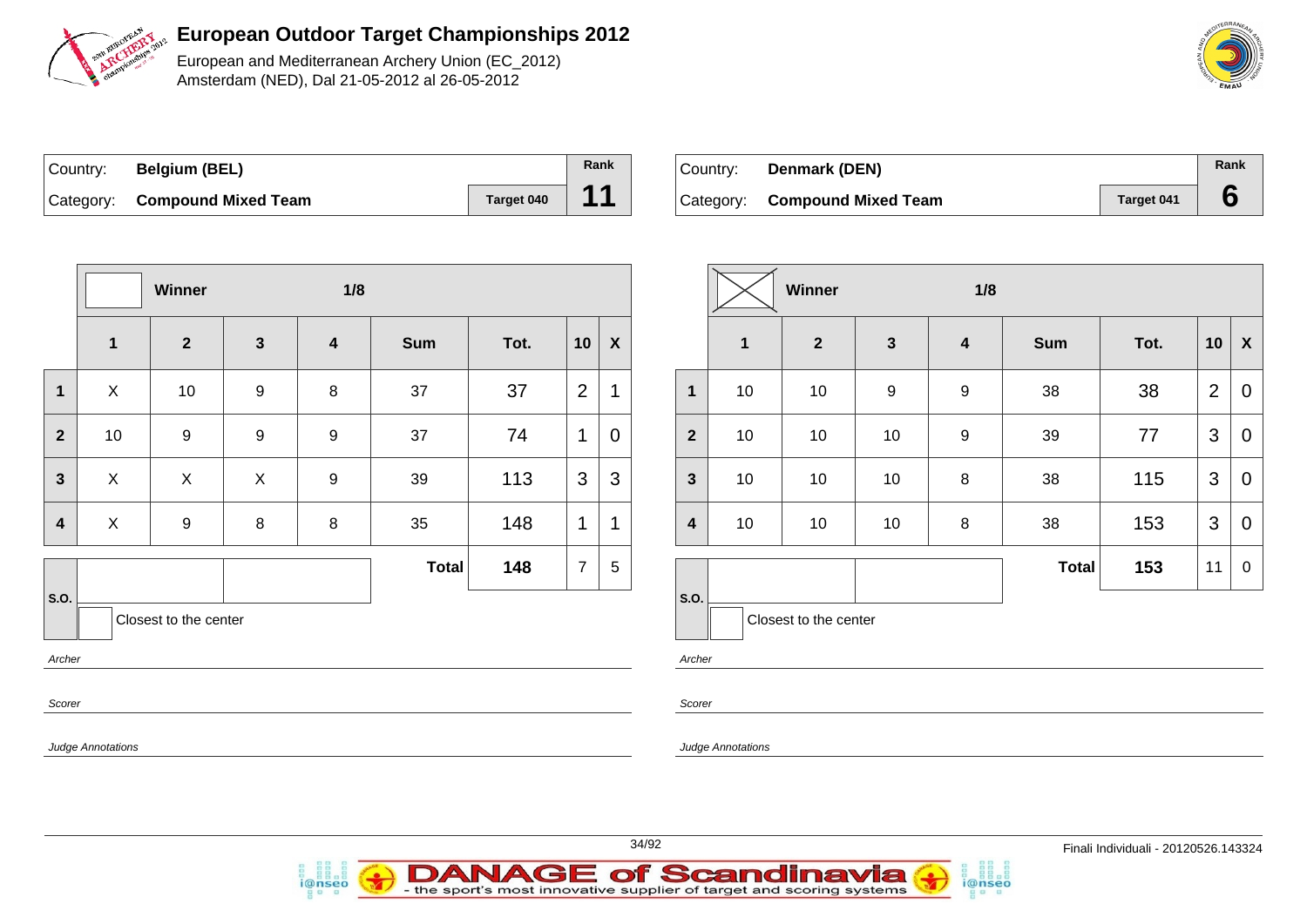

European and Mediterranean Archery Union (EC\_2012) Amsterdam (NED), Dal 21-05-2012 al 26-05-2012

| Country: | <b>Belgium (BEL)</b>          |            | Rank |
|----------|-------------------------------|------------|------|
|          | Category: Compound Mixed Team | Target 040 | 44   |

| ' Countr∨: ⊺ | Denmark (DEN)                 |                   | Rank |
|--------------|-------------------------------|-------------------|------|
|              | Category: Compound Mixed Team | <b>Target 041</b> |      |

|                         |                   | Winner                  |                  | 1/8                     |              |      |                |                           |                         |
|-------------------------|-------------------|-------------------------|------------------|-------------------------|--------------|------|----------------|---------------------------|-------------------------|
|                         | $\mathbf{1}$      | $\overline{\mathbf{2}}$ | $\mathbf{3}$     | $\overline{\mathbf{4}}$ | <b>Sum</b>   | Tot. | 10             | $\boldsymbol{\mathsf{X}}$ |                         |
| 1                       | X                 | 10                      | 9                | 8                       | 37           | 37   | $\overline{2}$ | 1                         | $\mathbf{1}$            |
| $\overline{2}$          | 10                | $\boldsymbol{9}$        | $\boldsymbol{9}$ | $\boldsymbol{9}$        | 37           | 74   | 1              | $\overline{0}$            | $\overline{2}$          |
| $\mathbf{3}$            | X                 | X                       | X                | $\boldsymbol{9}$        | 39           | 113  | 3              | 3                         | $\mathbf{3}$            |
| $\overline{\mathbf{4}}$ | $\pmb{\times}$    | $\boldsymbol{9}$        | 8                | 8                       | 35           | 148  | 1              | 1                         | $\overline{\mathbf{4}}$ |
|                         |                   |                         |                  |                         | <b>Total</b> | 148  | $\overline{7}$ | 5                         |                         |
| S.O.                    |                   | Closest to the center   |                  |                         |              |      |                |                           | S.O.                    |
| Archer                  |                   |                         |                  |                         |              |      |                |                           | Archer                  |
| Scorer                  |                   |                         |                  |                         |              |      |                |                           | Scorer                  |
|                         | Judge Annotations |                         |                  |                         |              |      |                |                           | Judge Ar                |

|                         |              | Winner                |                  | 1/8                     |              |      |                |                  |
|-------------------------|--------------|-----------------------|------------------|-------------------------|--------------|------|----------------|------------------|
|                         | $\mathbf{1}$ | $\overline{2}$        | $\mathbf{3}$     | $\overline{\mathbf{4}}$ | <b>Sum</b>   | Tot. | 10             | X                |
| 1                       | 10           | 10                    | $\boldsymbol{9}$ | 9                       | 38           | 38   | $\overline{2}$ | 0                |
| $\overline{2}$          | 10           | 10                    | 10               | 9                       | 39           | 77   | 3              | 0                |
| $\mathbf{3}$            | 10           | 10                    | 10               | 8                       | 38           | 115  | 3              | $\mathbf 0$      |
| $\overline{\mathbf{4}}$ | 10           | 10                    | 10               | 8                       | 38           | 153  | 3              | 0                |
|                         |              |                       |                  |                         | <b>Total</b> | 153  | 11             | $\boldsymbol{0}$ |
| S.O.                    |              | Closest to the center |                  |                         |              |      |                |                  |

i@nseo

nnotations

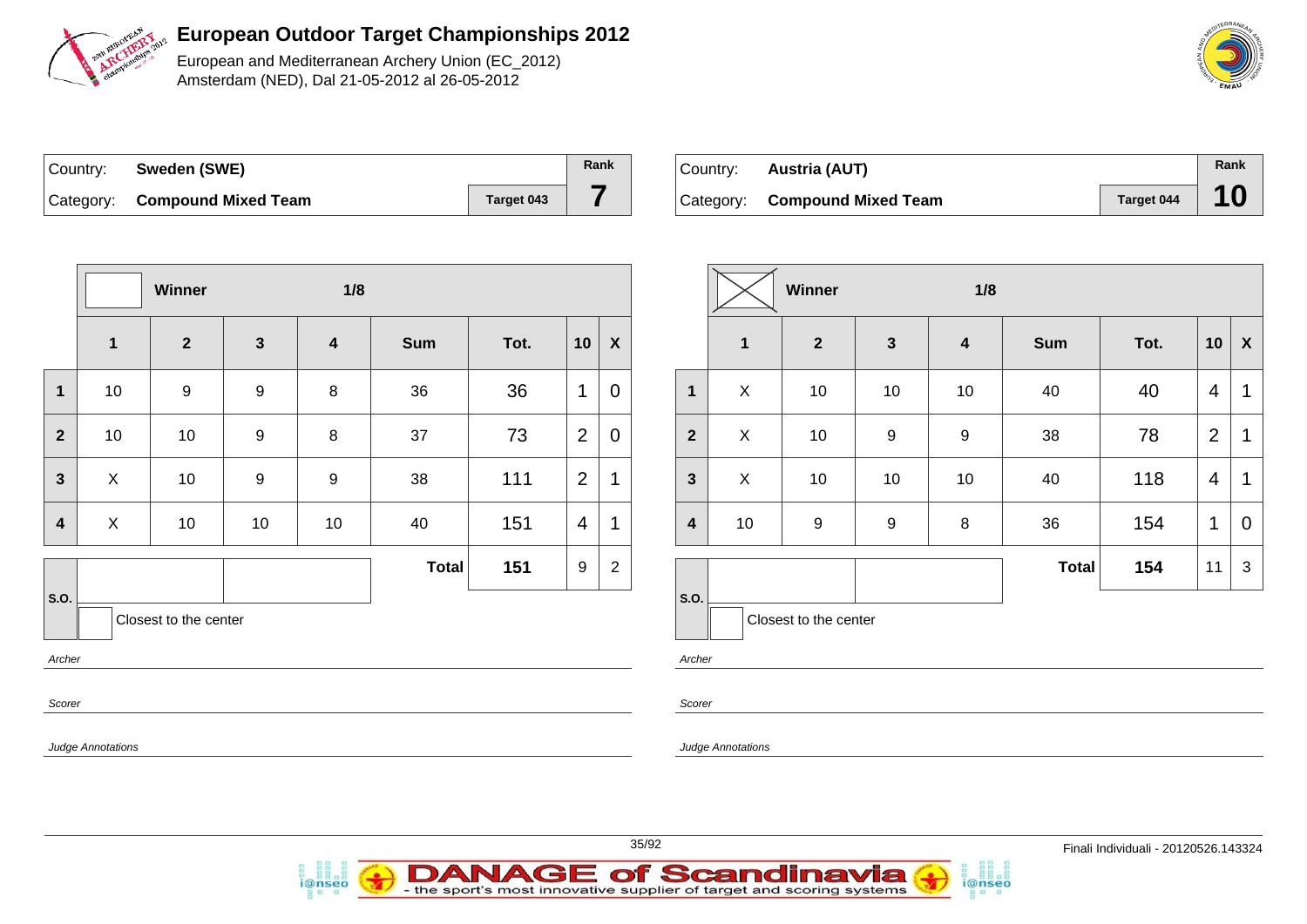

European and Mediterranean Archery Union (EC\_2012) Amsterdam (NED), Dal 21-05-2012 al 26-05-2012

| Country: | Sweden (SWE)                  |            | Rank |
|----------|-------------------------------|------------|------|
|          | Category: Compound Mixed Team | Target 043 |      |

| Country: <b>Austria (AUT)</b> |            | Rank |
|-------------------------------|------------|------|
| Category: Compound Mixed Team | Target 044 |      |

|                         |                          | Winner                |                  | 1/8                     |              |      |                          |                  |
|-------------------------|--------------------------|-----------------------|------------------|-------------------------|--------------|------|--------------------------|------------------|
|                         | $\mathbf{1}$             | $\overline{2}$        | $\mathbf{3}$     | $\overline{\mathbf{4}}$ | <b>Sum</b>   | Tot. | 10                       | $\boldsymbol{X}$ |
| 1                       | 10                       | $\boldsymbol{9}$      | $\boldsymbol{9}$ | $\bf 8$                 | 36           | 36   | 1                        | $\overline{0}$   |
| $\mathbf{2}$            | 10                       | 10                    | $\boldsymbol{9}$ | 8                       | 37           | 73   | $\overline{2}$           | 0                |
| $\mathbf{3}$            | $\mathsf{X}$             | 10                    | $\boldsymbol{9}$ | $\boldsymbol{9}$        | 38           | 111  | $\overline{2}$           | 1                |
| $\overline{\mathbf{4}}$ | $\mathsf{X}$             | 10                    | 10               | 10                      | 40           | 151  | $\overline{\mathcal{A}}$ | 1                |
|                         |                          |                       |                  |                         | <b>Total</b> | 151  | 9                        | $\boldsymbol{2}$ |
| S.O.<br>Archer          |                          | Closest to the center |                  |                         |              |      |                          |                  |
| Scorer                  |                          |                       |                  |                         |              |      |                          |                  |
|                         | <b>Judge Annotations</b> |                       |                  |                         |              |      |                          |                  |

i@nseo

|                         | <b>Winner</b><br>1/8 |                       |                  |                         |              |      |                |                |  |
|-------------------------|----------------------|-----------------------|------------------|-------------------------|--------------|------|----------------|----------------|--|
|                         | $\mathbf{1}$         | $\mathbf{2}$          | $\mathbf{3}$     | $\overline{\mathbf{4}}$ | <b>Sum</b>   | Tot. | 10             | X              |  |
| 1                       | X                    | 10                    | 10               | 10                      | 40           | 40   | 4              | 1              |  |
| $\overline{2}$          | X                    | 10                    | 9                | 9                       | 38           | 78   | $\overline{2}$ | 1              |  |
| $\mathbf{3}$            | X                    | 10                    | 10               | 10                      | 40           | 118  | 4              | 1              |  |
| $\overline{\mathbf{4}}$ | 10                   | $\boldsymbol{9}$      | $\boldsymbol{9}$ | 8                       | 36           | 154  | 1              | $\overline{0}$ |  |
|                         |                      |                       |                  |                         | <b>Total</b> | 154  | 11             | 3              |  |
| S.O.                    |                      | Closest to the center |                  |                         |              |      |                |                |  |

i@nseo

her

rer

ge Annotations



**DANAGE of Scandinavia** 

- the sport's most innovative supplier of target and scoring systems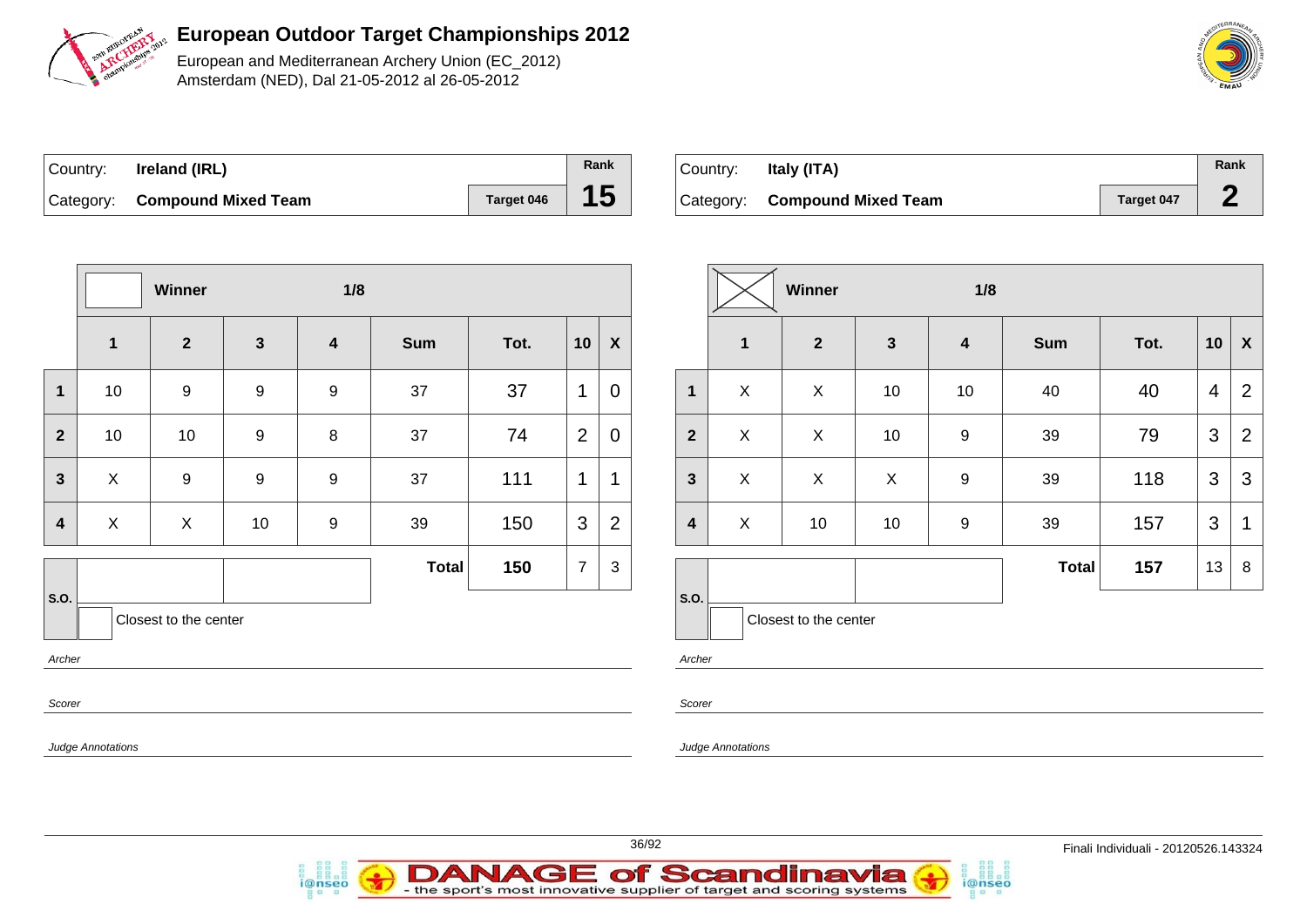

European and Mediterranean Archery Union (EC\_2012) Amsterdam (NED), Dal 21-05-2012 al 26-05-2012

| ∣Country: | Ireland (IRL)                 |                   | Rank |
|-----------|-------------------------------|-------------------|------|
|           | Category: Compound Mixed Team | <b>Target 046</b> | 15   |

| Italy (ITA)<br>Country: |                               |            |  |  |
|-------------------------|-------------------------------|------------|--|--|
|                         | Category: Compound Mixed Team | Target 047 |  |  |

|                         |                          | Winner                |                | 1/8                     |              |      |                |                    | Winner                  |                          |                  |
|-------------------------|--------------------------|-----------------------|----------------|-------------------------|--------------|------|----------------|--------------------|-------------------------|--------------------------|------------------|
|                         | $\mathbf 1$              | $\overline{2}$        | $\mathbf{3}$   | $\overline{\mathbf{4}}$ | <b>Sum</b>   | Tot. | 10             | $\pmb{\mathsf{X}}$ |                         | 1                        | $\overline{2}$   |
| 1                       | 10                       | $\boldsymbol{9}$      | $\overline{9}$ | $\boldsymbol{9}$        | 37           | 37   | 1              | $\mathbf 0$        | $\mathbf{1}$            | X                        | X                |
| $\overline{2}$          | 10                       | 10                    | $\overline{9}$ | 8                       | 37           | 74   | $\overline{2}$ | $\boldsymbol{0}$   | $\overline{2}$          | $\pmb{\times}$           | X                |
| $\mathbf{3}$            | $\pmb{\times}$           | $\boldsymbol{9}$      | $\overline{9}$ | $\boldsymbol{9}$        | 37           | 111  | 1              | 1                  | $\mathbf{3}$            | $\pmb{\times}$           | $\pmb{\times}$   |
| $\overline{\mathbf{4}}$ | X                        | X                     | 10             | 9                       | 39           | 150  | 3              | $\overline{2}$     | $\overline{\mathbf{4}}$ | X                        | 10               |
|                         |                          |                       |                |                         | <b>Total</b> | 150  | $\overline{7}$ | $\sqrt{3}$         |                         |                          |                  |
| S.O.                    |                          | Closest to the center |                |                         |              |      |                |                    | S.O.                    |                          | Closest to the o |
| Archer                  |                          |                       |                |                         |              |      |                |                    | Archer                  |                          |                  |
| Scorer                  |                          |                       |                |                         |              |      |                |                    | Scorer                  |                          |                  |
|                         | <b>Judge Annotations</b> |                       |                |                         |              |      |                |                    |                         | <b>Judge Annotations</b> |                  |



i@nseo

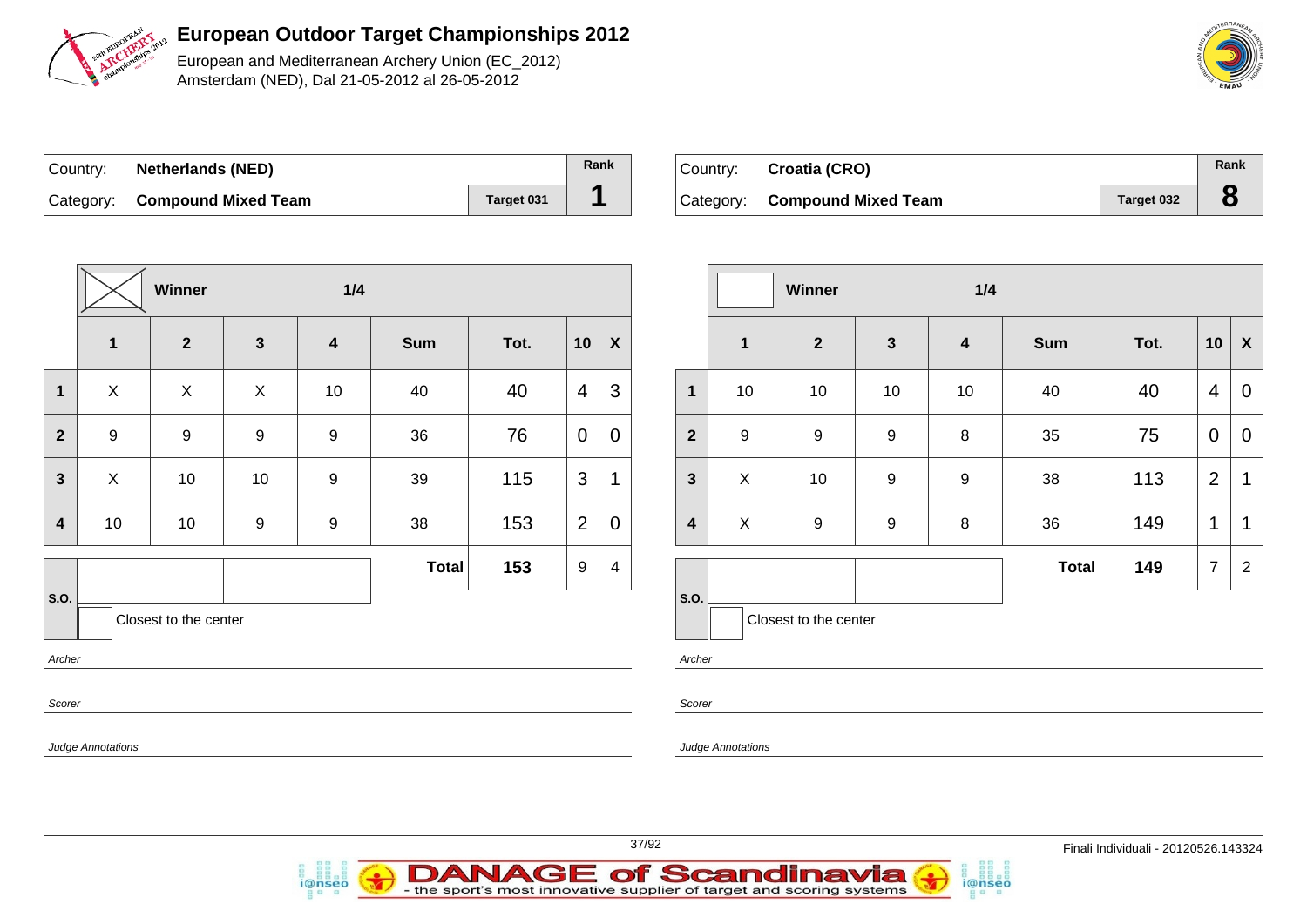

European and Mediterranean Archery Union (EC\_2012) Amsterdam (NED), Dal 21-05-2012 al 26-05-2012

| ∣Country: | <b>Netherlands (NED)</b>      |            | Rank |
|-----------|-------------------------------|------------|------|
|           | Category: Compound Mixed Team | Target 031 |      |

i@nseo

| Country: Croatia (CRO)        |            | Rank |
|-------------------------------|------------|------|
| Category: Compound Mixed Team | Target 032 |      |

|                         |                          | Winner                |                  | 1/4                     |              |      |                  |                  |                         |                   | V       |
|-------------------------|--------------------------|-----------------------|------------------|-------------------------|--------------|------|------------------|------------------|-------------------------|-------------------|---------|
|                         | $\mathbf{1}$             | $\overline{2}$        | $\mathbf{3}$     | $\overline{\mathbf{4}}$ | <b>Sum</b>   | Tot. | 10               | $\boldsymbol{X}$ |                         | $\mathbf{1}$      |         |
| $\mathbf{1}$            | $\pmb{\times}$           | $\pmb{\times}$        | X                | 10                      | 40           | 40   | $\overline{4}$   | 3                | 1                       | 10                |         |
| $\mathbf{2}$            | $\boldsymbol{9}$         | $\boldsymbol{9}$      | $\boldsymbol{9}$ | $\boldsymbol{9}$        | 36           | 76   | $\mathbf 0$      | $\mathbf 0$      | $\mathbf{2}$            | $\boldsymbol{9}$  |         |
| $\mathbf{3}$            | $\mathsf{X}$             | 10                    | 10               | $\boldsymbol{9}$        | 39           | 115  | 3                | 1                | $\mathbf{3}$            | X                 |         |
| $\overline{\mathbf{4}}$ | 10                       | 10                    | $\boldsymbol{9}$ | $\boldsymbol{9}$        | 38           | 153  | $\overline{2}$   | $\mathbf 0$      | $\overline{\mathbf{4}}$ | X                 |         |
|                         |                          |                       |                  |                         | <b>Total</b> | 153  | $\boldsymbol{9}$ | 4                |                         |                   |         |
| S.O.                    |                          | Closest to the center |                  |                         |              |      |                  |                  | S.O.                    |                   | Closest |
| Archer                  |                          |                       |                  |                         |              |      |                  |                  | Archer                  |                   |         |
| Scorer                  |                          |                       |                  |                         |              |      |                  |                  | Scorer                  |                   |         |
|                         | <b>Judge Annotations</b> |                       |                  |                         |              |      |                  |                  |                         | Judge Annotations |         |

|                         |                           | Winner                |                  | 1/4                     |              |      |                |                |
|-------------------------|---------------------------|-----------------------|------------------|-------------------------|--------------|------|----------------|----------------|
|                         | $\mathbf{1}$              | $\mathbf{2}$          | $\mathbf{3}$     | $\overline{\mathbf{4}}$ | <b>Sum</b>   | Tot. | 10             | X              |
| $\mathbf{1}$            | 10                        | 10                    | 10               | 10                      | 40           | 40   | 4              | 0              |
| $\overline{2}$          | $\boldsymbol{9}$          | 9                     | $\boldsymbol{9}$ | 8                       | 35           | 75   | 0              | 0              |
| $\mathbf{3}$            | $\boldsymbol{\mathsf{X}}$ | 10                    | $\boldsymbol{9}$ | $\boldsymbol{9}$        | 38           | 113  | $\overline{2}$ | 1              |
| $\overline{\mathbf{4}}$ | X                         | 9                     | 9                | 8                       | 36           | 149  | 1              | 1              |
|                         |                           |                       |                  |                         | <b>Total</b> | 149  | $\overline{7}$ | $\overline{2}$ |
| S.O.                    |                           | Closest to the center |                  |                         |              |      |                |                |

i@nseo



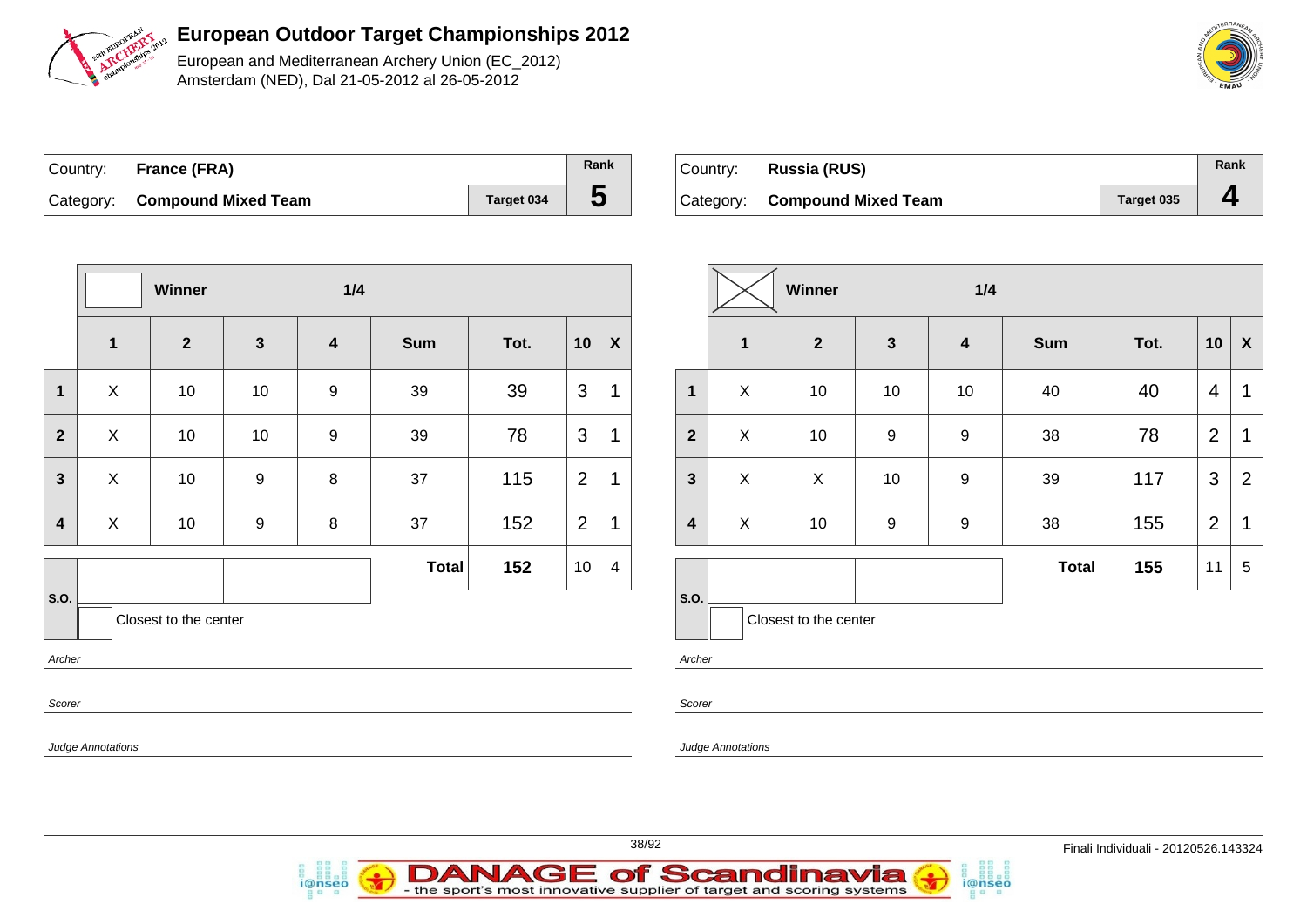

European and Mediterranean Archery Union (EC\_2012) Amsterdam (NED), Dal 21-05-2012 al 26-05-2012

| Country: France (FRA)         |            | Rank |
|-------------------------------|------------|------|
| Category: Compound Mixed Team | Target 034 |      |

| Country: Russia (RUS)         |            | Rank                     |
|-------------------------------|------------|--------------------------|
| Category: Compound Mixed Team | Target 035 | $\overline{\phantom{a}}$ |

|                |                          | Winner                |                  | 1/4                     |              |      |                |                  |
|----------------|--------------------------|-----------------------|------------------|-------------------------|--------------|------|----------------|------------------|
|                | $\mathbf 1$              | $\overline{2}$        | $\mathbf{3}$     | $\overline{\mathbf{4}}$ | <b>Sum</b>   | Tot. | 10             | $\boldsymbol{X}$ |
| $\mathbf 1$    | X                        | 10                    | 10               | 9                       | 39           | 39   | 3              | 1                |
| $\overline{2}$ | X                        | 10                    | 10               | 9                       | 39           | 78   | 3              | 1                |
| $\mathbf{3}$   | $\pmb{\times}$           | 10                    | $\boldsymbol{9}$ | 8                       | 37           | 115  | $\overline{2}$ | 1                |
| 4              | X                        | 10                    | 9                | $\bf 8$                 | 37           | 152  | $\overline{2}$ | 1                |
|                |                          |                       |                  |                         | <b>Total</b> | 152  | 10             | $\overline{4}$   |
| S.O.           |                          | Closest to the center |                  |                         |              |      |                |                  |
| Archer         |                          |                       |                  |                         |              |      |                |                  |
| Scorer         |                          |                       |                  |                         |              |      |                |                  |
|                | <b>Judge Annotations</b> |                       |                  |                         |              |      |                |                  |

|                         |                | Winner                |              | 1/4                     |              |      |                |                |
|-------------------------|----------------|-----------------------|--------------|-------------------------|--------------|------|----------------|----------------|
|                         | $\mathbf{1}$   | $\overline{2}$        | $\mathbf{3}$ | $\overline{\mathbf{4}}$ | <b>Sum</b>   | Tot. | 10             | X              |
| 1                       | X              | 10                    | 10           | 10                      | 40           | 40   | 4              | 1              |
| $\overline{2}$          | $\pmb{\times}$ | 10                    | 9            | 9                       | 38           | 78   | $\overline{2}$ | 1              |
| $\mathbf{3}$            | X              | X                     | 10           | $\boldsymbol{9}$        | 39           | 117  | 3              | $\overline{2}$ |
| $\overline{\mathbf{4}}$ | X              | 10                    | 9            | 9                       | 38           | 155  | $\overline{2}$ | 1              |
|                         |                |                       |              |                         | <b>Total</b> | 155  | 11             | 5              |
| S.O.                    |                | Closest to the center |              |                         |              |      |                |                |

i@nseo

Archer

Scorer

Judge Annotations



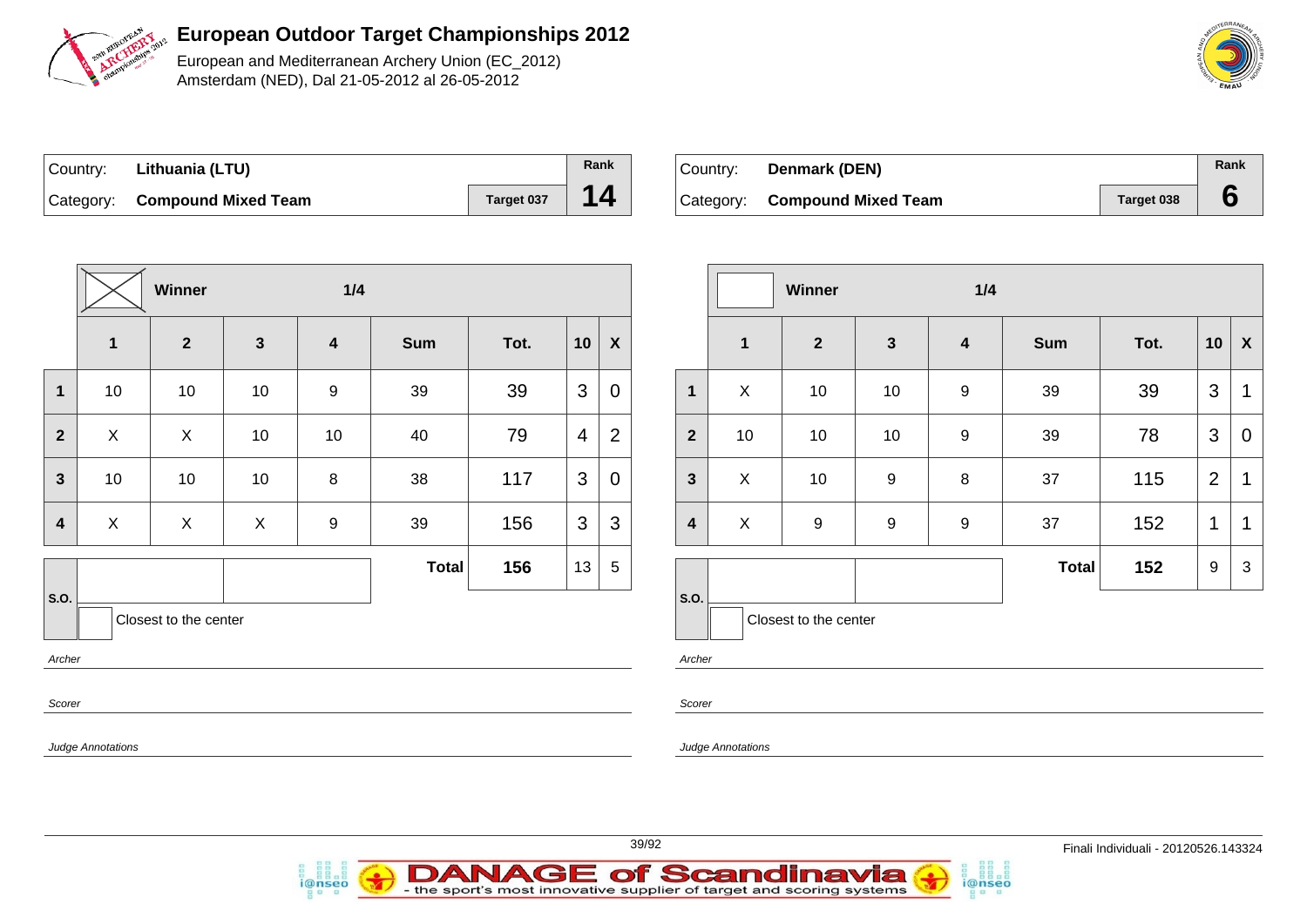

European and Mediterranean Archery Union (EC\_2012) Amsterdam (NED), Dal 21-05-2012 al 26-05-2012

| ∣Country: | Lithuania (LTU)               |            | Rank |
|-----------|-------------------------------|------------|------|
|           | Category: Compound Mixed Team | Target 037 | 14   |

i@nseo

| Country: | Denmark (DEN)                 |                   | Rank |
|----------|-------------------------------|-------------------|------|
|          | Category: Compound Mixed Team | <b>Target 038</b> |      |

|                         |                   | Winner                |              | 1/4                     |              |      |                |                           |  |                         |                          | W |
|-------------------------|-------------------|-----------------------|--------------|-------------------------|--------------|------|----------------|---------------------------|--|-------------------------|--------------------------|---|
|                         | 1                 | $\overline{2}$        | $\mathbf{3}$ | $\overline{\mathbf{4}}$ | <b>Sum</b>   | Tot. | 10             | $\boldsymbol{\mathsf{X}}$ |  |                         | $\mathbf 1$              |   |
| $\mathbf{1}$            | 10                | 10                    | 10           | $\boldsymbol{9}$        | 39           | 39   | 3              | $\mathbf 0$               |  | $\mathbf 1$             | $\pmb{\times}$           |   |
| $\overline{2}$          | $\pmb{\times}$    | $\mathsf{X}$          | 10           | 10                      | 40           | 79   | $\overline{4}$ | $\overline{2}$            |  | $\mathbf{2}$            | 10                       |   |
| $\mathbf{3}$            | 10                | 10                    | 10           | 8                       | 38           | 117  | 3              | $\mathbf 0$               |  | $\mathbf{3}$            | X                        |   |
| $\overline{\mathbf{4}}$ | X                 | X                     | X            | $\boldsymbol{9}$        | 39           | 156  | 3              | 3                         |  | $\overline{\mathbf{4}}$ | X                        |   |
|                         |                   |                       |              |                         | <b>Total</b> | 156  | 13             | $\sqrt{5}$                |  |                         |                          |   |
| S.O.                    |                   | Closest to the center |              |                         |              |      |                |                           |  | S.O.                    | Closest                  |   |
| Archer                  |                   |                       |              |                         |              |      |                |                           |  | Archer                  |                          |   |
| Scorer                  |                   |                       |              |                         |              |      |                |                           |  | Scorer                  |                          |   |
|                         | Judge Annotations |                       |              |                         |              |      |                |                           |  |                         | <b>Judge Annotations</b> |   |

**Winner 1/4 2 3 4 Sum Tot. 10 X** | X | 10 | 10 | 9 | 39 | 39 |3 |1 | 10 | 10 | 10 | 9 | 39 | 78 |3 | 0 X 10 9 8 37 115 2 1 | X | 9 | 9 | 9 | 37 | 152 |1 |1 **Total 152** 9 3 to the center

i@nseo



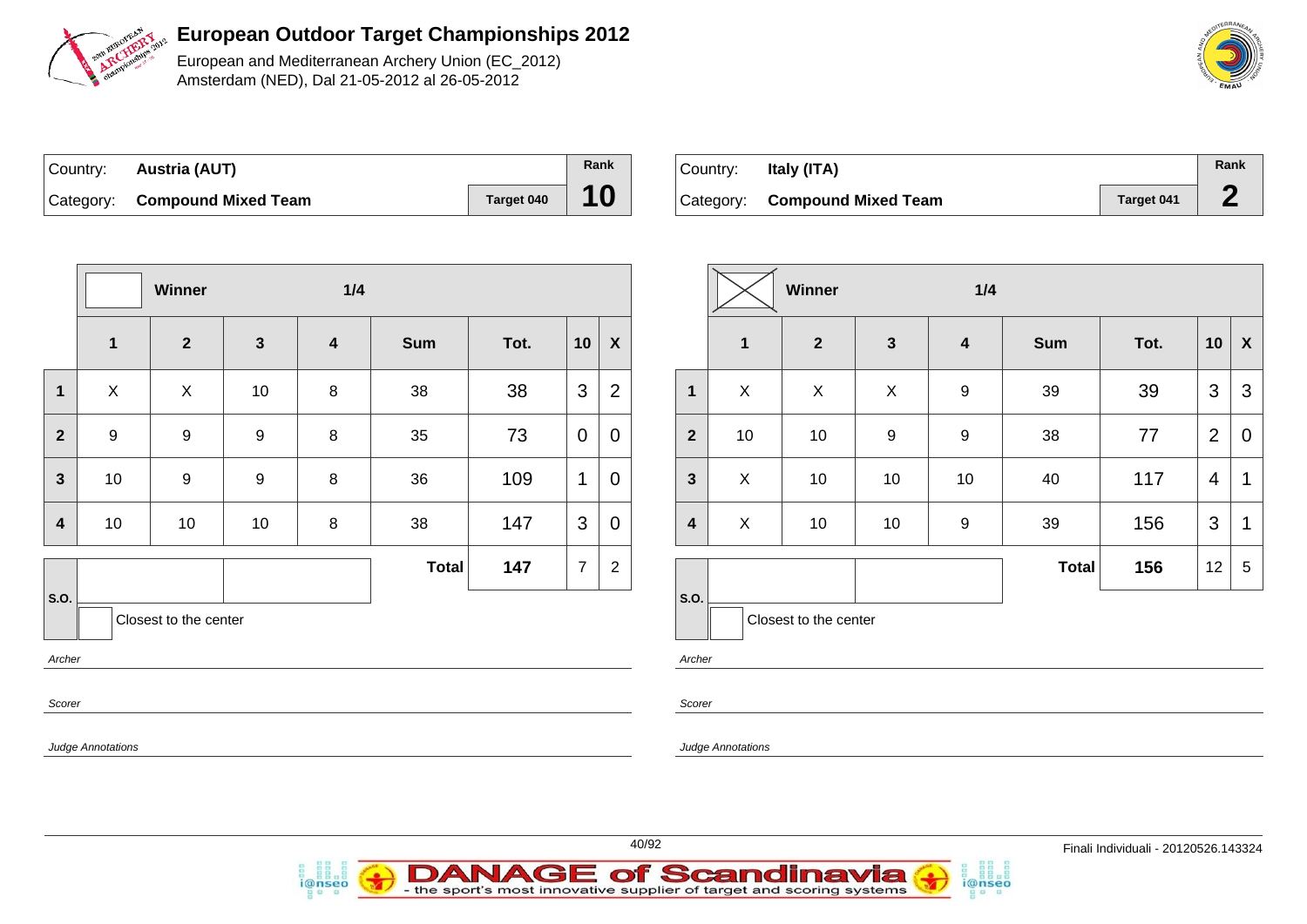

European and Mediterranean Archery Union (EC\_2012) Amsterdam (NED), Dal 21-05-2012 al 26-05-2012

| Country: | Austria (AUT)                 |            | Rank |
|----------|-------------------------------|------------|------|
|          | Category: Compound Mixed Team | Target 040 | 10   |

| ∣ Country: | Italy (ITA)                   |            | Rank |
|------------|-------------------------------|------------|------|
|            | Category: Compound Mixed Team | Target 041 |      |

|                         |                          | Winner                |                  | 1/4                     |              |      |    |                           |
|-------------------------|--------------------------|-----------------------|------------------|-------------------------|--------------|------|----|---------------------------|
|                         | $\mathbf 1$              | $\overline{2}$        | $\mathbf{3}$     | $\overline{\mathbf{4}}$ | <b>Sum</b>   | Tot. | 10 | $\boldsymbol{\mathsf{X}}$ |
| $\mathbf{1}$            | $\pmb{\times}$           | X                     | 10               | 8                       | 38           | 38   | 3  | $\overline{2}$            |
| $\overline{2}$          | $\boldsymbol{9}$         | $\boldsymbol{9}$      | $\boldsymbol{9}$ | 8                       | 35           | 73   | 0  | $\overline{0}$            |
| $\overline{\mathbf{3}}$ | 10                       | $\boldsymbol{9}$      | $\boldsymbol{9}$ | 8                       | 36           | 109  | 1  | $\overline{0}$            |
| $\overline{\mathbf{4}}$ | 10                       | 10                    | 10               | 8                       | 38           | 147  | 3  | $\overline{0}$            |
|                         |                          |                       |                  |                         | <b>Total</b> | 147  | 7  | $\overline{2}$            |
| S.O.                    |                          | Closest to the center |                  |                         |              |      |    |                           |
| Archer                  |                          |                       |                  |                         |              |      |    |                           |
| Scorer                  |                          |                       |                  |                         |              |      |    |                           |
|                         | <b>Judge Annotations</b> |                       |                  |                         |              |      |    |                           |

i@nseo

|                         |              | Winner                |              | 1/4                     |              |      |                |                    |
|-------------------------|--------------|-----------------------|--------------|-------------------------|--------------|------|----------------|--------------------|
|                         | $\mathbf{1}$ | $\mathbf{2}$          | $\mathbf{3}$ | $\overline{\mathbf{4}}$ | <b>Sum</b>   | Tot. | 10             | $\pmb{\mathsf{X}}$ |
| $\mathbf{1}$            | X            | X                     | X            | 9                       | 39           | 39   | 3              | 3                  |
| $\overline{2}$          | 10           | 10                    | 9            | 9                       | 38           | 77   | $\overline{2}$ | 0                  |
| $\mathbf{3}$            | X            | 10                    | 10           | 10                      | 40           | 117  | 4              | 1                  |
| $\overline{\mathbf{4}}$ | X            | 10                    | 10           | 9                       | 39           | 156  | 3              | 1                  |
|                         |              |                       |              |                         | <b>Total</b> | 156  | 12             | 5                  |
| S.O.                    |              | Closest to the center |              |                         |              |      |                |                    |

i@nseo

Archer

Scorer

e Annotations



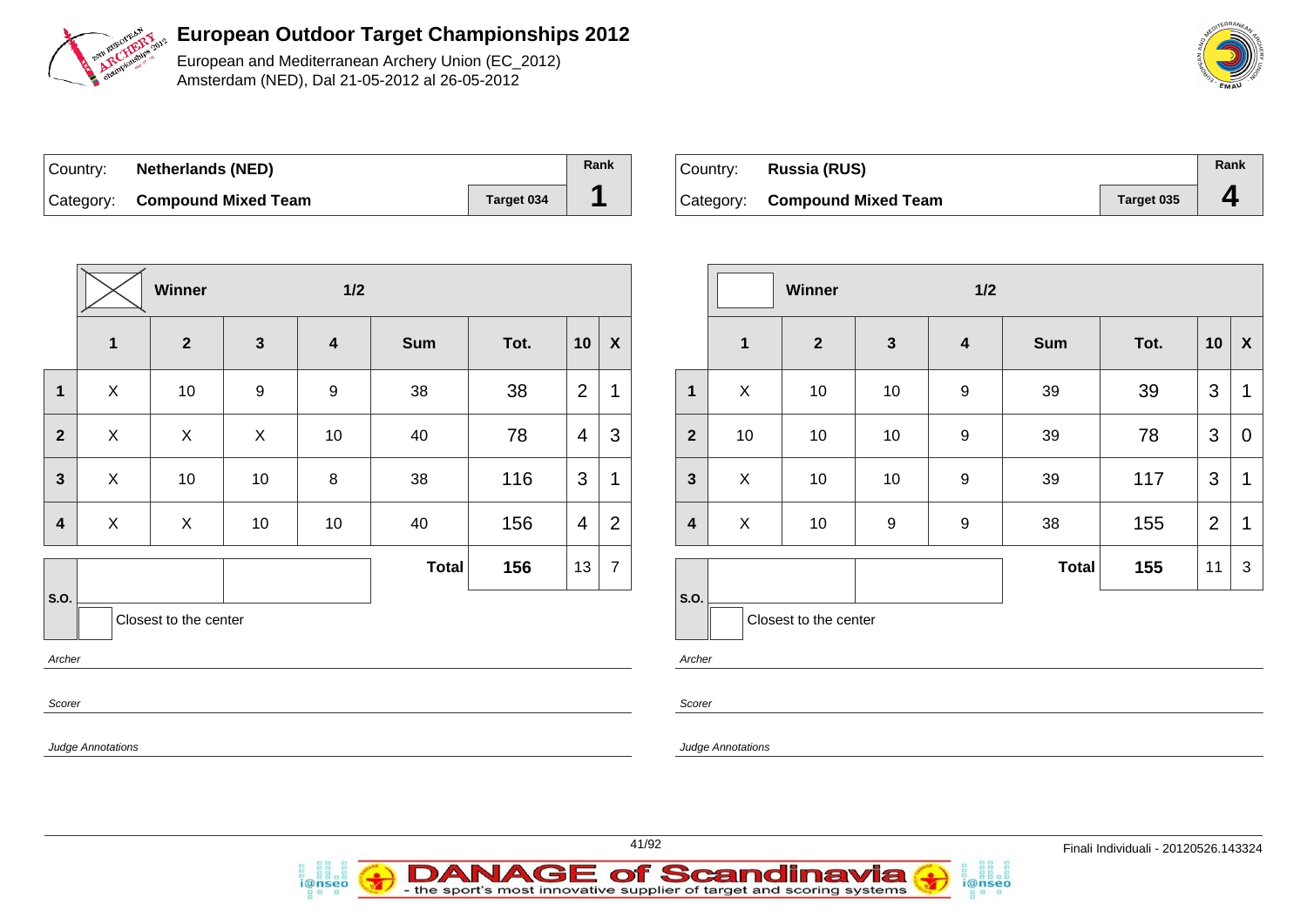

European and Mediterranean Archery Union (EC\_2012) Amsterdam (NED), Dal 21-05-2012 al 26-05-2012

| ∣Country: | <b>Netherlands (NED)</b>      |            | Rank |
|-----------|-------------------------------|------------|------|
|           | Category: Compound Mixed Team | Target 034 |      |

| ∣Country: | Russia (RUS)                  |            | Rank |
|-----------|-------------------------------|------------|------|
|           | Category: Compound Mixed Team | Target 035 |      |

| $\mathbf{1}$<br>X | $\mathbf{2}$<br>10       | $\mathbf{3}$ | $\overline{\mathbf{4}}$ | <b>Sum</b>   |      |                |                  |
|-------------------|--------------------------|--------------|-------------------------|--------------|------|----------------|------------------|
|                   |                          |              |                         |              | Tot. | 10             | $\boldsymbol{X}$ |
|                   |                          | 9            | 9                       | 38           | 38   | $\overline{2}$ | 1                |
| X                 | X                        | X            | 10                      | 40           | 78   | 4              | 3                |
| X                 | 10                       | 10           | 8                       | 38           | 116  | 3              | 1                |
| X                 | X                        | 10           | 10                      | 40           | 156  | 4              | 2                |
|                   |                          |              |                         | <b>Total</b> | 156  | 13             | $\overline{7}$   |
|                   |                          |              |                         |              |      |                |                  |
|                   |                          |              |                         |              |      |                |                  |
|                   |                          |              |                         |              |      |                |                  |
|                   | <b>Judge Annotations</b> |              | Closest to the center   |              |      |                |                  |

i@nseo

|                         |              | <b>Winner</b>         |                  | 1/2                     |              |      |                |                    |
|-------------------------|--------------|-----------------------|------------------|-------------------------|--------------|------|----------------|--------------------|
|                         | $\mathbf{1}$ | $\mathbf{2}$          | $\mathbf{3}$     | $\overline{\mathbf{4}}$ | <b>Sum</b>   | Tot. | 10             | $\pmb{\mathsf{X}}$ |
| 1                       | X            | 10                    | 10               | $\boldsymbol{9}$        | 39           | 39   | 3              | 1                  |
| $\overline{2}$          | 10           | 10                    | 10               | $\boldsymbol{9}$        | 39           | 78   | 3              | $\overline{0}$     |
| $\mathbf{3}$            | X            | 10                    | 10               | $\boldsymbol{9}$        | 39           | 117  | 3              | 1                  |
| $\overline{\mathbf{4}}$ | X            | 10                    | $\boldsymbol{9}$ | $\boldsymbol{9}$        | 38           | 155  | $\overline{2}$ | 1                  |
|                         |              |                       |                  |                         | <b>Total</b> | 155  | 11             | 3                  |
| S.O.                    |              | Closest to the center |                  |                         |              |      |                |                    |

i@nseo

Archer

Scorer

Judge Annotations

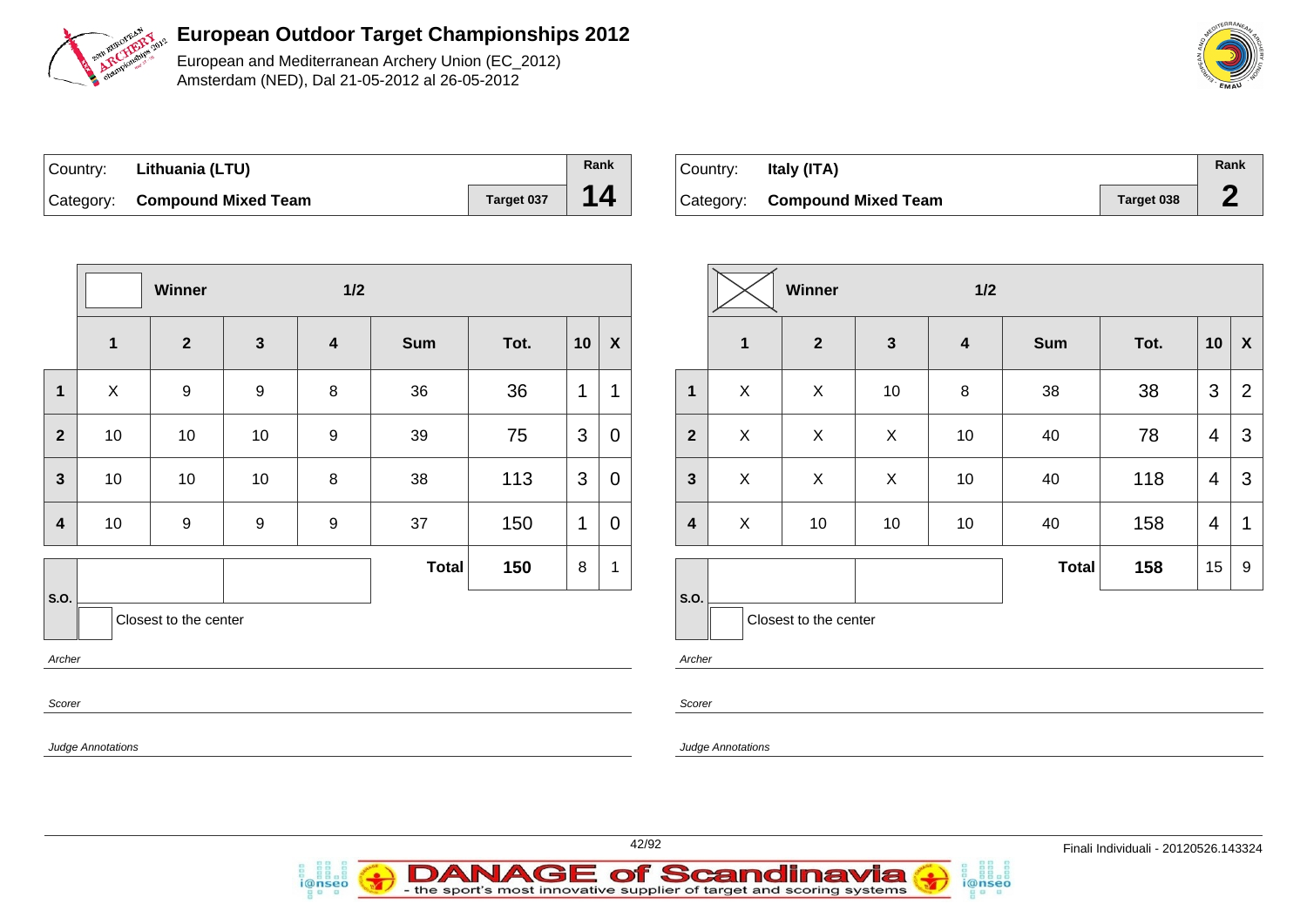

European and Mediterranean Archery Union (EC\_2012) Amsterdam (NED), Dal 21-05-2012 al 26-05-2012

| O MEDITERRA<br>VE <sub>AN</sub> |  |
|---------------------------------|--|
|                                 |  |
| <b>PIRTURITION</b><br>s<br>S    |  |
| EMAU                            |  |

| Country: Lithuania (LTU)      |            | <b>Rank</b> |
|-------------------------------|------------|-------------|
| Category: Compound Mixed Team | Target 037 | $\sqrt{14}$ |

| Country: | Italy (ITA)                   |            | Rank |
|----------|-------------------------------|------------|------|
|          | Category: Compound Mixed Team | Target 038 |      |

|                |                          | Winner                |                  | $1/2$                   |              |      |                |                  |                         |
|----------------|--------------------------|-----------------------|------------------|-------------------------|--------------|------|----------------|------------------|-------------------------|
|                | $\mathbf{1}$             | $\overline{2}$        | $\mathbf{3}$     | $\overline{\mathbf{4}}$ | <b>Sum</b>   | Tot. | 10             | $\boldsymbol{X}$ |                         |
| 1              | X                        | $\boldsymbol{9}$      | $\boldsymbol{9}$ | $\bf 8$                 | 36           | 36   | 1              | 1                | $\mathbf{1}$            |
| $\overline{2}$ | 10                       | 10                    | 10               | $\boldsymbol{9}$        | 39           | 75   | $\mathfrak{S}$ | $\mathbf 0$      | $\overline{2}$          |
| $\mathbf{3}$   | 10                       | 10                    | 10               | $\bf 8$                 | 38           | 113  | 3              | 0                | $\mathbf{3}$            |
| 4              | 10                       | $\boldsymbol{9}$      | $\boldsymbol{9}$ | $\boldsymbol{9}$        | 37           | 150  | 1              | 0                | $\overline{\mathbf{4}}$ |
| S.O.           |                          | Closest to the center |                  |                         | <b>Total</b> | 150  | 8              | 1                | S.O.                    |
| Archer         |                          |                       |                  |                         |              |      |                |                  | Archer                  |
| Scorer         |                          |                       |                  |                         |              |      |                |                  | Scorer                  |
|                | <b>Judge Annotations</b> |                       |                  |                         |              |      |                |                  | Judge A                 |

i@nseo

|                         |                         | Winner                |              | 1/2                     |              |      |                |                           |
|-------------------------|-------------------------|-----------------------|--------------|-------------------------|--------------|------|----------------|---------------------------|
|                         | $\overline{\mathbf{1}}$ | $\mathbf{2}$          | $\mathbf{3}$ | $\overline{\mathbf{4}}$ | <b>Sum</b>   | Tot. | 10             | $\boldsymbol{\mathsf{X}}$ |
| 1                       | X                       | X                     | 10           | $\bf 8$                 | 38           | 38   | 3              | $\overline{2}$            |
| $\overline{\mathbf{2}}$ | X                       | X                     | X            | 10                      | 40           | 78   | 4              | 3                         |
| $\mathbf{3}$            | X                       | X                     | X            | 10                      | 40           | 118  | $\overline{4}$ | 3                         |
| $\overline{\mathbf{4}}$ | X                       | 10                    | 10           | 10                      | 40           | 158  | 4              | 1                         |
|                         |                         |                       |              |                         | <b>Total</b> | 158  | 15             | $\boldsymbol{9}$          |
| S.O.                    |                         | Closest to the center |              |                         |              |      |                |                           |

i@nseo

Annotations

**DANAGE of Scandinavia**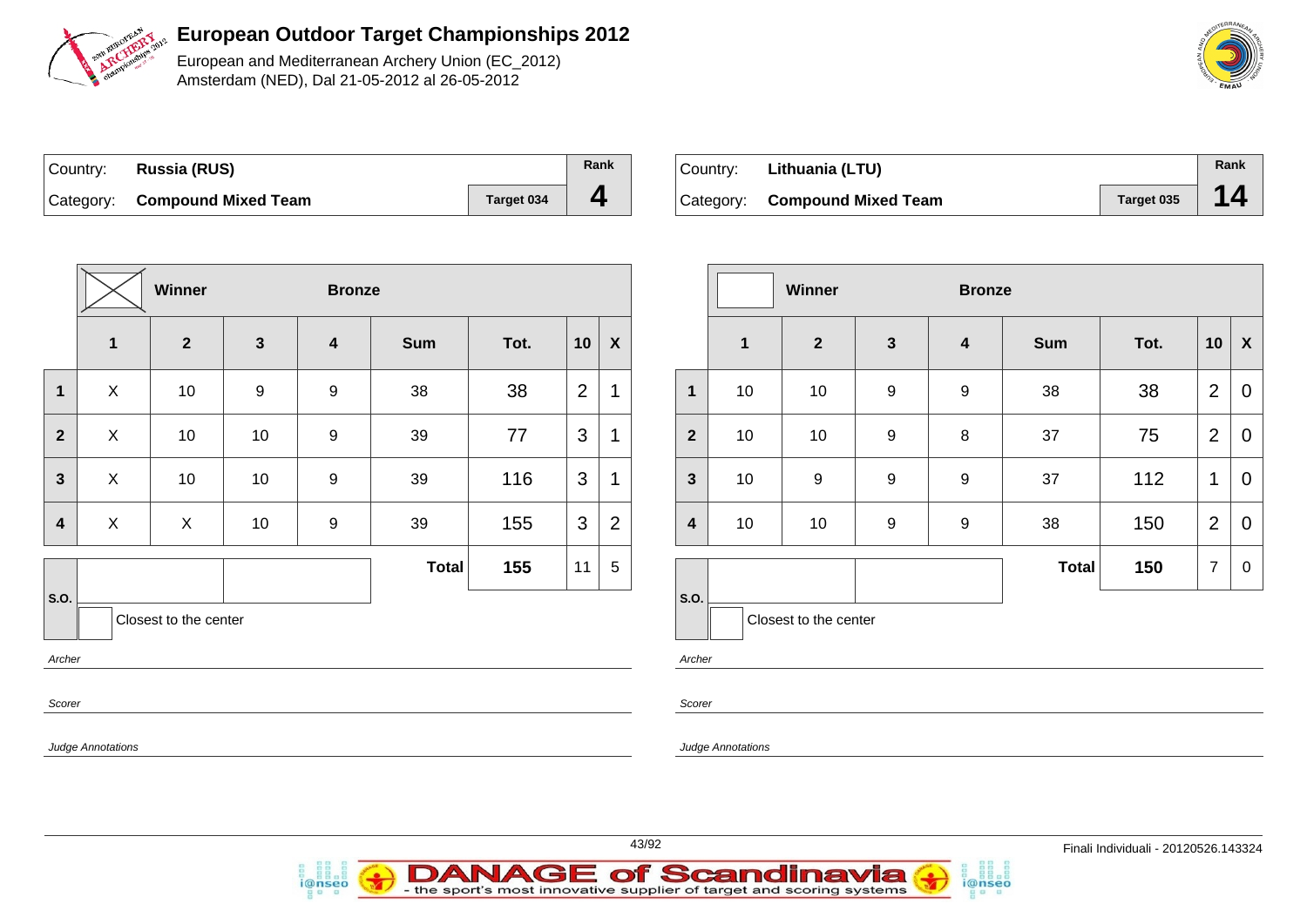

European and Mediterranean Archery Union (EC\_2012) Amsterdam (NED), Dal 21-05-2012 al 26-05-2012

| Country: Russia (RUS)         |            | Rank |
|-------------------------------|------------|------|
| Category: Compound Mixed Team | Target 034 |      |

| Country: | Lithuania (LTU)               |            | Rank |
|----------|-------------------------------|------------|------|
|          | Category: Compound Mixed Team | Target 035 |      |

|                                         |                | Winner       |              | <b>Bronze</b>           |              |      |    |                  |  |
|-----------------------------------------|----------------|--------------|--------------|-------------------------|--------------|------|----|------------------|--|
|                                         | $\mathbf{1}$   | $\mathbf{2}$ | $\mathbf{3}$ | $\overline{\mathbf{4}}$ | <b>Sum</b>   | Tot. | 10 | $\boldsymbol{X}$ |  |
| $\mathbf{1}$                            | $\pmb{\times}$ | 10           | 9            | $\boldsymbol{9}$        | 38           | 38   | 2  | 1                |  |
| $\overline{2}$                          | X              | 10           | 10           | $\boldsymbol{9}$        | 39           | 77   | 3  | $\mathbf 1$      |  |
| $\overline{\mathbf{3}}$                 | X              | 10           | 10           | $\boldsymbol{9}$        | 39           | 116  | 3  | 1                |  |
| $\overline{\mathbf{4}}$                 | X              | X            | 10           | $\boldsymbol{9}$        | 39           | 155  | 3  | $\overline{2}$   |  |
|                                         |                |              |              |                         | <b>Total</b> | 155  | 11 | 5                |  |
| S.O.<br>Closest to the center<br>Archer |                |              |              |                         |              |      |    |                  |  |
| Scorer                                  |                |              |              |                         |              |      |    |                  |  |
| <b>Judge Annotations</b>                |                |              |              |                         |              |      |    |                  |  |

i@nseo

|                |              | Winner                 |                  | <b>Bronze</b>           |              |      |                |                  |  |  |
|----------------|--------------|------------------------|------------------|-------------------------|--------------|------|----------------|------------------|--|--|
|                | $\mathbf{1}$ | $\mathbf{2}$           | $\mathbf{3}$     | $\overline{\mathbf{4}}$ | <b>Sum</b>   | Tot. | 10             | X                |  |  |
| $\mathbf{1}$   | 10           | 10                     | $\boldsymbol{9}$ | 9                       | 38           | 38   | $\overline{2}$ | 0                |  |  |
| $\overline{2}$ | 10           | 10                     | $\boldsymbol{9}$ | 8                       | 37           | 75   | $\overline{2}$ | 0                |  |  |
| $\mathbf{3}$   | 10           | $\boldsymbol{9}$       | $\boldsymbol{9}$ | 9                       | 37           | 112  | 1              | $\overline{0}$   |  |  |
| 4              | 10           | $\boldsymbol{9}$<br>10 |                  | 9                       | 38           | 150  | $\overline{2}$ | $\mathbf 0$      |  |  |
|                |              |                        |                  |                         | <b>Total</b> | 150  | $\overline{7}$ | $\boldsymbol{0}$ |  |  |
| S.O.           |              | Closest to the center  |                  |                         |              |      |                |                  |  |  |

i@nseo

Archer

Scorer

Judge Annotations



**DANAGE of Scandinavia**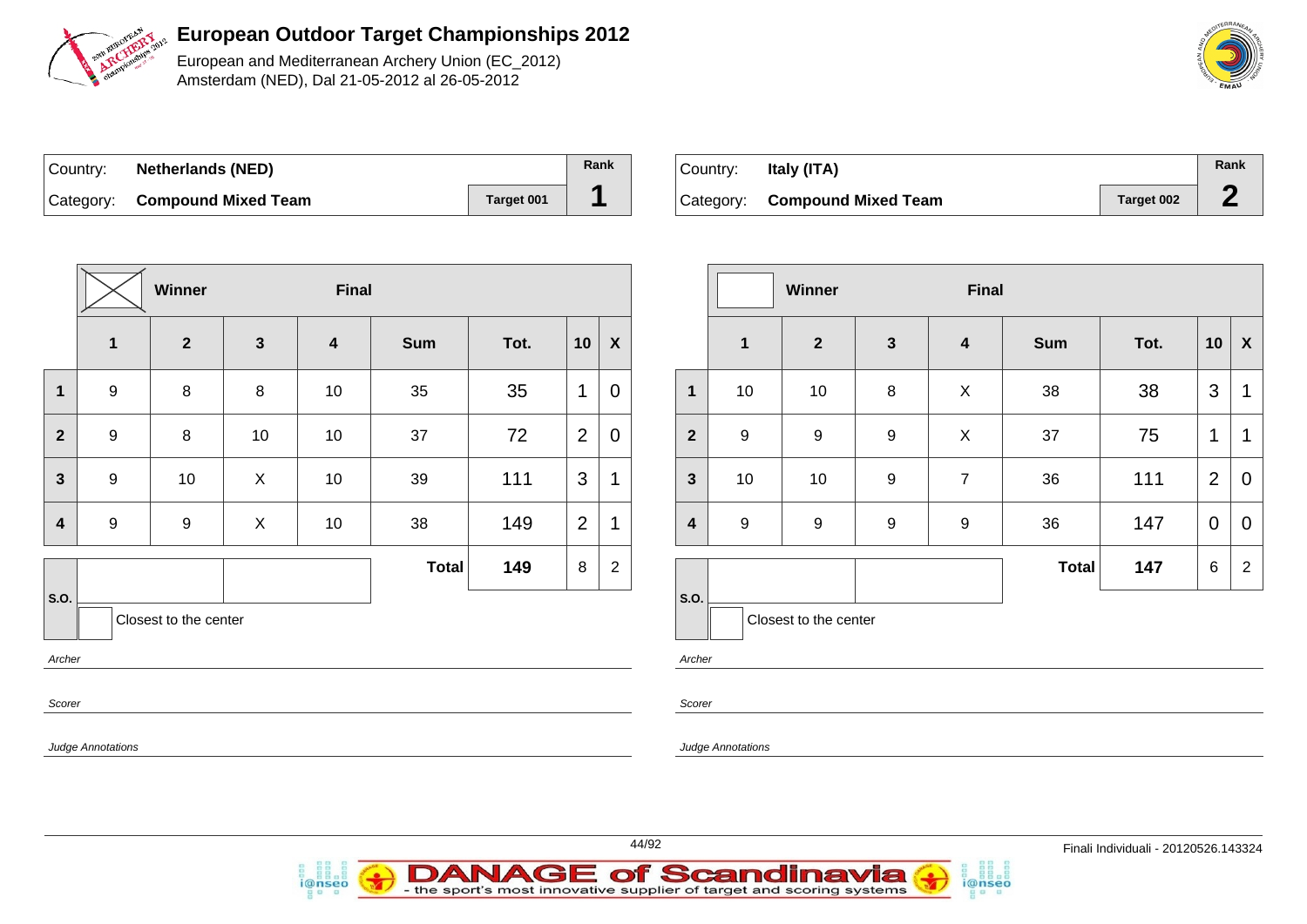

European and Mediterranean Archery Union (EC\_2012) Amsterdam (NED), Dal 21-05-2012 al 26-05-2012

| Country: | <b>Netherlands (NED)</b>      |            | Rank |
|----------|-------------------------------|------------|------|
|          | Category: Compound Mixed Team | Target 001 |      |

| Country: | Italy (ITA)                   |            | Rank |
|----------|-------------------------------|------------|------|
|          | Category: Compound Mixed Team | Target 002 |      |

|                               |                  | Winner       |              | <b>Final</b>            |              |      |                |                |  |
|-------------------------------|------------------|--------------|--------------|-------------------------|--------------|------|----------------|----------------|--|
|                               | $\mathbf 1$      | $\mathbf{2}$ | $\mathbf{3}$ | $\overline{\mathbf{4}}$ | <b>Sum</b>   | Tot. | 10             | X              |  |
| 1                             | $\boldsymbol{9}$ | 8            | $\bf 8$      | 10                      | 35           | 35   | 1              | 0              |  |
| $\mathbf{2}$                  | $\boldsymbol{9}$ | 8            | 10           | 10                      | 37           | 72   | $\overline{2}$ | 0              |  |
| $\mathbf{3}$                  | $\boldsymbol{9}$ | 10           | X            | $10$                    | 39           | 111  | 3              | 1              |  |
| 4                             | $\boldsymbol{9}$ | 9            | X            | 10                      | 38           | 149  | $\overline{2}$ | 1              |  |
|                               |                  |              |              |                         | <b>Total</b> | 149  | 8              | $\overline{c}$ |  |
| S.O.<br>Closest to the center |                  |              |              |                         |              |      |                |                |  |
| Archer                        |                  |              |              |                         |              |      |                |                |  |
| Scorer                        |                  |              |              |                         |              |      |                |                |  |
| <b>Judge Annotations</b>      |                  |              |              |                         |              |      |                |                |  |

i@nseo

|                         |                  | Winner                |                  | <b>Final</b>            |              |      |                |                |
|-------------------------|------------------|-----------------------|------------------|-------------------------|--------------|------|----------------|----------------|
|                         | $\mathbf{1}$     | $\mathbf{2}$          | $\mathbf{3}$     | $\overline{\mathbf{4}}$ | <b>Sum</b>   | Tot. | 10             | X              |
| $\mathbf{1}$            | 10               | 10                    | 8                | X                       | 38           | 38   | 3              | 1              |
| $\overline{2}$          | $\boldsymbol{9}$ | $\boldsymbol{9}$      | $\boldsymbol{9}$ | X                       | 37           | 75   | $\mathbf 1$    | 1              |
| $\mathbf{3}$            | 10               | 10                    | 9                | $\overline{7}$          | 36           | 111  | $\overline{2}$ | 0              |
| $\overline{\mathbf{4}}$ | $\boldsymbol{9}$ | 9                     | 9                | 9                       | 36           | 147  | $\mathbf 0$    | 0              |
|                         |                  |                       |                  |                         | <b>Total</b> | 147  | 6              | $\overline{2}$ |
| S.O.                    |                  | Closest to the center |                  |                         |              |      |                |                |

i@nseo

Archer

Scorer

Judge Annotations



**DANAGE of Scandinavia** 

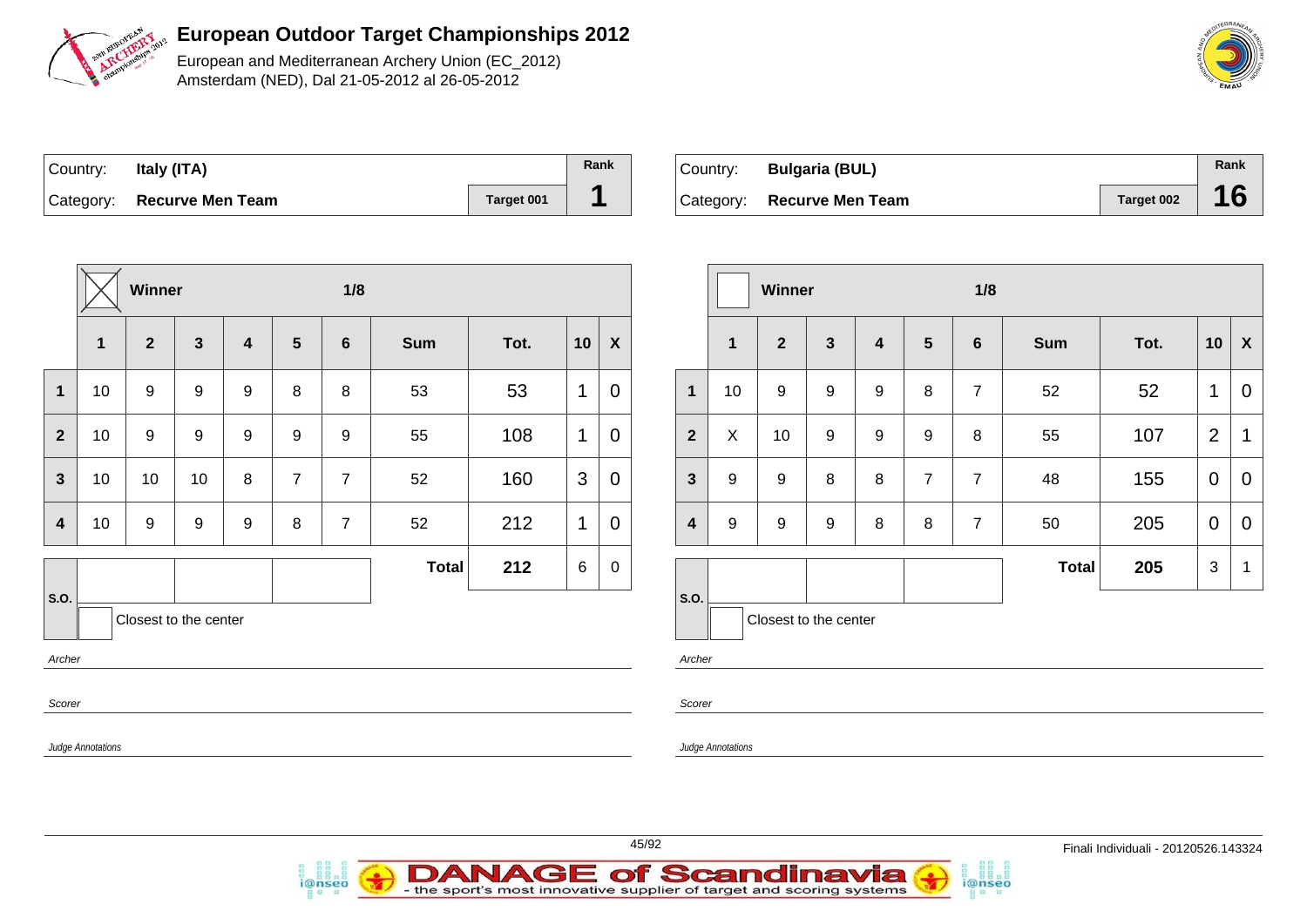

European and Mediterranean Archery Union (EC\_2012) Amsterdam (NED), Dal 21-05-2012 al 26-05-2012

| Country: | Italy (ITA)                |                   | Rank |
|----------|----------------------------|-------------------|------|
|          | Category: Recurve Men Team | <b>Target 001</b> |      |

| Country: | <b>Bulgaria (BUL)</b>      |            | Rank |
|----------|----------------------------|------------|------|
|          | Category: Recurve Men Team | Target 002 |      |

|                  | Winner                   |                         |                       |                         |   |                  | 1/8          |      |             |                  |                |                   | Winner                  |                     |  |
|------------------|--------------------------|-------------------------|-----------------------|-------------------------|---|------------------|--------------|------|-------------|------------------|----------------|-------------------|-------------------------|---------------------|--|
|                  | 1                        | $\overline{\mathbf{2}}$ | $\mathbf{3}$          | $\overline{\mathbf{4}}$ | 5 | $6\phantom{1}6$  | <b>Sum</b>   | Tot. | 10          | $\boldsymbol{X}$ |                | 1                 | $\overline{\mathbf{2}}$ | $\mathbf{3}$        |  |
| $\mathbf 1$      | 10                       | 9                       | $\boldsymbol{9}$      | $9\,$                   | 8 | 8                | 53           | 53   | 1           | $\overline{0}$   | $\mathbf{1}$   | 10 <sup>1</sup>   | $\boldsymbol{9}$        | $\boldsymbol{9}$    |  |
| $\mathbf{2}$     | 10                       | $\boldsymbol{9}$        | $\boldsymbol{9}$      | $\boldsymbol{9}$        | 9 | $\boldsymbol{9}$ | 55           | 108  | $\mathbf 1$ | $\overline{0}$   | $\mathbf{2}$   | X                 | 10                      | $\boldsymbol{9}$    |  |
| $\mathbf{3}$     | 10                       | 10                      | 10                    | $\, 8$                  | 7 | $\overline{7}$   | 52           | 160  | 3           | $\mathbf 0$      | 3              | 9                 | $\boldsymbol{9}$        | $\bf 8$             |  |
| $\boldsymbol{4}$ | 10                       | $\boldsymbol{9}$        | $9\,$                 | $\boldsymbol{9}$        | 8 | $\overline{7}$   | 52           | 212  | $\mathbf 1$ | $\mathbf 0$      | 4              | $\boldsymbol{9}$  | $\boldsymbol{9}$        | $\boldsymbol{9}$    |  |
|                  |                          |                         |                       |                         |   |                  | <b>Total</b> | 212  | $\,6$       | $\pmb{0}$        |                |                   |                         |                     |  |
| S.O.<br>Archer   |                          |                         | Closest to the center |                         |   |                  |              |      |             |                  | S.O.<br>Archer |                   |                         | Closest to the cent |  |
| Scorer           |                          |                         |                       |                         |   |                  |              |      |             |                  | Scorer         |                   |                         |                     |  |
|                  | <b>Judge Annotations</b> |                         |                       |                         |   |                  |              |      |             |                  |                | Judge Annotations |                         |                     |  |

|                         |                       | Winner       |              |   | 1/8            |                 |              |      |                |                    |
|-------------------------|-----------------------|--------------|--------------|---|----------------|-----------------|--------------|------|----------------|--------------------|
|                         | $\mathbf{1}$          | $\mathbf{2}$ | $\mathbf{3}$ | 4 | 5              | $6\phantom{1}6$ | <b>Sum</b>   | Tot. | 10             | $\pmb{\mathsf{X}}$ |
| $\mathbf{1}$            | 10                    | 9<br>9       |              | 9 | 8              | $\overline{7}$  | 52           | 52   | 1              | $\overline{0}$     |
| $\overline{2}$          | X                     | 10           | 9            | 9 | 9              | 8               | 55           | 107  | $\overline{2}$ | 1                  |
| $\mathbf{3}$            | 9                     | 9            | 8            | 8 | $\overline{7}$ | $\overline{7}$  | 48           | 155  | $\mathbf 0$    | $\overline{0}$     |
| $\overline{\mathbf{4}}$ | 9                     | 9            | 9<br>8       |   | 8              | $\overline{7}$  | 50           | 205  | $\mathbf 0$    | $\overline{0}$     |
|                         |                       |              |              |   |                |                 | <b>Total</b> | 205  | 3              | 1                  |
| S.O.                    | Closest to the center |              |              |   |                |                 |              |      |                |                    |

i@nseo



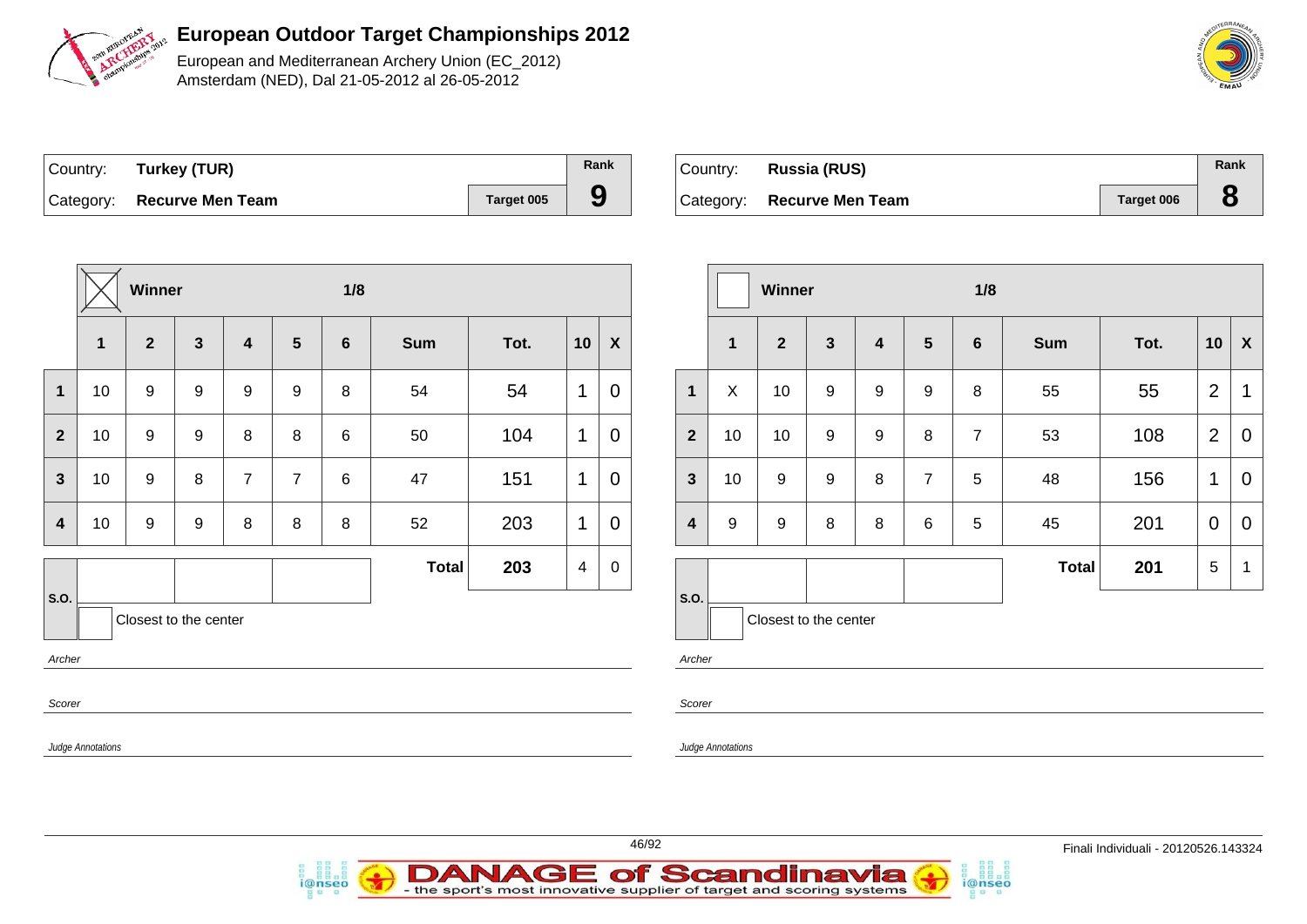

European and Mediterranean Archery Union (EC\_2012) Amsterdam (NED), Dal 21-05-2012 al 26-05-2012

| Country: | Turkey (TUR)               |            | Rank |
|----------|----------------------------|------------|------|
|          | Category: Recurve Men Team | Target 005 | 9    |

i@nseo

| Country: Russia (RUS)      |                   | Rank |
|----------------------------|-------------------|------|
| Category: Recurve Men Team | <b>Target 006</b> |      |

i@nseo

|                         | Winner                   |                  |                       |                  |                 |                 | 1/8          |      |                |                           | Winner                  |                   |                         |                  | 1/8              |                |                |            |      |                |                           |
|-------------------------|--------------------------|------------------|-----------------------|------------------|-----------------|-----------------|--------------|------|----------------|---------------------------|-------------------------|-------------------|-------------------------|------------------|------------------|----------------|----------------|------------|------|----------------|---------------------------|
|                         | $\mathbf{1}$             | $\overline{2}$   | $\mathbf{3}$          | $\boldsymbol{4}$ | $5\phantom{.0}$ | $6\phantom{1}6$ | <b>Sum</b>   | Tot. | 10             | $\boldsymbol{\mathsf{X}}$ |                         | $\overline{1}$    | $\overline{\mathbf{2}}$ | 3                | 4                | $5\phantom{1}$ | 6              | <b>Sum</b> | Tot. | 10             | $\boldsymbol{\mathsf{X}}$ |
| $\mathbf{1}$            | 10                       | 9                | 9                     | 9                | 9               | 8               | 54           | 54   | $\mathbf{1}$   | $\mathbf 0$               | $\mathbf{1}$            | $\mathsf X$       | 10                      | 9                | 9                | 9              | 8              | 55         | 55   | $\overline{2}$ | $\mathbf 1$               |
| $\overline{2}$          | 10                       | $9\,$            | $\boldsymbol{9}$      | 8                | 8               | 6               | 50           | 104  | $\mathbf{1}$   | $\mathbf 0$               | $\overline{2}$          | 10                | 10                      | $\boldsymbol{9}$ | $\boldsymbol{9}$ | $\, 8$         | $\overline{7}$ | 53         | 108  | 2              | $\mathbf 0$               |
| $\mathbf{3}$            | 10                       | 9                | 8                     | $\overline{7}$   | $\overline{7}$  | 6               | 47           | 151  | $\mathbf{1}$   | $\mathbf 0$               | $\mathbf{3}$            | 10                | $\boldsymbol{9}$        | $\boldsymbol{9}$ | 8                | $\overline{7}$ | 5              | 48         | 156  | $\mathbf{1}$   | $\mathbf 0$               |
| $\overline{\mathbf{4}}$ | 10                       | $\boldsymbol{9}$ | $\boldsymbol{9}$      | 8                | 8               | 8               | 52           | 203  | $\mathbf{1}$   | $\mathbf 0$               | $\overline{\mathbf{4}}$ | 9                 | $\boldsymbol{9}$        | 8                | 8                | $\,6\,$        | 5              | 45         | 201  | $\overline{0}$ | $\mathbf 0$               |
|                         |                          |                  |                       |                  |                 |                 | <b>Total</b> | 203  | $\overline{4}$ | $\mathbf 0$               |                         |                   |                         |                  |                  |                |                | Total      | 201  | 5              | - 1                       |
| S.O.                    |                          |                  | Closest to the center |                  |                 |                 |              |      |                |                           | S.O.                    |                   | Closest to the center   |                  |                  |                |                |            |      |                |                           |
| Archer                  |                          |                  |                       |                  |                 |                 |              |      |                |                           | Archer                  |                   |                         |                  |                  |                |                |            |      |                |                           |
| Scorer                  |                          |                  |                       |                  |                 |                 |              |      |                |                           | Scorer                  |                   |                         |                  |                  |                |                |            |      |                |                           |
|                         | <b>Judge Annotations</b> |                  |                       |                  |                 |                 |              |      |                |                           |                         | Judge Annotations |                         |                  |                  |                |                |            |      |                |                           |
|                         |                          |                  |                       |                  |                 |                 |              |      |                |                           |                         |                   |                         |                  |                  |                |                |            |      |                |                           |

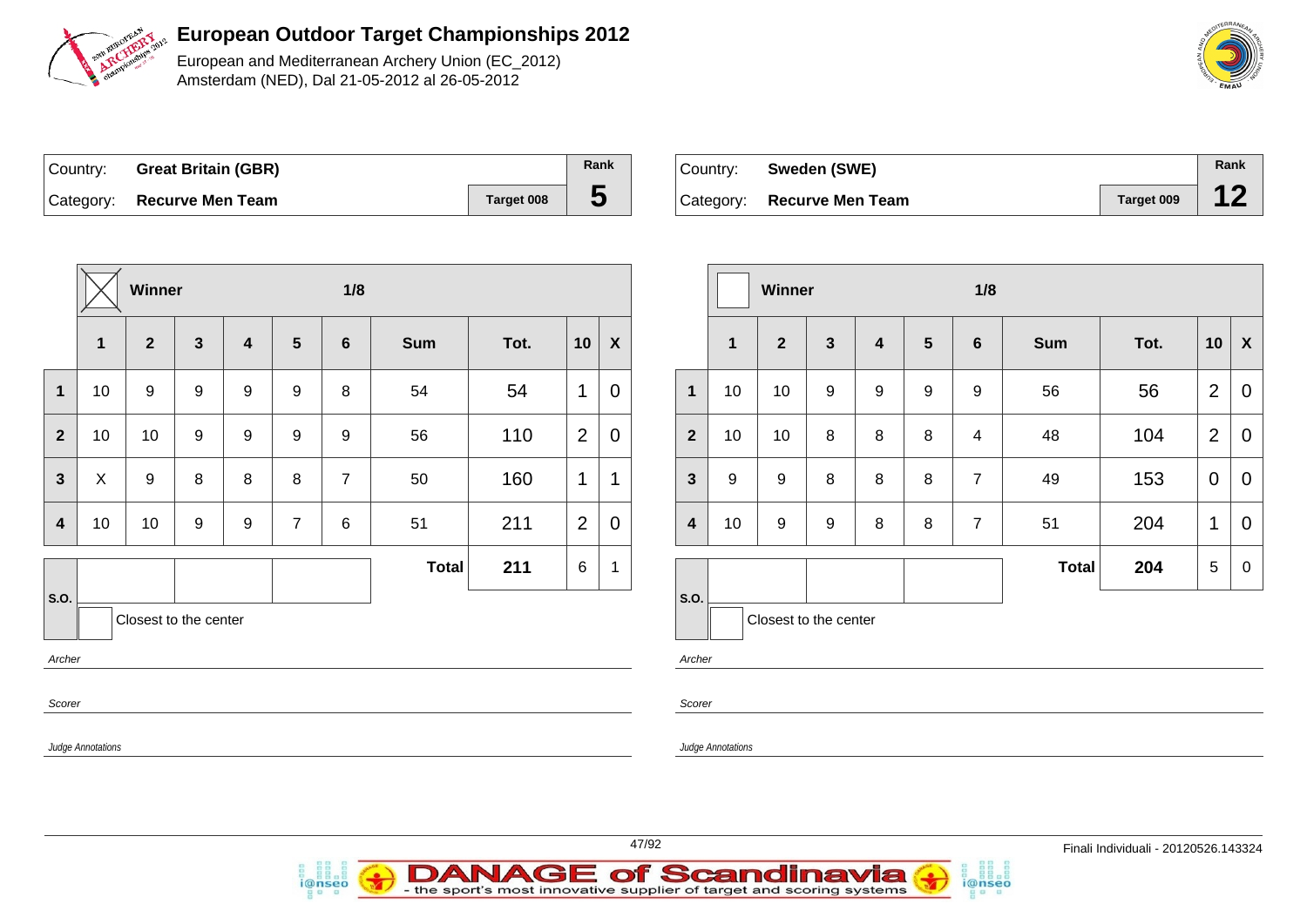

European and Mediterranean Archery Union (EC\_2012) Amsterdam (NED), Dal 21-05-2012 al 26-05-2012

| Country: Great Britain (GBR) |            | Rank |
|------------------------------|------------|------|
| Category: Recurve Men Team   | Target 008 |      |

i@nseo

| ∣Country: | Sweden (SWE)               |            | Rank |
|-----------|----------------------------|------------|------|
|           | Category: Recurve Men Team | Target 009 |      |

i@nseo

|                         |                   | Winner                |              |   |                 | 1/8            |              |      |                 | Winner                    |                |                   |                       | 1/8              |   |                 |                |            |      |                 |                  |
|-------------------------|-------------------|-----------------------|--------------|---|-----------------|----------------|--------------|------|-----------------|---------------------------|----------------|-------------------|-----------------------|------------------|---|-----------------|----------------|------------|------|-----------------|------------------|
|                         | $\mathbf 1$       | $\overline{2}$        | $\mathbf{3}$ | 4 | $5\phantom{.0}$ | 6              | <b>Sum</b>   | Tot. | 10              | $\boldsymbol{\mathsf{X}}$ |                | $\mathbf 1$       | $\mathbf{2}$          | $\mathbf{3}$     | 4 | $5\phantom{.0}$ | $6\phantom{1}$ | <b>Sum</b> | Tot. | 10              | $\boldsymbol{X}$ |
| $\mathbf{1}$            | 10                | 9                     | 9            | 9 | 9               | 8              | 54           | 54   | $\mathbf{1}$    | $\overline{0}$            | $\mathbf{1}$   | 10                | 10                    | $\boldsymbol{9}$ | 9 | 9               | 9              | 56         | 56   | $\overline{2}$  | $\overline{0}$   |
| $\overline{2}$          | 10                | 10                    | 9            | 9 | 9               | 9              | 56           | 110  | 2               | $\mathbf 0$               | 2 <sup>2</sup> | 10                | 10                    | 8                | 8 | 8               | $\overline{4}$ | 48         | 104  | 2               | $\overline{0}$   |
| $\mathbf{3}$            | X                 | 9                     | 8            | 8 | 8               | $\overline{7}$ | 50           | 160  | $\mathbf{1}$    | $\mathbf 1$               | $3\phantom{a}$ | 9                 | 9                     | 8                | 8 | 8               | $\overline{7}$ | 49         | 153  | $\overline{0}$  | $\overline{0}$   |
| $\overline{\mathbf{4}}$ | 10                | 10                    | 9            | 9 | $\overline{7}$  | 6              | 51           | 211  | 2               | $\overline{0}$            | 4              | 10                | 9                     | 9                | 8 | 8               | $\overline{7}$ | 51         | 204  | $\mathbf{1}$    | $\overline{0}$   |
|                         |                   |                       |              |   |                 |                | <b>Total</b> | 211  | $6\phantom{.}6$ | $\overline{1}$            |                |                   |                       |                  |   |                 |                | Total      | 204  | $5\phantom{.0}$ | $\mathbf 0$      |
| S.O.                    |                   | Closest to the center |              |   |                 |                |              |      |                 |                           | <b>S.O.</b>    |                   | Closest to the center |                  |   |                 |                |            |      |                 |                  |
| Archer                  |                   |                       |              |   |                 |                |              |      |                 |                           | Archer         |                   |                       |                  |   |                 |                |            |      |                 |                  |
| Scorer                  |                   |                       |              |   |                 |                |              |      |                 |                           | Scorer         |                   |                       |                  |   |                 |                |            |      |                 |                  |
|                         | Judge Annotations |                       |              |   |                 |                |              |      |                 |                           |                | Judge Annotations |                       |                  |   |                 |                |            |      |                 |                  |
|                         |                   |                       |              |   |                 |                |              |      |                 |                           |                |                   |                       |                  |   |                 |                |            |      |                 |                  |

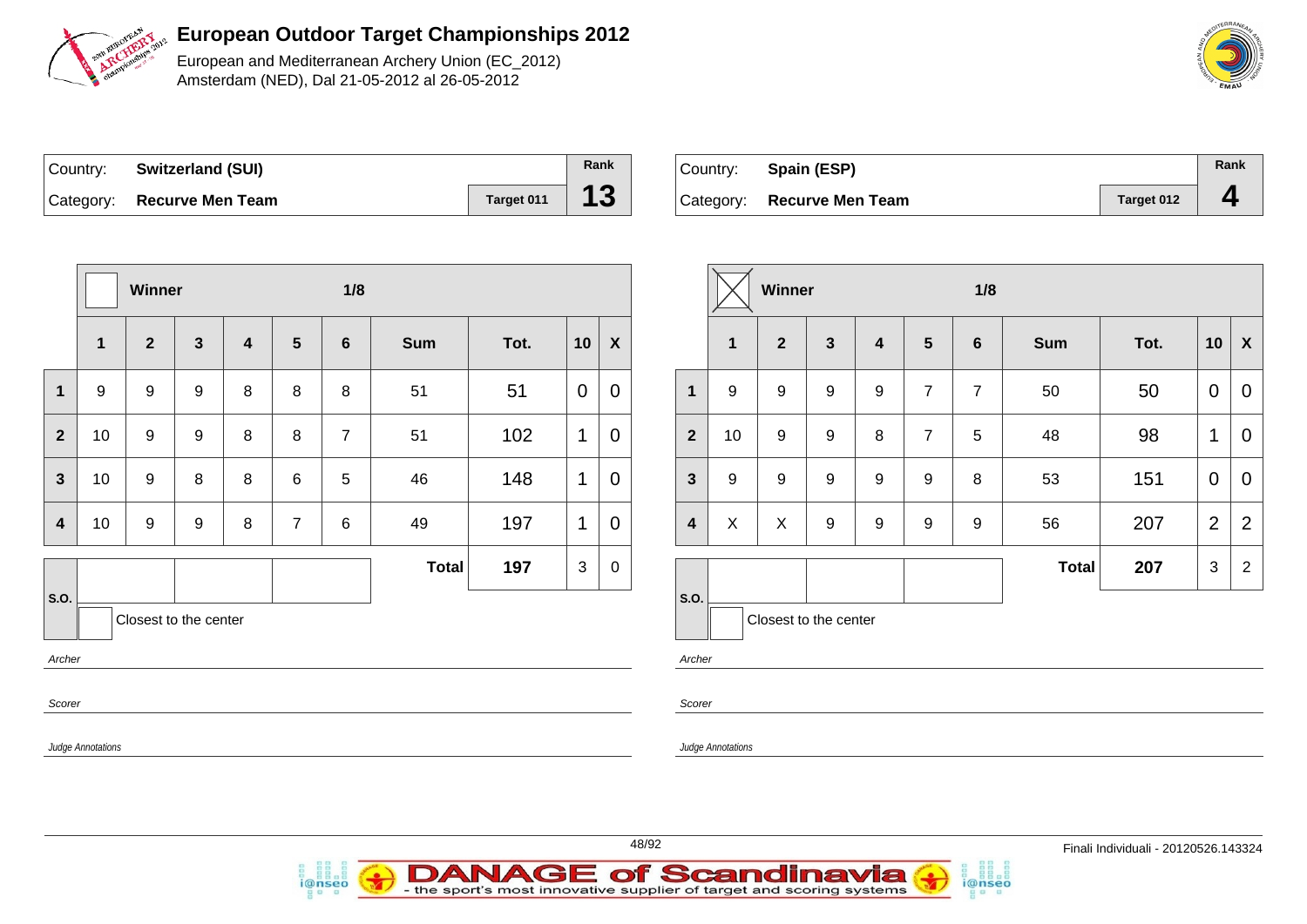

European and Mediterranean Archery Union (EC\_2012) Amsterdam (NED), Dal 21-05-2012 al 26-05-2012

| Country: | <b>Switzerland (SUI)</b>   |            | Rank |
|----------|----------------------------|------------|------|
|          | Category: Recurve Men Team | Target 011 | 13   |

i@nseo

| Country: Spain (ESP)       |            | Rank |
|----------------------------|------------|------|
| Category: Recurve Men Team | Target 012 |      |

i@nseo

|                         | Winner                   |                       |              |         |                 | 1/8            |              |      |                | Winner           |                         |                          |                       |                  |                         | 1/8              |                |              |      |                |                           |
|-------------------------|--------------------------|-----------------------|--------------|---------|-----------------|----------------|--------------|------|----------------|------------------|-------------------------|--------------------------|-----------------------|------------------|-------------------------|------------------|----------------|--------------|------|----------------|---------------------------|
|                         | $\mathbf{1}$             | $\mathbf{2}$          | $\mathbf{3}$ | 4       | $5\phantom{.0}$ | $6\phantom{1}$ | Sum          | Tot. | 10             | $\boldsymbol{X}$ |                         | $\overline{\mathbf{1}}$  | $\overline{2}$        | $\mathbf{3}$     | $\overline{\mathbf{4}}$ | $5\phantom{1}$   | $6\phantom{1}$ | Sum          | Tot. | 10             | $\boldsymbol{\mathsf{X}}$ |
| $\mathbf{1}$            | 9                        | 9                     | 9            | 8       | 8               | 8              | 51           | 51   | $\overline{0}$ | $\mathbf 0$      | $\mathbf{1}$            | 9                        | 9                     | 9                | 9                       | $\overline{7}$   | $\overline{7}$ | 50           | 50   | $\mathbf 0$    | $\mathbf 0$               |
| $\overline{2}$          | 10                       | 9                     | 9            | 8       | 8               | $\overline{7}$ | 51           | 102  | 1              | $\mathbf 0$      | $\overline{2}$          | 10                       | 9                     | 9                | 8                       | $\overline{7}$   | 5              | 48           | 98   | $\mathbf 1$    | $\mathbf 0$               |
| $\mathbf{3}$            | 10                       | $\boldsymbol{9}$      | 8            | $\,8\,$ | $\,6$           | 5              | 46           | 148  | $\mathbf{1}$   | $\mathbf 0$      | $\mathbf{3}$            | 9                        | 9                     | $\boldsymbol{9}$ | 9                       | $\boldsymbol{9}$ | 8              | 53           | 151  | $\overline{0}$ | $\mathbf 0$               |
| $\overline{\mathbf{4}}$ | 10 <sup>°</sup>          | $\boldsymbol{9}$      | 9            | 8       | $\overline{7}$  | $\,6\,$        | 49           | 197  | $\mathbf 1$    | $\mathbf 0$      | $\overline{\mathbf{4}}$ | X                        | X                     | 9                | 9                       | $9\,$            | 9              | 56           | 207  | $\overline{2}$ | $\overline{2}$            |
|                         |                          |                       |              |         |                 |                | <b>Total</b> | 197  | $\mathbf{3}$   | $\mathbf 0$      |                         |                          |                       |                  |                         |                  |                | <b>Total</b> | 207  | $\mathbf{3}$   | $\overline{2}$            |
| S.O.                    |                          | Closest to the center |              |         |                 |                |              |      |                |                  | S.O.                    |                          | Closest to the center |                  |                         |                  |                |              |      |                |                           |
| Archer<br>Scorer        |                          |                       |              |         |                 |                |              |      |                |                  | Archer<br>Scorer        |                          |                       |                  |                         |                  |                |              |      |                |                           |
|                         | <b>Judge Annotations</b> |                       |              |         |                 |                |              |      |                |                  |                         | <b>Judge Annotations</b> |                       |                  |                         |                  |                |              |      |                |                           |

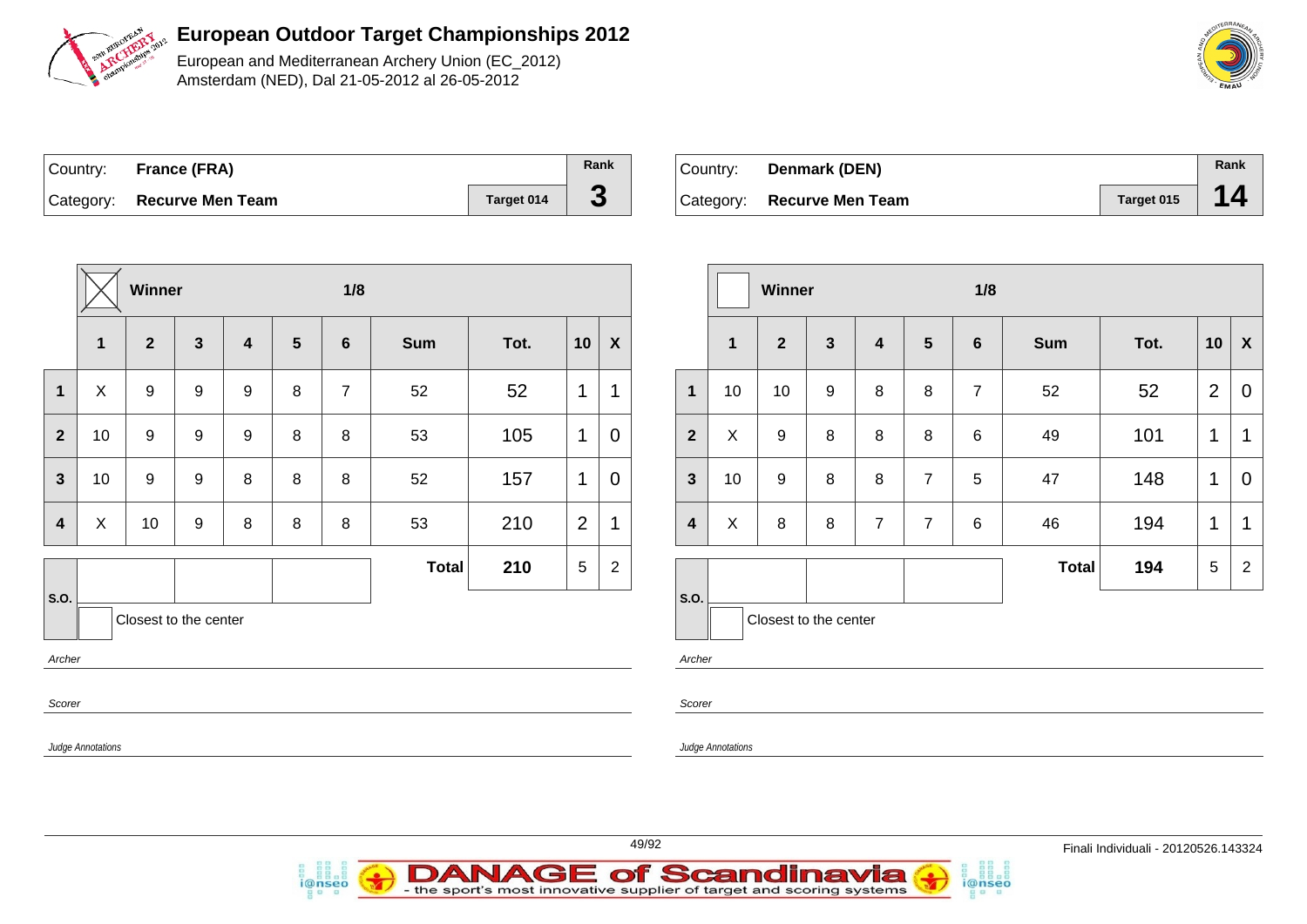

European and Mediterranean Archery Union (EC\_2012) Amsterdam (NED), Dal 21-05-2012 al 26-05-2012

| Country: France (FRA)      |            | Rank |
|----------------------------|------------|------|
| Category: Recurve Men Team | Target 014 |      |

i@nseo

| ∣Country: | <b>Denmark (DEN)</b>       |            | Rank |
|-----------|----------------------------|------------|------|
|           | Category: Recurve Men Team | Target 015 | 14   |

i@nseo

|                                                   |                   | Winner       |                  |                         |                | 1/8            |            |      |                          | Winner                    |                         |                          |              | 1/8          |                |                |                |              |      |                 |                           |
|---------------------------------------------------|-------------------|--------------|------------------|-------------------------|----------------|----------------|------------|------|--------------------------|---------------------------|-------------------------|--------------------------|--------------|--------------|----------------|----------------|----------------|--------------|------|-----------------|---------------------------|
|                                                   | $\mathbf 1$       | $\mathbf{2}$ | $\mathbf{3}$     | $\overline{\mathbf{4}}$ | $5\phantom{1}$ | $6\phantom{1}$ | <b>Sum</b> | Tot. | 10                       | $\boldsymbol{\mathsf{X}}$ |                         | $\mathbf{1}$             | $\mathbf{2}$ | $\mathbf{3}$ | 4              | $5\phantom{1}$ | 6              | <b>Sum</b>   | Tot. | 10              | $\boldsymbol{\mathsf{X}}$ |
| $\mathbf{1}$                                      | X                 | 9            | $\boldsymbol{9}$ | $\boldsymbol{9}$        | $\,8\,$        | $\overline{7}$ | 52         | 52   | $\mathbf{1}$             | 1                         | $\mathbf{1}$            | 10                       | 10           | 9            | $\bf 8$        | 8              | $\overline{7}$ | 52           | 52   | $\overline{2}$  | $\mathbf 0$               |
| $\overline{2}$                                    | 10                | 9            | 9                | 9                       | 8              | 8              | 53         | 105  | $\mathbf{1}$             | $\mathbf 0$               | $\mathbf{2}$            | $\pmb{\times}$           | 9            | $\,8\,$      | 8              | $\, 8$         | 6              | 49           | 101  | $\mathbf{1}$    | $\mathbf 1$               |
| $\mathbf{3}$                                      | 10                | 9            | 9                | 8                       | 8              | 8              | 52         | 157  | $\mathbf{1}$             | $\mathbf 0$               | $\mathbf{3}$            | 10                       | 9            | 8            | 8              | $\overline{7}$ | 5              | 47           | 148  | $\mathbf{1}$    | $\mathbf 0$               |
| $\overline{\mathbf{4}}$                           | $\pmb{\times}$    | 10           | $\boldsymbol{9}$ | 8                       | $\,8\,$        | 8              | 53         | 210  | 2                        | 1                         | $\overline{\mathbf{4}}$ | $\sf X$                  | 8            | 8            | $\overline{7}$ | $\overline{7}$ | 6              | 46           | 194  | $\mathbf{1}$    | $\overline{1}$            |
|                                                   |                   |              |                  |                         |                |                | Total      | 210  | $5\phantom{.0}$          | $\mathbf{2}$              |                         |                          |              |              |                |                |                | <b>Total</b> | 194  | $5\phantom{.0}$ | $\overline{2}$            |
| S.O.<br>Closest to the center<br>Archer<br>Scorer |                   |              |                  |                         |                |                |            |      | S.O.<br>Archer<br>Scorer |                           | Closest to the center   |                          |              |              |                |                |                |              |      |                 |                           |
|                                                   | Judge Annotations |              |                  |                         |                |                |            |      |                          |                           |                         | <b>Judge Annotations</b> |              |              |                |                |                |              |      |                 |                           |



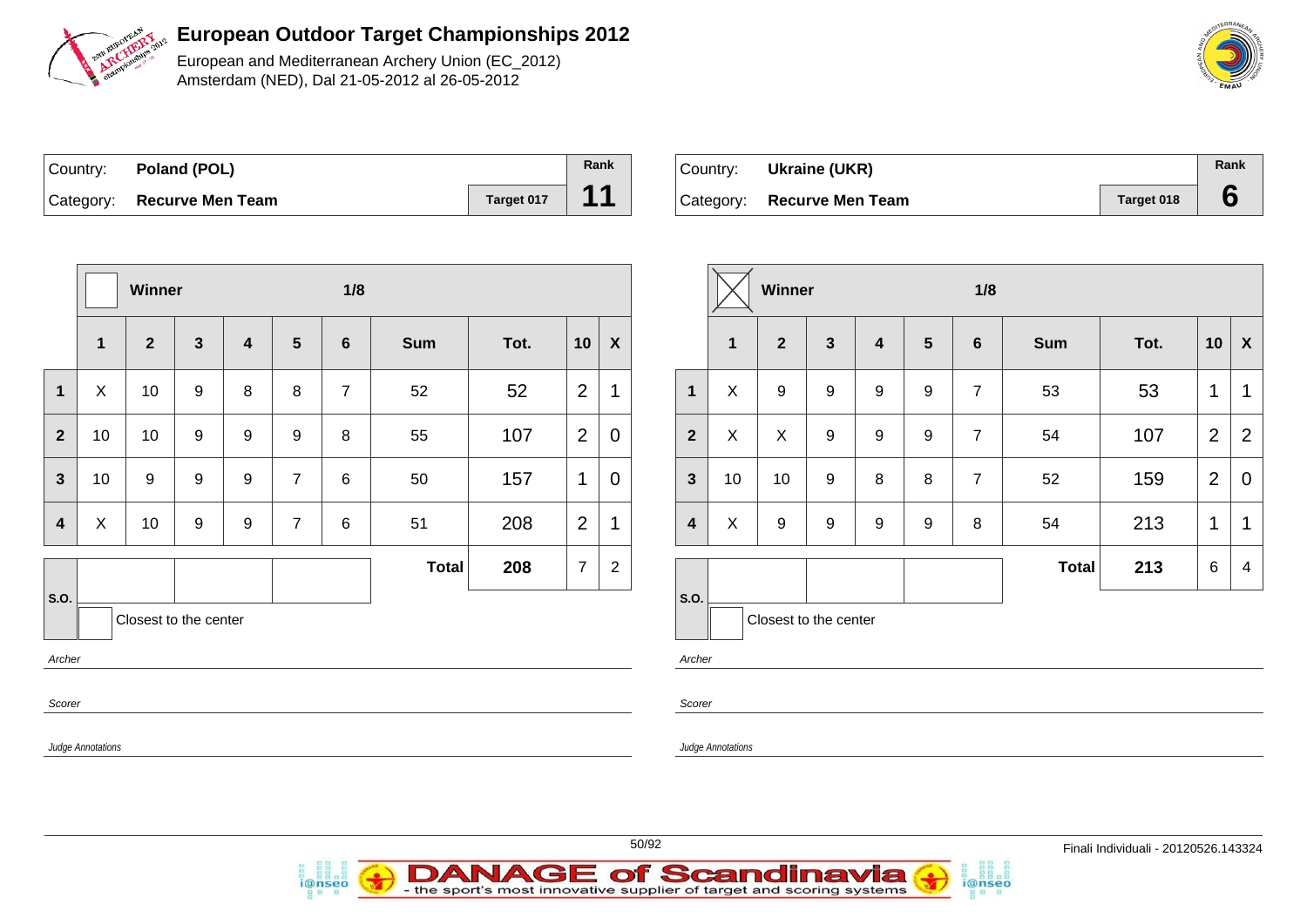

European and Mediterranean Archery Union (EC\_2012) Amsterdam (NED), Dal 21-05-2012 al 26-05-2012

| Country: Poland (POL)      |            | Rank |
|----------------------------|------------|------|
| Category: Recurve Men Team | Target 017 | 11   |

i@nseo

| Country: | Ukraine (UKR)              |            | Rank |
|----------|----------------------------|------------|------|
|          | Category: Recurve Men Team | Target 018 |      |

i@nseo

|                         | Winner       |                       |              |                         |                |                |                |                |                |                           |                         | Winner                   |                       |              |                         |                  |                | 1/8        |                |                |                |  |  |  |
|-------------------------|--------------|-----------------------|--------------|-------------------------|----------------|----------------|----------------|----------------|----------------|---------------------------|-------------------------|--------------------------|-----------------------|--------------|-------------------------|------------------|----------------|------------|----------------|----------------|----------------|--|--|--|
|                         | $\mathbf{1}$ | $\overline{2}$        | $\mathbf{3}$ | $\overline{\mathbf{4}}$ | $5\phantom{1}$ | $6\phantom{1}$ | Sum            | Tot.           | 10             | $\boldsymbol{\mathsf{X}}$ |                         | $\overline{\mathbf{1}}$  | $\overline{2}$        | $\mathbf{3}$ | $\overline{\mathbf{4}}$ | $5\phantom{1}$   | $6\phantom{1}$ | <b>Sum</b> | Tot.           | 10             | $\mathbf{X}$   |  |  |  |
| $\mathbf{1}$            | X            | 10                    | 9            | 8                       | 8              | $\overline{7}$ | 52             | 52             | $\overline{2}$ | $\mathbf{1}$              | $\mathbf{1}$            | $\pmb{\times}$           | 9                     | 9            | 9                       | 9                | $\overline{7}$ | 53         | 53             | $\mathbf 1$    | $\mathbf{1}$   |  |  |  |
| $\overline{2}$          | 10           | 10                    | 9            | $\boldsymbol{9}$        | 9              | 8              | 55             | 107            | $\overline{2}$ | $\mathbf 0$               | $\overline{2}$          | $\mathsf X$              | $\boldsymbol{X}$      | 9            | 9                       | 9                | $\overline{7}$ | 54         | 107            | $\mathbf{2}$   | $\overline{2}$ |  |  |  |
| $\mathbf{3}$            | 10           | 9                     | 9            | $\boldsymbol{9}$        | $\overline{7}$ | 6              | 50             | 157            | $\mathbf{1}$   | $\overline{0}$            | $\overline{3}$          | 10                       | 10                    | 9            | 8                       | 8                | $\overline{7}$ | 52         | 159            | $\overline{2}$ | $\mathbf 0$    |  |  |  |
| $\overline{\mathbf{4}}$ | $\mathsf{X}$ | 10                    | 9            | $\boldsymbol{9}$        | $\overline{7}$ | $\,6\,$        | 51             | 208            | 2              | $\mathbf 1$               | $\overline{\mathbf{4}}$ | $\pmb{\times}$           | 9                     | 9            | 9                       | $\boldsymbol{9}$ | 8              | 54         | 213            | $\mathbf{1}$   | $\mathbf{1}$   |  |  |  |
|                         |              |                       |              |                         | <b>Total</b>   | 208            | $\overline{7}$ | $\overline{2}$ |                |                           |                         |                          |                       |              |                         | <b>Total</b>     | 213            | 6          | $\overline{4}$ |                |                |  |  |  |
| S.O.<br>Archer          |              | Closest to the center |              |                         |                |                |                |                |                |                           | S.O.<br>Archer          |                          | Closest to the center |              |                         |                  |                |            |                |                |                |  |  |  |
|                         | Scorer       |                       |              |                         |                |                |                |                |                |                           |                         |                          |                       |              |                         |                  |                |            |                |                |                |  |  |  |
| Judge Annotations       |              |                       |              |                         |                |                |                |                |                |                           |                         | <b>Judge Annotations</b> |                       |              |                         |                  |                |            |                |                |                |  |  |  |
|                         |              |                       |              |                         |                |                |                |                |                |                           |                         |                          |                       |              |                         |                  |                |            |                |                |                |  |  |  |

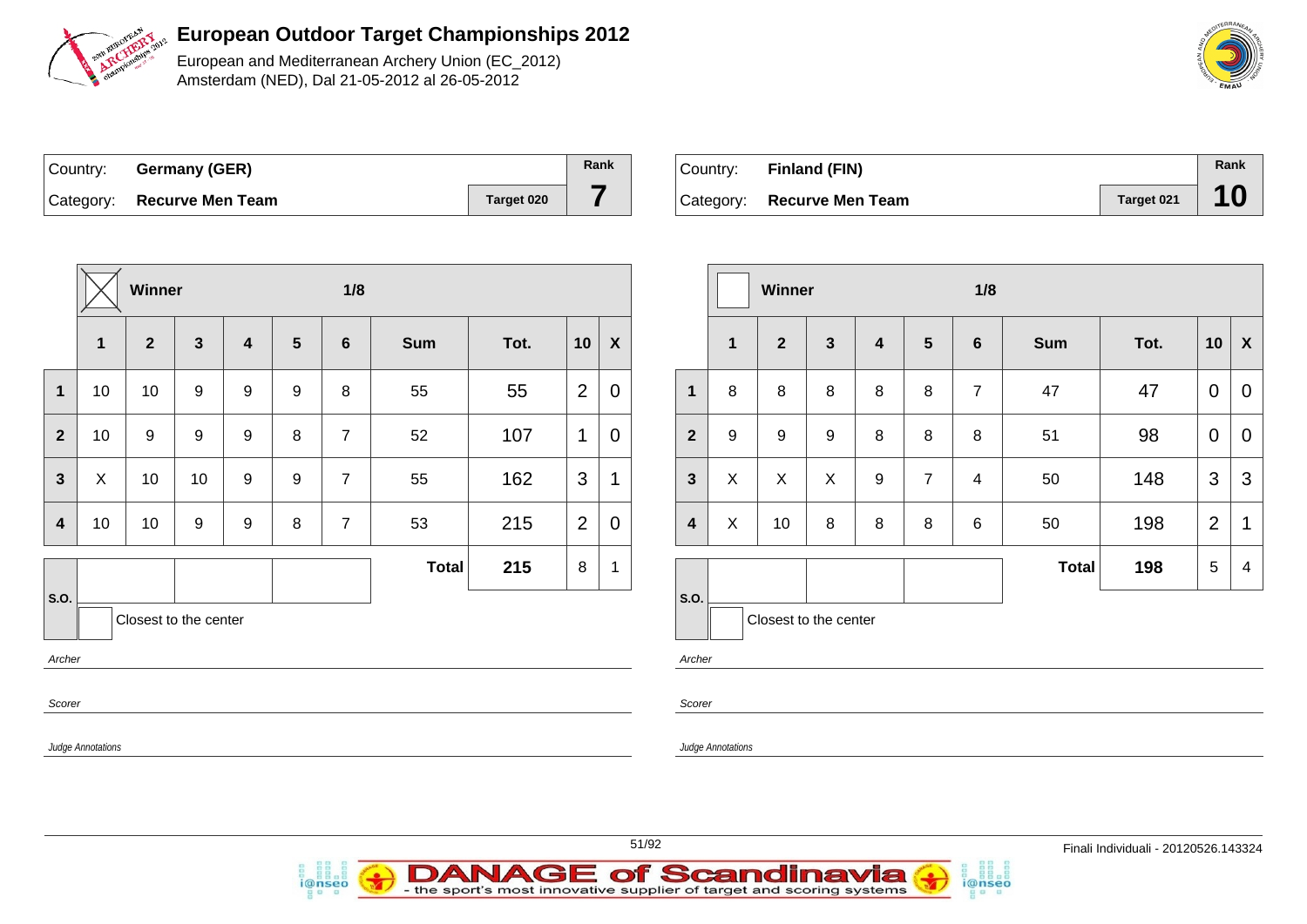

European and Mediterranean Archery Union (EC\_2012) Amsterdam (NED), Dal 21-05-2012 al 26-05-2012

| Country: Germany (GER)     |            | Rank |
|----------------------------|------------|------|
| Category: Recurve Men Team | Target 020 |      |

i@nseo

| Country: Finland (FIN)     |            | Rank |
|----------------------------|------------|------|
| Category: Recurve Men Team | Target 021 | 10   |

i@nseo

|                |                   | Winner                |              |                  |                 | 1/8             |            |      |                |                  | Winner                             |                          |                         |              | 1/8 |                |                |              |      |                |                           |
|----------------|-------------------|-----------------------|--------------|------------------|-----------------|-----------------|------------|------|----------------|------------------|------------------------------------|--------------------------|-------------------------|--------------|-----|----------------|----------------|--------------|------|----------------|---------------------------|
|                | $\mathbf 1$       | $\mathbf{2}$          | $\mathbf{3}$ | $\boldsymbol{4}$ | $5\phantom{.0}$ | $6\phantom{1}6$ | <b>Sum</b> | Tot. | 10             | $\boldsymbol{X}$ |                                    | $\mathbf{1}$             | $\overline{\mathbf{2}}$ | $\mathbf{3}$ | 4   | 5              | 6              | Sum          | Tot. | 10             | $\boldsymbol{\mathsf{X}}$ |
| $\mathbf 1$    | 10                | 10                    | 9            | 9                | 9               | 8               | 55         | 55   | $\overline{2}$ | $\mathbf 0$      | $\mathbf{1}$                       | 8                        | 8                       | 8            | 8   | 8              | $\overline{7}$ | 47           | 47   | $\mathbf 0$    | $\mathbf 0$               |
| $\overline{2}$ | 10                | 9                     | 9            | 9                | 8               | $\overline{7}$  | 52         | 107  | $\mathbf{1}$   | $\mathbf 0$      | $\overline{2}$                     | 9                        | 9                       | 9            | 8   | 8              | 8              | 51           | 98   | $\overline{0}$ | $\overline{0}$            |
| $\mathbf{3}$   | $\pmb{\times}$    | 10                    | 10           | 9                | 9               | $\overline{7}$  | 55         | 162  | $\mathbf{3}$   | 1                | $\mathbf{3}$                       | X                        | X                       | X            | 9   | $\overline{7}$ | 4              | 50           | 148  | $\mathbf{3}$   | 3                         |
| $\overline{4}$ | 10                | 10                    | 9            | 9                | 8               | $\overline{7}$  | 53         | 215  | 2              | $\mathbf 0$      | $\overline{\mathbf{4}}$            | X                        | 10                      | 8            | 8   | 8              | 6              | 50           | 198  | 2              | $\mathbf 1$               |
|                |                   |                       |              |                  |                 |                 | Total      | 215  | $8\phantom{1}$ | 1                |                                    |                          |                         |              |     |                |                | <b>Total</b> | 198  | 5              | $\overline{4}$            |
| S.O.           |                   | Closest to the center |              |                  |                 |                 |            |      |                |                  | $\mathsf{S}.\mathsf{O}.$<br>Archer |                          | Closest to the center   |              |     |                |                |              |      |                |                           |
|                | Archer<br>Scorer  |                       |              |                  |                 |                 |            |      |                |                  | Scorer                             |                          |                         |              |     |                |                |              |      |                |                           |
|                | Judge Annotations |                       |              |                  |                 |                 |            |      |                |                  |                                    | <b>Judge Annotations</b> |                         |              |     |                |                |              |      |                |                           |
|                |                   |                       |              |                  |                 |                 |            |      |                |                  |                                    |                          |                         |              |     |                |                |              |      |                |                           |





51/92 Finali Individuali - 20120526.143324

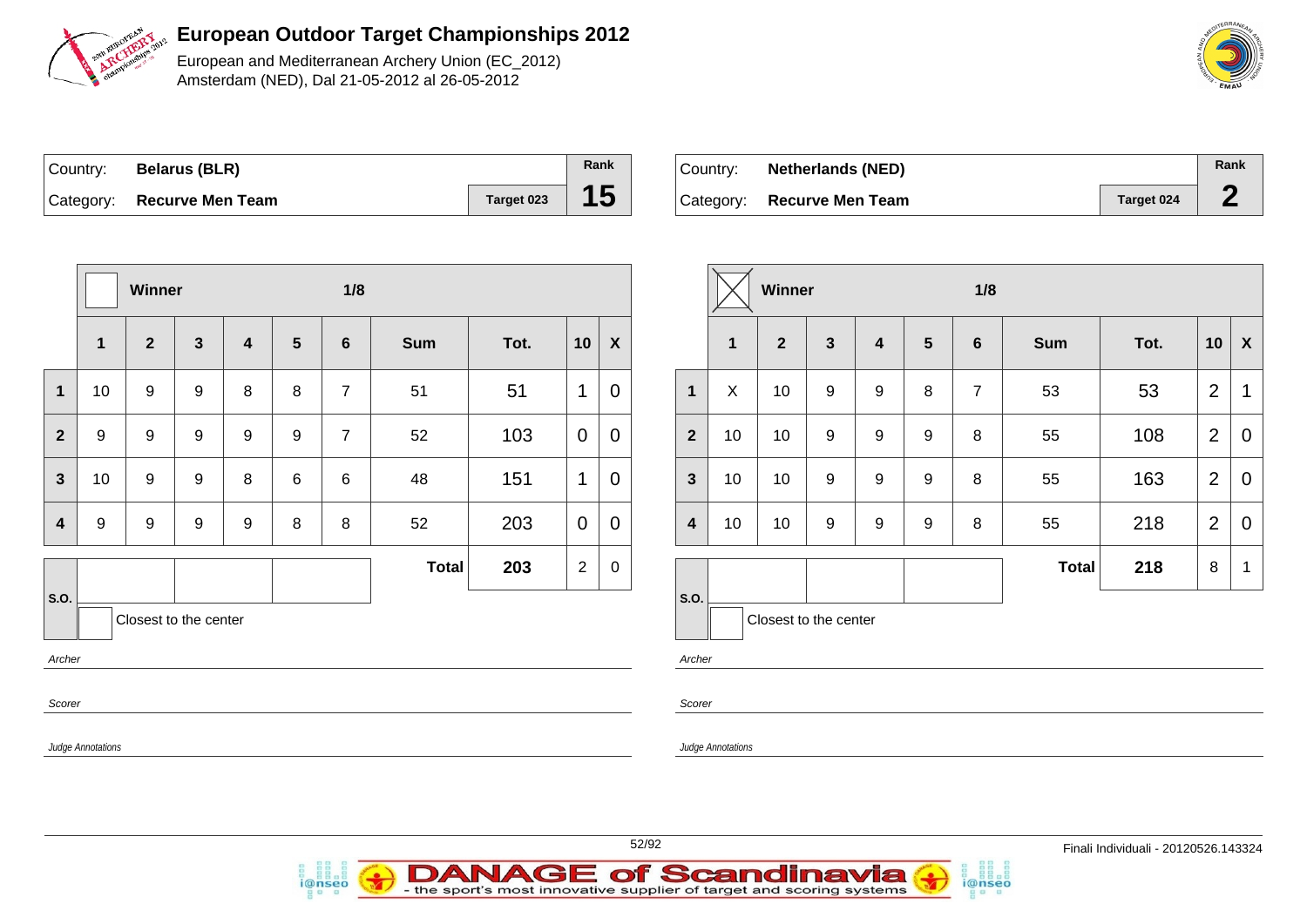

European and Mediterranean Archery Union (EC\_2012) Amsterdam (NED), Dal 21-05-2012 al 26-05-2012

| Country: | <b>Belarus (BLR)</b>       |            | Rank |
|----------|----------------------------|------------|------|
|          | Category: Recurve Men Team | Target 023 | 15   |

i@nseo

| ⊦Country: ⊦ | <b>Netherlands (NED)</b> |                   | Rank |
|-------------|--------------------------|-------------------|------|
| Category:   | <b>Recurve Men Team</b>  | <b>Target 024</b> |      |

|                   | Winner           |                       |                  |                         |                  | 1/8            |       |      |                | Winner           |                          |              |                       |                  |                         | 1/8            |                |              |      |                |                  |
|-------------------|------------------|-----------------------|------------------|-------------------------|------------------|----------------|-------|------|----------------|------------------|--------------------------|--------------|-----------------------|------------------|-------------------------|----------------|----------------|--------------|------|----------------|------------------|
|                   | $\mathbf{1}$     | $\mathbf{2}$          | $\mathbf{3}$     | $\overline{\mathbf{4}}$ | $5\phantom{.0}$  | $6\phantom{1}$ | Sum   | Tot. | 10             | $\boldsymbol{X}$ |                          | $\mathbf{1}$ | $\boldsymbol{2}$      | $\mathbf{3}$     | $\overline{\mathbf{4}}$ | $5\phantom{1}$ | $6\phantom{1}$ | <b>Sum</b>   | Tot. | 10             | $\boldsymbol{X}$ |
| $\mathbf{1}$      | 10               | $\boldsymbol{9}$      | $\boldsymbol{9}$ | 8                       | 8                | $\overline{7}$ | 51    | 51   | $\mathbf{1}$   | $\mathbf 0$      | $\mathbf{1}$             | X            | 10                    | $\boldsymbol{9}$ | $9\,$                   | 8              | $\overline{7}$ | 53           | 53   | $\overline{2}$ | $\mathbf{1}$     |
| $\overline{2}$    | $\boldsymbol{9}$ | $\boldsymbol{9}$      | $\boldsymbol{9}$ | $\boldsymbol{9}$        | $\boldsymbol{9}$ | $\overline{7}$ | 52    | 103  | $\overline{0}$ | $\pmb{0}$        | $\overline{2}$           | 10           | 10                    | 9                | $\boldsymbol{9}$        | $\mathsf g$    | 8              | 55           | 108  | 2              | $\mathbf 0$      |
| $\mathbf{3}$      | 10               | 9                     | 9                | 8                       | 6                | 6              | 48    | 151  | $\mathbf{1}$   | $\mathbf 0$      | $\mathbf{3}$             | 10           | 10                    | $\boldsymbol{9}$ | 9                       | $\mathsf g$    | 8              | 55           | 163  | 2              | $\mathbf 0$      |
| $\boldsymbol{4}$  | 9                | 9                     | 9                | 9                       | 8                | 8              | 52    | 203  | $\overline{0}$ | $\mathbf 0$      | $\overline{\mathbf{4}}$  | 10           | 10                    | 9                | 9                       | 9              | 8              | 55           | 218  | 2              | $\mathbf 0$      |
|                   |                  |                       |                  |                         |                  |                | Total | 203  | 2              | $\mathbf 0$      |                          |              |                       |                  |                         |                |                | <b>Total</b> | 218  | 8              | $\mathbf{1}$     |
| S.O.              |                  | Closest to the center |                  |                         |                  |                |       |      |                |                  | $\vert$ S.O.             |              | Closest to the center |                  |                         |                |                |              |      |                |                  |
| Archer            |                  |                       |                  |                         |                  |                |       |      |                |                  | Archer                   |              |                       |                  |                         |                |                |              |      |                |                  |
| Scorer            |                  |                       |                  |                         |                  |                |       |      |                |                  | Scorer                   |              |                       |                  |                         |                |                |              |      |                |                  |
| Judge Annotations |                  |                       |                  |                         |                  |                |       |      |                |                  | <b>Judge Annotations</b> |              |                       |                  |                         |                |                |              |      |                |                  |
|                   |                  |                       |                  |                         |                  |                |       |      |                |                  |                          |              |                       |                  |                         |                |                |              |      |                |                  |



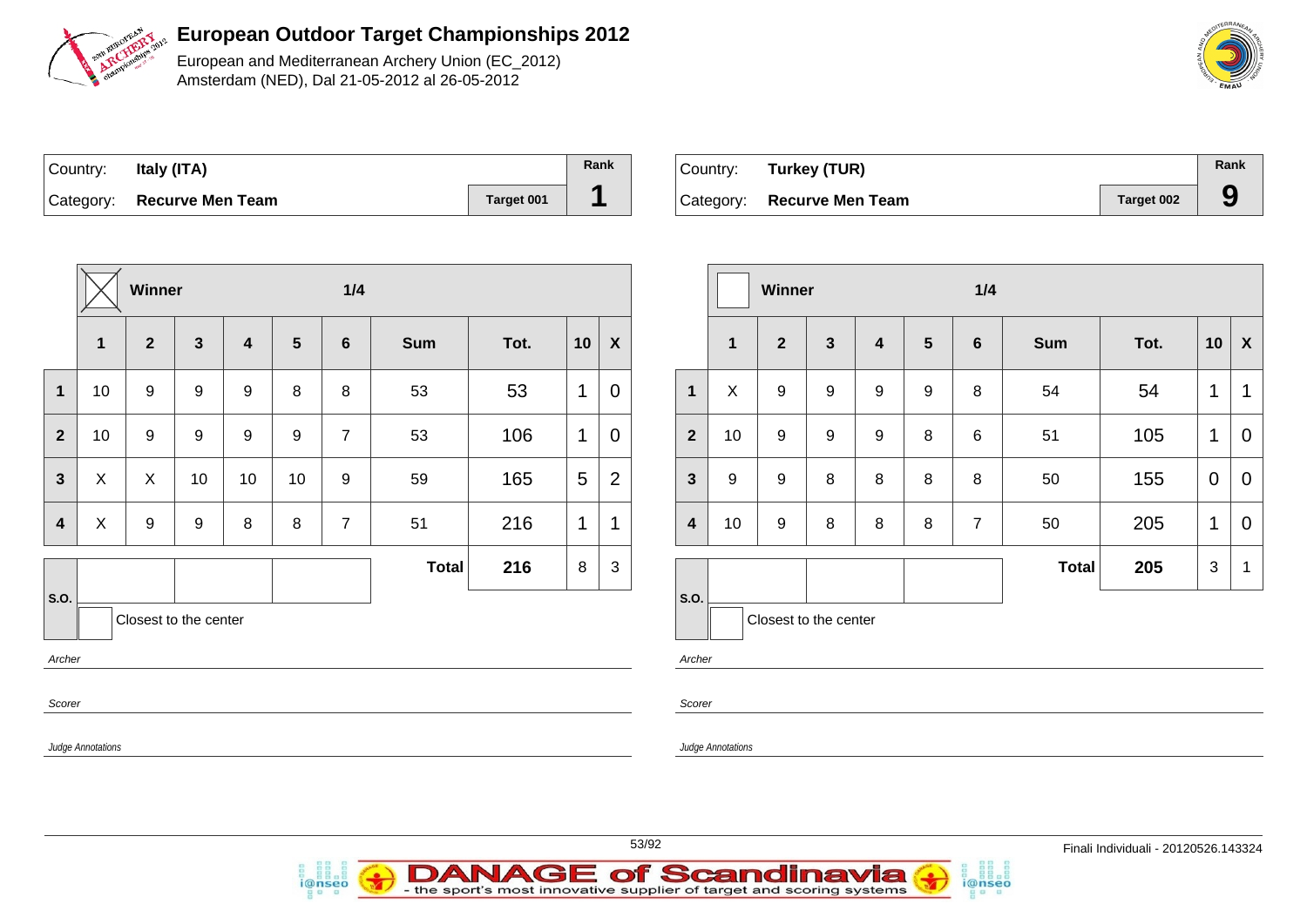

European and Mediterranean Archery Union (EC\_2012) Amsterdam (NED), Dal 21-05-2012 al 26-05-2012

| Country: | Italy (ITA)                |            | Rank |
|----------|----------------------------|------------|------|
|          | Category: Recurve Men Team | Target 001 |      |

i@nseo

| Country: Turkey (TUR)      |            | Rank |
|----------------------------|------------|------|
| Category: Recurve Men Team | Target 002 |      |

i@nseo

|                   |                           | Winner         |                       |                         |                 | 1/4            |              |      |                |                  |                         | Winner            |                       |              |   | 1/4             |                |              |      |              |                           |
|-------------------|---------------------------|----------------|-----------------------|-------------------------|-----------------|----------------|--------------|------|----------------|------------------|-------------------------|-------------------|-----------------------|--------------|---|-----------------|----------------|--------------|------|--------------|---------------------------|
|                   | $\mathbf{1}$              | $\overline{2}$ | $\mathbf{3}$          | $\overline{\mathbf{4}}$ | $5\phantom{.0}$ | $6\phantom{1}$ | Sum          | Tot. | 10             | $\boldsymbol{X}$ |                         | $\mathbf{1}$      | 2 <sup>2</sup>        | $\mathbf{3}$ | 4 | $5\phantom{.0}$ | $6\phantom{1}$ | <b>Sum</b>   | Tot. | 10           | $\boldsymbol{\mathsf{X}}$ |
| $\mathbf{1}$      | 10                        | 9              | 9                     | $\mathsf g$             | $\bf 8$         | 8              | 53           | 53   | $\mathbf{1}$   | $\mathbf 0$      | $\mathbf 1$             | $\mathsf{X}$      | 9                     | 9            | 9 | 9               | 8              | 54           | 54   | $\mathbf{1}$ | $\mathbf{1}$              |
| $\overline{2}$    | 10                        | 9              | 9                     | 9                       | $\mathsf g$     | $\overline{7}$ | 53           | 106  | $\mathbf{1}$   | $\pmb{0}$        | $\overline{2}$          | 10                | 9                     | 9            | 9 | 8               | 6              | 51           | 105  | $\mathbf 1$  | $\mathbf 0$               |
| $\mathbf{3}$      | $\boldsymbol{\mathsf{X}}$ | $\mathsf{X}$   | 10                    | 10                      | 10              | $\mathsf g$    | 59           | 165  | $\overline{5}$ | $\overline{2}$   | $\mathbf{3}$            | 9                 | 9                     | 8            | 8 | 8               | 8              | 50           | 155  | $\mathbf 0$  | $\overline{0}$            |
| $\boldsymbol{4}$  | X                         | 9              | $\boldsymbol{9}$      | $\, 8$                  | $\bf 8$         | $\overline{7}$ | 51           | 216  | $\mathbf 1$    | 1                | $\overline{\mathbf{4}}$ | 10                | 9                     | 8            | 8 | 8               | $\overline{7}$ | 50           | 205  | $\mathbf 1$  | $\overline{0}$            |
|                   |                           |                |                       |                         |                 |                | <b>Total</b> | 216  | 8              | 3                |                         |                   |                       |              |   |                 |                | <b>Total</b> | 205  | $\mathbf{3}$ | $\overline{1}$            |
| S.O.<br>Archer    |                           |                | Closest to the center |                         |                 |                |              |      |                |                  | S.O.<br>Archer          |                   | Closest to the center |              |   |                 |                |              |      |              |                           |
| Scorer            |                           |                |                       |                         |                 |                |              |      |                |                  | Scorer                  |                   |                       |              |   |                 |                |              |      |              |                           |
| Judge Annotations |                           |                |                       |                         |                 |                |              |      |                |                  |                         | Judge Annotations |                       |              |   |                 |                |              |      |              |                           |



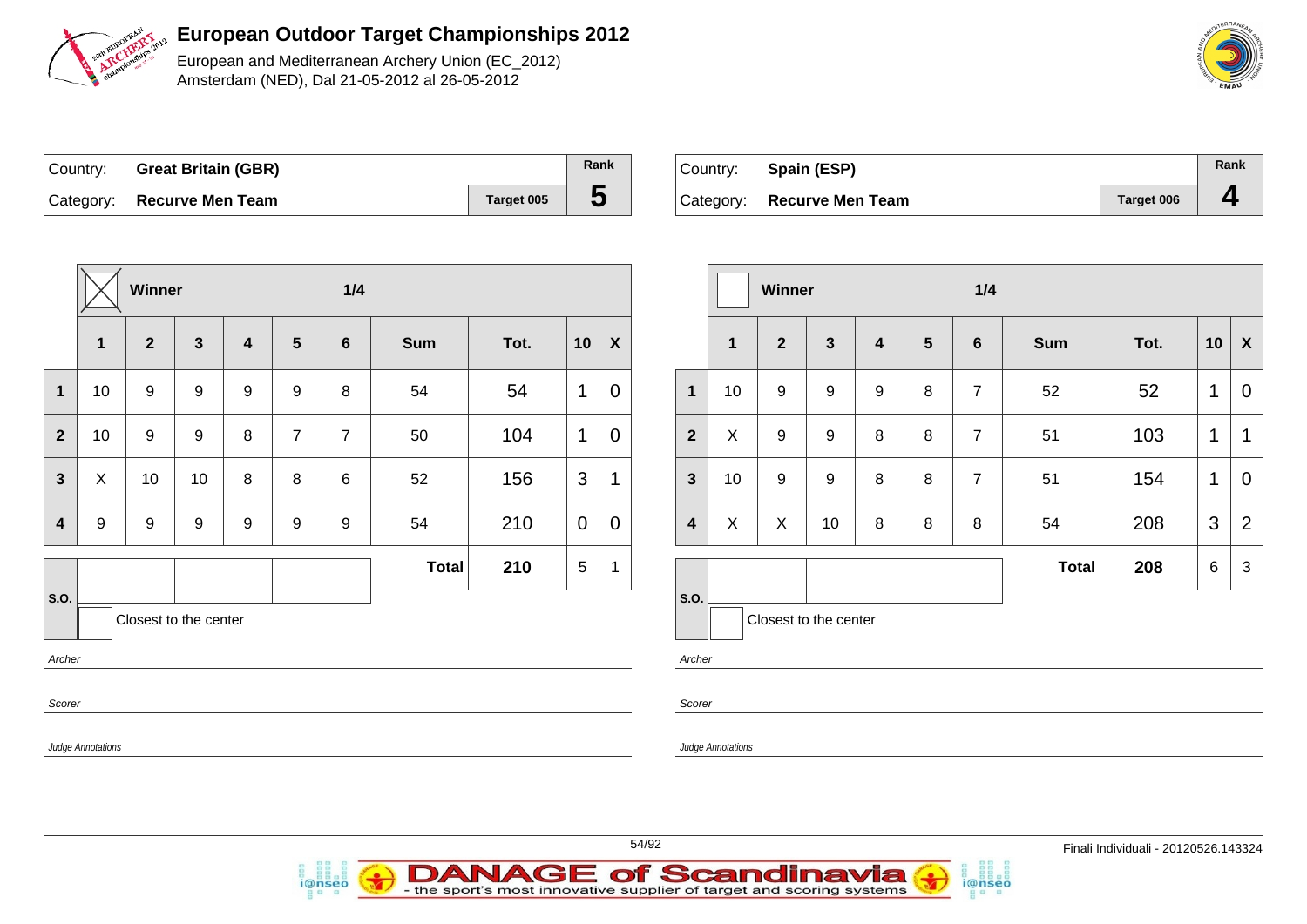

European and Mediterranean Archery Union (EC\_2012) Amsterdam (NED), Dal 21-05-2012 al 26-05-2012

| Country: Great Britain (GBR) |            | Rank |
|------------------------------|------------|------|
| Category: Recurve Men Team   | Target 005 | Đ    |

i@nseo

| Country: Spain (ESP)       |            | Rank |
|----------------------------|------------|------|
| Category: Recurve Men Team | Target 006 |      |

|                         |                          | Winner       |                       |   |                 | 1/4            |            |      |                 |                           |                         |                   | Winner                |              |                  |        | 1/4            |            |      |                 |                           |
|-------------------------|--------------------------|--------------|-----------------------|---|-----------------|----------------|------------|------|-----------------|---------------------------|-------------------------|-------------------|-----------------------|--------------|------------------|--------|----------------|------------|------|-----------------|---------------------------|
|                         | $\mathbf{1}$             | $\mathbf{2}$ | $\mathbf{3}$          | 4 | $5\phantom{.0}$ | 6              | <b>Sum</b> | Tot. | 10              | $\boldsymbol{\mathsf{X}}$ |                         | 1                 | $\mathbf{2}$          | $\mathbf{3}$ | 4                | 5      | $6\phantom{1}$ | <b>Sum</b> | Tot. | 10              | $\boldsymbol{\mathsf{X}}$ |
| $\mathbf 1$             | 10                       | 9            | 9                     | 9 | 9               | 8              | 54         | 54   | 1               | $\overline{0}$            | $\mathbf 1$             | 10                | 9                     | 9            | $\boldsymbol{9}$ | 8      | $\overline{7}$ | 52         | 52   | $\mathbf{1}$    | $\overline{0}$            |
| $\overline{2}$          | 10                       | 9            | $\boldsymbol{9}$      | 8 | $\overline{7}$  | $\overline{7}$ | 50         | 104  | $\mathbf 1$     | $\overline{0}$            | $\overline{2}$          | $\pmb{\times}$    | 9                     | 9            | $\bf 8$          | 8      | $\overline{7}$ | 51         | 103  | $\mathbf{1}$    | $\mathbf 1$               |
| $\mathbf{3}$            | $\boldsymbol{X}$         | 10           | 10                    | 8 | 8               | $\,6$          | 52         | 156  | $\mathbf{3}$    | 1                         | $\mathbf{3}$            | 10                | 9                     | 9            | $\bf 8$          | $\, 8$ | $\overline{7}$ | 51         | 154  | $\mathbf{1}$    | $\mathbf 0$               |
| $\overline{\mathbf{4}}$ | 9                        | 9            | 9                     | 9 | 9               | 9              | 54         | 210  | $\mathbf 0$     | $\mathbf 0$               | $\overline{\mathbf{4}}$ | $\pmb{\times}$    | $\pmb{\times}$        | 10           | 8                | 8      | 8              | 54         | 208  | 3               | $\overline{2}$            |
|                         |                          |              |                       |   |                 |                | Total      | 210  | $5\phantom{.0}$ | 1                         |                         |                   |                       |              |                  |        |                | Total      | 208  | $6\phantom{.}6$ | 3                         |
| S.O.                    |                          |              | Closest to the center |   |                 |                |            |      |                 |                           | s.o.                    |                   | Closest to the center |              |                  |        |                |            |      |                 |                           |
| Archer                  |                          |              |                       |   |                 |                |            |      |                 |                           | Archer                  |                   |                       |              |                  |        |                |            |      |                 |                           |
| Scorer                  |                          |              |                       |   |                 |                |            |      |                 |                           | Scorer                  |                   |                       |              |                  |        |                |            |      |                 |                           |
|                         | <b>Judge Annotations</b> |              |                       |   |                 |                |            |      |                 |                           |                         | Judge Annotations |                       |              |                  |        |                |            |      |                 |                           |





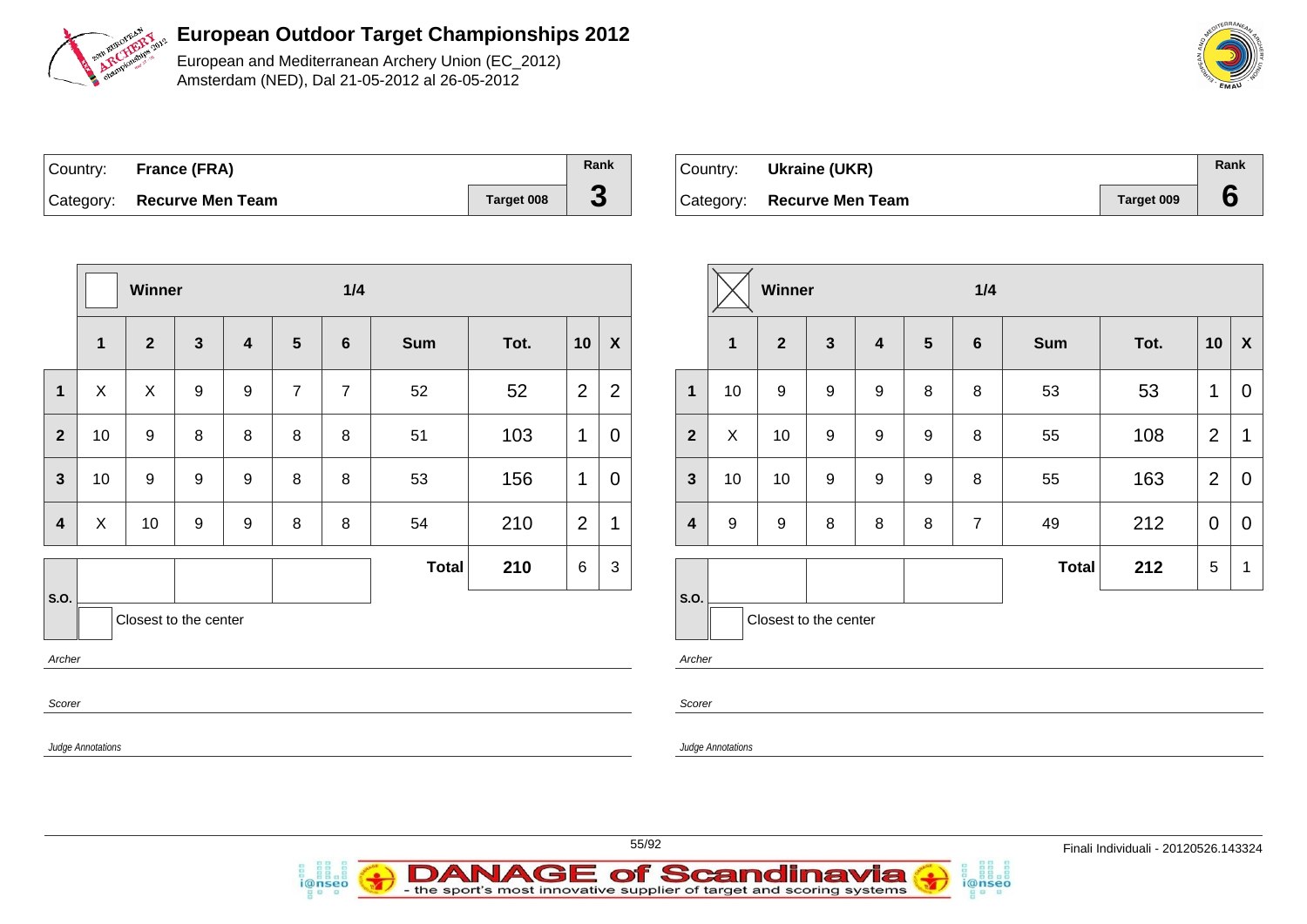

European and Mediterranean Archery Union (EC\_2012) Amsterdam (NED), Dal 21-05-2012 al 26-05-2012

| Country: France (FRA)      |                   | Rank |
|----------------------------|-------------------|------|
| Category: Recurve Men Team | <b>Target 008</b> |      |

i@nseo

| ∣Country: | Ukraine (UKR)              |            | Rank |
|-----------|----------------------------|------------|------|
|           | Category: Recurve Men Team | Target 009 |      |

i@nseo

|                         | Winner            |                       |                  |                         |                | 1/4            |              |      |                |                  |                         | Winner            |                       |              |   | 1/4             |                |              |      |                |                           |  |
|-------------------------|-------------------|-----------------------|------------------|-------------------------|----------------|----------------|--------------|------|----------------|------------------|-------------------------|-------------------|-----------------------|--------------|---|-----------------|----------------|--------------|------|----------------|---------------------------|--|
|                         | 1                 | $\mathbf{2}$          | $\mathbf{3}$     | $\overline{\mathbf{4}}$ | $5\phantom{1}$ | $6\phantom{1}$ | <b>Sum</b>   | Tot. | 10             | $\boldsymbol{X}$ |                         | $\mathbf{1}$      | $\overline{2}$        | $\mathbf{3}$ | 4 | $5\phantom{.0}$ | $6\phantom{1}$ | Sum          | Tot. | 10             | $\boldsymbol{\mathsf{X}}$ |  |
| $\mathbf 1$             | $\mathsf X$       | X                     | $\boldsymbol{9}$ | 9                       | $\overline{7}$ | $\overline{7}$ | 52           | 52   | $\overline{2}$ | $\overline{2}$   | $\overline{1}$          | 10                | 9                     | 9            | 9 | 8               | 8              | 53           | 53   | $\mathbf 1$    | $\overline{0}$            |  |
| $\overline{2}$          | 10                | 9                     | 8                | 8                       | 8              | 8              | 51           | 103  | $\mathbf{1}$   | 0                | $\overline{2}$          | $\mathsf{X}$      | 10                    | 9            | 9 | 9               | 8              | 55           | 108  | $\overline{2}$ | $\mathbf 1$               |  |
| $\mathbf{3}$            | 10                | 9                     | 9                | 9                       | 8              | 8              | 53           | 156  | $\mathbf{1}$   | 0                | $\mathbf{3}$            | 10                | 10                    | 9            | 9 | 9               | 8              | 55           | 163  | $\overline{2}$ | $\mathbf 0$               |  |
| $\overline{\mathbf{4}}$ | $\mathsf X$       | 10 <sub>1</sub>       | 9                | $\boldsymbol{9}$        | 8              | 8              | 54           | 210  | $\overline{2}$ | 1                | $\overline{\mathbf{4}}$ | 9                 | 9                     | 8            | 8 | 8               | $\overline{7}$ | 49           | 212  | $\mathbf 0$    | $\mathbf 0$               |  |
|                         |                   |                       |                  |                         |                |                | <b>Total</b> | 210  | 6              | $\mathbf{3}$     |                         |                   |                       |              |   |                 |                | <b>Total</b> | 212  | $\overline{5}$ | $\overline{1}$            |  |
| S.O.<br>Archer          |                   | Closest to the center |                  |                         |                |                |              |      |                |                  | S.O.<br>Archer          |                   | Closest to the center |              |   |                 |                |              |      |                |                           |  |
| Scorer                  | Judge Annotations |                       |                  |                         |                |                |              |      |                |                  | Scorer                  | Judge Annotations |                       |              |   |                 |                |              |      |                |                           |  |
|                         |                   |                       |                  |                         |                |                |              |      |                |                  |                         |                   |                       |              |   |                 |                |              |      |                |                           |  |

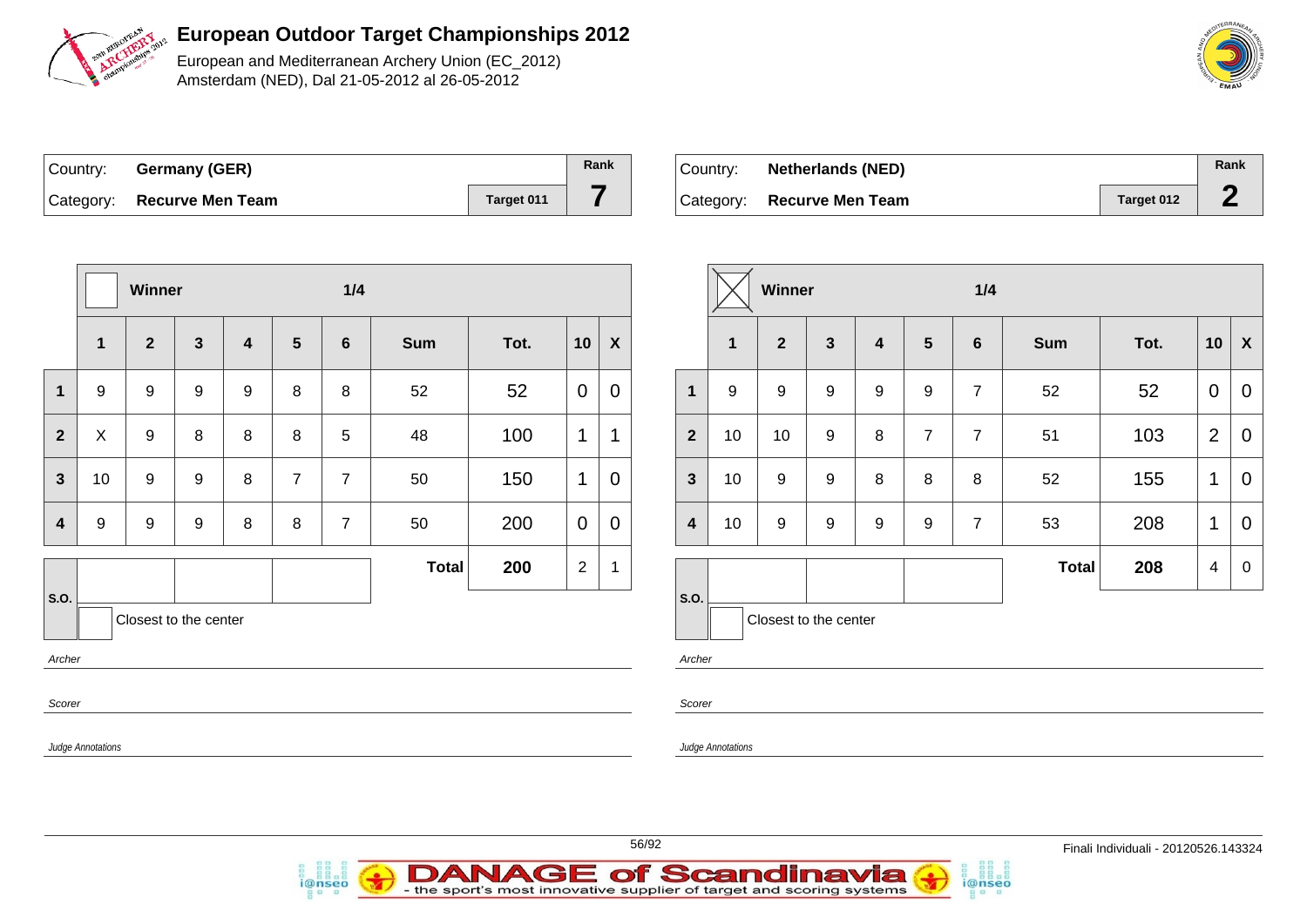

European and Mediterranean Archery Union (EC\_2012) Amsterdam (NED), Dal 21-05-2012 al 26-05-2012

| Country: Germany (GER)     |            | Rank |
|----------------------------|------------|------|
| Category: Recurve Men Team | Target 011 |      |

i@nseo

| Country:  | <b>Netherlands (NED)</b> |            | Rank |
|-----------|--------------------------|------------|------|
| Category: | <b>Recurve Men Team</b>  | Target 012 |      |

i@nseo

|                          | Winner           |                       |              |                  |                 | 1/4            |              |      |                | Winner           |                         |                          |                       |                  |                | 1/4            |                |              |      |                |                |
|--------------------------|------------------|-----------------------|--------------|------------------|-----------------|----------------|--------------|------|----------------|------------------|-------------------------|--------------------------|-----------------------|------------------|----------------|----------------|----------------|--------------|------|----------------|----------------|
|                          | $\mathbf{1}$     | $\overline{2}$        | $\mathbf{3}$ | 4                | $5\phantom{.0}$ | $6\phantom{1}$ | <b>Sum</b>   | Tot. | 10             | $\boldsymbol{X}$ |                         | $\overline{1}$           | $\mathbf{2}$          | $\mathbf{3}$     | $\overline{4}$ | $5\phantom{1}$ | $6\phantom{1}$ | <b>Sum</b>   | Tot. | 10             | $\mathbf{X}$   |
| $\mathbf{1}$             | 9                | 9                     | 9            | $\boldsymbol{9}$ | 8               | 8              | 52           | 52   | $\mathbf 0$    | $\mathbf 0$      | $\mathbf{1}$            | 9                        | 9                     | $\boldsymbol{9}$ | 9              | 9              | $\overline{7}$ | 52           | 52   | $\mathbf 0$    | $\overline{0}$ |
| $\overline{2}$           | $\boldsymbol{X}$ | 9                     | 8            | 8                | 8               | 5              | 48           | 100  | $\mathbf{1}$   | $\mathbf{1}$     | 2 <sup>2</sup>          | 10                       | 10                    | 9                | 8              | $\overline{7}$ | $\overline{7}$ | 51           | 103  | $\overline{2}$ | $\overline{0}$ |
| $\mathbf{3}$             | 10               | 9                     | 9            | 8                | $\overline{7}$  | $\overline{7}$ | 50           | 150  | $\mathbf 1$    | $\overline{0}$   | $\mathbf{3}$            | 10                       | 9                     | $\boldsymbol{9}$ | 8              | 8              | 8              | 52           | 155  | $\mathbf 1$    | $\overline{0}$ |
| $\overline{\mathbf{4}}$  | 9                | 9                     | 9            | 8                | 8               | $\overline{7}$ | 50           | 200  | $\overline{0}$ | $\mathbf 0$      | $\overline{\mathbf{4}}$ | 10                       | 9                     | $\boldsymbol{9}$ | 9              | 9              | $\overline{7}$ | 53           | 208  | $\mathbf 1$    | $\mathbf 0$    |
|                          |                  |                       |              |                  |                 |                | <b>Total</b> | 200  | $\overline{2}$ | $\overline{1}$   |                         |                          |                       |                  |                |                |                | <b>Total</b> | 208  | $\overline{4}$ | $\overline{0}$ |
| S.O.                     |                  | Closest to the center |              |                  |                 |                |              |      |                |                  | <b>S.O.</b>             |                          | Closest to the center |                  |                |                |                |              |      |                |                |
| Archer                   |                  |                       |              |                  |                 |                |              |      |                |                  | Archer                  |                          |                       |                  |                |                |                |              |      |                |                |
| Scorer                   |                  |                       |              |                  |                 |                |              |      |                |                  | Scorer                  |                          |                       |                  |                |                |                |              |      |                |                |
| <b>Judge Annotations</b> |                  |                       |              |                  |                 |                |              |      |                |                  |                         | <b>Judge Annotations</b> |                       |                  |                |                |                |              |      |                |                |



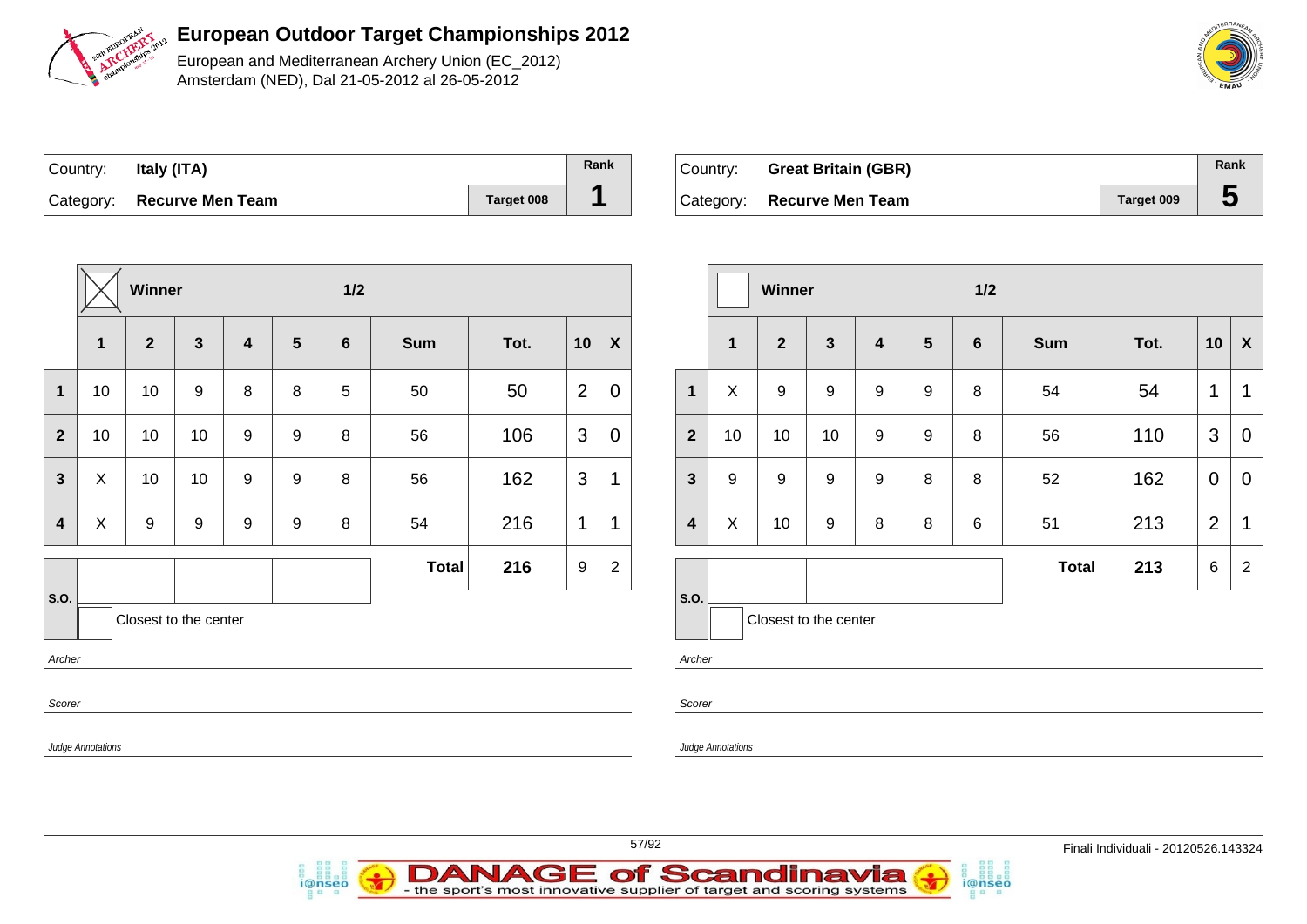

European and Mediterranean Archery Union (EC\_2012) Amsterdam (NED), Dal 21-05-2012 al 26-05-2012

| Country: | Italy (ITA)                |                   | Rank |
|----------|----------------------------|-------------------|------|
|          | Category: Recurve Men Team | <b>Target 008</b> |      |

i@nseo

| Country: | <b>Great Britain (GBR)</b> |            | Rank |
|----------|----------------------------|------------|------|
|          | Category: Recurve Men Team | Target 009 |      |

i@nseo

|                         | $1/2$<br>Winner           |                 |                       |                         |                  |                |              |      |                |                  |                         | Winner            |                       |              |                  | 1/2             |   |              |      |                 |                           |
|-------------------------|---------------------------|-----------------|-----------------------|-------------------------|------------------|----------------|--------------|------|----------------|------------------|-------------------------|-------------------|-----------------------|--------------|------------------|-----------------|---|--------------|------|-----------------|---------------------------|
|                         | $\mathbf{1}$              | $\mathbf{2}$    | $\mathbf{3}$          | $\overline{\mathbf{4}}$ | $5\phantom{1}$   | $6\phantom{1}$ | <b>Sum</b>   | Tot. | 10             | $\boldsymbol{X}$ |                         | $\mathbf 1$       | $\mathbf{2}$          | $\mathbf{3}$ | 4                | $5\phantom{.0}$ | 6 | Sum          | Tot. | 10              | $\boldsymbol{\mathsf{X}}$ |
| $\mathbf{1}$            | 10                        | 10 <sup>°</sup> | 9                     | 8                       | 8                | 5              | 50           | 50   | $\overline{2}$ | $\mathbf 0$      | $\mathbf{1}$            | X                 | 9                     | 9            | 9                | 9               | 8 | 54           | 54   | $\mathbf{1}$    | $\overline{1}$            |
| $\overline{2}$          | 10                        | 10 <sup>°</sup> | 10                    | 9                       | 9                | 8              | 56           | 106  | $\mathfrak{S}$ | 0                | $\overline{2}$          | 10                | 10                    | 10           | 9                | 9               | 8 | 56           | 110  | 3               | 0                         |
| $\mathbf{3}$            | X                         | 10 <sup>°</sup> | 10                    | 9                       | 9                | 8              | 56           | 162  | $\mathfrak{B}$ | 1                | $\mathbf{3}$            | 9                 | $\mathsf g$           | 9            | $\boldsymbol{9}$ | 8               | 8 | 52           | 162  | $\overline{0}$  | $\mathbf 0$               |
| $\overline{\mathbf{4}}$ | $\boldsymbol{\mathsf{X}}$ | 9               | $\boldsymbol{9}$      | $\boldsymbol{9}$        | $\boldsymbol{9}$ | 8              | 54           | 216  | $\mathbf{1}$   | 1                | $\overline{\mathbf{4}}$ | X                 | 10                    | 9            | 8                | 8               | 6 | 51           | 213  | $\overline{2}$  | $\mathbf 1$               |
|                         |                           |                 |                       |                         |                  |                | <b>Total</b> | 216  | 9              | $\overline{2}$   |                         |                   |                       |              |                  |                 |   | <b>Total</b> | 213  | $6\phantom{.}6$ | $\overline{2}$            |
| <b>S.O.</b>             |                           |                 | Closest to the center |                         |                  |                |              |      |                |                  | <b>S.O.</b>             |                   | Closest to the center |              |                  |                 |   |              |      |                 |                           |
| Archer                  |                           |                 |                       |                         |                  |                |              |      |                |                  | Archer                  |                   |                       |              |                  |                 |   |              |      |                 |                           |
| Scorer                  |                           |                 |                       |                         |                  |                |              |      |                |                  | Scorer                  |                   |                       |              |                  |                 |   |              |      |                 |                           |
|                         | Judge Annotations         |                 |                       |                         |                  |                |              |      |                |                  |                         | Judge Annotations |                       |              |                  |                 |   |              |      |                 |                           |
|                         |                           |                 |                       |                         |                  |                |              |      |                |                  |                         |                   |                       |              |                  |                 |   |              |      |                 |                           |

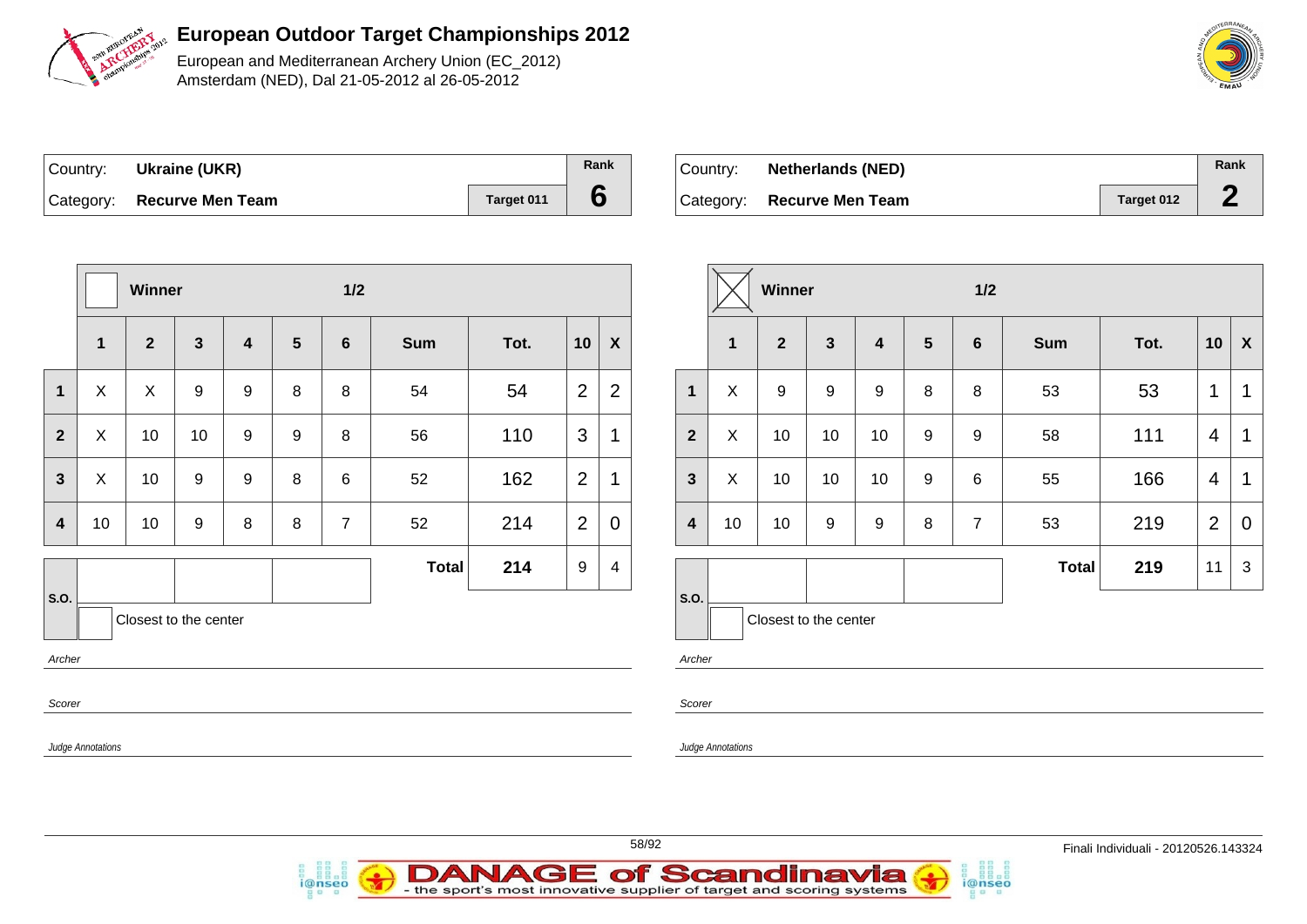

European and Mediterranean Archery Union (EC\_2012) Amsterdam (NED), Dal 21-05-2012 al 26-05-2012

| Country: Ukraine (UKR)     |            | Rank |
|----------------------------|------------|------|
| Category: Recurve Men Team | Target 011 |      |

i@nseo

| ⊦Country: ⊦ | <b>Netherlands (NED)</b> |            | Rank |
|-------------|--------------------------|------------|------|
| Category:   | <b>Recurve Men Team</b>  | Target 012 |      |

i@nseo

|                          |                          | Winner                |              |                  |                 | $1/2$          |              |      |              |                         |                                 |                          | Winner                |                  |                         |                  | 1/2             |            |      |                |                |
|--------------------------|--------------------------|-----------------------|--------------|------------------|-----------------|----------------|--------------|------|--------------|-------------------------|---------------------------------|--------------------------|-----------------------|------------------|-------------------------|------------------|-----------------|------------|------|----------------|----------------|
|                          | $\mathbf 1$              | $\overline{2}$        | $\mathbf{3}$ | 4                | $5\phantom{.0}$ | 6              | <b>Sum</b>   | Tot. | 10           | $\boldsymbol{X}$        |                                 | $\mathbf{1}$             | $\mathbf{2}$          | $\mathbf{3}$     | $\overline{\mathbf{4}}$ | $5\phantom{1}$   | $6\phantom{1}6$ | <b>Sum</b> | Tot. | 10             | $\mathbf{X}$   |
| $\overline{1}$           | X                        | $\mathsf{X}$          | 9            | 9                | 8               | 8              | 54           | 54   | 2            | $\overline{2}$          | $\mathbf{1}$                    | $\pmb{\times}$           | 9                     | 9                | 9                       | 8                | 8               | 53         | 53   | $\mathbf{1}$   | $\mathbf 1$    |
| $\mathbf{2}$             | X                        | 10                    | 10           | $\boldsymbol{9}$ | 9               | 8              | 56           | 110  | $\mathbf{3}$ | $\mathbf 1$             | $\overline{2}$                  | $\pmb{\times}$           | 10                    | 10               | 10                      | $\boldsymbol{9}$ | 9               | 58         | 111  | 4              | $\overline{1}$ |
| $\mathbf{3}$             | $\mathsf{X}$             | 10                    | 9            | 9                | 8               | 6              | 52           | 162  | 2            | $\mathbf 1$             | $\mathbf{3}$                    | X                        | 10                    | 10               | 10                      | $\boldsymbol{9}$ | 6               | 55         | 166  | 4              | $\overline{1}$ |
| $\overline{\mathbf{4}}$  | 10                       | 10                    | 9            | 8                | 8               | $\overline{7}$ | 52           | 214  | 2            | $\mathbf 0$             | $\overline{\mathbf{4}}$         | 10                       | 10                    | $\boldsymbol{9}$ | 9                       | $\, 8$           | $\overline{7}$  | 53         | 219  | $\overline{2}$ | $\mathbf 0$    |
|                          |                          |                       |              |                  |                 |                | <b>Total</b> | 214  | 9            | $\overline{\mathbf{4}}$ |                                 |                          |                       |                  |                         |                  |                 | Total      | 219  | 11             | $\mathbf{3}$   |
| S.O.<br>Archer<br>Scorer |                          | Closest to the center |              |                  |                 |                |              |      |              |                         | <b>S.O.</b><br>Archer<br>Scorer |                          | Closest to the center |                  |                         |                  |                 |            |      |                |                |
|                          | <b>Judge Annotations</b> |                       |              |                  |                 |                |              |      |              |                         |                                 | <b>Judge Annotations</b> |                       |                  |                         |                  |                 |            |      |                |                |

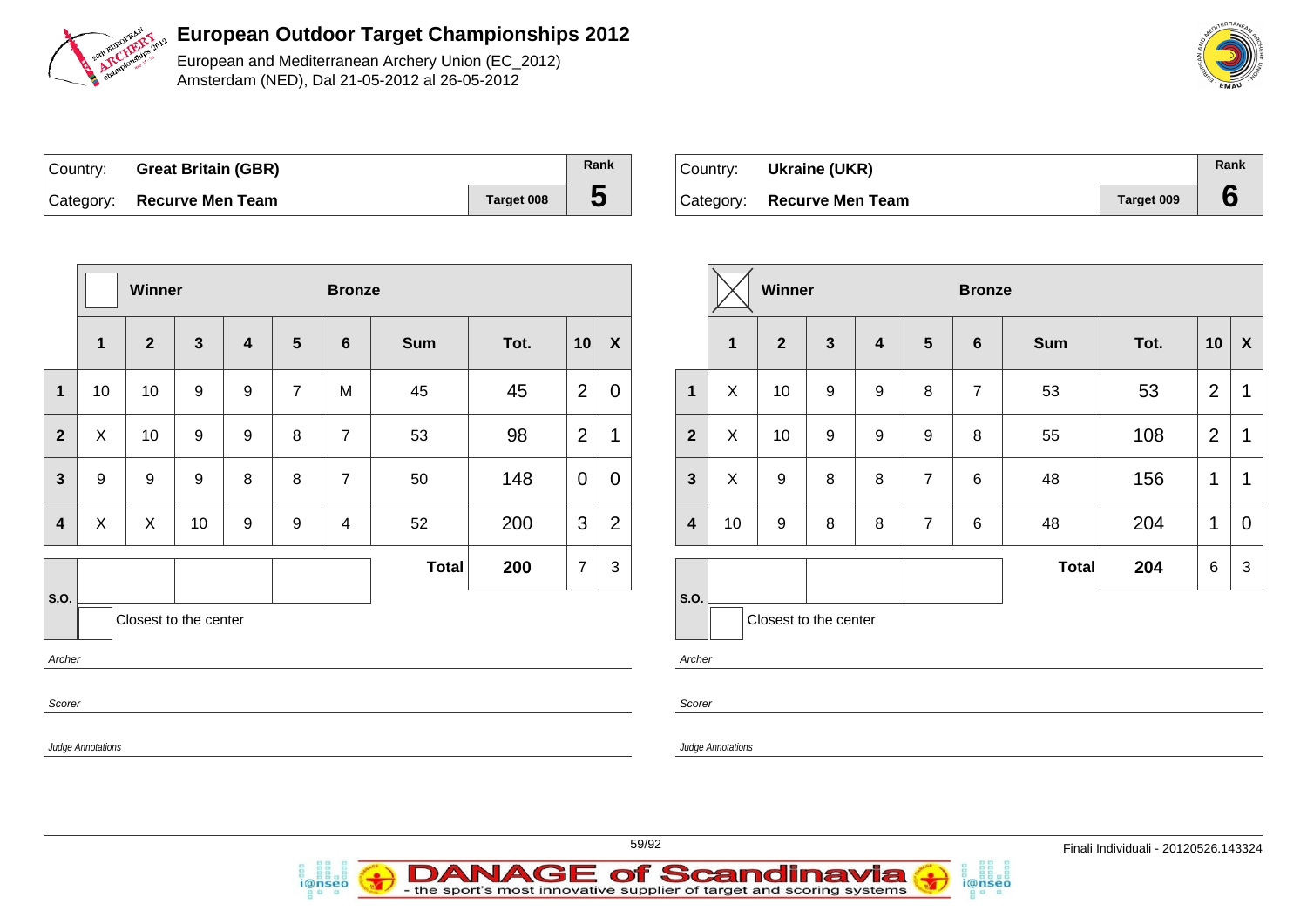

European and Mediterranean Archery Union (EC\_2012) Amsterdam (NED), Dal 21-05-2012 al 26-05-2012

| Country: | <b>Great Britain (GBR)</b> |            | Rank |
|----------|----------------------------|------------|------|
|          | Category: Recurve Men Team | Target 008 |      |

| ∣Country: | Ukraine (UKR)              |            | Rank |
|-----------|----------------------------|------------|------|
|           | Category: Recurve Men Team | Target 009 |      |

|                         |                   | Winner           |                       |                         |                  | <b>Bronze</b>  |              |      |                |                  |
|-------------------------|-------------------|------------------|-----------------------|-------------------------|------------------|----------------|--------------|------|----------------|------------------|
|                         | $\mathbf{1}$      | $\overline{2}$   | $\mathbf{3}$          | $\overline{\mathbf{4}}$ | $5\phantom{1}$   | $6\phantom{1}$ | <b>Sum</b>   | Tot. | 10             | $\boldsymbol{X}$ |
| 1                       | 10                | 10               | $\boldsymbol{9}$      | $\boldsymbol{9}$        | $\overline{7}$   | M              | 45           | 45   | $\overline{2}$ | $\mathbf 0$      |
| $\overline{2}$          | X                 | 10               | $\boldsymbol{9}$      | $\boldsymbol{9}$        | 8                | $\overline{7}$ | 53           | 98   | $\overline{2}$ | 1                |
| 3                       | 9                 | $\boldsymbol{9}$ | $\boldsymbol{9}$      | 8                       | 8                | $\overline{7}$ | 50           | 148  | $\mathbf 0$    | 0                |
| $\overline{\mathbf{4}}$ | X                 | X.               | 10                    | $\boldsymbol{9}$        | $\boldsymbol{9}$ | 4              | 52           | 200  | 3              | $\overline{2}$   |
|                         |                   |                  |                       |                         |                  |                | <b>Total</b> | 200  | $\overline{7}$ | 3                |
| S.O.                    |                   |                  | Closest to the center |                         |                  |                |              |      |                |                  |
| Archer                  |                   |                  |                       |                         |                  |                |              |      |                |                  |
| Scorer                  |                   |                  |                       |                         |                  |                |              |      |                |                  |
|                         | Judge Annotations |                  |                       |                         |                  |                |              |      |                |                  |

i@nseo

|                         |              | <b>Winner</b>         |                  |                         |                  | <b>Bronze</b>   |              |      |                |   |
|-------------------------|--------------|-----------------------|------------------|-------------------------|------------------|-----------------|--------------|------|----------------|---|
|                         | $\mathbf{1}$ | $\overline{2}$        | $\mathbf{3}$     | $\overline{\mathbf{4}}$ | $5\phantom{1}$   | $6\phantom{1}6$ | <b>Sum</b>   | Tot. | 10             | X |
| 1                       | X            | 10                    | $\boldsymbol{9}$ | $\boldsymbol{9}$        | 8                | $\overline{7}$  | 53           | 53   | $\overline{2}$ | 1 |
| $\overline{2}$          | X            | 10                    | $\boldsymbol{9}$ | $\boldsymbol{9}$        | $\boldsymbol{9}$ | 8               | 55           | 108  | $\overline{2}$ | 1 |
| $\mathbf{3}$            | X            | $\boldsymbol{9}$      | 8                | 8                       | $\overline{7}$   | 6               | 48           | 156  | $\mathbf 1$    | 1 |
| $\overline{\mathbf{4}}$ | 10           | 9                     | 8                | 8                       | $\overline{7}$   | 6               | 48           | 204  | 1              | 0 |
|                         |              |                       |                  |                         |                  |                 | <b>Total</b> | 204  | 6              | 3 |
| S.O.                    |              | Closest to the center |                  |                         |                  |                 |              |      |                |   |

i@nseo

her:

orer

ge Annotations





**DANAGE of Scandinavia**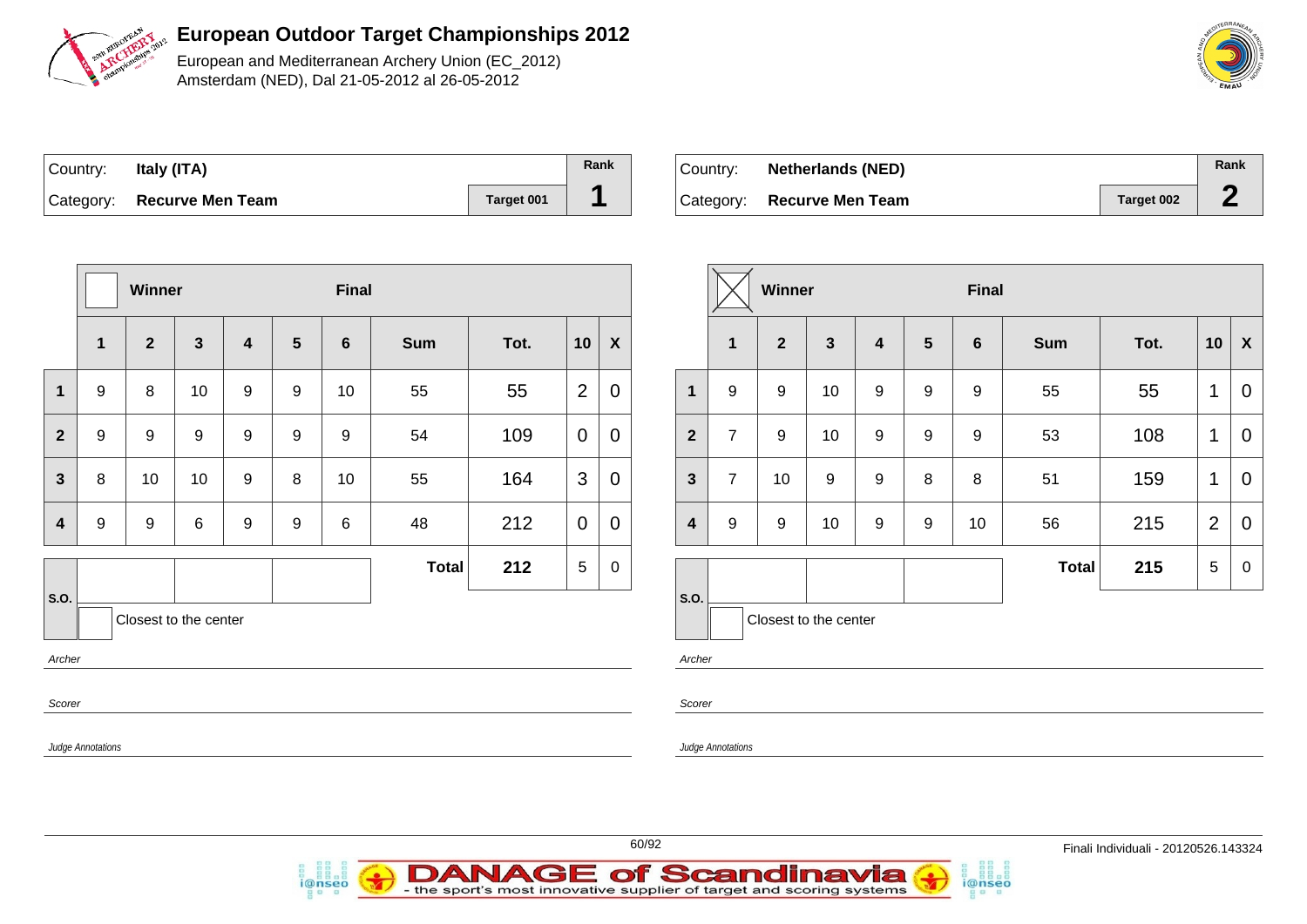

European and Mediterranean Archery Union (EC\_2012) Amsterdam (NED), Dal 21-05-2012 al 26-05-2012

| Country: | Italy (ITA)                |            | Rank |
|----------|----------------------------|------------|------|
|          | Category: Recurve Men Team | Target 001 |      |

i@nseo

| Country: | <b>Netherlands (NED)</b>   |            | Rank |
|----------|----------------------------|------------|------|
|          | Category: Recurve Men Team | Target 002 |      |

|                |                          | Winner                |                         |                         |                  | Final            |              |      |                |                           |                         |                   | Winner                |                  |  |
|----------------|--------------------------|-----------------------|-------------------------|-------------------------|------------------|------------------|--------------|------|----------------|---------------------------|-------------------------|-------------------|-----------------------|------------------|--|
|                | $\mathbf 1$              | $\overline{2}$        | $\overline{\mathbf{3}}$ | $\overline{\mathbf{4}}$ | $5\phantom{1}$   | $6\phantom{1}$   | <b>Sum</b>   | Tot. | 10             | $\boldsymbol{\mathsf{X}}$ |                         | $\mathbf 1$       | $\overline{2}$        | $\mathbf{3}$     |  |
| 1              | $9\,$                    | 8                     | 10                      | 9                       | $9\,$            | 10               | 55           | 55   | $\overline{2}$ | $\overline{0}$            | $\mathbf{1}$            | 9                 | 9                     | 10               |  |
| $\overline{2}$ | $\boldsymbol{9}$         | $9\,$                 | 9                       | 9                       | $\boldsymbol{9}$ | $\boldsymbol{9}$ | 54           | 109  | $\mathbf 0$    | $\mathbf 0$               | $\overline{2}$          | $\overline{7}$    | 9                     | 10               |  |
| $\mathbf{3}$   | 8                        | 10                    | 10                      | $\boldsymbol{9}$        | $\,8\,$          | 10               | 55           | 164  | 3              | $\mathbf 0$               | $\overline{3}$          | $\overline{7}$    | 10                    | $\boldsymbol{9}$ |  |
| 4              | 9                        | $\boldsymbol{9}$      | 6                       | 9                       | $\boldsymbol{9}$ | $\,6$            | 48           | 212  | $\mathbf 0$    | $\mathbf 0$               | $\overline{\mathbf{4}}$ | $\boldsymbol{9}$  | $9\,$                 | 10               |  |
|                |                          |                       |                         |                         |                  |                  | <b>Total</b> | 212  | 5              | $\mathbf 0$               |                         |                   |                       |                  |  |
| S.O.<br>Archer |                          | Closest to the center |                         |                         |                  |                  |              |      |                |                           | S.O.<br>Archer          |                   | Closest to the center |                  |  |
| Scorer         |                          |                       |                         |                         |                  |                  |              |      |                |                           | Scorer                  |                   |                       |                  |  |
|                | <b>Judge Annotations</b> |                       |                         |                         |                  |                  |              |      |                |                           |                         | Judge Annotations |                       |                  |  |

|                | 1 | $\overline{2}$ | 3  | 4 | $5\phantom{1}$ | 6 | <b>Sum</b> | Tot. | 10 | X |
|----------------|---|----------------|----|---|----------------|---|------------|------|----|---|
| 1              | 9 | 9              | 10 | 9 | 9              | 9 | 55         | 55   | 1  | 0 |
| $\overline{2}$ | 7 | 9              | 10 | 9 | 9              | 9 | 53         | 108  | 1  | 0 |
|                |   |                |    |   |                |   |            |      |    |   |



i@nseo



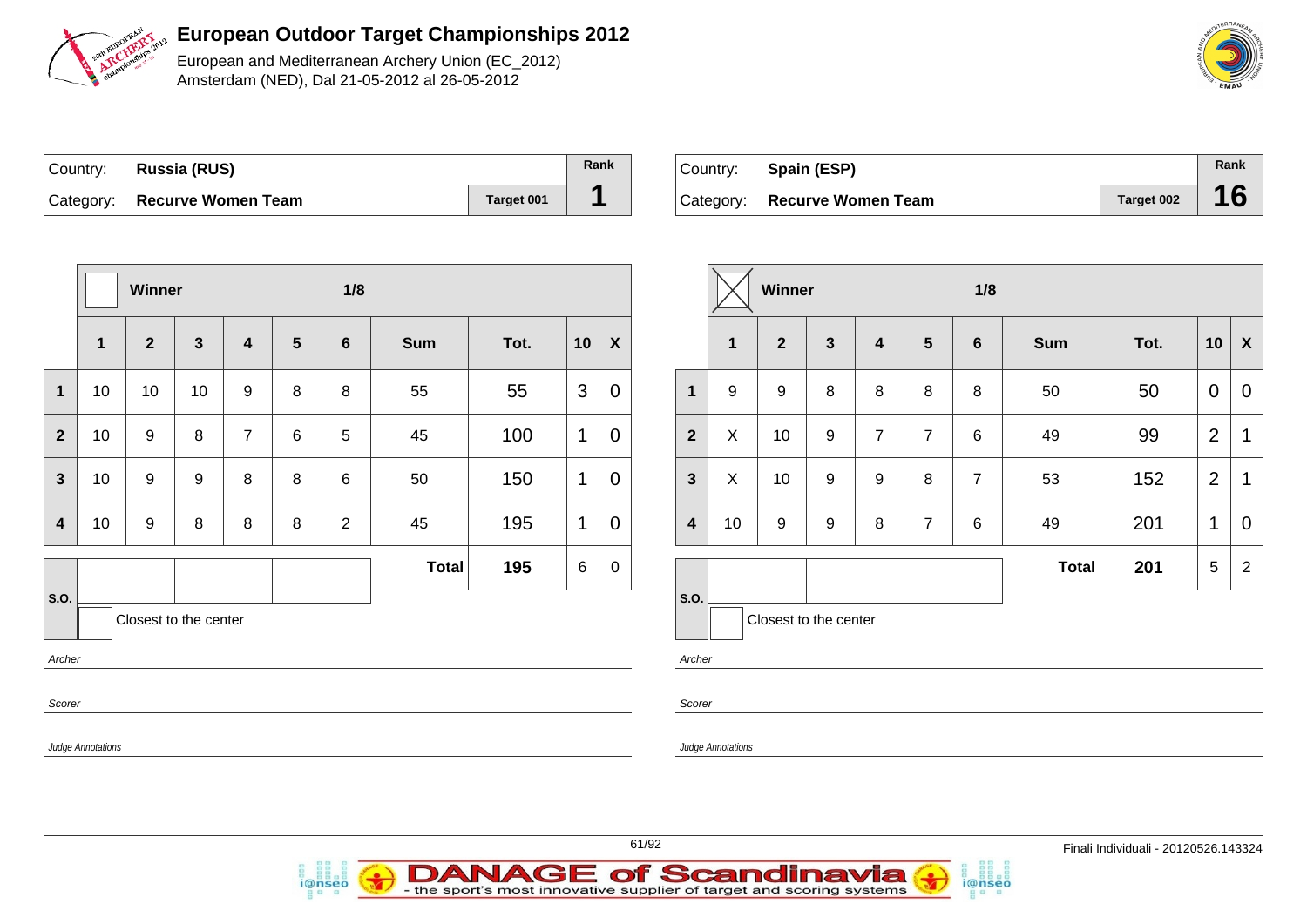

European and Mediterranean Archery Union (EC\_2012) Amsterdam (NED), Dal 21-05-2012 al 26-05-2012

| Country: Russia (RUS)        |            | Rank |
|------------------------------|------------|------|
| Category: Recurve Women Team | Target 001 |      |

i@nseo

| Country: Spain (ESP)         |            | Rank |
|------------------------------|------------|------|
| Category: Recurve Women Team | Target 002 | 16   |

|                                                   |                          | Winner         |              |                |                 | 1/8            |              |      |                |                           |                         | Winner                |                  |                  |                |                | 1/8            |              |      |                 |                           |  |
|---------------------------------------------------|--------------------------|----------------|--------------|----------------|-----------------|----------------|--------------|------|----------------|---------------------------|-------------------------|-----------------------|------------------|------------------|----------------|----------------|----------------|--------------|------|-----------------|---------------------------|--|
|                                                   | $\mathbf{1}$             | $\overline{2}$ | $\mathbf{3}$ | 4              | $5\phantom{.0}$ | 6              | Sum          | Tot. | 10             | $\boldsymbol{\mathsf{X}}$ |                         | $\mathbf{1}$          | $\mathbf{2}$     | $\mathbf{3}$     | 4              | 5              | $6\phantom{1}$ | <b>Sum</b>   | Tot. | 10              | $\boldsymbol{\mathsf{X}}$ |  |
| $\mathbf 1$                                       | 10                       | 10             | 10           | 9              | 8               | 8              | 55           | 55   | $\mathfrak{S}$ | $\mathbf 0$               | $\mathbf{1}$            | 9                     | 9                | 8                | 8              | 8              | 8              | 50           | 50   | $\overline{0}$  | $\mathbf 0$               |  |
| $\overline{2}$                                    | 10                       | 9              | 8            | $\overline{7}$ | 6               | 5              | 45           | 100  | $\mathbf{1}$   | $\mathbf 0$               | $\overline{\mathbf{2}}$ | $\pmb{\times}$        | 10               | 9                | $\overline{7}$ | $\overline{7}$ | $\,6$          | 49           | 99   | $\overline{2}$  | $\mathbf 1$               |  |
| $\mathbf{3}$                                      | 10                       | 9              | 9            | 8              | 8               | 6              | 50           | 150  | $\mathbf 1$    | $\mathbf 0$               | $\mathbf{3}$            | $\boldsymbol{X}$      | 10               | $\boldsymbol{9}$ | 9              | 8              | $\overline{7}$ | 53           | 152  | $\overline{2}$  | $\mathbf 1$               |  |
| $\overline{\mathbf{4}}$                           | 10                       | 9              | 8            | 8              | 8               | $\overline{2}$ | 45           | 195  | 1              | $\mathbf 0$               | $\overline{\mathbf{4}}$ | 10                    | $\boldsymbol{9}$ | 9                | 8              | $\overline{7}$ | 6              | 49           | 201  | $\mathbf{1}$    | $\mathbf 0$               |  |
|                                                   |                          |                |              |                |                 |                | <b>Total</b> | 195  | 6              | $\mathbf 0$               |                         |                       |                  |                  |                |                |                | <b>Total</b> | 201  | $5\phantom{.0}$ | $\overline{2}$            |  |
| S.O.<br>Closest to the center<br>Archer<br>Scorer |                          |                |              |                |                 |                |              |      |                | S.O.<br>Archer<br>Scorer  |                         | Closest to the center |                  |                  |                |                |                |              |      |                 |                           |  |
|                                                   | <b>Judge Annotations</b> |                |              |                |                 |                |              |      |                |                           |                         | Judge Annotations     |                  |                  |                |                |                |              |      |                 |                           |  |
|                                                   |                          |                |              |                |                 |                |              |      |                |                           |                         |                       |                  |                  |                |                |                |              |      |                 |                           |  |



i@nseo

**DANAGE of Scandinavia**<br>- the sport's most innovative supplier of target and scoring systems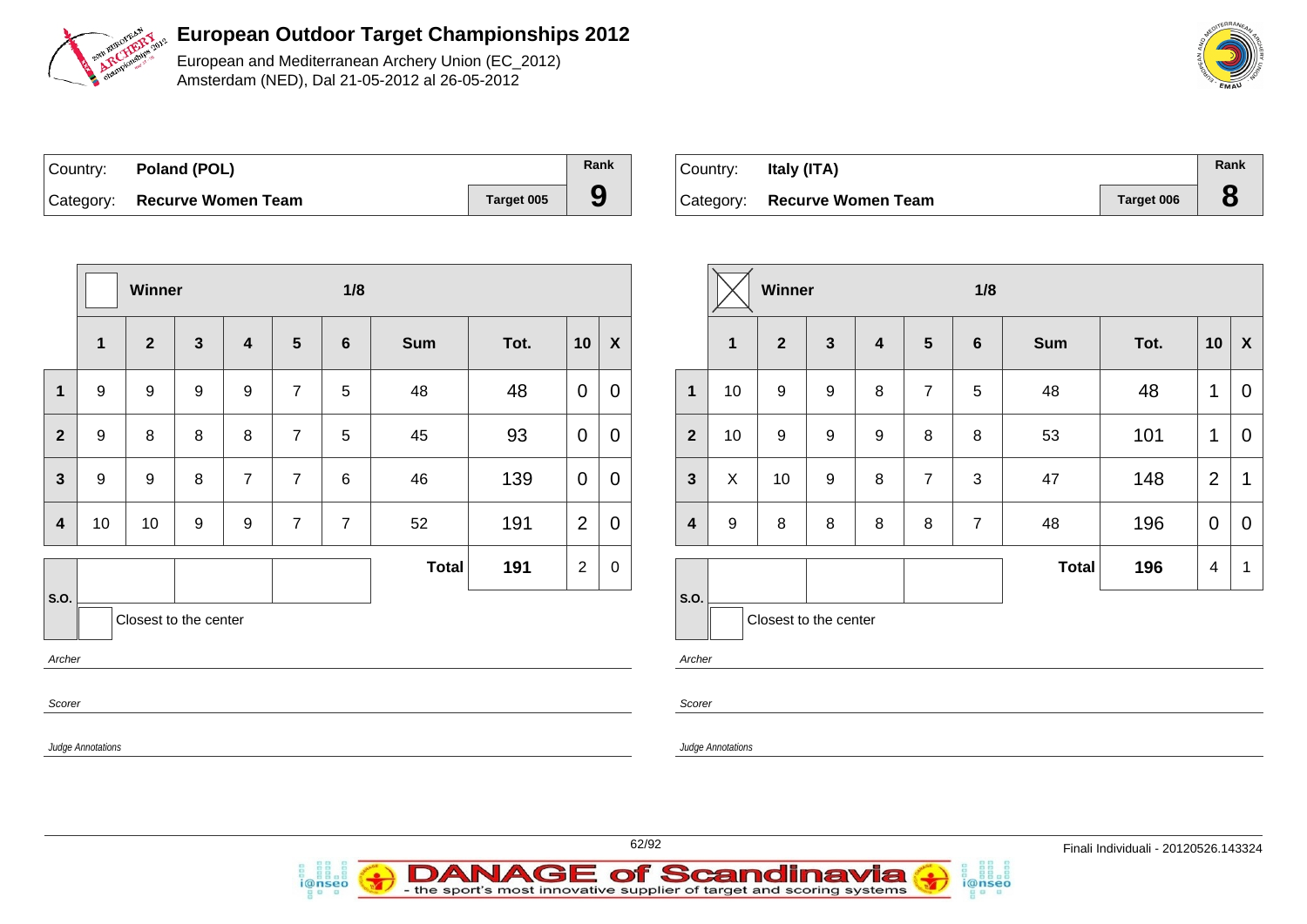

European and Mediterranean Archery Union (EC\_2012) Amsterdam (NED), Dal 21-05-2012 al 26-05-2012

| Country: Poland (POL)        |            | Rank |
|------------------------------|------------|------|
| Category: Recurve Women Team | Target 005 | 9    |

*i*@nseo

| Country: | Italy (ITA)                  |            | Rank |
|----------|------------------------------|------------|------|
|          | Category: Recurve Women Team | Target 006 |      |

|                                                   |              | Winner         |              |                |                | 1/8            |              |      |                | Winner           |                          |                   | 1/8                   |                  |                  |                 |                |       |      |                |                |
|---------------------------------------------------|--------------|----------------|--------------|----------------|----------------|----------------|--------------|------|----------------|------------------|--------------------------|-------------------|-----------------------|------------------|------------------|-----------------|----------------|-------|------|----------------|----------------|
|                                                   | $\mathbf{1}$ | $\overline{2}$ | $\mathbf{3}$ | 4              | $5\phantom{1}$ | $6\phantom{1}$ | <b>Sum</b>   | Tot. | 10             | $\pmb{\chi}$     |                          | $\mathbf{1}$      | $\overline{2}$        | $\mathbf{3}$     | $\boldsymbol{4}$ | $5\phantom{.0}$ | 6              | Sum   | Tot. | 10             | $\mathbf{X}$   |
| $\mathbf{1}$                                      | 9            | 9              | 9            | 9              | $\overline{7}$ | 5              | 48           | 48   | $\mathbf 0$    | $\mathbf 0$      | $\mathbf{1}$             | 10                | 9                     | $\boldsymbol{9}$ | 8                | $\overline{7}$  | 5              | 48    | 48   | $\mathbf 1$    | $\overline{0}$ |
| $\overline{2}$                                    | 9            | 8              | 8            | $\bf 8$        | $\overline{7}$ | 5              | 45           | 93   | $\overline{0}$ | $\mathbf 0$      | $\overline{2}$           | 10                | $\boldsymbol{9}$      | $\boldsymbol{9}$ | $\boldsymbol{9}$ | $\bf 8$         | $\bf 8$        | 53    | 101  | $\mathbf{1}$   | $\overline{0}$ |
| $\mathbf{3}$                                      | 9            | 9              | 8            | $\overline{7}$ | $\overline{7}$ | 6              | 46           | 139  | $\overline{0}$ | $\mathbf 0$      | $\mathbf{3}$             | $\mathsf X$       | 10                    | $\boldsymbol{9}$ | $\bf 8$          | $\overline{7}$  | $\sqrt{3}$     | 47    | 148  | $\overline{2}$ | $\mathbf{1}$   |
| $\overline{\mathbf{4}}$                           | 10           | 10             | 9            | 9              | $\overline{7}$ | $\overline{7}$ | 52           | 191  | 2              | $\mathbf 0$      | $\overline{\mathbf{4}}$  | 9                 | 8                     | $\bf 8$          | 8                | 8               | $\overline{7}$ | 48    | 196  | $\overline{0}$ | $\overline{0}$ |
|                                                   |              |                |              |                |                |                | <b>Total</b> | 191  | $\overline{2}$ | $\boldsymbol{0}$ |                          |                   |                       |                  |                  |                 |                | Total | 196  | $\overline{4}$ | $\overline{1}$ |
| S.O.<br>Closest to the center<br>Archer<br>Scorer |              |                |              |                |                |                |              |      |                |                  | S.O.<br>Archer<br>Scorer |                   | Closest to the center |                  |                  |                 |                |       |      |                |                |
| Judge Annotations                                 |              |                |              |                |                |                |              |      |                |                  |                          | Judge Annotations |                       |                  |                  |                 |                |       |      |                |                |



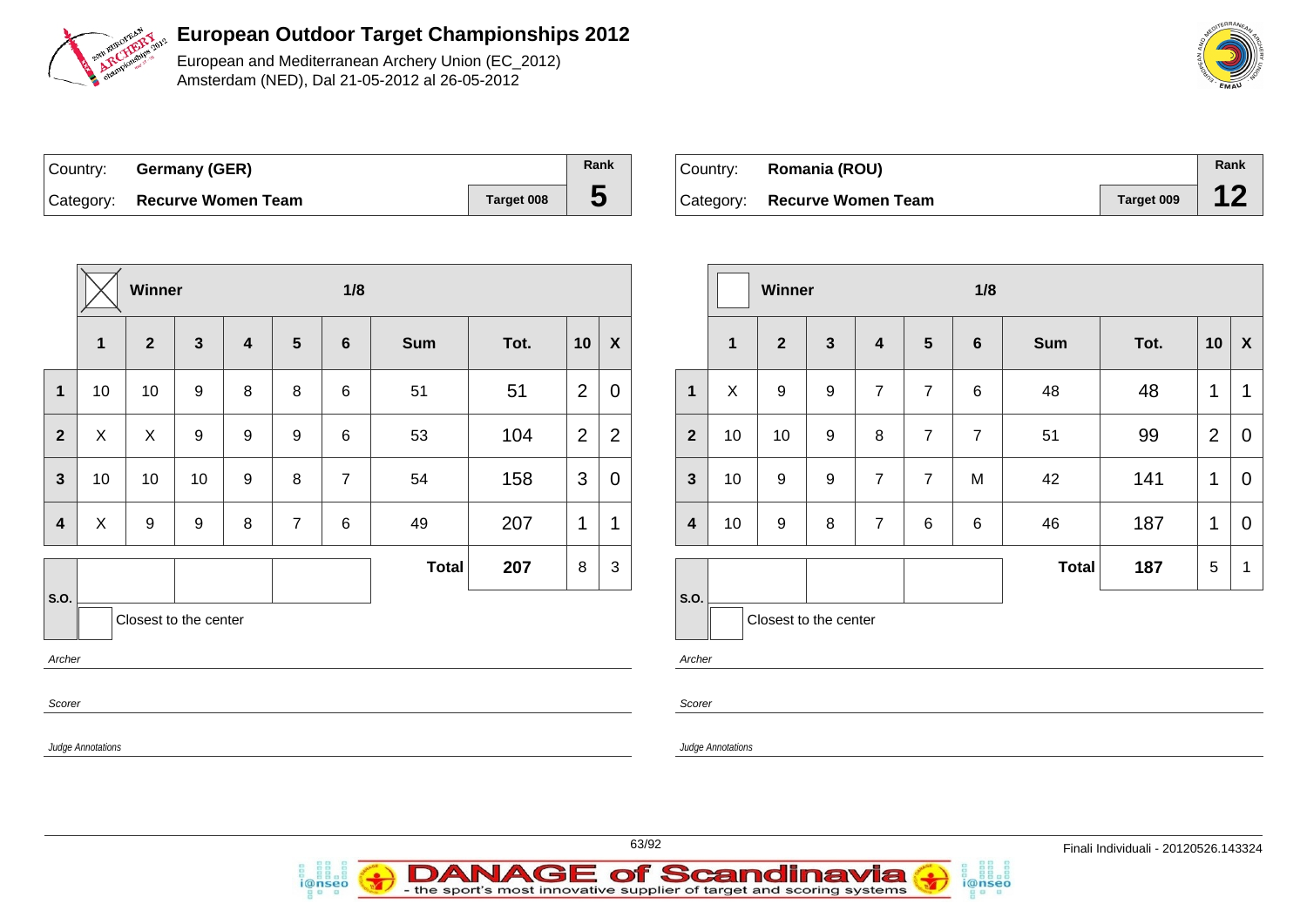

European and Mediterranean Archery Union (EC\_2012) Amsterdam (NED), Dal 21-05-2012 al 26-05-2012

| ∣Country: | Germany (GER)                |            | Rank |
|-----------|------------------------------|------------|------|
|           | Category: Recurve Women Team | Target 008 |      |

| Country: | Romania (ROU)                |            | Rank |
|----------|------------------------------|------------|------|
|          | Category: Recurve Women Team | Target 009 |      |

|                  |                   | <b>Winner</b>    |                       |         |                  | 1/8            |              |      |                | Winner           |                |                   |                  |                  |
|------------------|-------------------|------------------|-----------------------|---------|------------------|----------------|--------------|------|----------------|------------------|----------------|-------------------|------------------|------------------|
|                  | 1                 | $\overline{2}$   | $\mathbf{3}$          | 4       | $5\phantom{.0}$  | $\bf 6$        | <b>Sum</b>   | Tot. | 10             | $\boldsymbol{X}$ |                | 1                 | $\mathbf{2}$     | $\mathbf{3}$     |
| $\mathbf{1}$     | 10                | 10               | $\boldsymbol{9}$      | 8       | $\,8\,$          | $\,6$          | 51           | 51   | $\overline{2}$ | $\mathbf 0$      | $\mathbf{1}$   | X                 | $\boldsymbol{9}$ | $\boldsymbol{9}$ |
| $\overline{2}$   | $\pmb{\times}$    | X                | 9                     | 9       | $\boldsymbol{9}$ | $\,6$          | 53           | 104  | $\overline{2}$ | $\mathbf{2}$     | $\overline{2}$ | 10                | 10               | $\boldsymbol{9}$ |
| $\mathbf{3}$     | 10                | 10               | 10                    | 9       | $\,8\,$          | $\overline{7}$ | 54           | 158  | 3              | $\boldsymbol{0}$ | $\mathbf{3}$   | 10                | $\boldsymbol{9}$ | $\boldsymbol{9}$ |
| $\boldsymbol{4}$ | X                 | $\boldsymbol{9}$ | 9                     | $\,8\,$ | $\overline{7}$   | $\,6$          | 49           | 207  | $\mathbf{1}$   | $\mathbf{1}$     | 4              | 10                | $\boldsymbol{9}$ | 8                |
|                  |                   |                  |                       |         |                  |                | <b>Total</b> | 207  | $\,8\,$        | $\sqrt{3}$       |                |                   |                  |                  |
| S.O.             |                   |                  | Closest to the center |         |                  |                |              |      |                |                  | S.O.           |                   | Closest to the   |                  |
| Archer           |                   |                  |                       |         |                  |                |              |      |                |                  |                | Archer            |                  |                  |
| Scorer           |                   |                  |                       |         |                  |                |              |      |                |                  |                | Scorer            |                  |                  |
|                  | Judge Annotations |                  |                       |         |                  |                |              |      |                |                  |                | Judge Annotations |                  |                  |
|                  |                   |                  |                       |         |                  |                |              |      |                |                  |                |                   |                  |                  |

|                         |              | Winner                |                  |                |                | 1/8            |              |      |                |                |
|-------------------------|--------------|-----------------------|------------------|----------------|----------------|----------------|--------------|------|----------------|----------------|
|                         | $\mathbf{1}$ | $\mathbf{2}$          | $\mathbf{3}$     | 4              | $5\phantom{1}$ | $6\phantom{1}$ | <b>Sum</b>   | Tot. | 10             | X              |
| $\mathbf{1}$            | X            | 9                     | $\boldsymbol{9}$ | $\overline{7}$ | $\overline{7}$ | 6              | 48           | 48   | 1              | 1              |
| $\overline{2}$          | 10           | 10                    | 9                | 8              | $\overline{7}$ | $\overline{7}$ | 51           | 99   | $\overline{2}$ | 0              |
| $\overline{\mathbf{3}}$ | 10           | 9                     | 9                | $\overline{7}$ | $\overline{7}$ | M              | 42           | 141  | 1              | $\overline{0}$ |
| $\overline{\mathbf{4}}$ | 10           | $\boldsymbol{9}$      | 8                | $\overline{7}$ | $6\phantom{1}$ | 6              | 46           | 187  | 1              | 0              |
|                         |              |                       |                  |                |                |                | <b>Total</b> | 187  | 5              | 1              |
| S.O.                    |              | Closest to the center |                  |                |                |                |              |      |                |                |

i@nseo



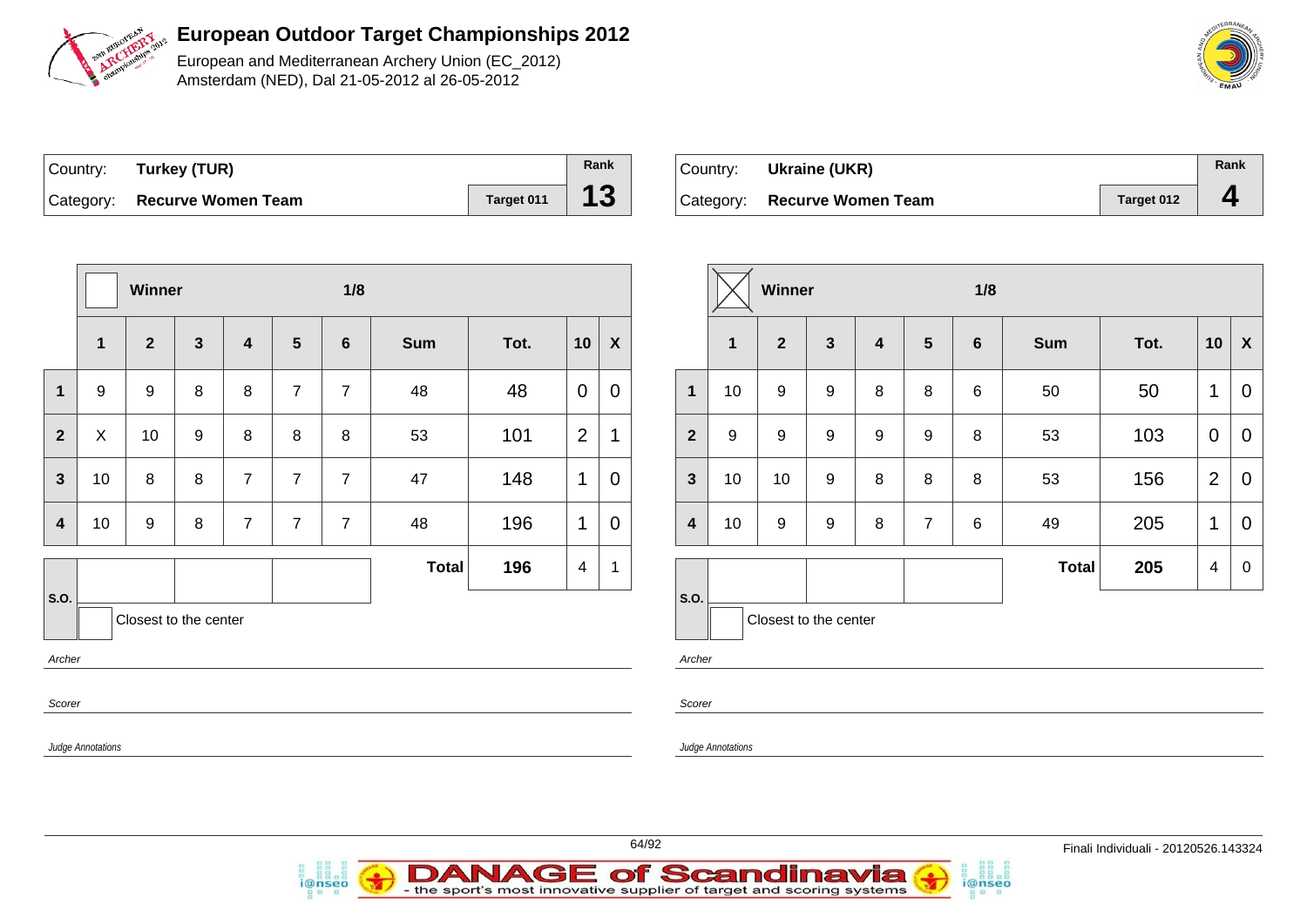

European and Mediterranean Archery Union (EC\_2012) Amsterdam (NED), Dal 21-05-2012 al 26-05-2012

| Country: Turkey (TUR)        |            | Rank |
|------------------------------|------------|------|
| Category: Recurve Women Team | Target 011 | 13   |

*i*@nseo

| ⊺Country: | Ukraine (UKR)                |            | Rank |
|-----------|------------------------------|------------|------|
|           | Category: Recurve Women Team | Target 012 | д    |

i@nseo

|                                               |                         | Winner                |              |                |                | 1/8            |              |      |                |                  | Winner                  |                  |                       |                  |   |                  | 1/8             |            |      |                |                |
|-----------------------------------------------|-------------------------|-----------------------|--------------|----------------|----------------|----------------|--------------|------|----------------|------------------|-------------------------|------------------|-----------------------|------------------|---|------------------|-----------------|------------|------|----------------|----------------|
|                                               | $\overline{\mathbf{1}}$ | $\overline{2}$        | $\mathbf{3}$ | $\overline{4}$ | $5\phantom{1}$ | $6\phantom{1}$ | <b>Sum</b>   | Tot. | 10             | $\boldsymbol{X}$ |                         | $\mathbf{1}$     | $\mathbf{2}$          | $\mathbf{3}$     | 4 | $5\phantom{.0}$  | $6\phantom{1}6$ | <b>Sum</b> | Tot. |                | $10 \mid X$    |
| $\mathbf 1$                                   | 9                       | 9                     | 8            | 8              | $\overline{7}$ | $\overline{7}$ | 48           | 48   | $\mathbf 0$    | $\boldsymbol{0}$ | $\mathbf 1$             | 10               | 9                     | 9                | 8 | 8                | 6               | 50         | 50   | 1              | $\overline{0}$ |
| $\overline{2}$                                | X                       | 10                    | 9            | 8              | 8              | 8              | 53           | 101  | $\overline{2}$ | $\mathbf{1}$     | $\overline{2}$          | $\boldsymbol{9}$ | 9                     | $\boldsymbol{9}$ | 9 | $\boldsymbol{9}$ | 8               | 53         | 103  | $\overline{0}$ | $\overline{0}$ |
| $\mathbf{3}$                                  | 10                      | 8                     | 8            | $\overline{7}$ | $\overline{7}$ | $\overline{7}$ | 47           | 148  | $\mathbf{1}$   | $\mathbf 0$      | $\mathbf{3}$            | 10               | 10                    | $\boldsymbol{9}$ | 8 | 8                | 8               | 53         | 156  | 2              | $\overline{0}$ |
| $\overline{\mathbf{4}}$                       | 10                      | 9                     | 8            | $\overline{7}$ | $\overline{7}$ | $\overline{7}$ | 48           | 196  | $\mathbf{1}$   | $\mathbf 0$      | $\overline{\mathbf{4}}$ | 10               | 9                     | $\boldsymbol{9}$ | 8 | $\overline{7}$   | 6               | 49         | 205  | $\mathbf{1}$   | $\overline{0}$ |
|                                               |                         |                       |              |                |                |                | <b>Total</b> | 196  | $\overline{4}$ | $\mathbf{1}$     |                         |                  |                       |                  |   |                  |                 | Total      | 205  | $\overline{4}$ | $\overline{0}$ |
| S.O.                                          |                         | Closest to the center |              |                |                |                |              |      |                |                  | S.O.                    |                  | Closest to the center |                  |   |                  |                 |            |      |                |                |
| Archer                                        |                         |                       |              |                |                |                |              |      |                |                  | Archer                  |                  |                       |                  |   |                  |                 |            |      |                |                |
| Scorer<br>Scorer                              |                         |                       |              |                |                |                |              |      |                |                  |                         |                  |                       |                  |   |                  |                 |            |      |                |                |
| <b>Judge Annotations</b><br>Judge Annotations |                         |                       |              |                |                |                |              |      |                |                  |                         |                  |                       |                  |   |                  |                 |            |      |                |                |
|                                               |                         |                       |              |                |                |                |              |      |                |                  |                         |                  |                       |                  |   |                  |                 |            |      |                |                |

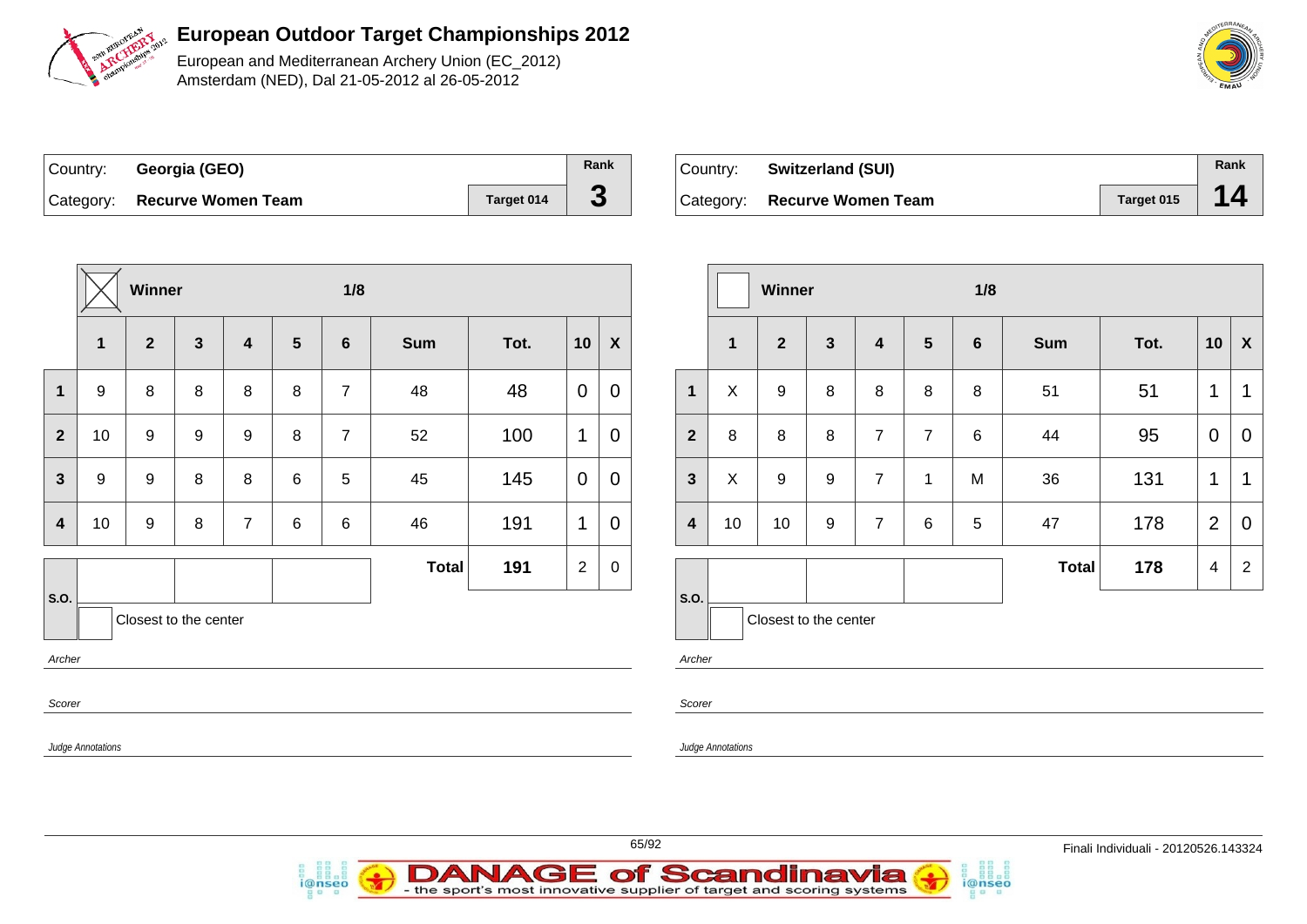

European and Mediterranean Archery Union (EC\_2012) Amsterdam (NED), Dal 21-05-2012 al 26-05-2012

| Country: Georgia (GEO)       |            | Rank |
|------------------------------|------------|------|
| Category: Recurve Women Team | Target 014 | J    |

i@nseo

| ∣Country: | <b>Switzerland (SUI)</b>     |            | Rank |
|-----------|------------------------------|------------|------|
|           | Category: Recurve Women Team | Target 015 |      |

i@nseo

|                         | Winner                                    |              |              |                |   | 1/8             |              |      | Winner         |                  |                         |                   |                       |              | 1/8            |                 |   |       |      |                |                           |
|-------------------------|-------------------------------------------|--------------|--------------|----------------|---|-----------------|--------------|------|----------------|------------------|-------------------------|-------------------|-----------------------|--------------|----------------|-----------------|---|-------|------|----------------|---------------------------|
|                         | $\mathbf{1}$                              | $\mathbf{2}$ | $\mathbf{3}$ | 4              | 5 | $6\phantom{1}6$ | <b>Sum</b>   | Tot. | 10             | $\boldsymbol{X}$ |                         | $\mathbf{1}$      | $\overline{2}$        | $\mathbf{3}$ | 4              | $5\phantom{.0}$ | 6 | Sum   | Tot. | 10             | $\boldsymbol{\mathsf{x}}$ |
| $\mathbf 1$             | 9                                         | 8            | 8            | 8              | 8 | $\overline{7}$  | 48           | 48   | $\mathbf 0$    | $\mathbf 0$      | $\mathbf{1}$            | X                 | 9                     | 8            | 8              | 8               | 8 | 51    | 51   | $\mathbf 1$    | $\overline{1}$            |
| $\overline{2}$          | 10                                        | 9            | 9            | 9              | 8 | $\overline{7}$  | 52           | 100  | $\mathbf 1$    | $\mathbf 0$      | $\mathbf{2}$            | 8                 | 8                     | 8            | $\overline{7}$ | $\overline{7}$  | 6 | 44    | 95   | $\mathbf{0}$   | $\mathbf 0$               |
| $3\phantom{a}$          | 9                                         | 9            | 8            | 8              | 6 | 5               | 45           | 145  | $\mathbf 0$    | 0                | $\mathbf{3}$            | X                 | 9                     | 9            | $\overline{7}$ | -1              | M | 36    | 131  | $\mathbf{1}$   | $\mathbf 1$               |
| $\overline{\mathbf{4}}$ | 10                                        | 9            | 8            | $\overline{7}$ | 6 | 6               | 46           | 191  | $\mathbf 1$    | 0                | $\overline{\mathbf{4}}$ | 10                | 10                    | 9            | $\overline{7}$ | 6               | 5 | 47    | 178  | $\overline{2}$ | 0                         |
| S.O.                    |                                           |              |              |                |   |                 | <b>Total</b> | 191  | $\overline{c}$ | $\mathbf 0$      | S.O.                    |                   | Closest to the center |              |                |                 |   | Total | 178  | $\overline{4}$ | $\overline{2}$            |
|                         | Closest to the center<br>Archer<br>Scorer |              |              |                |   |                 |              |      |                |                  | Archer<br>Scorer        |                   |                       |              |                |                 |   |       |      |                |                           |
|                         | <b>Judge Annotations</b>                  |              |              |                |   |                 |              |      |                |                  |                         | Judge Annotations |                       |              |                |                 |   |       |      |                |                           |

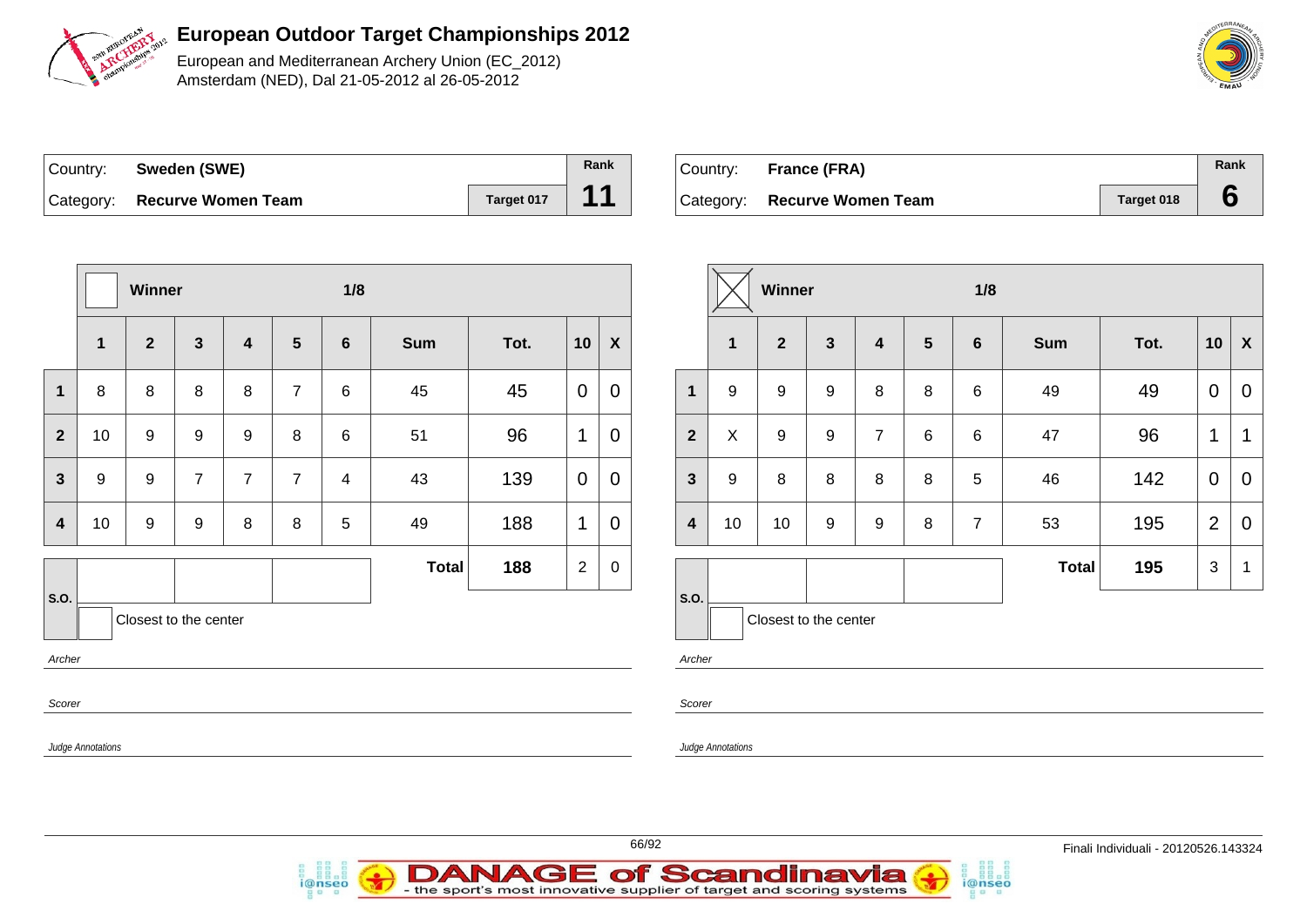

European and Mediterranean Archery Union (EC\_2012) Amsterdam (NED), Dal 21-05-2012 al 26-05-2012

| Country: Sweden (SWE)        |            | Rank |
|------------------------------|------------|------|
| Category: Recurve Women Team | Target 017 | 11   |

| Country: | France (FRA)                 |            | Rank |
|----------|------------------------------|------------|------|
|          | Category: Recurve Women Team | Target 018 |      |

|                         | Winner |                       |                  |                  |                |                |              |      |                |                  | Winner                  |                          |                       |                  |                         | 1/8            |                |            |      |                |                |
|-------------------------|--------|-----------------------|------------------|------------------|----------------|----------------|--------------|------|----------------|------------------|-------------------------|--------------------------|-----------------------|------------------|-------------------------|----------------|----------------|------------|------|----------------|----------------|
|                         | 1      | $\overline{2}$        | $\mathbf{3}$     | 4                | 5 <sup>5</sup> | $6\phantom{1}$ | <b>Sum</b>   | Tot. | 10             | $\boldsymbol{X}$ |                         | $\mathbf{1}$             | $\mathbf{2}$          | $\mathbf{3}$     | $\overline{\mathbf{4}}$ | $5\phantom{a}$ | $6\phantom{1}$ | <b>Sum</b> | Tot. | 10             | $\mathbf{X}$   |
| $\mathbf 1$             | 8      | 8                     | 8                | 8                | $\overline{7}$ | 6              | 45           | 45   | $\mathbf 0$    | $\boldsymbol{0}$ | $\mathbf{1}$            | 9                        | 9                     | $\boldsymbol{9}$ | 8                       | 8              | 6              | 49         | 49   | $\mathbf 0$    | $\overline{0}$ |
| $\overline{2}$          | 10     | 9                     | $\boldsymbol{9}$ | $\boldsymbol{9}$ | 8              | 6              | 51           | 96   | $\mathbf 1$    | $\boldsymbol{0}$ | $\overline{2}$          | $\pmb{\times}$           | $\boldsymbol{9}$      | $\boldsymbol{9}$ | $\overline{7}$          | $\,6\,$        | 6              | 47         | 96   | $\mathbf{1}$   | $\mathbf{1}$   |
| $\mathbf{3}$            | 9      | 9                     | $\overline{7}$   | $\overline{7}$   | $\overline{7}$ | $\overline{4}$ | 43           | 139  | $\mathbf 0$    | $\boldsymbol{0}$ | $\mathbf{3}$            | 9                        | 8                     | $\,8\,$          | 8                       | $\bf 8$        | $\sqrt{5}$     | 46         | 142  | $\overline{0}$ | $\overline{0}$ |
| $\overline{\mathbf{4}}$ | 10     | 9                     | 9                | 8                | 8              | 5              | 49           | 188  | 1              | $\mathbf 0$      | $\overline{\mathbf{4}}$ | 10                       | 10                    | $\boldsymbol{9}$ | $\boldsymbol{9}$        | $\bf 8$        | $\overline{7}$ | 53         | 195  | $\overline{2}$ | $\overline{0}$ |
|                         |        |                       |                  |                  |                |                | <b>Total</b> | 188  | $\overline{2}$ | $\mathbf 0$      |                         |                          |                       |                  |                         |                |                | Total      | 195  | $\mathbf{3}$   | $\overline{1}$ |
| S.O.                    |        | Closest to the center |                  |                  |                |                |              |      |                |                  | <b>S.O.</b>             |                          | Closest to the center |                  |                         |                |                |            |      |                |                |
| Archer                  |        |                       |                  |                  |                |                |              |      |                |                  | Archer                  |                          |                       |                  |                         |                |                |            |      |                |                |
| Scorer                  |        |                       |                  |                  |                |                |              |      |                |                  | Scorer                  |                          |                       |                  |                         |                |                |            |      |                |                |
| Judge Annotations       |        |                       |                  |                  |                |                |              |      |                |                  |                         | <b>Judge Annotations</b> |                       |                  |                         |                |                |            |      |                |                |
|                         |        |                       |                  |                  |                |                |              |      |                |                  |                         |                          |                       |                  |                         |                |                |            |      |                |                |





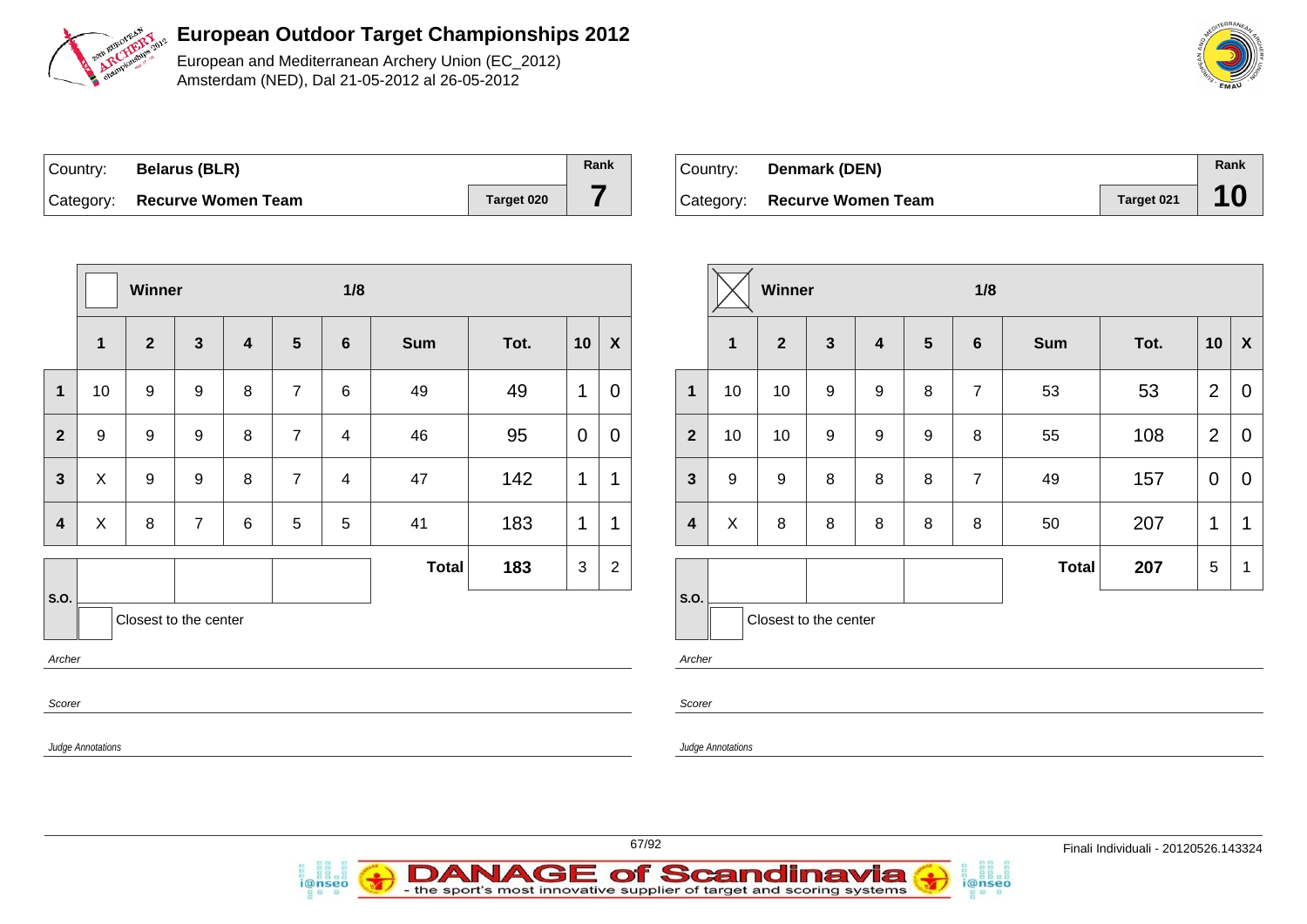

European and Mediterranean Archery Union (EC\_2012) Amsterdam (NED), Dal 21-05-2012 al 26-05-2012

| ∣Country: | <b>Belarus (BLR)</b>         |            | Rank |
|-----------|------------------------------|------------|------|
|           | Category: Recurve Women Team | Target 020 |      |

i@nseo

| ⊺Country: | Denmark (DEN)                |            | Rank |
|-----------|------------------------------|------------|------|
|           | Category: Recurve Women Team | Target 021 |      |

i@nseo

|                                                                        |              | Winner           |                  |                  |                 | 1/8            |            |      |             | Winner                   |                          |                       |                  |              |                | 1/8             |                |              |      |                 |                           |
|------------------------------------------------------------------------|--------------|------------------|------------------|------------------|-----------------|----------------|------------|------|-------------|--------------------------|--------------------------|-----------------------|------------------|--------------|----------------|-----------------|----------------|--------------|------|-----------------|---------------------------|
|                                                                        | $\mathbf{1}$ | $\boldsymbol{2}$ | $\mathbf{3}$     | $\boldsymbol{4}$ | $5\phantom{.0}$ | $6\phantom{1}$ | <b>Sum</b> | Tot. | 10          | $\pmb{\mathsf{X}}$       |                          | $\mathbf 1$           | $\mathbf{2}$     | $\mathbf{3}$ | $\overline{4}$ | $5\phantom{.0}$ | $6\phantom{1}$ | <b>Sum</b>   | Tot. | 10              | $\boldsymbol{\mathsf{X}}$ |
| $\mathbf{1}$                                                           | 10           | 9                | 9                | 8                | $\overline{7}$  | 6              | 49         | 49   |             | $\mathbf 0$              | $\mathbf{1}$             | 10                    | 10               | 9            | 9              | 8               | $\overline{7}$ | 53           | 53   | $\overline{2}$  | $\mathbf 0$               |
| $\overline{2}$                                                         | 9            | 9                | 9                | 8                | $\overline{7}$  | 4              | 46         | 95   | $\mathbf 0$ | $\boldsymbol{0}$         | $\overline{2}$           | 10                    | 10               | 9            | 9              | 9               | 8              | 55           | 108  | 2               | 0                         |
| $\mathbf{3}$                                                           | X            | $\boldsymbol{9}$ | $\boldsymbol{9}$ | 8                | $\overline{7}$  | $\overline{4}$ | 47         | 142  | 1           | 1                        | $\mathbf{3}$             | 9                     | $\boldsymbol{9}$ | 8            | 8              | 8               | $\overline{7}$ | 49           | 157  | $\overline{0}$  | $\mathbf 0$               |
| $\overline{\mathbf{4}}$                                                | X            | 8                | $\overline{7}$   | 6                | $5\phantom{.0}$ | $\sqrt{5}$     | 41         | 183  | $\mathbf 1$ | 1                        | $\overline{\mathbf{4}}$  | $\pmb{\times}$        | 8                | 8            | 8              | 8               | 8              | 50           | 207  | $\mathbf{1}$    | $\overline{1}$            |
|                                                                        |              |                  |                  |                  |                 |                | Total      | 183  | 3           | $\overline{2}$           |                          |                       |                  |              |                |                 |                | <b>Total</b> | 207  | $5\phantom{.0}$ | - 1                       |
| S.O.<br>Closest to the center<br>Archer<br>Scorer<br>Judge Annotations |              |                  |                  |                  |                 |                |            |      |             | S.O.<br>Archer<br>Scorer | <b>Judge Annotations</b> | Closest to the center |                  |              |                |                 |                |              |      |                 |                           |
|                                                                        |              |                  |                  |                  |                 |                |            |      |             |                          |                          |                       |                  |              |                |                 |                |              |      |                 |                           |

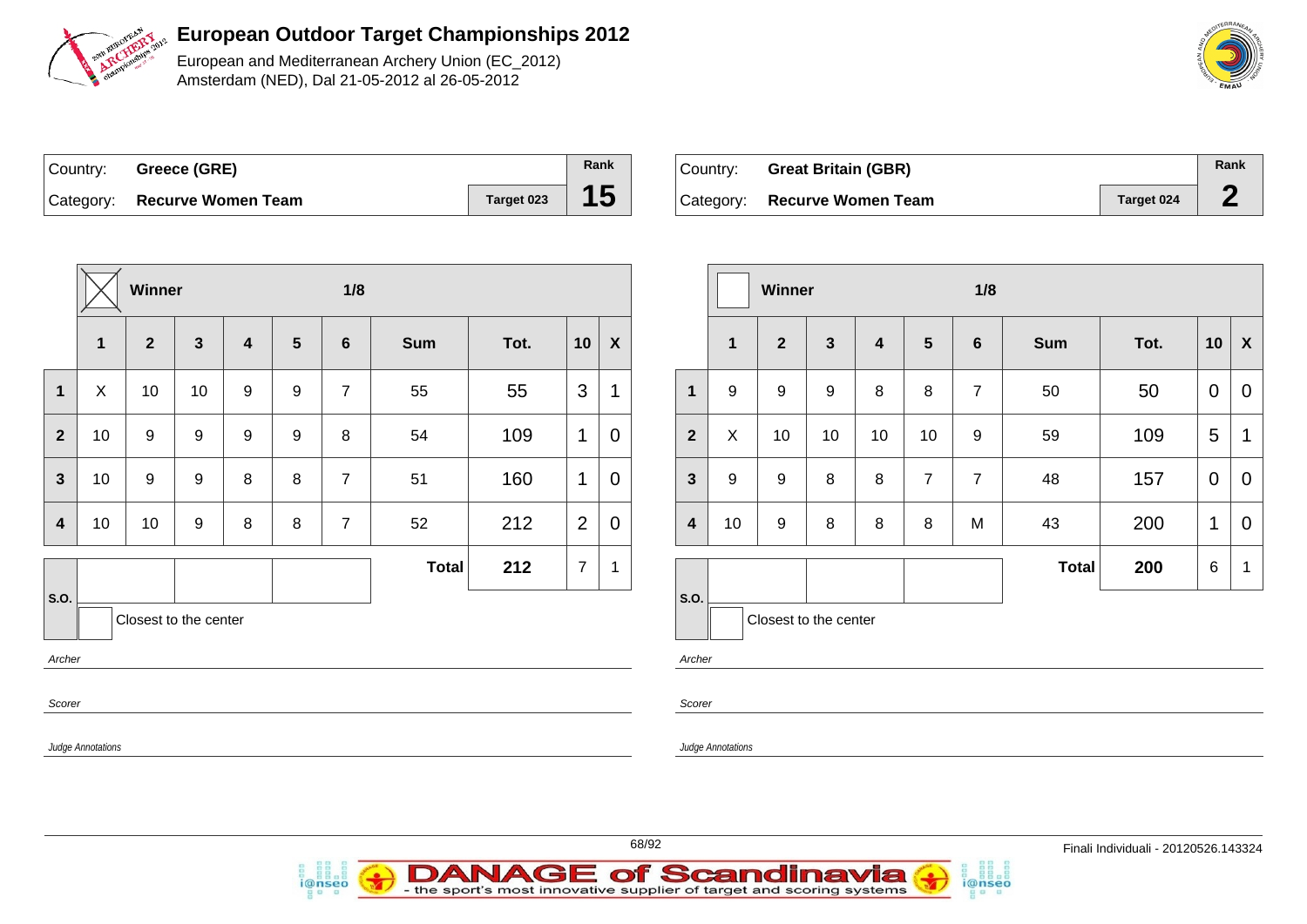

European and Mediterranean Archery Union (EC\_2012) Amsterdam (NED), Dal 21-05-2012 al 26-05-2012

| Country: Greece (GRE)        |            | Rank |
|------------------------------|------------|------|
| Category: Recurve Women Team | Target 023 | 15   |

i@nseo

| Country: Great Britain (GBR) |            | Rank |
|------------------------------|------------|------|
| Category: Recurve Women Team | Target 024 |      |

i@nseo

|                          | Winner       |                       |                  |   |                  |                | 1/8          |      |                |                  |                         | 1/8<br>Winner            |                       |              |    |                 |                |              |      |                 |                           |
|--------------------------|--------------|-----------------------|------------------|---|------------------|----------------|--------------|------|----------------|------------------|-------------------------|--------------------------|-----------------------|--------------|----|-----------------|----------------|--------------|------|-----------------|---------------------------|
|                          | $\mathbf{1}$ | $\mathbf{2}$          | $\mathbf{3}$     | 4 | $5\phantom{.0}$  | $6\phantom{1}$ | <b>Sum</b>   | Tot. | 10             | $\boldsymbol{X}$ |                         | $\mathbf{1}$             | $\overline{2}$        | $\mathbf{3}$ | 4  | $5\phantom{.0}$ | 6              | Sum          | Tot. | 10              | $\boldsymbol{\mathsf{x}}$ |
| $\mathbf 1$              | $\mathsf X$  | 10                    | 10               | 9 | 9                | $\overline{7}$ | 55           | 55   | 3              | 1                | $\mathbf 1$             | 9                        | 9                     | 9            | 8  | 8               | $\overline{7}$ | 50           | 50   | $\overline{0}$  | 0                         |
| $\overline{2}$           | 10           | 9                     | 9                | 9 | $\boldsymbol{9}$ | $\bf 8$        | 54           | 109  | $\mathbf 1$    | $\mathbf 0$      | $\overline{\mathbf{2}}$ | X                        | 10                    | 10           | 10 | 10              | 9              | 59           | 109  | $\overline{5}$  | $\mathbf 1$               |
| $\mathbf{3}$             | 10           | 9                     | 9                | 8 | 8                | $\overline{7}$ | 51           | 160  | $\mathbf 1$    | $\mathbf 0$      | $\mathbf{3}$            | 9                        | 9                     | 8            | 8  | $\overline{7}$  | $\overline{7}$ | 48           | 157  | $\overline{0}$  | $\mathbf 0$               |
| $\overline{\mathbf{4}}$  | 10           | 10                    | $\boldsymbol{9}$ | 8 | $\bf 8$          | $\overline{7}$ | 52           | 212  | 2              | $\mathbf 0$      | $\overline{\mathbf{4}}$ | 10                       | $\mathsf g$           | 8            | 8  | 8               | M              | 43           | 200  | $\mathbf{1}$    | $\overline{0}$            |
|                          |              |                       |                  |   |                  |                | <b>Total</b> | 212  | $\overline{7}$ | $\mathbf 1$      |                         |                          |                       |              |    |                 |                | <b>Total</b> | 200  | $6\phantom{.}6$ | - 1                       |
| <b>S.O.</b>              |              | Closest to the center |                  |   |                  |                |              |      |                |                  | S.O.                    |                          | Closest to the center |              |    |                 |                |              |      |                 |                           |
| Archer                   |              |                       |                  |   |                  |                |              |      |                |                  | Archer                  |                          |                       |              |    |                 |                |              |      |                 |                           |
| Scorer                   |              |                       |                  |   |                  |                |              |      |                |                  | Scorer                  |                          |                       |              |    |                 |                |              |      |                 |                           |
| <b>Judge Annotations</b> |              |                       |                  |   |                  |                |              |      |                |                  |                         | <b>Judge Annotations</b> |                       |              |    |                 |                |              |      |                 |                           |
|                          |              |                       |                  |   |                  |                |              |      |                |                  |                         |                          |                       |              |    |                 |                |              |      |                 |                           |

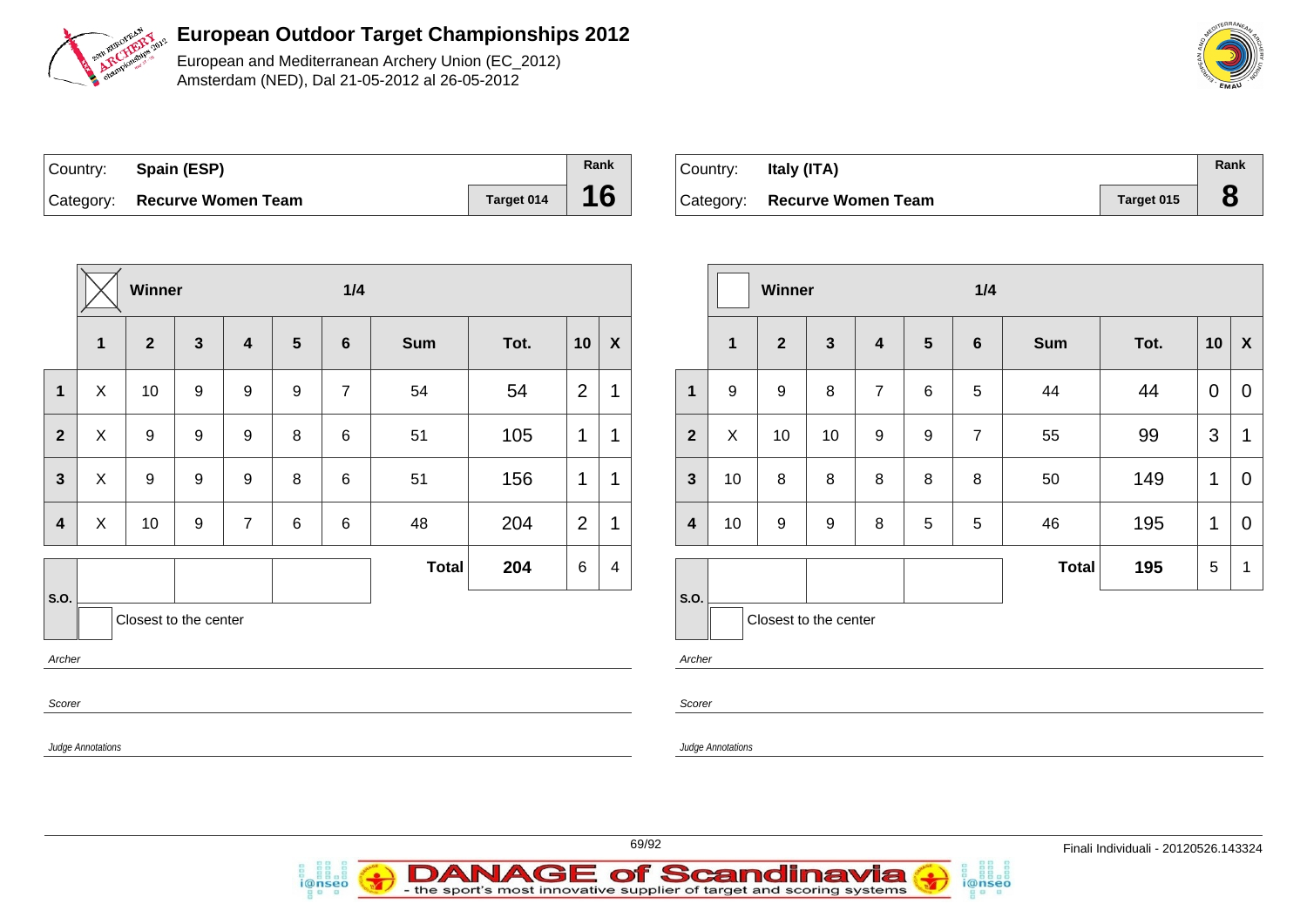

European and Mediterranean Archery Union (EC\_2012) Amsterdam (NED), Dal 21-05-2012 al 26-05-2012

| Country: Spain (ESP)         |            | Rank |
|------------------------------|------------|------|
| Category: Recurve Women Team | Target 014 | 16   |

i@nseo

| Country: | Italy (ITA)                  |            | Rank        |
|----------|------------------------------|------------|-------------|
|          | Category: Recurve Women Team | Target 015 | $\mathbf C$ |

|                         |                   | Winner                |              |                |                 | 1/4            |              |      |                 | Winner                    |                          |                   |                       | 1/4              |                |                 |                |       |      |                 |                |
|-------------------------|-------------------|-----------------------|--------------|----------------|-----------------|----------------|--------------|------|-----------------|---------------------------|--------------------------|-------------------|-----------------------|------------------|----------------|-----------------|----------------|-------|------|-----------------|----------------|
|                         | $\mathbf 1$       | $\overline{2}$        | $\mathbf{3}$ | 4              | $5\phantom{.0}$ | 6              | <b>Sum</b>   | Tot. | 10              | $\boldsymbol{\mathsf{X}}$ |                          | $\mathbf 1$       | $\mathbf{2}$          | $\mathbf{3}$     | $\overline{4}$ | $5\phantom{.0}$ | $6\phantom{1}$ | Sum   | Tot. | 10              | $\mathbf{X}$   |
| $\mathbf{1}$            | X                 | 10                    | 9            | 9              | 9               | $\overline{7}$ | 54           | 54   | 2               | $\mathbf 1$               | $\mathbf{1}$             | 9                 | 9                     | 8                | $\overline{7}$ | 6               | 5              | 44    | 44   | $\overline{0}$  | $\overline{0}$ |
| $\overline{2}$          | X                 | 9                     | 9            | 9              | 8               | 6              | 51           | 105  | $\mathbf 1$     | $\mathbf{1}$              | 2 <sup>2</sup>           | $\pmb{\times}$    | 10                    | 10               | 9              | 9               | $\overline{7}$ | 55    | 99   | 3               | $\overline{1}$ |
| $\mathbf{3}$            | X                 | 9                     | 9            | 9              | 8               | 6              | 51           | 156  | $\mathbf{1}$    | $\mathbf 1$               | 3 <sup>1</sup>           | 10                | 8                     | 8                | 8              | 8               | 8              | 50    | 149  | $\mathbf{1}$    | $\overline{0}$ |
| $\overline{\mathbf{4}}$ | X                 | 10                    | 9            | $\overline{7}$ | 6               | 6              | 48           | 204  | 2               | $\mathbf 1$               | $\overline{\mathbf{4}}$  | 10                | 9                     | $\boldsymbol{9}$ | 8              | 5               | 5              | 46    | 195  | $\mathbf{1}$    | $\overline{0}$ |
|                         |                   |                       |              |                |                 |                | <b>Total</b> | 204  | $6\phantom{1}6$ | 4                         |                          |                   |                       |                  |                |                 |                | Total | 195  | $5\phantom{.0}$ | $\mathbf{1}$   |
| S.O.                    |                   | Closest to the center |              |                |                 |                |              |      |                 |                           | $\mathsf{S}.\mathsf{O}.$ |                   | Closest to the center |                  |                |                 |                |       |      |                 |                |
| Archer                  |                   |                       |              |                |                 |                |              |      |                 |                           | Archer                   |                   |                       |                  |                |                 |                |       |      |                 |                |
| Scorer                  |                   |                       |              |                |                 |                |              |      |                 |                           | Scorer                   |                   |                       |                  |                |                 |                |       |      |                 |                |
|                         | Judge Annotations |                       |              |                |                 |                |              |      |                 |                           |                          | Judge Annotations |                       |                  |                |                 |                |       |      |                 |                |
|                         |                   |                       |              |                |                 |                |              |      |                 |                           |                          |                   |                       |                  |                |                 |                |       |      |                 |                |



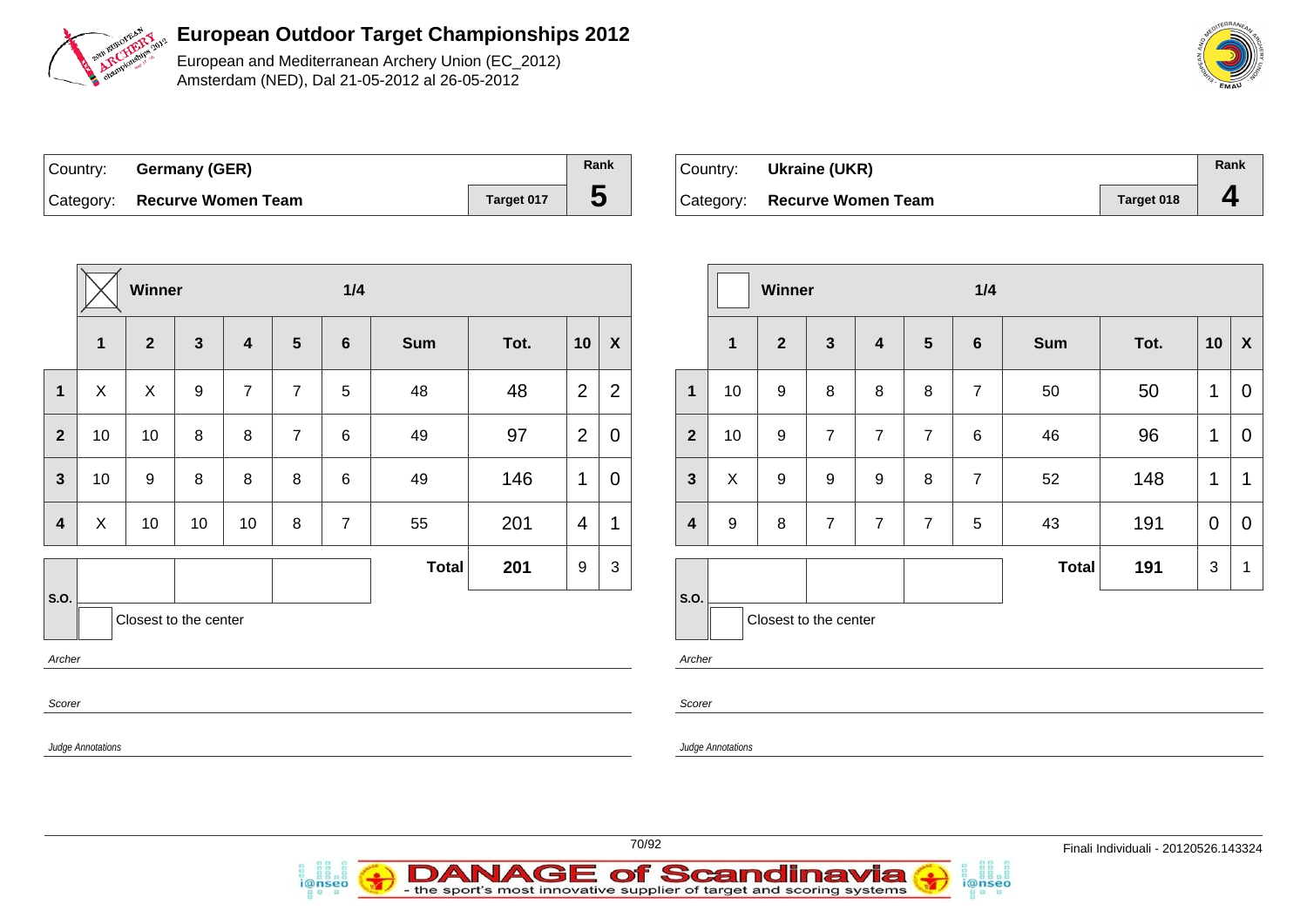

European and Mediterranean Archery Union (EC\_2012) Amsterdam (NED), Dal 21-05-2012 al 26-05-2012

| Country: Germany (GER)       |            | Rank |
|------------------------------|------------|------|
| Category: Recurve Women Team | Target 017 |      |

i@nseo

| Country: | Ukraine (UKR)                |            | Rank |
|----------|------------------------------|------------|------|
|          | Category: Recurve Women Team | Target 018 |      |

i@nseo

|                         | Winner            |                  |                       | $1/4$                   |                 |                |              |      |                | Winner           |                         |                          |                       |                  |                  | 1/4             |                |              |      |                |                |
|-------------------------|-------------------|------------------|-----------------------|-------------------------|-----------------|----------------|--------------|------|----------------|------------------|-------------------------|--------------------------|-----------------------|------------------|------------------|-----------------|----------------|--------------|------|----------------|----------------|
|                         | $\mathbf{1}$      | $\mathbf{2}$     | $\mathbf{3}$          | $\overline{\mathbf{4}}$ | $5\phantom{.0}$ | $6\phantom{1}$ | <b>Sum</b>   | Tot. | 10             | $\boldsymbol{X}$ |                         | $\mathbf 1$              | $\overline{2}$        | $\mathbf{3}$     | 4                | $5\phantom{.0}$ | $6\phantom{1}$ | Sum          | Tot. | 10             | X              |
| $\mathbf 1$             | $\pmb{\times}$    | $\mathsf{X}$     | 9                     | $\overline{7}$          | $\overline{7}$  | 5              | 48           | 48   | $\overline{2}$ | $\overline{2}$   | $\mathbf 1$             | 10                       | 9                     | 8                | 8                | 8               | $\overline{7}$ | 50           | 50   | $\mathbf{1}$   | $\overline{0}$ |
| $\overline{2}$          | 10                | 10               | 8                     | 8                       | $\overline{7}$  | 6              | 49           | 97   | $\overline{2}$ | 0                | $\overline{2}$          | 10                       | 9                     | $\overline{7}$   | $\overline{7}$   | $\overline{7}$  | 6              | 46           | 96   | $\mathbf{1}$   | $\mathbf 0$    |
| $\mathbf{3}$            | 10                | $\boldsymbol{9}$ | 8                     | $\bf 8$                 | 8               | 6              | 49           | 146  | $\mathbf 1$    | $\mathbf 0$      | $\mathbf{3}$            | X                        | $\boldsymbol{9}$      | $\boldsymbol{9}$ | $\boldsymbol{9}$ | 8               | $\overline{7}$ | 52           | 148  | $\mathbf 1$    | $\mathbf 1$    |
| $\overline{\mathbf{4}}$ | $\mathsf X$       | 10               | 10                    | 10                      | $\bf 8$         | $\overline{7}$ | 55           | 201  | $\overline{4}$ | 1                | $\overline{\mathbf{4}}$ | 9                        | 8                     | $\overline{7}$   | $\overline{7}$   | $\overline{7}$  | 5              | 43           | 191  | $\overline{0}$ | $\mathbf 0$    |
|                         |                   |                  |                       |                         |                 |                | <b>Total</b> | 201  | 9              | $\mathbf{3}$     |                         |                          |                       |                  |                  |                 |                | <b>Total</b> | 191  | $\mathbf{3}$   | - 1            |
| <b>S.O.</b>             |                   |                  | Closest to the center |                         |                 |                |              |      |                |                  | S.O.                    |                          | Closest to the center |                  |                  |                 |                |              |      |                |                |
| Archer                  |                   |                  |                       |                         |                 |                |              |      |                |                  | Archer                  |                          |                       |                  |                  |                 |                |              |      |                |                |
| Scorer                  |                   |                  |                       |                         |                 |                |              |      |                |                  | Scorer                  |                          |                       |                  |                  |                 |                |              |      |                |                |
|                         | Judge Annotations |                  |                       |                         |                 |                |              |      |                |                  |                         | <b>Judge Annotations</b> |                       |                  |                  |                 |                |              |      |                |                |
|                         |                   |                  |                       |                         |                 |                |              |      |                |                  |                         |                          |                       |                  |                  |                 |                |              |      |                |                |

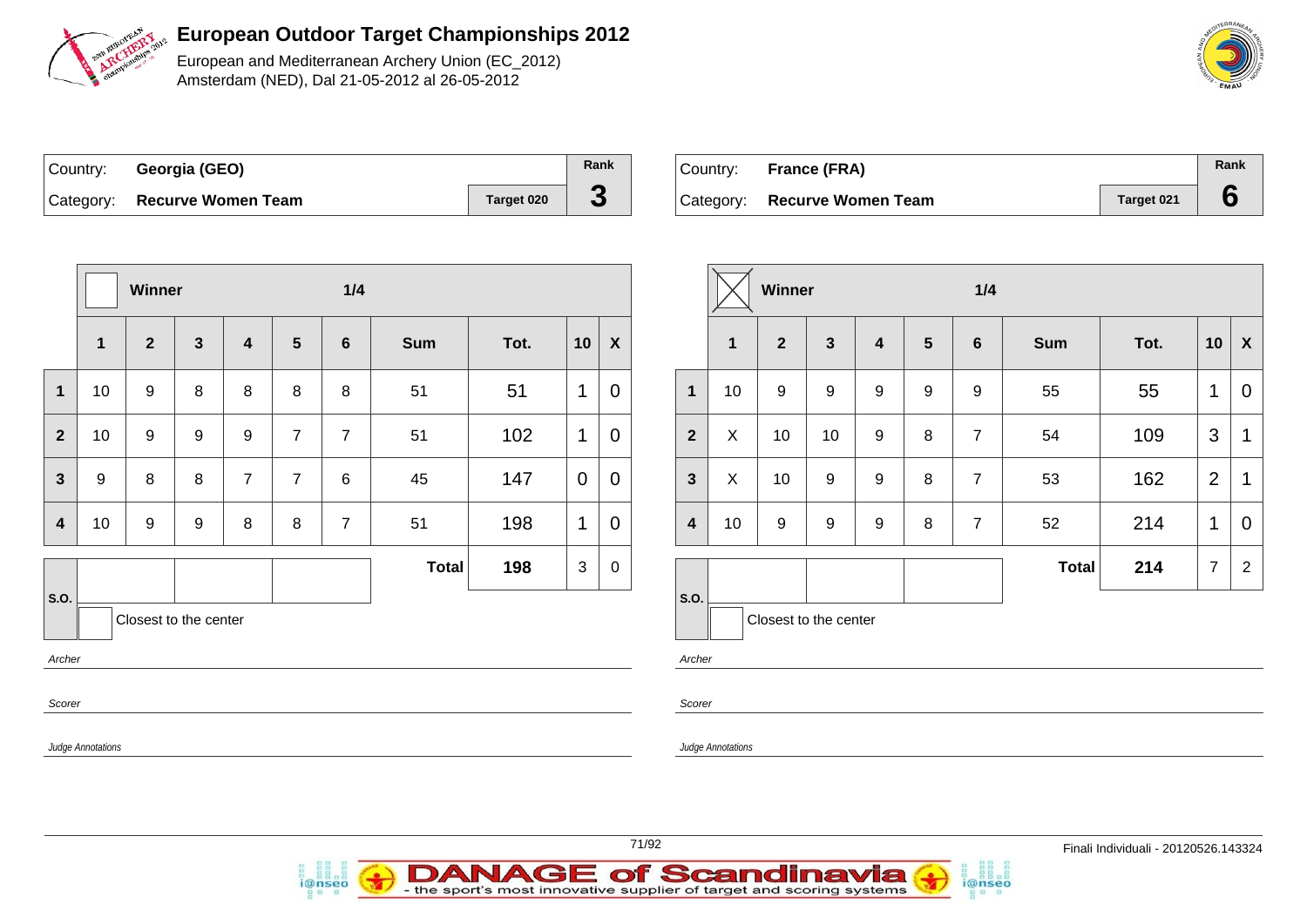

European and Mediterranean Archery Union (EC\_2012) Amsterdam (NED), Dal 21-05-2012 al 26-05-2012

| Country: | Georgia (GEO)                |            | Rank |
|----------|------------------------------|------------|------|
|          | Category: Recurve Women Team | Target 020 | J    |

i@nseo

| Country: | <b>France (FRA)</b>          |            | Rank |
|----------|------------------------------|------------|------|
|          | Category: Recurve Women Team | Target 021 |      |

i@nseo

|                          | Winner                  |                |                       |                |                | 1/4             |              |      |              |                           |                          | Winner                   |                       |                  |                  | 1/4             |                |       |      |                |                         |  |
|--------------------------|-------------------------|----------------|-----------------------|----------------|----------------|-----------------|--------------|------|--------------|---------------------------|--------------------------|--------------------------|-----------------------|------------------|------------------|-----------------|----------------|-------|------|----------------|-------------------------|--|
|                          | $\overline{\mathbf{1}}$ | $\overline{2}$ | $\mathbf{3}$          | 4              | $5\phantom{1}$ | $6\phantom{1}6$ | <b>Sum</b>   | Tot. | 10           | $\boldsymbol{\mathsf{X}}$ |                          | $\overline{\mathbf{1}}$  | $\overline{2}$        | $\mathbf{3}$     | $\boldsymbol{4}$ | $5\phantom{.0}$ | 6              | Sum   | Tot. | 10             | $\mathbf{X}$            |  |
| $\mathbf{1}$             | 10                      | 9              | 8                     | 8              | 8              | 8               | 51           | 51   | $\mathbf{1}$ | $\boldsymbol{0}$          | $\mathbf{1}$             | 10                       | 9                     | $\boldsymbol{9}$ | 9                | 9               | 9              | 55    | 55   | 1              | $\overline{0}$          |  |
| $\overline{2}$           | 10                      | 9              | 9                     | 9              | $\overline{7}$ | $\overline{7}$  | 51           | 102  | $\mathbf{1}$ | $\boldsymbol{0}$          | $\overline{2}$           | X                        | 10                    | 10               | $\boldsymbol{9}$ | 8               | $\overline{7}$ | 54    | 109  | 3              | $\overline{1}$          |  |
| $\mathbf{3}$             | $9\,$                   | 8              | 8                     | $\overline{7}$ | $\overline{7}$ | 6               | 45           | 147  | $\mathbf 0$  | $\boldsymbol{0}$          | $\mathbf{3}$             | X                        | 10                    | 9                | 9                | 8               | $\overline{7}$ | 53    | 162  | $\overline{2}$ | $\overline{\mathbf{1}}$ |  |
| $\overline{\mathbf{4}}$  | 10                      | 9              | 9                     | 8              | 8              | $\overline{7}$  | 51           | 198  | $\mathbf 1$  | $\boldsymbol{0}$          | $\overline{\mathbf{4}}$  | 10                       | 9                     | $\boldsymbol{9}$ | $\boldsymbol{9}$ | 8               | $\overline{7}$ | 52    | 214  | $\mathbf 1$    | $\overline{0}$          |  |
|                          |                         |                |                       |                |                |                 | <b>Total</b> | 198  | $\mathbf{3}$ | $\mathbf 0$               |                          |                          |                       |                  |                  |                 |                | Total | 214  | $\overline{7}$ | $\overline{2}$          |  |
| S.O.<br>Archer<br>Scorer |                         |                | Closest to the center |                |                |                 |              |      |              |                           | S.O.<br>Archer<br>Scorer |                          | Closest to the center |                  |                  |                 |                |       |      |                |                         |  |
|                          | Judge Annotations       |                |                       |                |                |                 |              |      |              |                           |                          | <b>Judge Annotations</b> |                       |                  |                  |                 |                |       |      |                |                         |  |

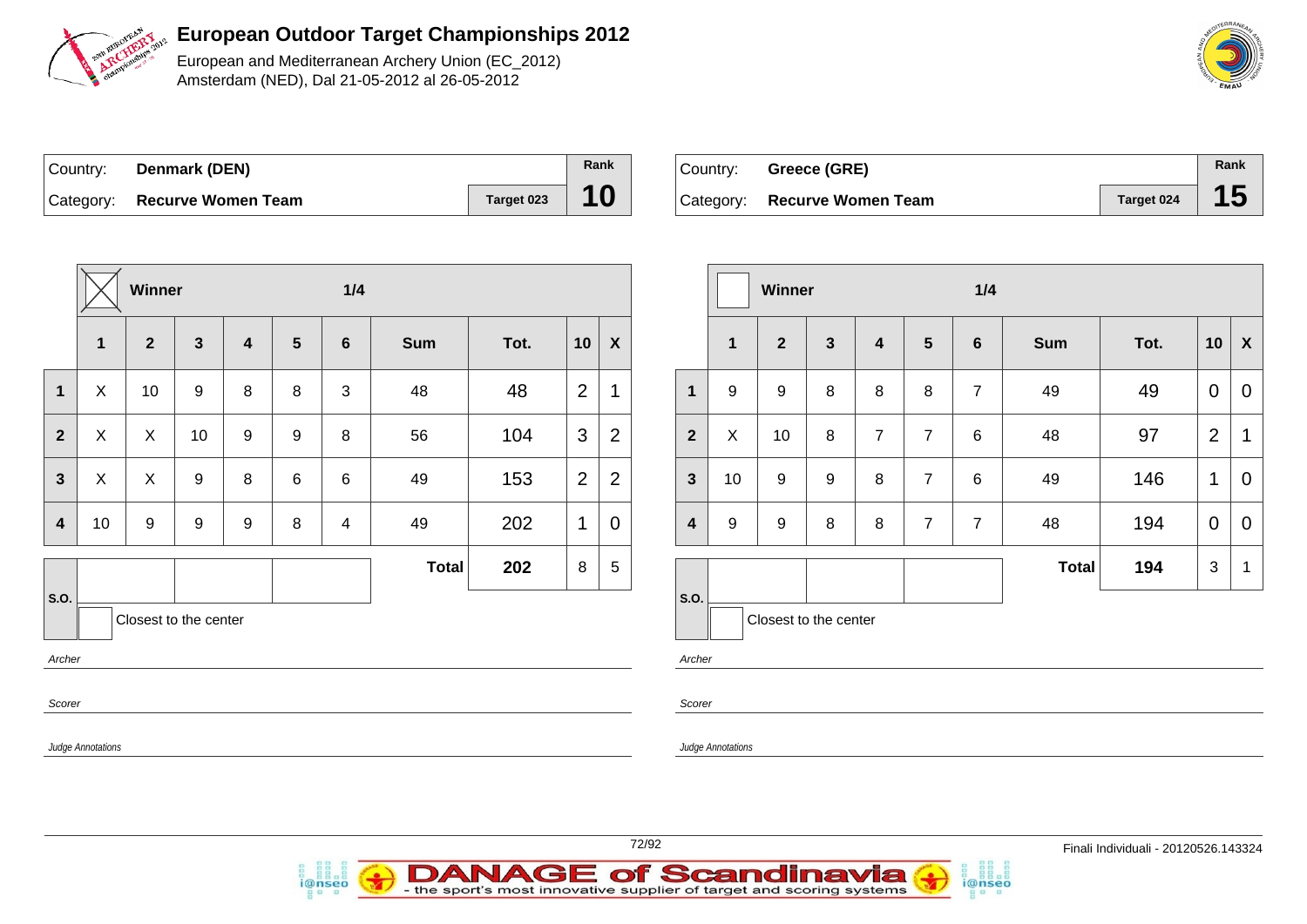

European and Mediterranean Archery Union (EC\_2012) Amsterdam (NED), Dal 21-05-2012 al 26-05-2012

| Country: <b>Denmark (DEN)</b> |            | Rank |
|-------------------------------|------------|------|
| Category: Recurve Women Team  | Target 023 | 10   |

i@nseo

| Country: Greece (GRE)        |            | Rank |
|------------------------------|------------|------|
| Category: Recurve Women Team | Target 024 |      |

i@nseo

|                          | Winner                    |                       |              |                         |                 | 1/4            |              |      | Winner         |                  |                                  |                          |                       | 1/4              |                |                 |                |              |      |                |                |
|--------------------------|---------------------------|-----------------------|--------------|-------------------------|-----------------|----------------|--------------|------|----------------|------------------|----------------------------------|--------------------------|-----------------------|------------------|----------------|-----------------|----------------|--------------|------|----------------|----------------|
|                          | $\mathbf{1}$              | $\mathbf{2}$          | $\mathbf{3}$ | $\overline{\mathbf{4}}$ | $5\phantom{.0}$ | $6\phantom{1}$ | <b>Sum</b>   | Tot. | 10             | $\boldsymbol{X}$ |                                  | $\mathbf{1}$             | $\overline{2}$        | $\mathbf{3}$     | 4              | $5\phantom{.0}$ | $6\phantom{1}$ | <b>Sum</b>   | Tot. | 10             | X              |
| $\mathbf{1}$             | $\mathsf{X}$              | 10                    | 9            | 8                       | 8               | $\mathbf{3}$   | 48           | 48   | $\overline{2}$ |                  | $\mathbf{1}$                     | 9                        | 9                     | 8                | 8              | 8               | $\overline{7}$ | 49           | 49   | $\mathbf{0}$   | 0              |
| $\mathbf{2}$             | $\boldsymbol{\mathsf{X}}$ | $\boldsymbol{X}$      | 10           | 9                       | 9               | 8              | 56           | 104  | $\mathfrak{B}$ | $\overline{2}$   | $\mathbf{2}$                     | $\mathsf X$              | 10                    | 8                | $\overline{7}$ | $\overline{7}$  | 6              | 48           | 97   | $\overline{2}$ | $\overline{1}$ |
| $\mathbf{3}$             | $\sf X$                   | $\boldsymbol{X}$      | 9            | 8                       | 6               | $6\phantom{1}$ | 49           | 153  | $\overline{2}$ | $\overline{2}$   | $\mathbf{3}$                     | 10                       | $\boldsymbol{9}$      | $\boldsymbol{9}$ | 8              | $\overline{7}$  | 6              | 49           | 146  | $\mathbf{1}$   | $\mathbf 0$    |
| $\overline{\mathbf{4}}$  | 10                        | 9                     | 9            | 9                       | 8               | 4              | 49           | 202  | $\mathbf{1}$   | $\mathbf 0$      | $\overline{\mathbf{4}}$          | 9                        | 9                     | 8                | 8              | $\overline{7}$  | $\overline{7}$ | 48           | 194  | $\mathbf{0}$   | $\mathbf 0$    |
|                          |                           |                       |              |                         |                 |                | <b>Total</b> | 202  | 8              | $\sqrt{5}$       |                                  |                          |                       |                  |                |                 |                | <b>Total</b> | 194  | $\mathbf{3}$   | - 1            |
| S.O.<br>Archer<br>Scorer | Judge Annotations         | Closest to the center |              |                         |                 |                |              |      |                |                  | $\vert$ S.O.<br>Archer<br>Scorer | <b>Judge Annotations</b> | Closest to the center |                  |                |                 |                |              |      |                |                |

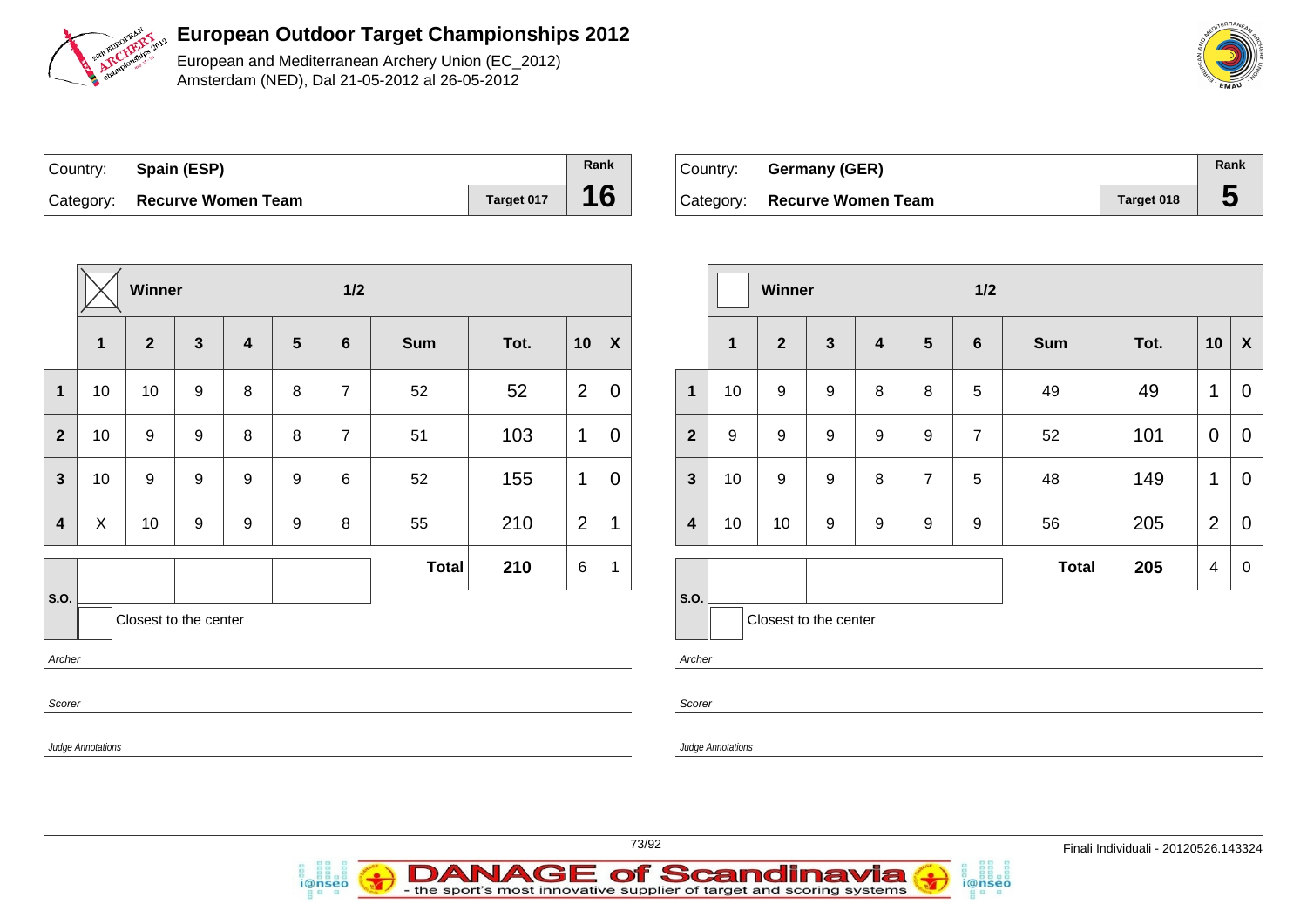

European and Mediterranean Archery Union (EC\_2012) Amsterdam (NED), Dal 21-05-2012 al 26-05-2012

| Country: Spain (ESP)         |            | Rank |
|------------------------------|------------|------|
| Category: Recurve Women Team | Target 017 | 16   |

i@nseo

| ' Countr∨: | Germany (GER)                |            | Rank |
|------------|------------------------------|------------|------|
|            | Category: Recurve Women Team | Target 018 | Đ    |

i@nseo

|                  |                          | Winner                |              |                         |                | $1/2$           |            |      |                 |              |                         |                          | Winner                |                  |                  |                 | $1/2$          |       |      |                |                |
|------------------|--------------------------|-----------------------|--------------|-------------------------|----------------|-----------------|------------|------|-----------------|--------------|-------------------------|--------------------------|-----------------------|------------------|------------------|-----------------|----------------|-------|------|----------------|----------------|
|                  | $\overline{\mathbf{1}}$  | $\overline{2}$        | $\mathbf{3}$ | $\overline{\mathbf{4}}$ | $5\phantom{1}$ | $6\phantom{1}6$ | <b>Sum</b> | Tot. | 10              | $\pmb{\chi}$ |                         | $\mathbf 1$              | $\overline{2}$        | $\mathbf{3}$     | $\boldsymbol{4}$ | $5\phantom{.0}$ | 6              | Sum   | Tot. | 10             | $\mathbf{X}$   |
| $\mathbf{1}$     | 10                       | 10                    | 9            | 8                       | 8              | $\overline{7}$  | 52         | 52   | $\overline{2}$  | $\pmb{0}$    | $\mathbf{1}$            | 10                       | 9                     | 9                | 8                | 8               | 5              | 49    | 49   | $\mathbf 1$    | $\overline{0}$ |
| $\overline{2}$   | 10                       | 9                     | 9            | 8                       | 8              | $\overline{7}$  | 51         | 103  | $\mathbf{1}$    | $\mathbf 0$  | $\overline{2}$          | 9                        | 9                     | $\boldsymbol{9}$ | 9                | 9               | $\overline{7}$ | 52    | 101  | $\mathbf 0$    | $\overline{0}$ |
| $\mathbf{3}$     | 10                       | 9                     | 9            | 9                       | 9              | 6               | 52         | 155  | $\mathbf 1$     | $\mathbf 0$  | $\mathbf{3}$            | 10                       | $\boldsymbol{9}$      | $9\,$            | 8                | $\overline{7}$  | 5              | 48    | 149  | $\mathbf 1$    | $\overline{0}$ |
| $\boldsymbol{4}$ | $\boldsymbol{X}$         | 10                    | 9            | 9                       | 9              | 8               | 55         | 210  | $\overline{2}$  | $\mathbf 1$  | $\overline{\mathbf{4}}$ | 10                       | 10                    | $\boldsymbol{9}$ | 9                | 9               | 9              | 56    | 205  | $\overline{2}$ | $\overline{0}$ |
|                  |                          |                       |              |                         |                |                 | Total      | 210  | $6\phantom{1}6$ | $\mathbf{1}$ |                         |                          |                       |                  |                  |                 |                | Total | 205  | $\overline{4}$ | $\overline{0}$ |
| S.O.<br>Archer   |                          | Closest to the center |              |                         |                |                 |            |      |                 |              | S.O.<br>Archer          |                          | Closest to the center |                  |                  |                 |                |       |      |                |                |
| Scorer           | <b>Judge Annotations</b> |                       |              |                         |                |                 |            |      |                 |              | Scorer                  | <b>Judge Annotations</b> |                       |                  |                  |                 |                |       |      |                |                |
|                  |                          |                       |              |                         |                |                 |            |      |                 |              |                         |                          |                       |                  |                  |                 |                |       |      |                |                |

73/92 Finali Individuali - 20120526.143324





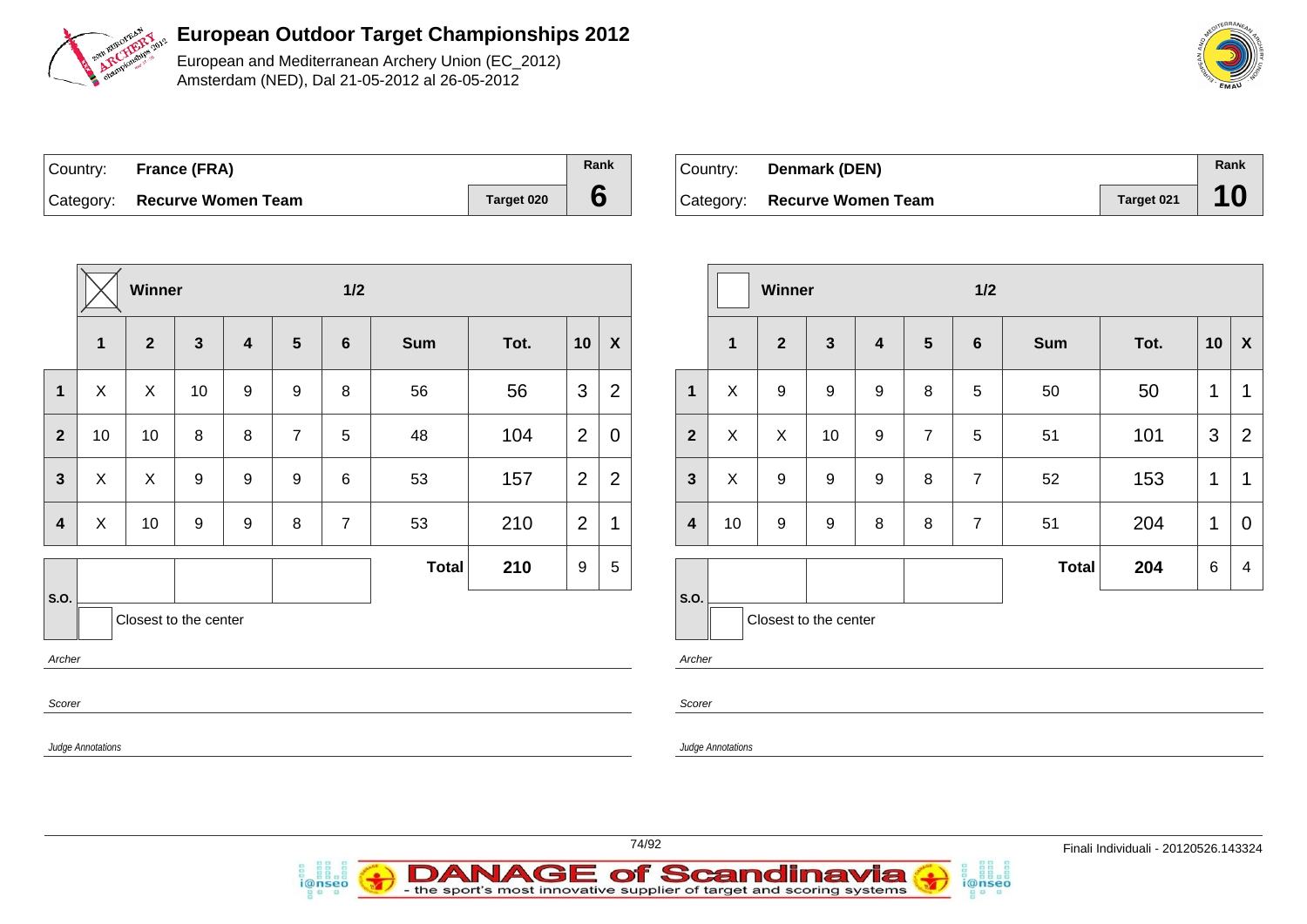

European and Mediterranean Archery Union (EC\_2012) Amsterdam (NED), Dal 21-05-2012 al 26-05-2012

| Country: France (FRA)        |            | Rank |
|------------------------------|------------|------|
| Category: Recurve Women Team | Target 020 |      |

*i*@nseo

| ∣Country: | <b>Denmark (DEN)</b>         |            | Rank |
|-----------|------------------------------|------------|------|
|           | Category: Recurve Women Team | Target 021 | 10   |

i@nseo

|                         |                          | Winner                |              |   |                 | $1/2$          |              |      |    |                  |                         |                   | Winner                |    |                |                | 1/2             |              |      |                 |                           |
|-------------------------|--------------------------|-----------------------|--------------|---|-----------------|----------------|--------------|------|----|------------------|-------------------------|-------------------|-----------------------|----|----------------|----------------|-----------------|--------------|------|-----------------|---------------------------|
|                         | $\mathbf{1}$             | $\overline{2}$        | $\mathbf{3}$ | 4 | $5\phantom{.0}$ | 6              | Sum          | Tot. | 10 | $\boldsymbol{X}$ |                         | $\mathbf{1}$      | $\overline{2}$        | 3  | $\overline{4}$ | $5\phantom{1}$ | $6\phantom{1}6$ | <b>Sum</b>   | Tot. | 10              | $\boldsymbol{\mathsf{X}}$ |
| $\mathbf 1$             | $\pmb{\times}$           | X                     | 10           | 9 | 9               | 8              | 56           | 56   | 3  | $\overline{2}$   | $\mathbf{1}$            | X                 | 9                     | 9  | 9              | 8              | 5               | 50           | 50   | $\mathbf 1$     | $\mathbf 1$               |
| $\overline{2}$          | 10                       | 10                    | 8            | 8 | $\overline{7}$  | 5              | 48           | 104  | 2  | $\mathbf 0$      | $\overline{2}$          | $\boldsymbol{X}$  | $\sf X$               | 10 | 9              | $\overline{7}$ | 5               | 51           | 101  | 3               | $\overline{2}$            |
| $\mathbf{3}$            | X                        | $\pmb{\times}$        | 9            | 9 | 9               | 6              | 53           | 157  | 2  | $\overline{2}$   | $\mathbf{3}$            | $\boldsymbol{X}$  | 9                     | 9  | 9              | 8              | $\overline{7}$  | 52           | 153  | $\mathbf{1}$    | $\overline{1}$            |
| $\overline{\mathbf{4}}$ | X                        | 10                    | 9            | 9 | 8               | $\overline{7}$ | 53           | 210  | 2  | $\mathbf 1$      | $\overline{\mathbf{4}}$ | 10                | 9                     | 9  | 8              | 8              | $\overline{7}$  | 51           | 204  | $\mathbf{1}$    | $\overline{0}$            |
|                         |                          |                       |              |   |                 |                | <b>Total</b> | 210  | 9  | $5\phantom{.0}$  |                         |                   |                       |    |                |                |                 | <b>Total</b> | 204  | $6\phantom{.}6$ | $\overline{4}$            |
| <b>S.O.</b><br>Archer   |                          | Closest to the center |              |   |                 |                |              |      |    |                  | S.O.<br>Archer          |                   | Closest to the center |    |                |                |                 |              |      |                 |                           |
| Scorer                  |                          |                       |              |   |                 |                |              |      |    |                  | Scorer                  |                   |                       |    |                |                |                 |              |      |                 |                           |
|                         | <b>Judge Annotations</b> |                       |              |   |                 |                |              |      |    |                  |                         | Judge Annotations |                       |    |                |                |                 |              |      |                 |                           |
|                         |                          |                       |              |   |                 |                |              |      |    |                  |                         |                   |                       |    |                |                |                 |              |      |                 |                           |

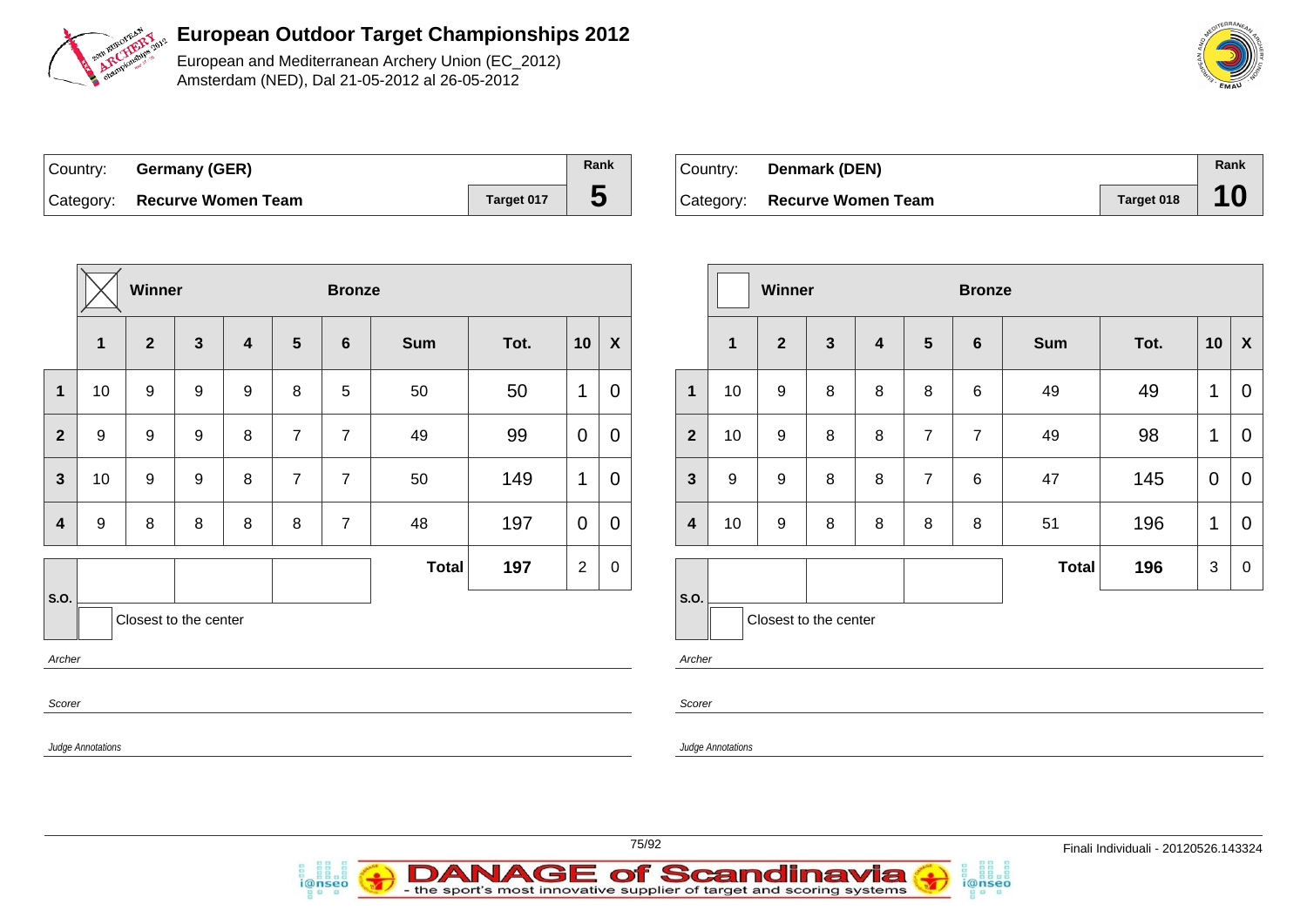

European and Mediterranean Archery Union (EC\_2012) Amsterdam (NED), Dal 21-05-2012 al 26-05-2012

| Country: Germany (GER)       |            | Rank |
|------------------------------|------------|------|
| Category: Recurve Women Team | Target 017 |      |

| Country: | Denmark (DEN)                |            | Rank |
|----------|------------------------------|------------|------|
|          | Category: Recurve Women Team | Target 018 | 10   |

|                                         |                   | Winner           |                         |                         |                | <b>Bronze</b>  |              |      |                |                  |  |  |  |
|-----------------------------------------|-------------------|------------------|-------------------------|-------------------------|----------------|----------------|--------------|------|----------------|------------------|--|--|--|
|                                         | $\mathbf{1}$      | $\overline{2}$   | $\overline{\mathbf{3}}$ | $\overline{\mathbf{4}}$ | 5              | $6\phantom{1}$ | <b>Sum</b>   | Tot. | 10             | $\boldsymbol{X}$ |  |  |  |
| $\mathbf{1}$                            | 10                | $\boldsymbol{9}$ | 9                       | $\boldsymbol{9}$        | 8              | 5              | 50           | 50   | 1              | $\overline{0}$   |  |  |  |
| $\overline{2}$                          | $\boldsymbol{9}$  | $\boldsymbol{9}$ | 9                       | 8                       | $\overline{7}$ | $\overline{7}$ | 49           | 99   | $\mathbf 0$    | $\mathbf 0$      |  |  |  |
| $\mathbf{3}$                            | 10                | $\boldsymbol{9}$ | 9                       | 8                       | $\overline{7}$ | $\overline{7}$ | 50           | 149  | 1              | $\overline{0}$   |  |  |  |
| $\overline{\mathbf{4}}$                 | 9                 | 8                | 8                       | 8                       | 8              | $\overline{7}$ | 48           | 197  | $\overline{0}$ | $\overline{0}$   |  |  |  |
|                                         |                   |                  |                         |                         |                |                | <b>Total</b> | 197  | $\overline{2}$ | $\,0\,$          |  |  |  |
| S.O.<br>Closest to the center<br>Archer |                   |                  |                         |                         |                |                |              |      |                |                  |  |  |  |
| Scorer                                  |                   |                  |                         |                         |                |                |              |      |                |                  |  |  |  |
|                                         | Judge Annotations |                  |                         |                         |                |                |              |      |                |                  |  |  |  |

i@nseo

|                         |    | Winner                |              |   |                | <b>Bronze</b>   |              |      |                |                |
|-------------------------|----|-----------------------|--------------|---|----------------|-----------------|--------------|------|----------------|----------------|
|                         | 1  | $\overline{2}$        | $\mathbf{3}$ | 4 | $5\phantom{1}$ | $6\phantom{1}6$ | <b>Sum</b>   | Tot. | 10             | X              |
| $\mathbf{1}$            | 10 | $\boldsymbol{9}$      | 8            | 8 | 8              | 6               | 49           | 49   | 1              | 0              |
| $\overline{2}$          | 10 | $\boldsymbol{9}$      | 8            | 8 | $\overline{7}$ | $\overline{7}$  | 49           | 98   | 1              | 0              |
| $\mathbf{3}$            | 9  | 9                     | 8            | 8 | $\overline{7}$ | $6\phantom{1}6$ | 47           | 145  | $\overline{0}$ | 0              |
| $\overline{\mathbf{4}}$ | 10 | 9                     | 8            | 8 | 8              | 8               | 51           | 196  | 1              | $\overline{0}$ |
|                         |    |                       |              |   |                |                 | <b>Total</b> | 196  | 3              | 0              |
| S.O.                    |    | Closest to the center |              |   |                |                 |              |      |                |                |

i@nseo

Archer

Scorer

- the sport's most innovative supplier of target and scoring systems

Judge Annotations

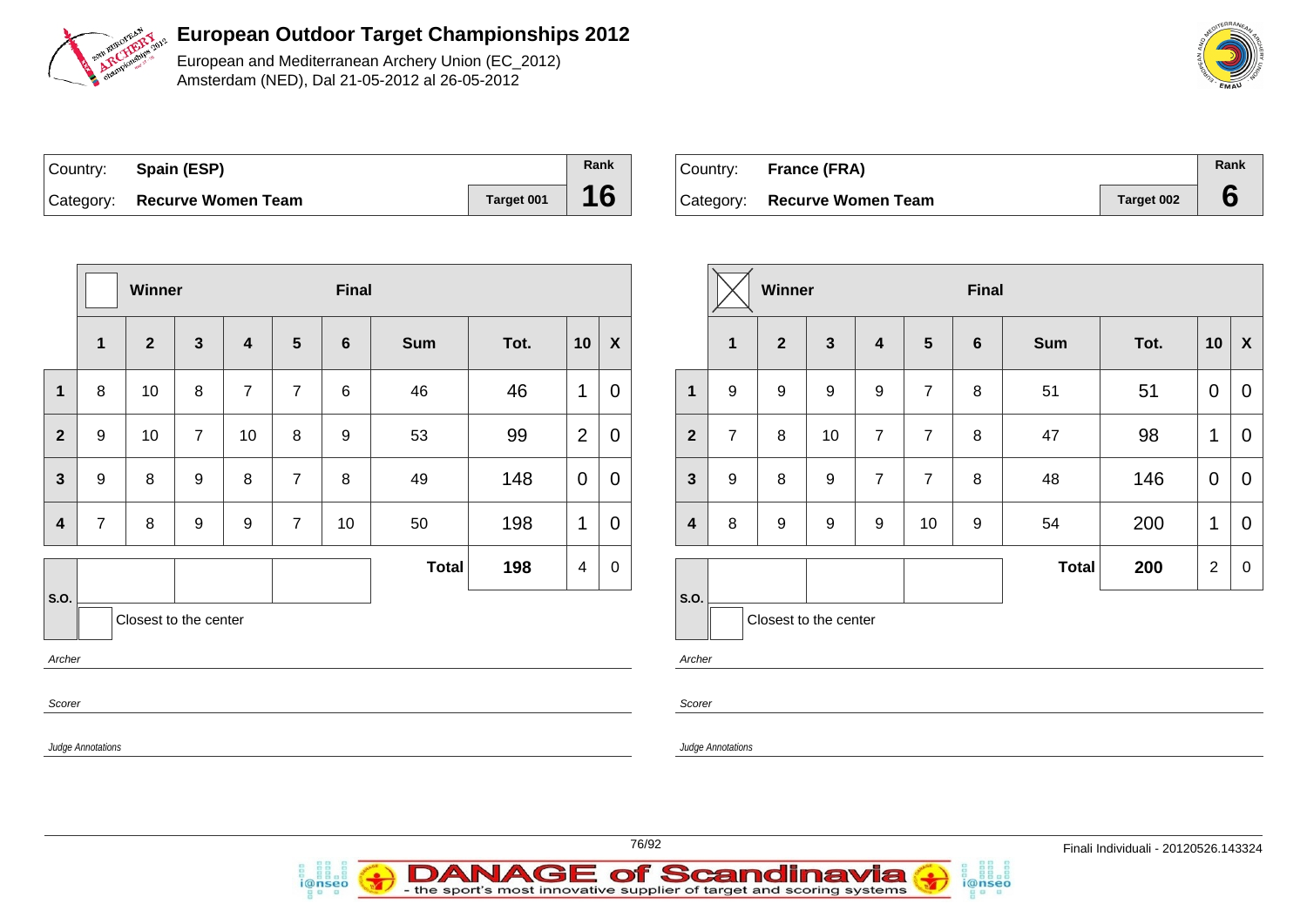

European and Mediterranean Archery Union (EC\_2012) Amsterdam (NED), Dal 21-05-2012 al 26-05-2012

| Country: Spain (ESP)         |            | Rank |
|------------------------------|------------|------|
| Category: Recurve Women Team | Target 001 | 16   |

i@nseo

| Country: France (FRA)        |            | Rank |
|------------------------------|------------|------|
| Category: Recurve Women Team | Target 002 |      |

|                | Final<br>Winner                                                          |                 |                |                         |                |                |              |      | Winner         |                  |                         |                |                |                 |                  |                |
|----------------|--------------------------------------------------------------------------|-----------------|----------------|-------------------------|----------------|----------------|--------------|------|----------------|------------------|-------------------------|----------------|----------------|-----------------|------------------|----------------|
|                | 1                                                                        | $\mathbf{2}$    | $\mathbf{3}$   | $\overline{\mathbf{4}}$ | $5\phantom{1}$ | $6\phantom{1}$ | <b>Sum</b>   | Tot. | 10             | $\boldsymbol{X}$ |                         | 1              | $\overline{2}$ | $\mathbf{3}$    | 4                | $5\phantom{1}$ |
| $\mathbf{1}$   | 8                                                                        | 10              | 8              | $\overline{7}$          | $\overline{7}$ | 6              | 46           | 46   | 1              | $\mathbf 0$      | $\mathbf{1}$            | 9              | 9              | 9               | $\boldsymbol{9}$ | $\overline{7}$ |
| $\overline{2}$ | 9                                                                        | 10 <sup>1</sup> | $\overline{7}$ | 10 <sup>1</sup>         | 8              | 9              | 53           | 99   | $\overline{2}$ | $\mathbf 0$      | $\overline{2}$          | $\overline{7}$ | 8              | 10 <sup>°</sup> | 7                | $\overline{7}$ |
| $\mathbf{3}$   | 9                                                                        | 8               | 9              | 8                       | $\overline{7}$ | 8              | 49           | 148  | $\overline{0}$ | $\mathbf 0$      | $\mathbf{3}$            | 9              | 8              | 9               | 7                | $\overline{7}$ |
| 4              | $\overline{7}$                                                           | 8               | 9              | 9                       | $\overline{7}$ | 10             | 50           | 198  | 1              | $\mathbf 0$      | $\overline{\mathbf{4}}$ | 8              | 9              | 9               | 9                | 10             |
|                |                                                                          |                 |                |                         |                |                | <b>Total</b> | 198  | $\overline{4}$ | $\mathbf 0$      |                         |                |                |                 |                  |                |
| Archer         | S.O.<br>S.O.<br>Closest to the center<br>Closest to the center<br>Archer |                 |                |                         |                |                |              |      |                |                  |                         |                |                |                 |                  |                |
|                | Scorer<br>Scorer                                                         |                 |                |                         |                |                |              |      |                |                  |                         |                |                |                 |                  |                |
|                | Judge Annotations<br>Judge Annotations                                   |                 |                |                         |                |                |              |      |                |                  |                         |                |                |                 |                  |                |
|                |                                                                          |                 |                |                         |                |                |              |      |                |                  |                         |                |                |                 |                  |                |



|                         |                | <b>Winner</b> |                       |                         |                | <b>Final</b>    |              |      |                |                           |
|-------------------------|----------------|---------------|-----------------------|-------------------------|----------------|-----------------|--------------|------|----------------|---------------------------|
|                         | 1              | $\mathbf{2}$  | $\mathbf{3}$          | $\overline{\mathbf{4}}$ | $5\phantom{1}$ | $6\phantom{1}6$ | <b>Sum</b>   | Tot. | 10             | $\boldsymbol{\mathsf{X}}$ |
| $\mathbf{1}$            | 9              | 9             | 9                     | $\boldsymbol{9}$        | $\overline{7}$ | 8               | 51           | 51   | $\mathbf 0$    | $\overline{0}$            |
| $\overline{2}$          | $\overline{7}$ | 8             | 10                    | $\overline{7}$          | $\overline{7}$ | 8               | 47           | 98   | 1              | 0                         |
| $\mathbf{3}$            | 9              | 8             | 9                     | $\overline{7}$          | $\overline{7}$ | 8               | 48           | 146  | $\mathbf 0$    | $\overline{0}$            |
| $\overline{\mathbf{4}}$ | 8<br>9         |               | 9                     | $\boldsymbol{9}$        | 10             | 9               | 54           | 200  | 1              | 0                         |
|                         |                |               |                       |                         |                |                 | <b>Total</b> | 200  | $\overline{2}$ | $\boldsymbol{0}$          |
| S.O.                    |                |               | Closest to the center |                         |                |                 |              |      |                |                           |

i@nseo

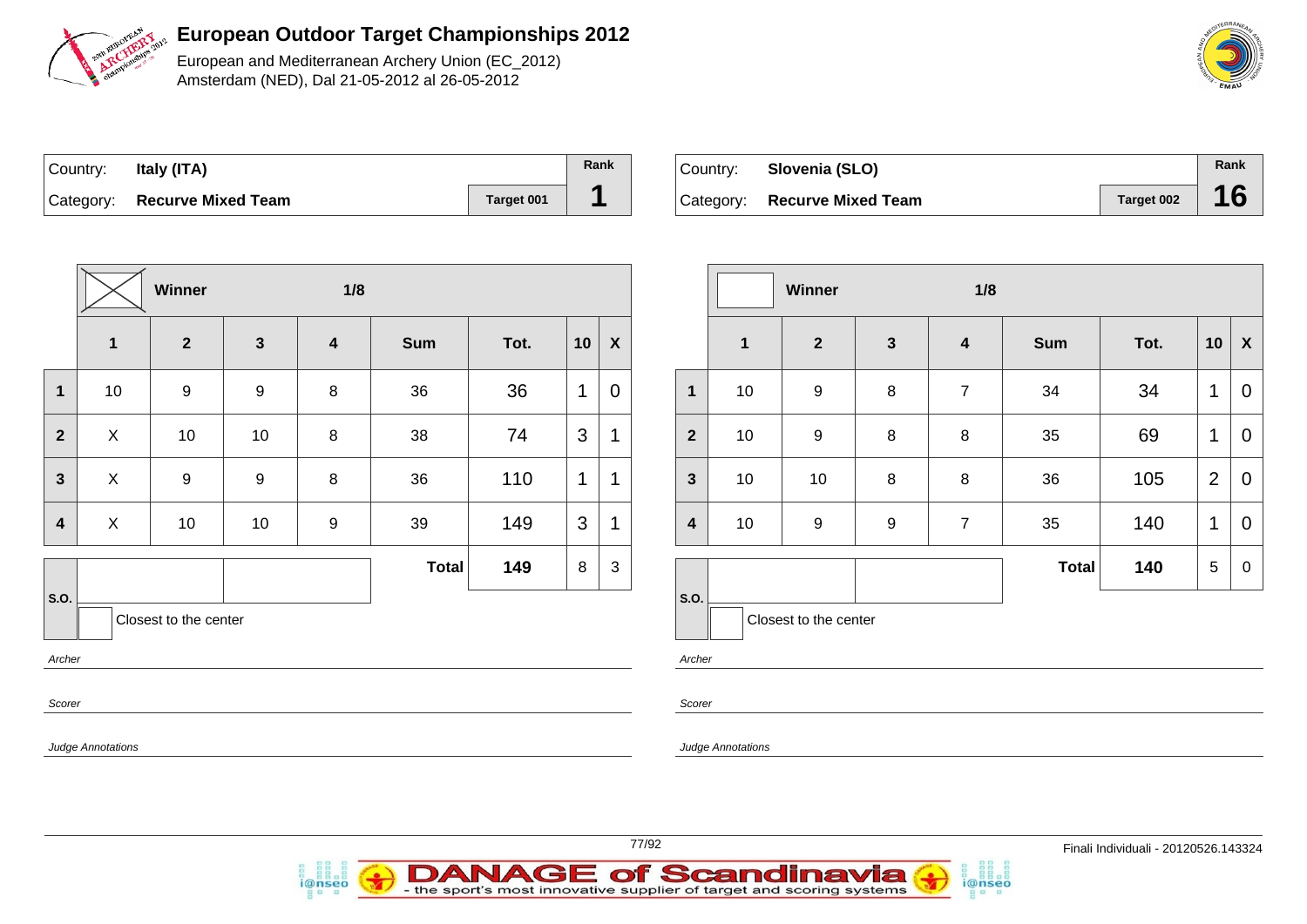

European and Mediterranean Archery Union (EC\_2012) Amsterdam (NED), Dal 21-05-2012 al 26-05-2012

| SMELHISHIRA<br><b>VEAN</b> |
|----------------------------|
| <b>PIVE WAJOS</b>          |
| owio                       |
| EMAU                       |

| Country: | Italy (ITA)                  |            | Rank |
|----------|------------------------------|------------|------|
|          | Category: Recurve Mixed Team | Target 001 |      |

| ⊺Country: | Slovenia (SLO)               |            | Rank |
|-----------|------------------------------|------------|------|
|           | Category: Recurve Mixed Team | Target 002 | 16   |

|                         |                          | Winner                |                  | 1/8                     |              |      |    |                  |
|-------------------------|--------------------------|-----------------------|------------------|-------------------------|--------------|------|----|------------------|
|                         | $\overline{\mathbf{1}}$  | $\mathbf{2}$          | $\mathbf{3}$     | $\overline{\mathbf{4}}$ | <b>Sum</b>   | Tot. | 10 | $\boldsymbol{X}$ |
| 1                       | 10                       | 9                     | 9                | $\bf 8$                 | 36           | 36   | 1  | $\mathbf 0$      |
| $\overline{2}$          | X                        | 10                    | 10               | 8                       | 38           | 74   | 3  | 1                |
| $\mathbf{3}$            | X                        | $\boldsymbol{9}$      | $\boldsymbol{9}$ | 8                       | 36           | 110  | 1  | 1                |
| $\overline{\mathbf{4}}$ | X                        | 10                    | 10               | $\boldsymbol{9}$        | 39           | 149  | 3  | $\mathbf 1$      |
|                         |                          |                       |                  |                         | <b>Total</b> | 149  | 8  | 3                |
| S.O.                    |                          | Closest to the center |                  |                         |              |      |    |                  |
| Archer                  |                          |                       |                  |                         |              |      |    |                  |
| Scorer                  |                          |                       |                  |                         |              |      |    |                  |
|                         | <b>Judge Annotations</b> |                       |                  |                         |              |      |    |                  |

|                         |             | Winner                |                  | 1/8                     |              |      |                |             |
|-------------------------|-------------|-----------------------|------------------|-------------------------|--------------|------|----------------|-------------|
|                         | $\mathbf 1$ | $\mathbf{2}$          | $\mathbf{3}$     | $\overline{\mathbf{4}}$ | <b>Sum</b>   | Tot. | 10             | X           |
| 1                       | 10          | 9                     | 8                | $\overline{7}$          | 34           | 34   | 1              | $\mathbf 0$ |
| $\overline{2}$          | 10          | 9                     | 8                | $\bf 8$                 | 35           | 69   | 1              | 0           |
| $\mathbf{3}$            | 10          | 10                    | 8                | 8                       | 36           | 105  | $\overline{2}$ | $\mathbf 0$ |
| $\overline{\mathbf{4}}$ | 10          | 9                     | $\boldsymbol{9}$ | $\overline{7}$          | 35           | 140  | 1              | 0           |
|                         |             |                       |                  |                         | <b>Total</b> | 140  | 5              | $\mathbf 0$ |
| S.O.                    |             | Closest to the center |                  |                         |              |      |                |             |

i@nseo

Archer

Scorer

Judge Annotations

**E of Scandinavia** 

- the sport's most innovative supplier of target and scoring systems

AGI

D

i@nseo

AN

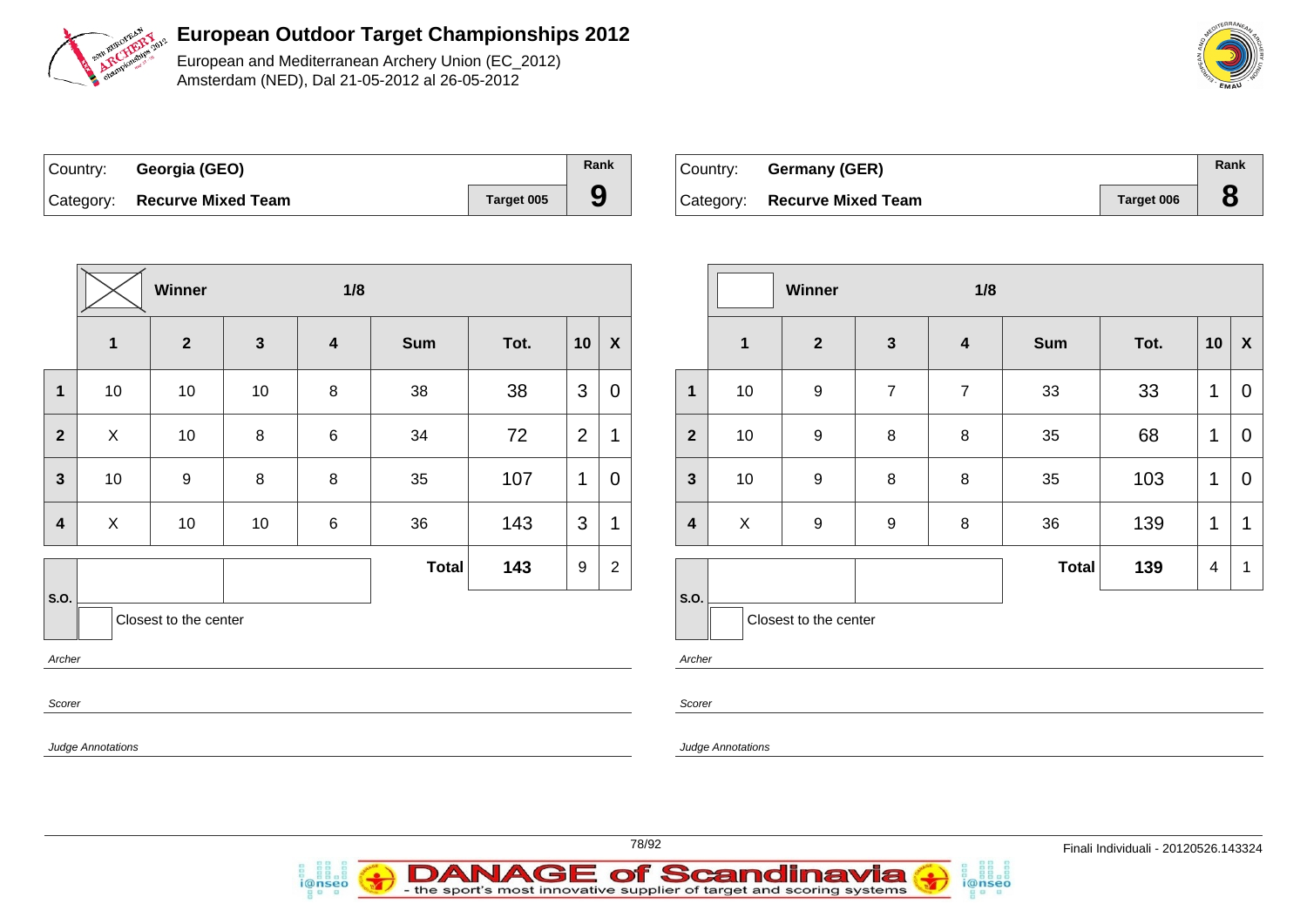

European and Mediterranean Archery Union (EC\_2012) Amsterdam (NED), Dal 21-05-2012 al 26-05-2012

| Country: Georgia (GEO)       |            | Rank |
|------------------------------|------------|------|
| Category: Recurve Mixed Team | Target 005 | 9    |

i@nseo

| ∣Country: ⊦ | Germany (GER)                |            | Rank |
|-------------|------------------------------|------------|------|
|             | Category: Recurve Mixed Team | Target 006 |      |

i@nseo

|                         |                                         | Winner         |              | 1/8                     |              |      |                |                           |                         |                   | Winner                |                  | 1/8                     |            |      |                |                           |
|-------------------------|-----------------------------------------|----------------|--------------|-------------------------|--------------|------|----------------|---------------------------|-------------------------|-------------------|-----------------------|------------------|-------------------------|------------|------|----------------|---------------------------|
|                         | $\mathbf{1}$                            | $\overline{2}$ | $\mathbf{3}$ | $\overline{\mathbf{4}}$ | Sum          | Tot. | 10             | $\boldsymbol{\mathsf{X}}$ |                         | $\mathbf{1}$      | $\overline{2}$        | $\mathbf{3}$     | $\overline{\mathbf{4}}$ | <b>Sum</b> | Tot. | 10             | $\boldsymbol{\mathsf{X}}$ |
| $\overline{\mathbf{1}}$ | 10                                      | 10             | 10           | $\bf 8$                 | 38           | 38   | 3              | $\mathbf 0$               | $\mathbf 1$             | 10                | 9                     | $\overline{7}$   | $\overline{7}$          | 33         | 33   | $\mathbf{1}$   | $\mathbf 0$               |
| $\overline{2}$          | $\mathsf X$                             | 10             | 8            | $\,6$                   | 34           | 72   | $\overline{2}$ | 1                         | $\mathbf{2}$            | 10                | 9                     | 8                | 8                       | 35         | 68   | $\mathbf{1}$   | $\mathbf 0$               |
| $\mathbf{3}$            | 10                                      | 9              | 8            | 8                       | 35           | 107  | $\mathbf{1}$   | $\overline{0}$            | $\mathbf{3}$            | 10                | 9                     | 8                | 8                       | 35         | 103  | $\mathbf{1}$   | $\mathbf 0$               |
| $\boldsymbol{4}$        | $\mathsf X$                             | 10             | 10           | $\,6$                   | 36           | 143  | $\mathbf{3}$   | 1                         | $\overline{\mathbf{4}}$ | $\mathsf X$       | 9                     | $\boldsymbol{9}$ | $\, 8$                  | 36         | 139  | $\overline{1}$ | $\overline{1}$            |
|                         |                                         |                |              |                         | <b>Total</b> | 143  | 9              | 2                         |                         |                   |                       |                  |                         | Total      | 139  | $\overline{4}$ | $\overline{\mathbf{1}}$   |
|                         | S.O.<br>Closest to the center<br>Archer |                |              |                         |              |      |                |                           | <b>S.O.</b><br>Archer   |                   | Closest to the center |                  |                         |            |      |                |                           |
| Scorer                  |                                         |                |              |                         |              |      |                | Scorer                    |                         |                   |                       |                  |                         |            |      |                |                           |
|                         | Judge Annotations                       |                |              |                         |              |      |                |                           |                         | Judge Annotations |                       |                  |                         |            |      |                |                           |

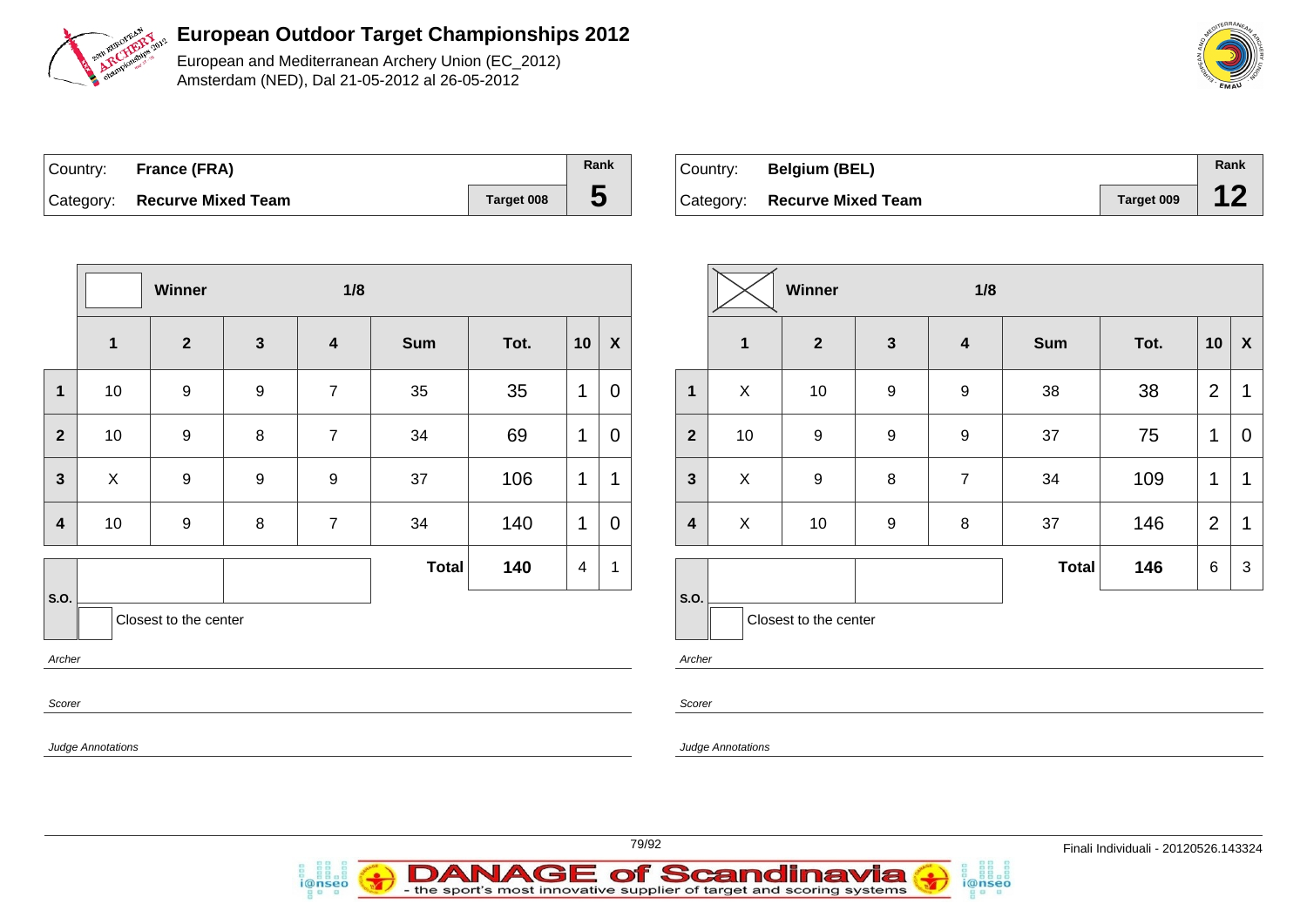

European and Mediterranean Archery Union (EC\_2012) Amsterdam (NED), Dal 21-05-2012 al 26-05-2012

|       | <b>MEDITERRANEAN</b> |  |
|-------|----------------------|--|
|       |                      |  |
| 5.45° | EMAU                 |  |

| Country: France (FRA)        |            | Rank |
|------------------------------|------------|------|
| Category: Recurve Mixed Team | Target 008 |      |

| Country: | <b>Belgium (BEL)</b>         |            | Rank |
|----------|------------------------------|------------|------|
|          | Category: Recurve Mixed Team | Target 009 |      |

|                         |              | Winner                |                  | 1/8                     |              |      |                         |                  |
|-------------------------|--------------|-----------------------|------------------|-------------------------|--------------|------|-------------------------|------------------|
|                         | $\mathbf 1$  | $\overline{2}$        | $\mathbf{3}$     | $\overline{\mathbf{4}}$ | <b>Sum</b>   | Tot. | 10                      | $\boldsymbol{X}$ |
| $\mathbf{1}$            | 10           | $\boldsymbol{9}$      | $\boldsymbol{9}$ | $\overline{7}$          | 35           | 35   | 1                       | $\overline{0}$   |
| $\overline{2}$          | 10           | $\boldsymbol{9}$      | 8                | $\overline{7}$          | 34           | 69   | 1                       | $\mathbf 0$      |
| $\mathbf{3}$            | $\mathsf{X}$ | $\boldsymbol{9}$      | 9                | $\boldsymbol{9}$        | 37           | 106  | 1                       | $\mathbf{1}$     |
| $\overline{\mathbf{4}}$ | 10           | 9                     | 8                | $\overline{7}$          | 34           | 140  | 1                       | $\mathbf 0$      |
|                         |              |                       |                  |                         | <b>Total</b> | 140  | $\overline{\mathbf{4}}$ | $\mathbf 1$      |
| S.O.<br>Archer          |              | Closest to the center |                  |                         |              |      |                         |                  |
|                         |              |                       |                  |                         |              |      |                         |                  |

D

i@nseo

AN

|                         |              | <b>Winner</b>         |                         | 1/8                     |              |      |                |                    |
|-------------------------|--------------|-----------------------|-------------------------|-------------------------|--------------|------|----------------|--------------------|
|                         | $\mathbf{1}$ | $\mathbf{2}$          | $\overline{\mathbf{3}}$ | $\overline{\mathbf{4}}$ | <b>Sum</b>   | Tot. | 10             | $\pmb{\mathsf{X}}$ |
| $\mathbf{1}$            | X            | 10                    | 9                       | $\boldsymbol{9}$        | 38           | 38   | $\overline{2}$ | $\mathbf 1$        |
| $\overline{2}$          | 10           | 9                     | $\boldsymbol{9}$        | $\boldsymbol{9}$        | 37           | 75   | 1              | 0                  |
| $\mathbf{3}$            | X            | 9                     | 8                       | $\overline{7}$          | 34           | 109  | 1              | 1                  |
| $\overline{\mathbf{4}}$ | X            | 10                    | $\boldsymbol{9}$        | 8                       |              | 146  | $\overline{2}$ | 1                  |
|                         |              |                       |                         |                         | <b>Total</b> | 146  | 6              | 3                  |
| S.O.                    |              | Closest to the center |                         |                         |              |      |                |                    |

i@nseo

her:

orer

**AGE of Scandinavia** 

dge Annotations

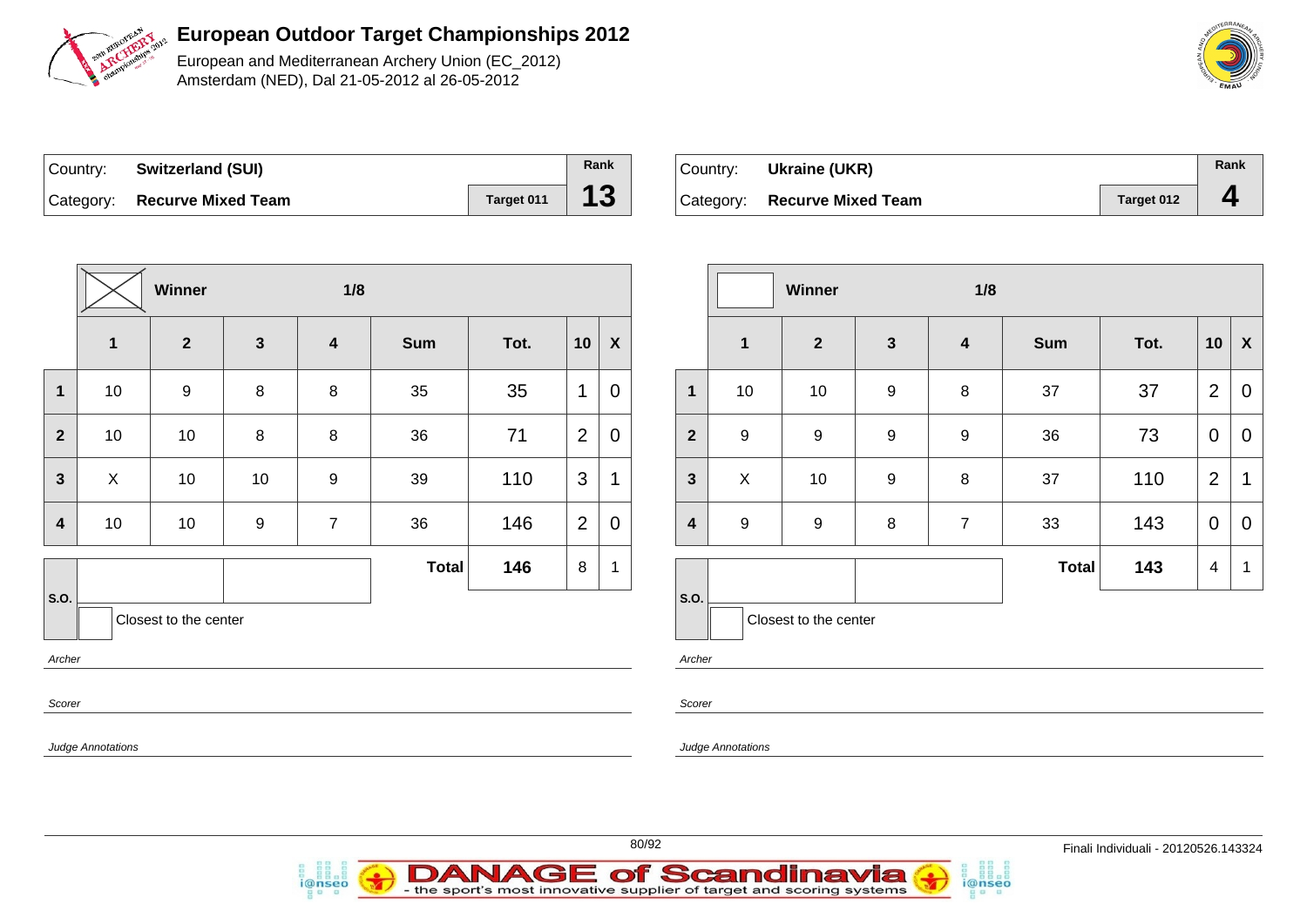

European and Mediterranean Archery Union (EC\_2012) Amsterdam (NED), Dal 21-05-2012 al 26-05-2012

| Country: Switzerland (SUI)   |            | Rank |
|------------------------------|------------|------|
| Category: Recurve Mixed Team | Target 011 | 13   |

i@nseo

| Country: Ukraine (UKR)       |            | Rank |
|------------------------------|------------|------|
| Category: Recurve Mixed Team | Target 012 | д    |

|                         |                          | Winner                |                  | 1/8              |              |      |                |                  |                         |                           | Winner                |                  | 1/8                     |       |      |                |                           |
|-------------------------|--------------------------|-----------------------|------------------|------------------|--------------|------|----------------|------------------|-------------------------|---------------------------|-----------------------|------------------|-------------------------|-------|------|----------------|---------------------------|
|                         | $\overline{\mathbf{1}}$  | $\overline{2}$        | $\mathbf{3}$     | $\boldsymbol{4}$ | Sum          | Tot. | 10             | $\boldsymbol{X}$ |                         | $\mathbf{1}$              | $\mathbf{2}$          | $\mathbf{3}$     | $\overline{\mathbf{4}}$ | Sum   | Tot. | 10             | $\boldsymbol{\mathsf{X}}$ |
| $\mathbf 1$             | 10                       | $\boldsymbol{9}$      | 8                | $\bf 8$          | 35           | 35   | $\mathbf 1$    | $\mathbf 0$      | $\mathbf{1}$            | 10                        | 10                    | $\boldsymbol{9}$ | $\,8\,$                 | 37    | 37   | $\overline{2}$ | $\mathbf 0$               |
| $\overline{2}$          | 10                       | 10                    | 8                | 8                | 36           | 71   | $\overline{2}$ | 0                | $\mathbf{2}$            | $\boldsymbol{9}$          | $\boldsymbol{9}$      | $\boldsymbol{9}$ | $\boldsymbol{9}$        | 36    | 73   | $\mathbf 0$    | $\mathbf 0$               |
| $\mathbf{3}$            | $\mathsf{X}$             | 10                    | 10               | 9                | 39           | 110  | $\mathbf{3}$   | 1                | $\mathbf{3}$            | $\boldsymbol{\mathsf{X}}$ | 10                    | $\boldsymbol{9}$ | 8                       | 37    | 110  | 2              | $\overline{1}$            |
| $\overline{\mathbf{4}}$ | 10                       | 10                    | $\boldsymbol{9}$ | $\overline{7}$   | 36           | 146  | $\overline{2}$ | $\pmb{0}$        | $\overline{\mathbf{4}}$ | $\boldsymbol{9}$          | $\boldsymbol{9}$      | $\bf 8$          | $\overline{7}$          | 33    | 143  | $\overline{0}$ | $\mathbf 0$               |
| S.O.<br>Archer          |                          | Closest to the center |                  |                  | <b>Total</b> | 146  | 8              | 1                | S.O.<br>Archer          |                           | Closest to the center |                  |                         | Total | 143  | $\overline{4}$ | - 1                       |
| Scorer                  | <b>Judge Annotations</b> |                       |                  |                  |              |      |                |                  | Scorer                  | <b>Judge Annotations</b>  |                       |                  |                         |       |      |                |                           |

i@nseo



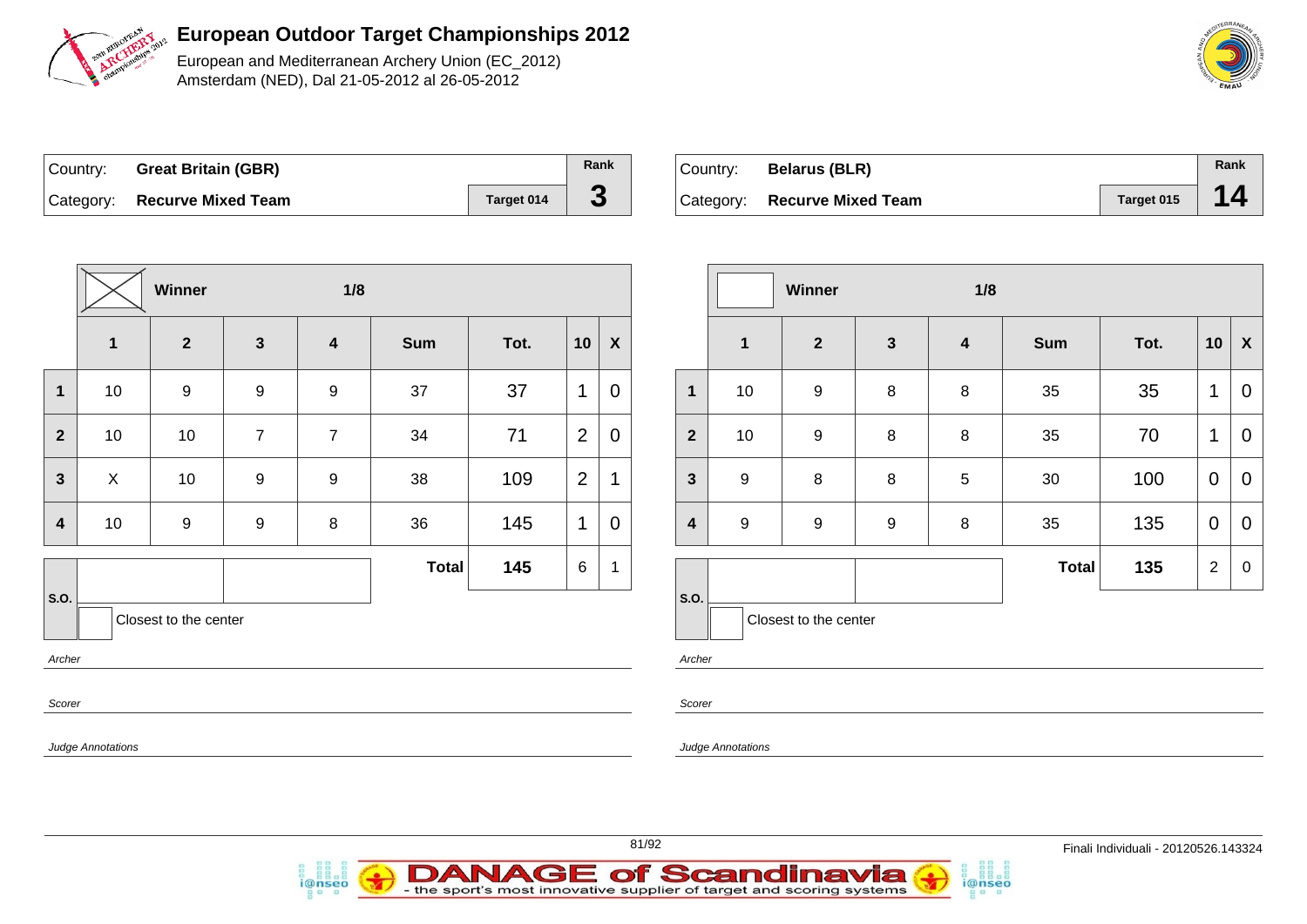

European and Mediterranean Archery Union (EC\_2012) Amsterdam (NED), Dal 21-05-2012 al 26-05-2012

| Country: Great Britain (GBR) |            | Rank |
|------------------------------|------------|------|
| Category: Recurve Mixed Team | Target 014 |      |

| Country: Belarus (BLR)       |            | Rank |
|------------------------------|------------|------|
| Category: Recurve Mixed Team | Target 015 | 14   |

|                  |                   | Winner                |                  |                         |              |      |                |                  |                         |                  |
|------------------|-------------------|-----------------------|------------------|-------------------------|--------------|------|----------------|------------------|-------------------------|------------------|
|                  | $\mathbf{1}$      | $\overline{2}$        | $\mathbf{3}$     | $\overline{\mathbf{4}}$ | <b>Sum</b>   | Tot. | 10             | $\boldsymbol{X}$ |                         | $\mathbf{1}$     |
| $\mathbf 1$      | 10                | $\boldsymbol{9}$      | $\boldsymbol{9}$ | $\boldsymbol{9}$        | 37           | 37   | 1              | $\overline{0}$   | 1                       | 10               |
| $\mathbf{2}$     | 10                | 10                    | $\overline{7}$   | $\overline{7}$          | 34           | 71   | $\overline{2}$ | $\mathbf 0$      | $\overline{\mathbf{2}}$ | 10               |
| $\mathbf{3}$     | X                 | 10                    | $\boldsymbol{9}$ | $\boldsymbol{9}$        | 38           | 109  | $\overline{2}$ | 1                | $\mathbf{3}$            | $\boldsymbol{9}$ |
| $\boldsymbol{4}$ | 10                | $\boldsymbol{9}$      | $\boldsymbol{9}$ | 8                       | 36           | 145  | 1              | $\overline{0}$   | $\overline{\mathbf{4}}$ | 9                |
|                  |                   |                       |                  |                         | <b>Total</b> | 145  | $\,6\,$        | 1                |                         |                  |
| S.O.             |                   | Closest to the center |                  |                         |              |      |                |                  | S.O.                    | C <sub>l</sub>   |
| Archer           |                   |                       |                  |                         |              |      |                |                  | Archer                  |                  |
| Scorer           |                   |                       |                  |                         |              |      |                |                  | Scorer                  |                  |
|                  | Judge Annotations |                       |                  |                         |              |      |                |                  |                         | Judge Annotation |

i@nseo

|                         |                  | Winner                |              | 1/8                     |              |      |                |                  |
|-------------------------|------------------|-----------------------|--------------|-------------------------|--------------|------|----------------|------------------|
|                         | $\mathbf{1}$     | $\mathbf{2}$          | $\mathbf{3}$ | $\overline{\mathbf{4}}$ | <b>Sum</b>   | Tot. | 10             | X                |
| $\mathbf{1}$            | 10               | 9                     | 8            | $\bf 8$                 | 35           | 35   | $\mathbf 1$    | 0                |
| $\overline{2}$          | 10               | 9                     | 8            | 8                       | 35           | 70   | 1              | $\mathbf 0$      |
| $\mathbf{3}$            | $\boldsymbol{9}$ | $\bf 8$               | 8            | 5                       | 30           | 100  | $\mathbf 0$    | $\mathbf 0$      |
| $\overline{\mathbf{4}}$ | 9                | 9                     | 9            | 8                       | 35           | 135  | $\mathbf 0$    | $\mathbf 0$      |
|                         |                  |                       |              |                         | <b>Total</b> | 135  | $\overline{2}$ | $\boldsymbol{0}$ |
| S.O.                    |                  | Closest to the center |              |                         |              |      |                |                  |

i@nseo

Judge Annotations



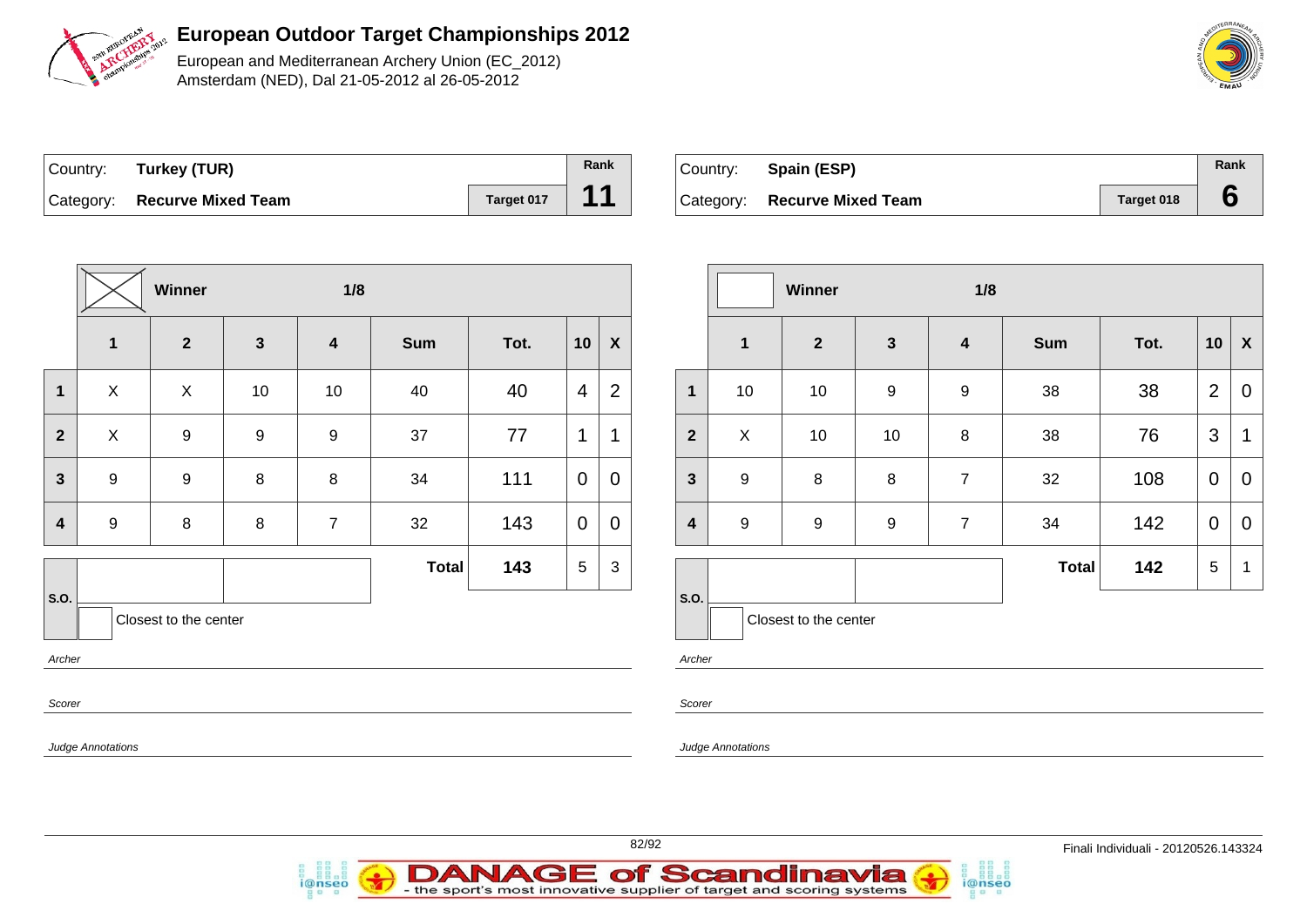

European and Mediterranean Archery Union (EC\_2012) Amsterdam (NED), Dal 21-05-2012 al 26-05-2012

| Country: Turkey (TUR)        |            | Rank |
|------------------------------|------------|------|
| Category: Recurve Mixed Team | Target 017 | 11   |

i@nseo

| $\vert$ Country: | Spain (ESP)                  |            | Rank |
|------------------|------------------------------|------------|------|
|                  | Category: Recurve Mixed Team | Target 018 |      |

i@nseo

|                         |                          | Winner                |              | 1/8              |              |      |                 |                  |                         |                   | Winner                |                  | 1/8              |            |      |                 |                           |
|-------------------------|--------------------------|-----------------------|--------------|------------------|--------------|------|-----------------|------------------|-------------------------|-------------------|-----------------------|------------------|------------------|------------|------|-----------------|---------------------------|
|                         | $\mathbf{1}$             | $\overline{2}$        | $\mathbf{3}$ | $\boldsymbol{4}$ | Sum          | Tot. | 10              | $\boldsymbol{X}$ |                         | $\mathbf{1}$      | $\overline{2}$        | $\mathbf{3}$     | $\boldsymbol{4}$ | <b>Sum</b> | Tot. | 10              | $\boldsymbol{\mathsf{X}}$ |
| $\mathbf{1}$            | $\pmb{\times}$           | $\mathsf{X}$          | 10           | $10$             | 40           | 40   | $\overline{4}$  | 2                | $\mathbf{1}$            | 10                | 10                    | $\boldsymbol{9}$ | $\mathsf g$      | 38         | 38   | $\overline{2}$  | $\mathbf 0$               |
| $\overline{\mathbf{2}}$ | $\pmb{\times}$           | 9                     | 9            | 9                | 37           | 77   | 1               | 1                | $\overline{\mathbf{2}}$ | $\mathsf X$       | 10                    | 10               | 8                | 38         | 76   | $\mathbf{3}$    | $\overline{1}$            |
| $\overline{\mathbf{3}}$ | $9\,$                    | $\boldsymbol{9}$      | 8            | $\bf 8$          | 34           | 111  | $\mathbf 0$     | $\mathbf 0$      | $\mathbf{3}$            | $\boldsymbol{9}$  | 8                     | 8                | $\overline{7}$   | 32         | 108  | $\overline{0}$  | 0                         |
| $\overline{\mathbf{4}}$ | $9\,$                    | $\bf 8$               | 8            | $\overline{7}$   | 32           | 143  | $\overline{0}$  | $\mathbf 0$      | $\overline{\mathbf{4}}$ | $\boldsymbol{9}$  | $\boldsymbol{9}$      | $\boldsymbol{9}$ | $\overline{7}$   | 34         | 142  | $\overline{0}$  | $\overline{0}$            |
|                         |                          |                       |              |                  | <b>Total</b> | 143  | $5\phantom{.0}$ | $\mathbf{3}$     |                         |                   |                       |                  |                  | Total      | 142  | $5\phantom{.0}$ | - 1                       |
| S.O.                    |                          | Closest to the center |              |                  |              |      |                 |                  | S.O.                    |                   | Closest to the center |                  |                  |            |      |                 |                           |
| Archer                  |                          |                       |              |                  |              |      |                 |                  | Archer                  |                   |                       |                  |                  |            |      |                 |                           |
| Scorer                  |                          |                       |              |                  |              |      |                 |                  | Scorer                  |                   |                       |                  |                  |            |      |                 |                           |
|                         | <b>Judge Annotations</b> |                       |              |                  |              |      |                 |                  |                         | Judge Annotations |                       |                  |                  |            |      |                 |                           |
|                         |                          |                       |              |                  |              |      |                 |                  |                         |                   |                       |                  |                  |            |      |                 |                           |

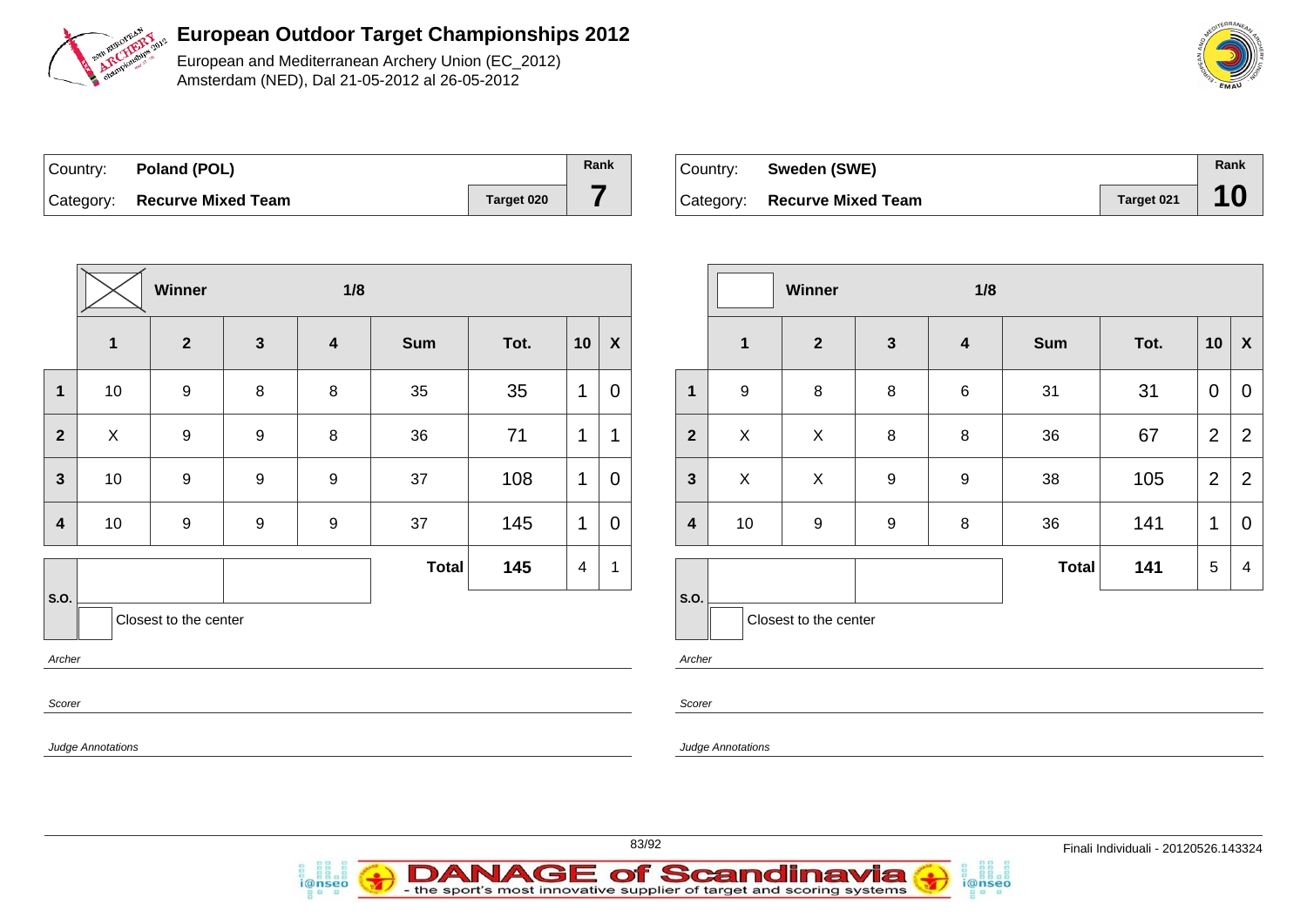

European and Mediterranean Archery Union (EC\_2012) Amsterdam (NED), Dal 21-05-2012 al 26-05-2012

| Country: | Poland (POL)                 |            | Rank |
|----------|------------------------------|------------|------|
|          | Category: Recurve Mixed Team | Target 020 |      |

| Country: Sweden (SWE)        |            | Rank |
|------------------------------|------------|------|
| Category: Recurve Mixed Team | Target 021 | 10   |

|                |                   | Winner                |                  | 1/8                     |              |      |    |                  |  |
|----------------|-------------------|-----------------------|------------------|-------------------------|--------------|------|----|------------------|--|
|                | $\mathbf{1}$      | $\overline{2}$        | $\mathbf{3}$     | $\overline{\mathbf{4}}$ | <b>Sum</b>   | Tot. | 10 | $\boldsymbol{X}$ |  |
| 1              | 10                | $\boldsymbol{9}$      | $\,8\,$          | 8                       | 35           | 35   | 1  | $\mathbf 0$      |  |
| $\overline{2}$ | $\pmb{\times}$    | $\boldsymbol{9}$      | $\boldsymbol{9}$ | 8                       | 36           | 71   | 1  | 1                |  |
| 3              | 10                | $\boldsymbol{9}$      | $\boldsymbol{9}$ | $\boldsymbol{9}$        | 37           | 108  | 1  | $\mathbf 0$      |  |
| 4              | 10                | $\boldsymbol{9}$      | $\boldsymbol{9}$ | $\boldsymbol{9}$        | 37           | 145  | 1  | $\mathbf 0$      |  |
|                |                   |                       |                  |                         | <b>Total</b> | 145  | 4  | 1                |  |
| S.O.           |                   | Closest to the center |                  |                         |              |      |    |                  |  |
| Archer         |                   |                       |                  |                         |              |      |    |                  |  |
| Scorer         |                   |                       |                  |                         |              |      |    |                  |  |
|                | Judge Annotations |                       |                  |                         |              |      |    |                  |  |

i@nseo

|                |                         | Winner                |                  | 1/8                     |              |      |                |                           |
|----------------|-------------------------|-----------------------|------------------|-------------------------|--------------|------|----------------|---------------------------|
|                | $\overline{\mathbf{1}}$ | $\overline{2}$        | $\mathbf{3}$     | $\overline{\mathbf{4}}$ | <b>Sum</b>   | Tot. | 10             | $\boldsymbol{\mathsf{X}}$ |
| $\mathbf{1}$   | $\boldsymbol{9}$        | 8                     | 8                | $\,6$                   | 31           | 31   | $\mathbf 0$    | $\mathbf 0$               |
| $\overline{2}$ | X                       | X                     | 8                | 8                       | 36           | 67   | $\overline{2}$ | $\overline{2}$            |
| $\mathbf{3}$   | X                       | X                     | $\boldsymbol{9}$ | $\boldsymbol{9}$        | 38           | 105  | $\overline{2}$ | $\overline{2}$            |
| 4              | 10                      | $\boldsymbol{9}$      | $\boldsymbol{9}$ | 8                       | 36           | 141  | 1              | $\mathbf 0$               |
|                |                         |                       |                  |                         | <b>Total</b> | 141  | 5              | 4                         |
| S.O.           |                         | Closest to the center |                  |                         |              |      |                |                           |

i@nseo

Annotations



**DANAGE of Scandinavia** 

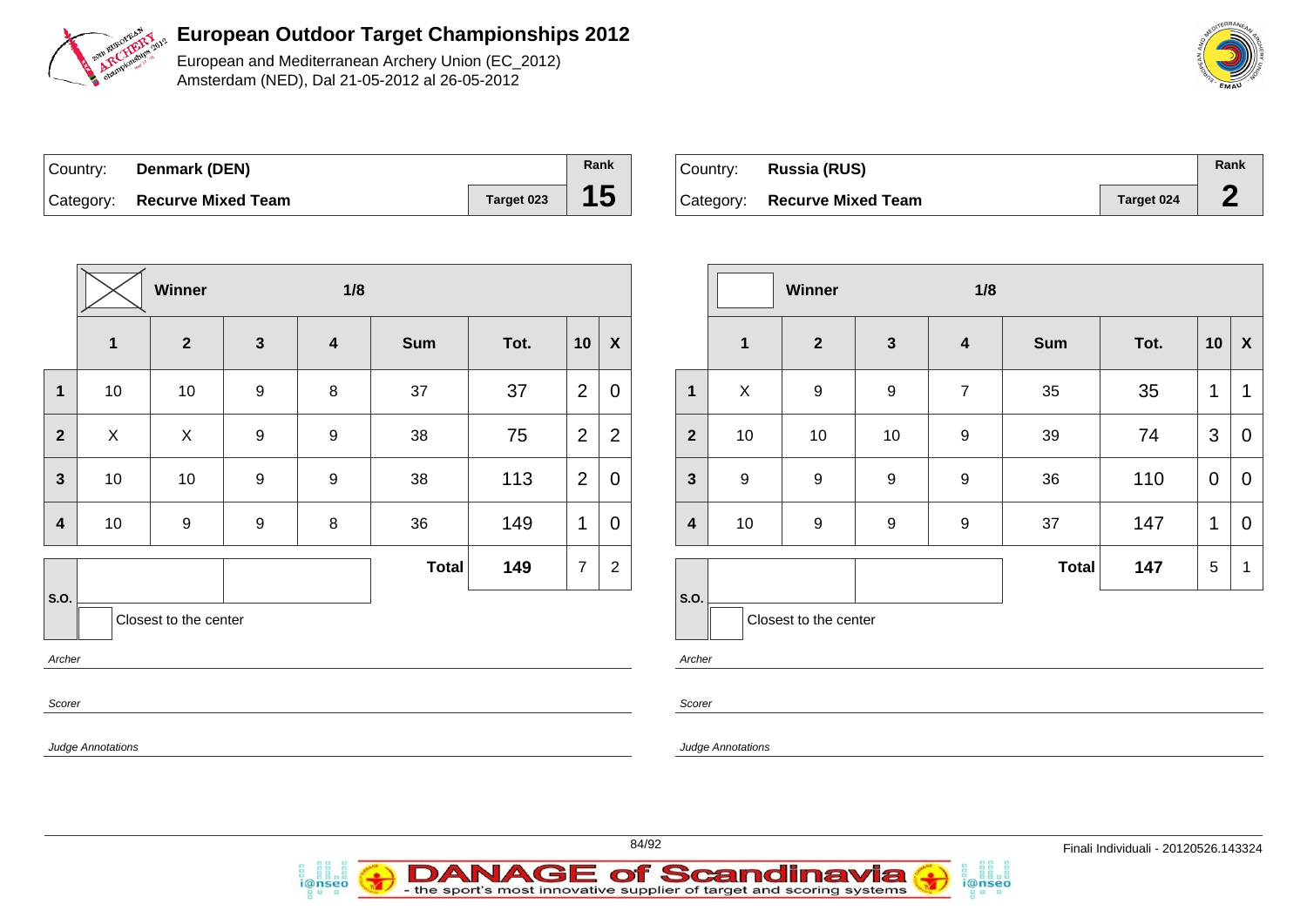

European and Mediterranean Archery Union (EC\_2012) Amsterdam (NED), Dal 21-05-2012 al 26-05-2012

| Country: <b>Denmark (DEN)</b> |            | Rank            |
|-------------------------------|------------|-----------------|
| Category: Recurve Mixed Team  | Target 023 | 15 <sub>1</sub> |

i@nseo

| Country: | Russia (RUS)                 |            | Rank |
|----------|------------------------------|------------|------|
|          | Category: Recurve Mixed Team | Target 024 |      |

i@nseo

|                         |                          | Winner                |              | 1/8                     |              |      |                |                           |                         |                           | Winner                |                  | 1/8                     |       |      |                 |                           |
|-------------------------|--------------------------|-----------------------|--------------|-------------------------|--------------|------|----------------|---------------------------|-------------------------|---------------------------|-----------------------|------------------|-------------------------|-------|------|-----------------|---------------------------|
|                         | $\mathbf{1}$             | $\overline{2}$        | $\mathbf{3}$ | $\overline{\mathbf{4}}$ | <b>Sum</b>   | Tot. | 10             | $\boldsymbol{\mathsf{X}}$ |                         | $\mathbf 1$               | $\mathbf{2}$          | $\mathbf{3}$     | $\overline{\mathbf{4}}$ | Sum   | Tot. | 10              | $\boldsymbol{\mathsf{X}}$ |
| $\overline{1}$          | 10                       | 10                    | 9            | $8\phantom{1}$          | 37           | 37   | $\overline{2}$ | $\mathbf 0$               | $\mathbf{1}$            | $\boldsymbol{\mathsf{X}}$ | 9                     | 9                | $\overline{7}$          | 35    | 35   | $\mathbf{1}$    | $\mathbf{1}$              |
| $\overline{2}$          | X                        | $\mathsf X$           | 9            | 9                       | 38           | 75   | $\mathbf{2}$   | $\overline{2}$            | $\overline{2}$          | 10                        | 10                    | 10               | 9                       | 39    | 74   | $\mathbf{3}$    | $\mathbf 0$               |
| $\mathbf{3}$            | 10                       | 10                    | 9            | 9                       | 38           | 113  | $\mathbf{2}$   | $\mathbf 0$               | $\overline{\mathbf{3}}$ | $9$                       | 9                     | $\boldsymbol{9}$ | $\boldsymbol{9}$        | 36    | 110  | $\mathbf 0$     | $\mathbf 0$               |
| $\overline{\mathbf{4}}$ | 10                       | $\boldsymbol{9}$      | 9            | 8                       | 36           | 149  | $\mathbf{1}$   | $\mathbf 0$               | $\overline{\mathbf{4}}$ | 10                        | $\boldsymbol{9}$      | $\boldsymbol{9}$ | $\boldsymbol{9}$        | 37    | 147  | $\mathbf{1}$    | $\mathbf 0$               |
|                         |                          |                       |              |                         | <b>Total</b> | 149  | $\overline{7}$ | $\overline{c}$            |                         |                           |                       |                  |                         | Total | 147  | $5\phantom{.0}$ | - 1                       |
| S.O.                    |                          | Closest to the center |              |                         |              |      |                |                           | S.O.                    |                           | Closest to the center |                  |                         |       |      |                 |                           |
| Archer<br>Scorer        |                          |                       |              |                         |              |      |                |                           | Archer<br>Scorer        |                           |                       |                  |                         |       |      |                 |                           |
|                         | <b>Judge Annotations</b> |                       |              |                         |              |      |                |                           |                         | <b>Judge Annotations</b>  |                       |                  |                         |       |      |                 |                           |
|                         |                          |                       |              |                         |              |      |                |                           |                         |                           |                       |                  |                         |       |      |                 |                           |



84/92 Finali Individuali - 20120526.143324

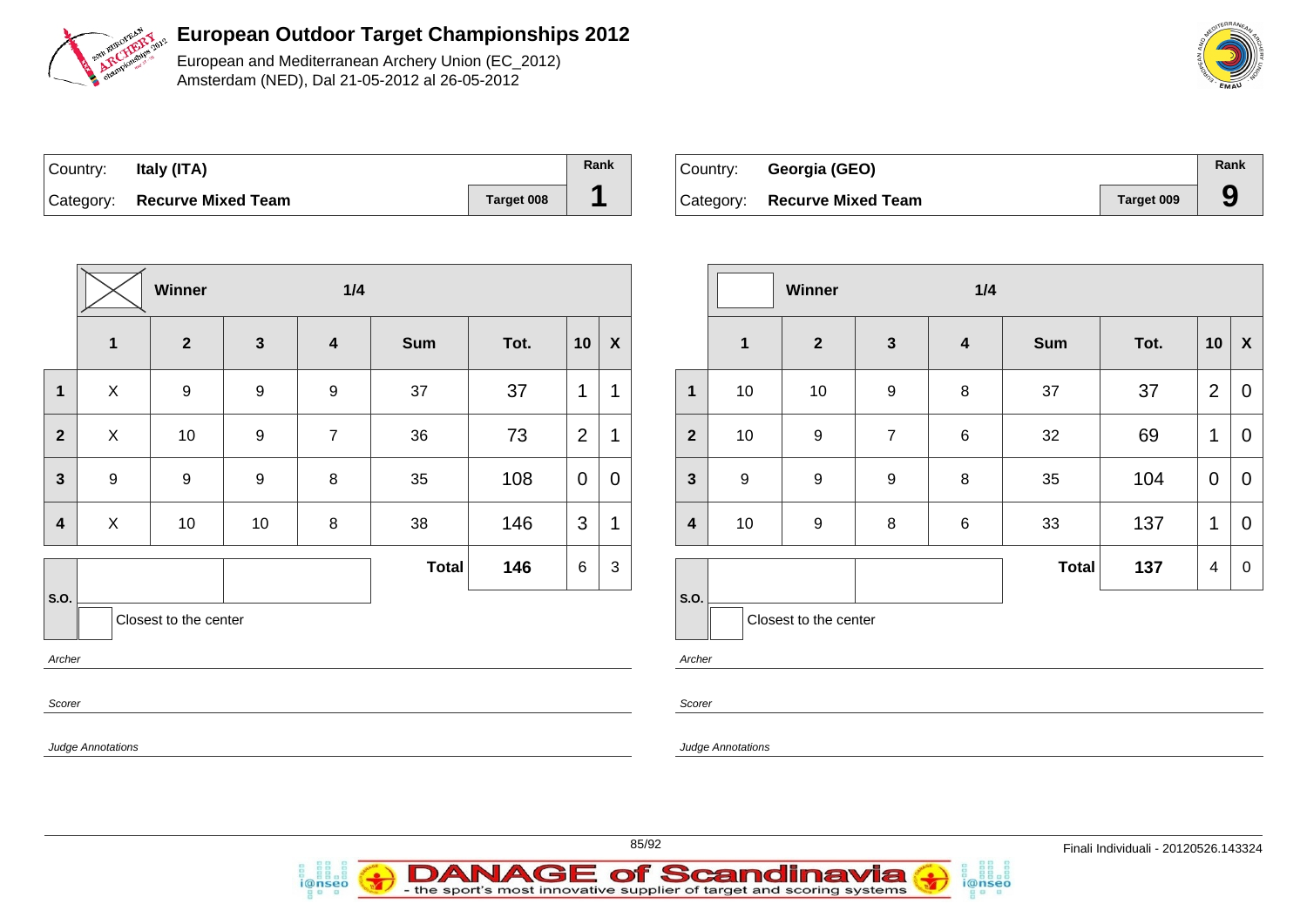

European and Mediterranean Archery Union (EC\_2012) Amsterdam (NED), Dal 21-05-2012 al 26-05-2012

| Country: | Italy (ITA)                  |            | Rank |
|----------|------------------------------|------------|------|
|          | Category: Recurve Mixed Team | Target 008 |      |

| Country: Georgia (GEO)       |            | Rank |
|------------------------------|------------|------|
| Category: Recurve Mixed Team | Target 009 |      |

|                                         |                  | <b>Winner</b>           |                  | 1/4              |              |      |                |             |  |  |
|-----------------------------------------|------------------|-------------------------|------------------|------------------|--------------|------|----------------|-------------|--|--|
|                                         | 1                | $\overline{\mathbf{2}}$ | $\mathbf{3}$     | $\boldsymbol{4}$ | <b>Sum</b>   | Tot. | 10             | X           |  |  |
| 1                                       | X                | 9                       | $\boldsymbol{9}$ | 9                | 37           | 37   | 1              | 1           |  |  |
| $\mathbf{2}$                            | X                | 10                      | $\boldsymbol{9}$ | $\overline{7}$   | 36           | 73   | $\overline{2}$ | 1           |  |  |
| $\overline{\mathbf{3}}$                 | $\boldsymbol{9}$ | $\boldsymbol{9}$        | $\boldsymbol{9}$ | 8                | 35           | 108  | $\mathbf 0$    | $\mathbf 0$ |  |  |
| 4                                       | X                | 10                      | $10$             | 8                | 38           | 146  | 3              | 1           |  |  |
|                                         |                  |                         |                  |                  | <b>Total</b> | 146  | 6              | 3           |  |  |
| S.O.<br>Closest to the center<br>Archer |                  |                         |                  |                  |              |      |                |             |  |  |
| Scorer                                  |                  |                         |                  |                  |              |      |                |             |  |  |

i@nseo

|                         |                  | Winner                |                  | 1/4                     |              |      |                |                    |
|-------------------------|------------------|-----------------------|------------------|-------------------------|--------------|------|----------------|--------------------|
|                         | $\mathbf{1}$     | $\mathbf{2}$          | $\mathbf{3}$     | $\overline{\mathbf{4}}$ | <b>Sum</b>   | Tot. | 10             | $\pmb{\mathsf{X}}$ |
| $\mathbf{1}$            | 10               | 10                    | $\boldsymbol{9}$ | 8                       | 37           | 37   | $\overline{2}$ | $\mathbf 0$        |
| $\overline{2}$          | 10               | $\boldsymbol{9}$      | $\overline{7}$   | $6\phantom{1}6$         | 32           | 69   | 1              | $\mathbf 0$        |
| $\mathbf{3}$            | $\boldsymbol{9}$ | $\boldsymbol{9}$      | $\boldsymbol{9}$ | 8                       | 35           | 104  | $\mathbf 0$    | $\mathbf 0$        |
| $\overline{\mathbf{4}}$ | 10               | $\boldsymbol{9}$      | 8                | $6\phantom{1}6$         | 33           | 137  | $\mathbf 1$    | 0                  |
|                         |                  |                       |                  |                         | <b>Total</b> | 137  | 4              | $\mathbf 0$        |
| S.O.                    |                  | Closest to the center |                  |                         |              |      |                |                    |

i@nseo

Archer

Scorer

Judge Annotations



**DANAGE of Scandinavia**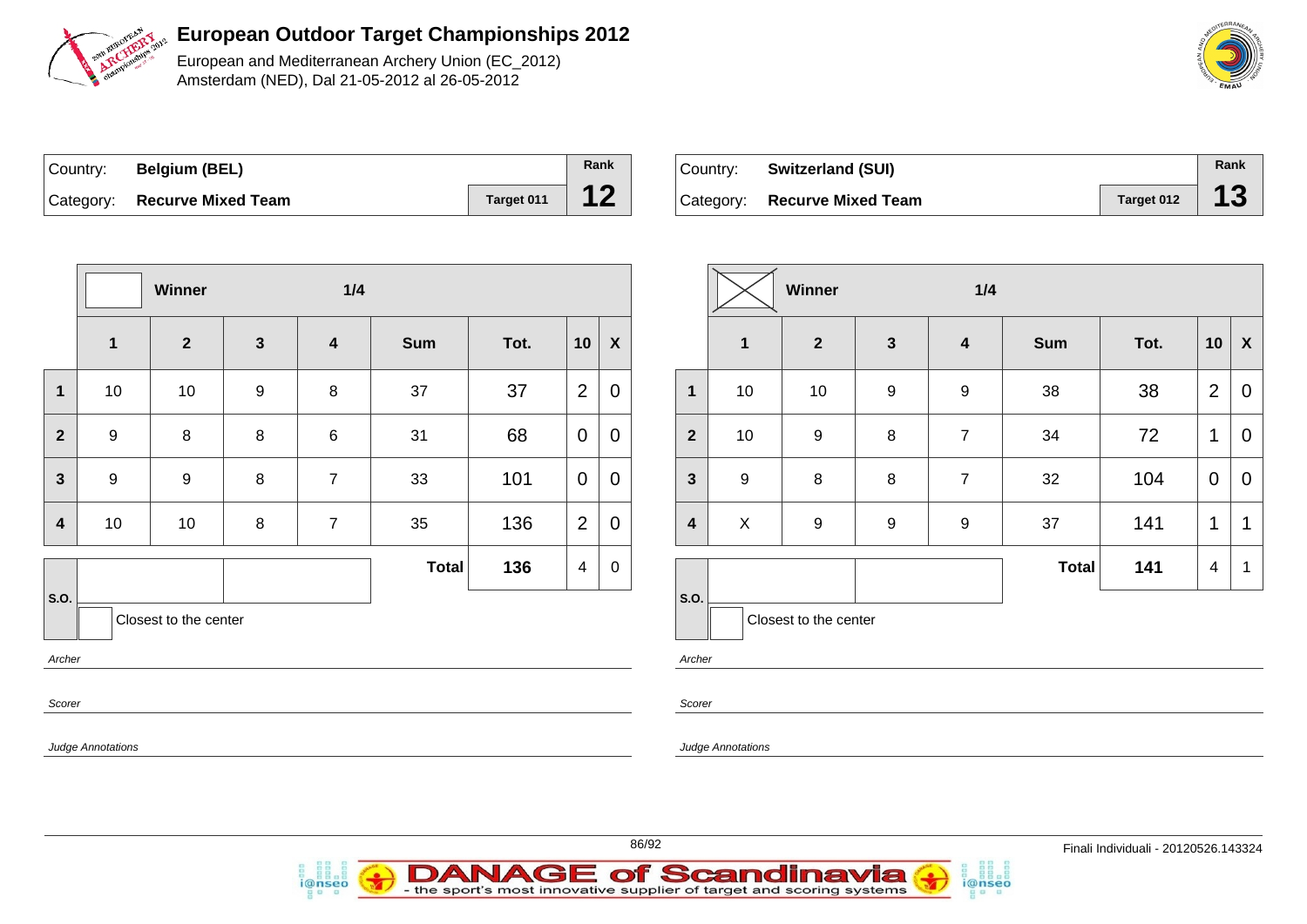

European and Mediterranean Archery Union (EC\_2012) Amsterdam (NED), Dal 21-05-2012 al 26-05-2012

|        | <b>MEDITERRANEAN</b> |  |
|--------|----------------------|--|
|        | 듞                    |  |
| in der | š<br>ċ<br>Fasa A'    |  |

| Country: | <b>Belgium (BEL)</b>         |            | Rank |
|----------|------------------------------|------------|------|
|          | Category: Recurve Mixed Team | Target 011 |      |

| ∣Country: | <b>Switzerland (SUI)</b>     |            | Rank |
|-----------|------------------------------|------------|------|
|           | Category: Recurve Mixed Team | Target 012 | 13   |

|                |                          | Winner                |                  | 1/4                     |              |      |                         |                  |  |                |                |    |     |                |             |  |                         |   |
|----------------|--------------------------|-----------------------|------------------|-------------------------|--------------|------|-------------------------|------------------|--|----------------|----------------|----|-----|----------------|-------------|--|-------------------------|---|
|                | $\mathbf{1}$             | $\overline{2}$        | $\mathbf{3}$     | $\overline{\mathbf{4}}$ | <b>Sum</b>   | Tot. | 10                      | $\boldsymbol{X}$ |  |                |                |    |     |                |             |  |                         |   |
| $\mathbf{1}$   | 10                       | 10                    | $\boldsymbol{9}$ | $\,8\,$                 | 37           | 37   | $\overline{2}$          | $\mathbf 0$      |  | 1              | 1 <sub>1</sub> |    |     |                |             |  |                         |   |
| $\overline{2}$ | $\boldsymbol{9}$         | $\bf 8$               | $\bf 8$          | $\,6$                   | 31           | 68   | $\overline{0}$          | $\overline{0}$   |  | $\overline{2}$ | 1 <sub>1</sub> |    |     |                |             |  |                         |   |
| $\mathbf{3}$   | $\boldsymbol{9}$         | $\boldsymbol{9}$      |                  |                         |              |      |                         |                  |  | $\, 8$         | $\overline{7}$ | 33 | 101 | $\overline{0}$ | $\mathbf 0$ |  | $\overline{\mathbf{3}}$ | ç |
| 4              | 10                       | 10                    | $\bf 8$          | $\overline{7}$          | 35           | 136  | $\overline{2}$          | $\overline{0}$   |  | 4              | $\lambda$      |    |     |                |             |  |                         |   |
|                |                          |                       |                  |                         | <b>Total</b> | 136  | $\overline{\mathbf{4}}$ | 0                |  |                |                |    |     |                |             |  |                         |   |
| S.O.           |                          | Closest to the center |                  |                         |              |      |                         |                  |  |                |                |    |     |                |             |  |                         |   |
| Archer         |                          |                       |                  |                         |              |      |                         |                  |  | Archer         |                |    |     |                |             |  |                         |   |
| Scorer         |                          |                       |                  |                         |              |      |                         |                  |  | Scorer         |                |    |     |                |             |  |                         |   |
|                | <b>Judge Annotations</b> |                       |                  |                         |              |      |                         |                  |  |                | Judge Annota   |    |     |                |             |  |                         |   |

i@nseo

|                         |                             | Winner                |                     | 1/4                     |              |      |                |             |  |  |  |
|-------------------------|-----------------------------|-----------------------|---------------------|-------------------------|--------------|------|----------------|-------------|--|--|--|
|                         | $\overline{\mathbf{1}}$     | $\mathbf{2}$          | $\mathbf{3}$        | $\overline{\mathbf{4}}$ | <b>Sum</b>   | Tot. | 10             | X           |  |  |  |
| $\mathbf{1}$            | 10                          | 10                    | 9                   | $\boldsymbol{9}$        | 38           | 38   | $\overline{2}$ | 0           |  |  |  |
| $\overline{\mathbf{2}}$ | $\boldsymbol{9}$<br>10      |                       | 8                   | $\overline{7}$          | 34           | 72   | $\mathbf 1$    | 0           |  |  |  |
| $\mathbf{3}$            | $\boldsymbol{9}$<br>$\bf 8$ |                       | 8<br>$\overline{7}$ |                         | 32           | 104  | 0              | $\mathbf 0$ |  |  |  |
| $\overline{\mathbf{4}}$ | X<br>$\boldsymbol{9}$       |                       | 9                   | $\boldsymbol{9}$        | 37           | 141  | 1              | 1           |  |  |  |
|                         |                             |                       |                     |                         | <b>Total</b> | 141  | 4              | 1           |  |  |  |
| S.O.                    |                             | Closest to the center |                     |                         |              |      |                |             |  |  |  |

i@nseo

otations

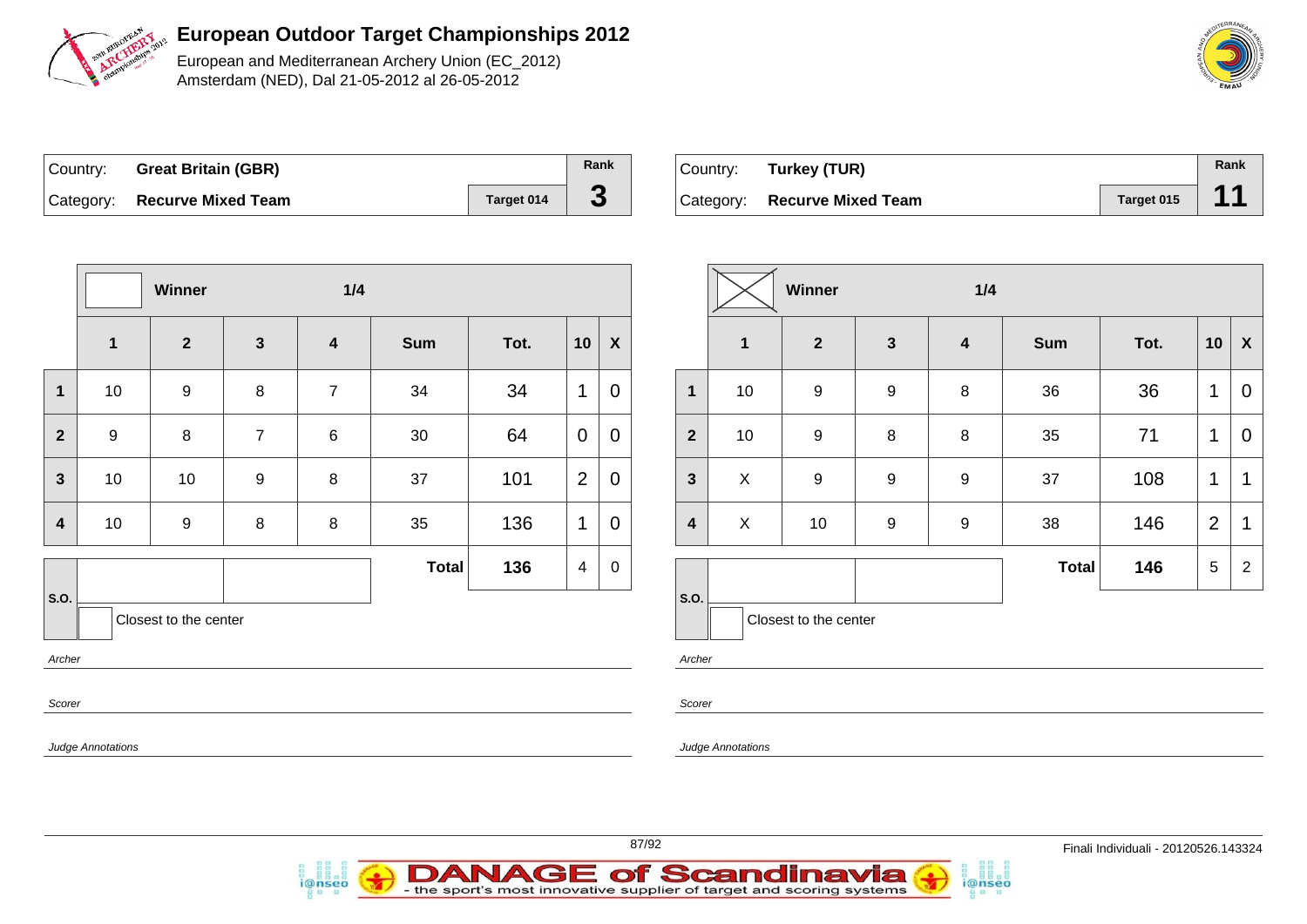

European and Mediterranean Archery Union (EC\_2012) Amsterdam (NED), Dal 21-05-2012 al 26-05-2012



| Country: | <b>Great Britain (GBR)</b>   |            | Rank |
|----------|------------------------------|------------|------|
|          | Category: Recurve Mixed Team | Target 014 | J    |

| Country: | Turkey (TUR)                 |            | Rank |
|----------|------------------------------|------------|------|
|          | Category: Recurve Mixed Team | Target 015 |      |

| $\mathbf{2}$<br>$\mathbf{3}$<br><b>Sum</b><br>Tot.<br>10<br>$\mathbf 1$<br>$\overline{\mathbf{4}}$<br>34<br>10<br>$\boldsymbol{9}$<br>8<br>$\overline{7}$<br>34<br>$\mathbf{1}$<br>$\mathbf 1$<br>9<br>64<br>8<br>$\overline{7}$<br>30<br>$\overline{2}$<br>6<br>$\mathbf 0$<br>$\overline{2}$<br>101<br>10<br>10<br>37<br>$\overline{3}$<br>$\boldsymbol{9}$<br>8<br>136<br>10<br>$\bf 8$<br>35<br>$\mathbf 1$<br>9<br>8<br>4<br>136<br><b>Total</b><br>4<br>S.O.<br>Closest to the center<br>Archer |  | Winner |  | 1/4 |  |                  |  |  |  |   |  |  |  |  |  |  |  |  |
|-------------------------------------------------------------------------------------------------------------------------------------------------------------------------------------------------------------------------------------------------------------------------------------------------------------------------------------------------------------------------------------------------------------------------------------------------------------------------------------------------------|--|--------|--|-----|--|------------------|--|--|--|---|--|--|--|--|--|--|--|--|
|                                                                                                                                                                                                                                                                                                                                                                                                                                                                                                       |  |        |  |     |  | $\boldsymbol{X}$ |  |  |  |   |  |  |  |  |  |  |  |  |
|                                                                                                                                                                                                                                                                                                                                                                                                                                                                                                       |  |        |  |     |  | 0                |  |  |  |   |  |  |  |  |  |  |  |  |
|                                                                                                                                                                                                                                                                                                                                                                                                                                                                                                       |  |        |  |     |  | 0                |  |  |  |   |  |  |  |  |  |  |  |  |
|                                                                                                                                                                                                                                                                                                                                                                                                                                                                                                       |  |        |  |     |  |                  |  |  |  | 0 |  |  |  |  |  |  |  |  |
|                                                                                                                                                                                                                                                                                                                                                                                                                                                                                                       |  |        |  |     |  |                  |  |  |  |   |  |  |  |  |  |  |  |  |
|                                                                                                                                                                                                                                                                                                                                                                                                                                                                                                       |  |        |  |     |  | 0                |  |  |  |   |  |  |  |  |  |  |  |  |
| Scorer                                                                                                                                                                                                                                                                                                                                                                                                                                                                                                |  |        |  |     |  |                  |  |  |  |   |  |  |  |  |  |  |  |  |

i@nseo

|                         |             | Winner                |                  | 1/4                     |              |      |                |                    |  |  |  |  |
|-------------------------|-------------|-----------------------|------------------|-------------------------|--------------|------|----------------|--------------------|--|--|--|--|
|                         | $\mathbf 1$ | $\mathbf{2}$          | $\mathbf{3}$     | $\overline{\mathbf{4}}$ | <b>Sum</b>   | Tot. | 10             | $\pmb{\mathsf{X}}$ |  |  |  |  |
| $\mathbf{1}$            | 10          | 9<br>10<br>9          |                  | 8                       | 36           | 36   | 1              | 0                  |  |  |  |  |
| $\overline{2}$          |             |                       |                  | 8                       | 35           | 71   | $\mathbf 1$    | $\mathbf 0$        |  |  |  |  |
| $\mathbf{3}$            | X           | 9                     | $\boldsymbol{9}$ | $\boldsymbol{9}$        | 37           | 108  | 1              | 1                  |  |  |  |  |
| $\overline{\mathbf{4}}$ | X           | 10                    | $\boldsymbol{9}$ | $\boldsymbol{9}$        | 38           | 146  | $\overline{2}$ | $\mathbf 1$        |  |  |  |  |
| S.O.                    |             |                       |                  |                         | <b>Total</b> | 146  | 5              | $\overline{2}$     |  |  |  |  |
|                         |             | Closest to the center |                  |                         |              |      |                |                    |  |  |  |  |

i@nseo

Archer

Scorer

Judge Annotations

**DANAGE of Scandinavia** 

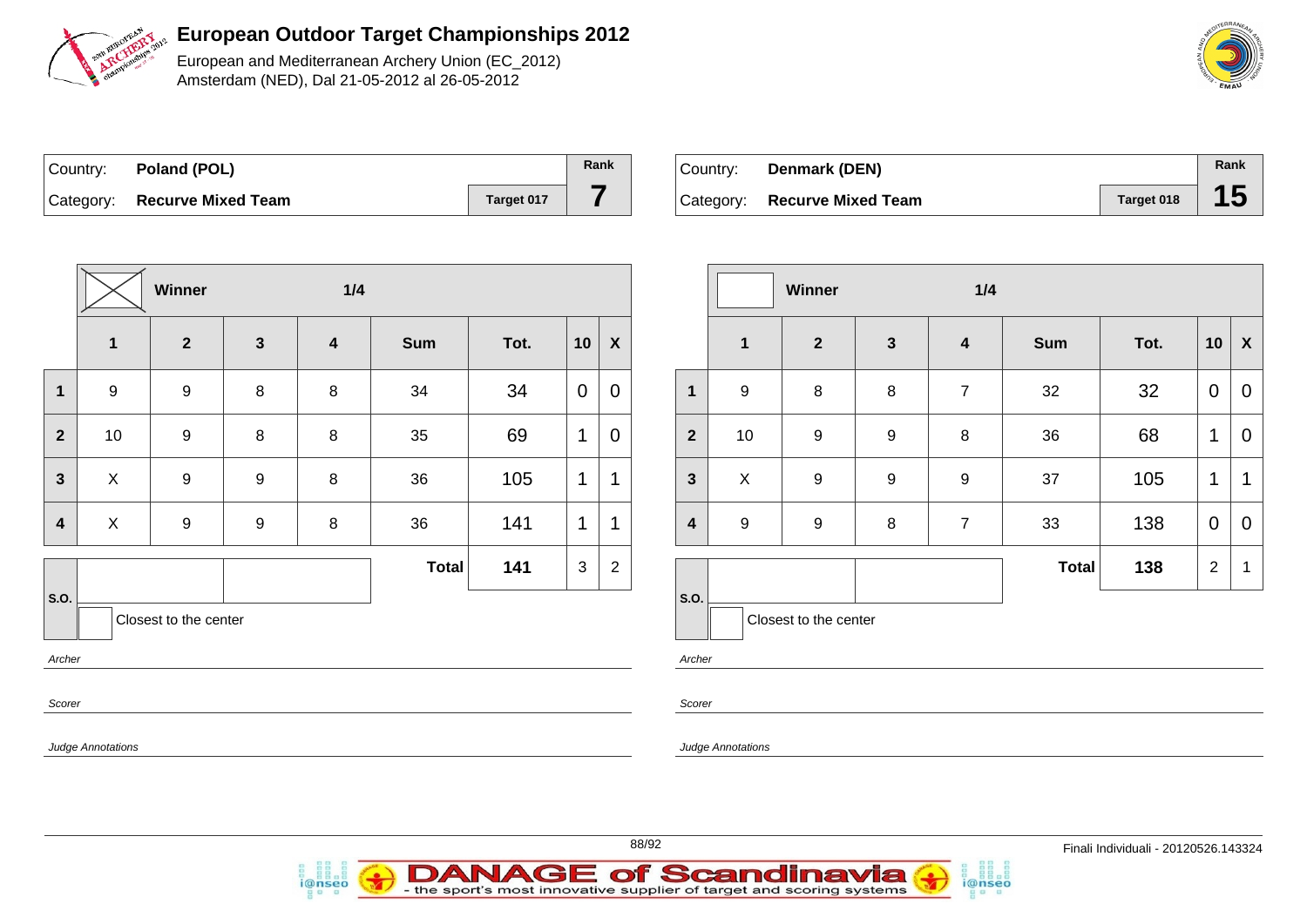

European and Mediterranean Archery Union (EC\_2012) Amsterdam (NED), Dal 21-05-2012 al 26-05-2012

| Country: Poland (POL)        |            | Rank |
|------------------------------|------------|------|
| Category: Recurve Mixed Team | Target 017 |      |

i@nseo

| Country: | Denmark (DEN)                |            | Rank |
|----------|------------------------------|------------|------|
|          | Category: Recurve Mixed Team | Target 018 |      |

|                         | Winner                    |                |                  |   | $1/4$        |      |                |                  |                         |                          | Winner                |                  | 1/4              |            |      |                |                           |
|-------------------------|---------------------------|----------------|------------------|---|--------------|------|----------------|------------------|-------------------------|--------------------------|-----------------------|------------------|------------------|------------|------|----------------|---------------------------|
|                         | $\mathbf 1$               | $\overline{2}$ | $\mathbf{3}$     | 4 | <b>Sum</b>   | Tot. | 10             | $\boldsymbol{X}$ |                         | $\mathbf{1}$             | $\mathbf{2}$          | $\mathbf{3}$     | $\boldsymbol{4}$ | <b>Sum</b> | Tot. | 10             | $\boldsymbol{\mathsf{X}}$ |
| $\overline{1}$          | $\boldsymbol{9}$          | 9              | 8                | 8 | 34           | 34   | $\mathbf 0$    | $\overline{0}$   | $\mathbf{1}$            | $\boldsymbol{9}$         | 8                     | $\,8\,$          | $\overline{7}$   | 32         | 32   | $\mathbf 0$    | $\mathbf 0$               |
| $\overline{2}$          | 10                        | 9              | $\,8\,$          | 8 | 35           | 69   | $\overline{1}$ | $\pmb{0}$        | $\overline{\mathbf{2}}$ | 10                       | 9                     | $\boldsymbol{9}$ | 8                | 36         | 68   | $\overline{1}$ | $\mathbf 0$               |
| $\mathbf{3}$            | $\mathsf X$               | 9              | $\boldsymbol{9}$ | 8 | 36           | 105  | $\mathbf 1$    | $\mathbf 1$      | $\overline{\mathbf{3}}$ | $\mathsf X$              | 9                     | $\boldsymbol{9}$ | 9                | 37         | 105  | $\mathbf{1}$   | $\mathbf 1$               |
| $\overline{\mathbf{4}}$ | $\boldsymbol{\mathsf{X}}$ | 9              | $\boldsymbol{9}$ | 8 | 36           | 141  | 1              | $\mathbf 1$      | $\overline{\mathbf{4}}$ | $\boldsymbol{9}$         | 9                     | $\,8\,$          | $\overline{7}$   | 33         | 138  | $\overline{0}$ | $\mathbf 0$               |
|                         |                           |                |                  |   | <b>Total</b> | 141  | $\mathbf{3}$   | 2                |                         |                          |                       |                  |                  | Total      | 138  | $\overline{2}$ | $\overline{\mathbf{1}}$   |
| S.O.                    | Closest to the center     |                |                  |   |              |      |                |                  |                         | $\vert$ S.O.             | Closest to the center |                  |                  |            |      |                |                           |
| Scorer                  | Archer                    |                |                  |   |              |      |                |                  |                         | Archer                   |                       |                  |                  |            |      |                |                           |
|                         | <b>Judge Annotations</b>  |                |                  |   |              |      |                |                  | Scorer                  | <b>Judge Annotations</b> |                       |                  |                  |            |      |                |                           |





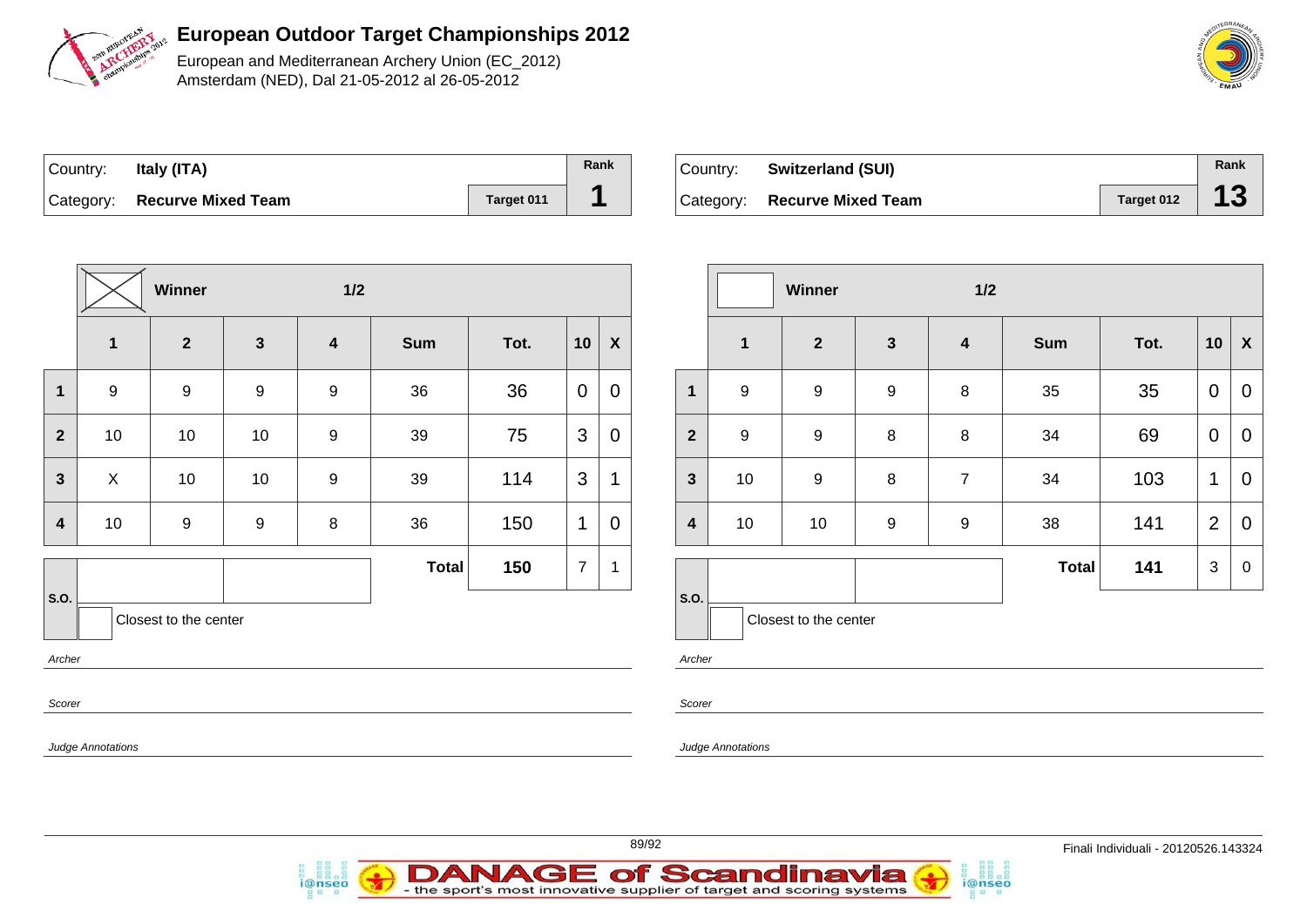

European and Mediterranean Archery Union (EC\_2012) Amsterdam (NED), Dal 21-05-2012 al 26-05-2012

| Country: | Italy (ITA)                  |            | Rank |
|----------|------------------------------|------------|------|
|          | Category: Recurve Mixed Team | Target 011 |      |

| Country: Switzerland (SUI)   |                    | Rank |
|------------------------------|--------------------|------|
| Category: Recurve Mixed Team | Target 012 $\vert$ | 13   |

|                                         |                          | Winner           |                  | 1/2                     |              |      |                |                           |  |  |  |
|-----------------------------------------|--------------------------|------------------|------------------|-------------------------|--------------|------|----------------|---------------------------|--|--|--|
|                                         | $\mathbf{1}$             | $\overline{2}$   | $\mathbf{3}$     | $\overline{\mathbf{4}}$ | <b>Sum</b>   | Tot. | 10             | $\boldsymbol{\mathsf{X}}$ |  |  |  |
| 1                                       | $\boldsymbol{9}$         | $\boldsymbol{9}$ | $\boldsymbol{9}$ | $\boldsymbol{9}$        | 36           | 36   | $\mathbf 0$    | $\mathbf 0$               |  |  |  |
| $\overline{\mathbf{2}}$                 | 10                       | 10               | $10$             | $\boldsymbol{9}$        | 39           | 75   | 3              | $\pmb{0}$                 |  |  |  |
| $\mathbf{3}$                            | $\mathsf{X}$             | 10               | 10               | $\boldsymbol{9}$        | 39           | 114  | 3              | 1                         |  |  |  |
| 4                                       | 10                       | $\boldsymbol{9}$ | $\boldsymbol{9}$ | 8                       | 36           | 150  | 1              | 0                         |  |  |  |
|                                         |                          |                  |                  |                         | <b>Total</b> | 150  | $\overline{7}$ | 1                         |  |  |  |
| S.O.<br>Closest to the center<br>Archer |                          |                  |                  |                         |              |      |                |                           |  |  |  |
| Scorer                                  |                          |                  |                  |                         |              |      |                |                           |  |  |  |
|                                         | <b>Judge Annotations</b> |                  |                  |                         |              |      |                |                           |  |  |  |

i@nseo

|                         |                  | <b>Winner</b>         |              | 1/2                     |              |      |                |             |
|-------------------------|------------------|-----------------------|--------------|-------------------------|--------------|------|----------------|-------------|
|                         | $\mathbf 1$      | $\mathbf{2}$          | $\mathbf{3}$ | $\overline{\mathbf{4}}$ | <b>Sum</b>   | Tot. | 10             | X           |
| $\mathbf{1}$            | $\boldsymbol{9}$ | $\boldsymbol{9}$      | 9            | 8                       | 35           | 35   | $\mathbf 0$    | $\mathbf 0$ |
| $\overline{\mathbf{2}}$ | 9                | 9                     | 8            | 8                       | 34           | 69   | 0              | 0           |
| $\mathbf{3}$            | 10               | 9                     | 8            | $\overline{7}$          | 34           | 103  | 1              | 0           |
| $\overline{\mathbf{4}}$ | 10               | 10                    | 9            | $\boldsymbol{9}$        | 38           | 141  | $\overline{2}$ | 0           |
|                         |                  |                       |              |                         | <b>Total</b> | 141  | 3              | $\mathbf 0$ |
| S.O.                    |                  | Closest to the center |              |                         |              |      |                |             |

i@nseo

- the sport's most innovative supplier of target and scoring systems

Scorer

**Annotations** 

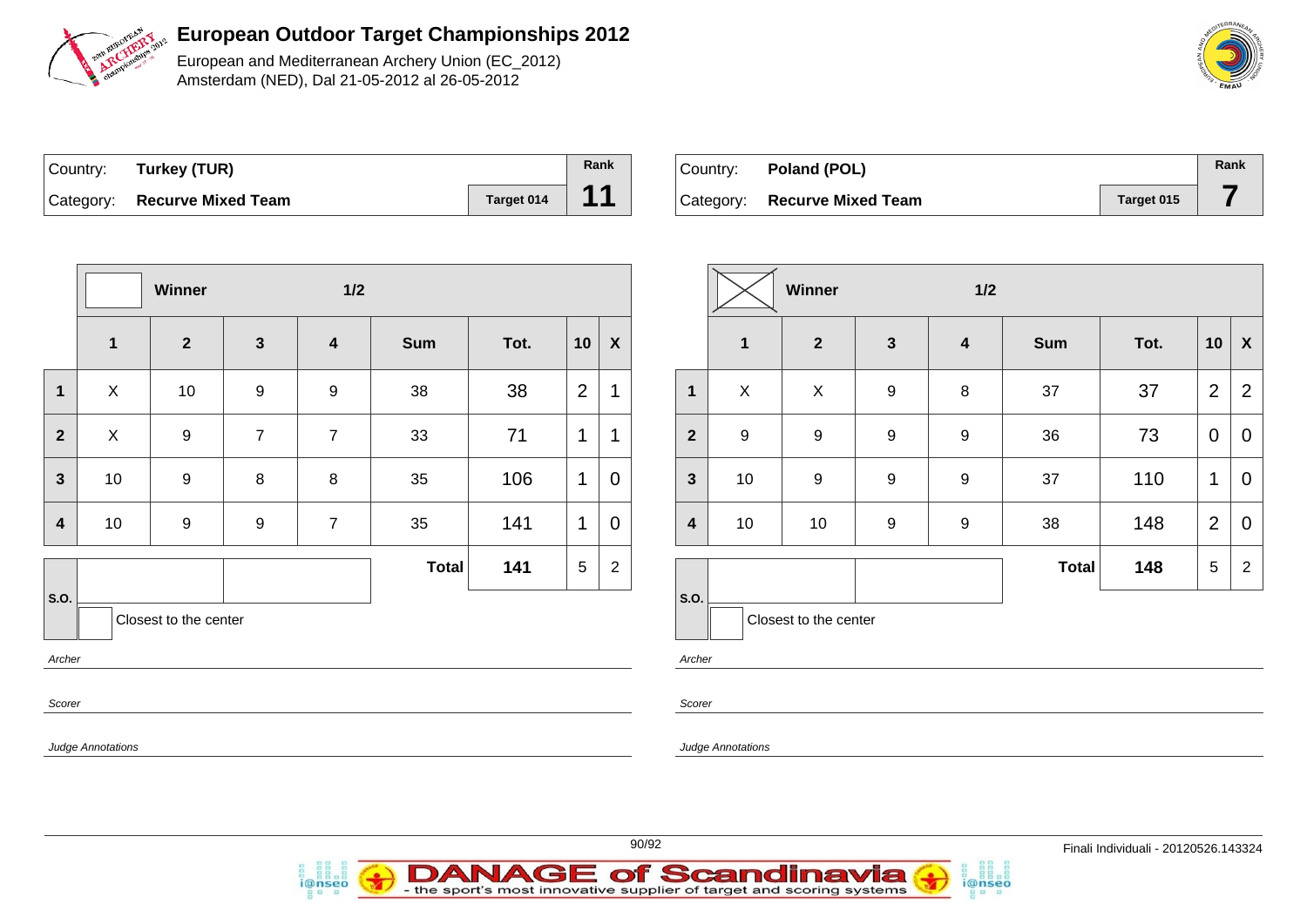

European and Mediterranean Archery Union (EC\_2012) Amsterdam (NED), Dal 21-05-2012 al 26-05-2012

| Country: Turkey (TUR)        |            | Rank |
|------------------------------|------------|------|
| Category: Recurve Mixed Team | Target 014 | 11   |

*i*@nseo

| ∣Country: ⊦ | Poland (POL)              |            | Rank |
|-------------|---------------------------|------------|------|
| Category:   | <b>Recurve Mixed Team</b> | Target 015 |      |

i@nseo

|                         |                   | Winner                |                | $1/2$                   |              |      |                 |                |                         |                          | Winner                |                  | 1/2                     |       |      |                 |                |
|-------------------------|-------------------|-----------------------|----------------|-------------------------|--------------|------|-----------------|----------------|-------------------------|--------------------------|-----------------------|------------------|-------------------------|-------|------|-----------------|----------------|
|                         | $\mathbf{1}$      | $\overline{2}$        | $\mathbf{3}$   | $\overline{\mathbf{4}}$ | Sum          | Tot. | 10              | $\pmb{\chi}$   |                         | $\mathbf{1}$             | $\overline{2}$        | $\mathbf{3}$     | $\overline{\mathbf{4}}$ | Sum   | Tot. |                 | $10 \mid X$    |
| $\mathbf 1$             | $\mathsf{X}$      | 10                    | 9              | 9                       | 38           | 38   | $\overline{2}$  | $\mathbf 1$    | $\mathbf{1}$            | $\pmb{\times}$           | $\mathsf X$           | $9\,$            | 8                       | 37    | 37   | 2               | $\overline{2}$ |
| $\overline{2}$          | $\sf X$           | 9                     | $\overline{7}$ | $\overline{7}$          | 33           | 71   | $\mathbf{1}$    | $\mathbf 1$    | $\overline{\mathbf{2}}$ | 9                        | 9                     | 9                | 9                       | 36    | 73   | $\overline{0}$  | $\mathbf 0$    |
| $\mathbf{3}$            | 10                | 9                     | 8              | $\,8\,$                 | 35           | 106  | $\mathbf{1}$    | $\mathbf 0$    | $\mathbf{3}$            | 10                       | 9                     | $9\,$            | $\boldsymbol{9}$        | 37    | 110  | $\mathbf{1}$    | $\mathbf 0$    |
| $\overline{\mathbf{4}}$ | 10                | $\boldsymbol{9}$      | 9              | $\overline{7}$          | 35           | 141  | $\mathbf{1}$    | $\pmb{0}$      | $\overline{\mathbf{4}}$ | 10                       | 10                    | $\boldsymbol{9}$ | 9                       | 38    | 148  | $\overline{2}$  | $\mathbf 0$    |
|                         |                   |                       |                |                         | <b>Total</b> | 141  | $5\phantom{.0}$ | $\overline{2}$ |                         |                          |                       |                  |                         | Total | 148  | $5\phantom{.0}$ | $\overline{c}$ |
| S.O.<br>Archer          |                   | Closest to the center |                |                         |              |      |                 |                | s.o.<br>Archer          |                          | Closest to the center |                  |                         |       |      |                 |                |
|                         | Scorer            |                       |                |                         |              |      |                 | Scorer         |                         |                          |                       |                  |                         |       |      |                 |                |
|                         | Judge Annotations |                       |                |                         |              |      |                 |                |                         | <b>Judge Annotations</b> |                       |                  |                         |       |      |                 |                |
|                         |                   |                       |                |                         |              |      |                 |                |                         |                          |                       |                  |                         |       |      |                 |                |

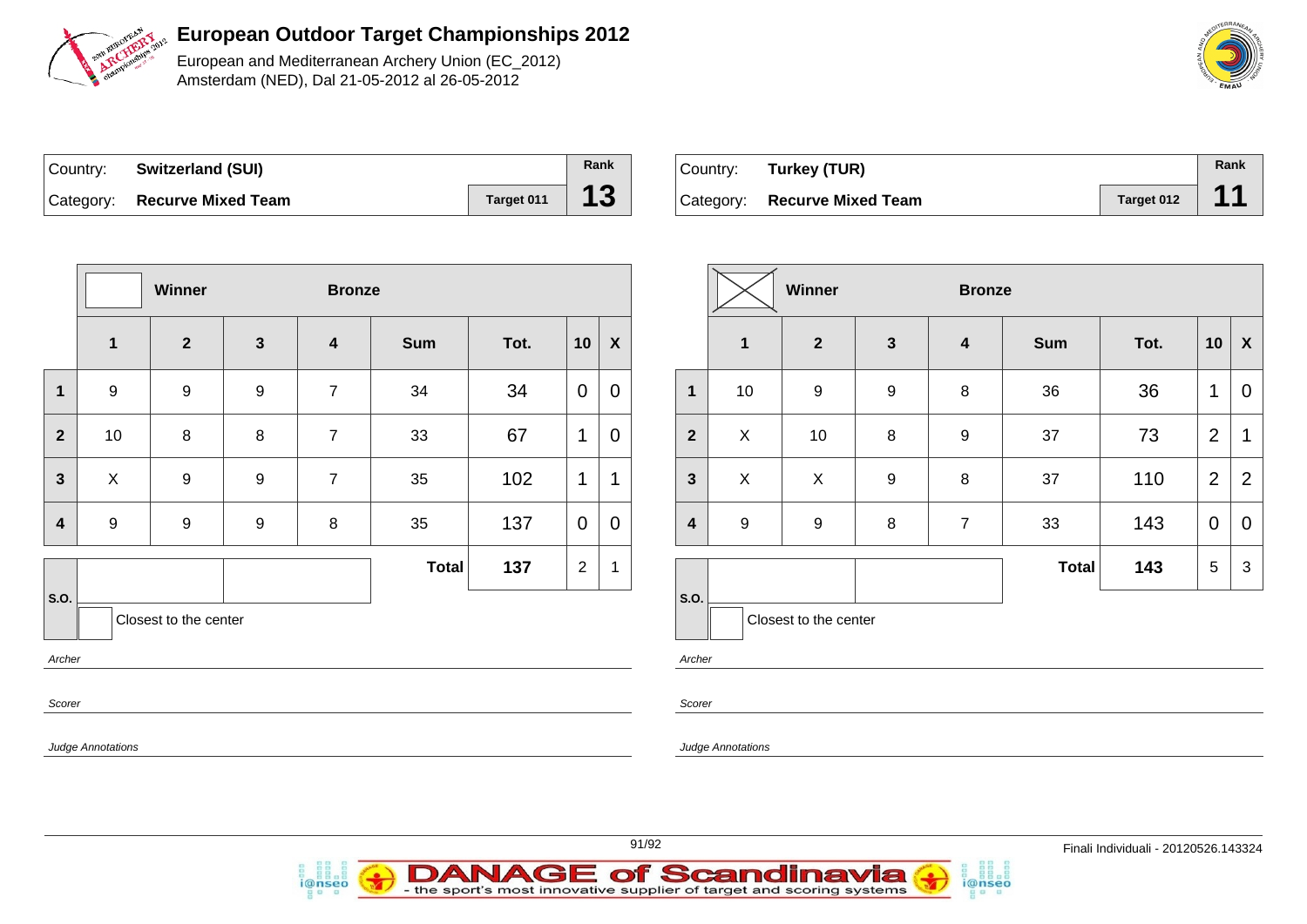

European and Mediterranean Archery Union (EC\_2012) Amsterdam (NED), Dal 21-05-2012 al 26-05-2012

| Country: | <b>Switzerland (SUI)</b>     |            | Rank |
|----------|------------------------------|------------|------|
|          | Category: Recurve Mixed Team | Target 011 | 13   |

i@nseo

| Country: | Turkey (TUR)                 |            | Rank |
|----------|------------------------------|------------|------|
|          | Category: Recurve Mixed Team | Target 012 | 44   |

|                  |                                                      | Winner                |                  | <b>Bronze</b>           |              |      |             |                  |  |                         | Winner           |                         |              |
|------------------|------------------------------------------------------|-----------------------|------------------|-------------------------|--------------|------|-------------|------------------|--|-------------------------|------------------|-------------------------|--------------|
|                  | $\mathbf{1}$                                         | $\overline{2}$        | $\mathbf{3}$     | $\overline{\mathbf{4}}$ | <b>Sum</b>   | Tot. | 10          | $\boldsymbol{X}$ |  |                         | $\mathbf{1}$     | $\overline{\mathbf{2}}$ | $\mathbf{3}$ |
| $\mathbf{1}$     | $9\,$                                                | $\boldsymbol{9}$      | $\boldsymbol{9}$ | $\overline{7}$          | 34           | 34   | $\mathbf 0$ | $\mathbf 0$      |  | $\mathbf{1}$            | 10               | $\boldsymbol{9}$        | 9            |
| $\overline{2}$   | 10                                                   | 8                     | $\,8\,$          | $\overline{7}$          | 33           | 67   | 1           | $\mathbf 0$      |  | $\overline{2}$          | $\mathsf X$      | $10\,$                  | 8            |
| $\mathbf{3}$     | $\mathsf{X}$                                         | $\boldsymbol{9}$      | $\boldsymbol{9}$ | $\overline{7}$          | 35           | 102  | 1           | $\mathbf{1}$     |  | $\mathbf{3}$            | $\mathsf X$      | $\pmb{\times}$          | $\mathsf g$  |
| $\boldsymbol{4}$ | $9\,$                                                | $\boldsymbol{9}$      | $\boldsymbol{9}$ | 8                       | 35           | 137  | $\mathbf 0$ | $\mathbf 0$      |  | $\overline{\mathbf{4}}$ | $\boldsymbol{9}$ | $\boldsymbol{9}$        | $\,8\,$      |
|                  |                                                      |                       |                  |                         | <b>Total</b> | 137  | $\sqrt{2}$  | 1                |  |                         |                  |                         |              |
| S.O.             |                                                      | Closest to the center |                  |                         |              |      |             |                  |  | S.O.                    |                  | Closest to the center   |              |
|                  | Archer<br>Archer<br>Scorer<br>Scorer                 |                       |                  |                         |              |      |             |                  |  |                         |                  |                         |              |
|                  | <b>Judge Annotations</b><br><b>Judge Annotations</b> |                       |                  |                         |              |      |             |                  |  |                         |                  |                         |              |
|                  |                                                      |                       |                  |                         |              |      |             |                  |  |                         |                  |                         |              |

|              |                  | Winner                |              | <b>Bronze</b>    |              |      |                |                |
|--------------|------------------|-----------------------|--------------|------------------|--------------|------|----------------|----------------|
|              | 1                | $\overline{2}$        | $\mathbf{3}$ | 4                | <b>Sum</b>   | Tot. | 10             | X              |
| $\mathbf{1}$ | 10               | $\boldsymbol{9}$      | 9            | 8                | 36           | 36   | 1              | $\overline{0}$ |
| $\mathbf{2}$ | X                | 10                    | 8            | $\boldsymbol{9}$ | 37           | 73   | $\overline{2}$ | 1              |
| $\mathbf{3}$ | X                | X                     | 9            | 8                | 37           | 110  | $\overline{2}$ | $\overline{2}$ |
| 4            | $\boldsymbol{9}$ | 9                     | 8            | $\overline{7}$   | 33           | 143  | $\mathbf 0$    | 0              |
|              |                  |                       |              |                  | <b>Total</b> | 143  | 5              | 3              |
| S.O.         |                  | Closest to the center |              |                  |              |      |                |                |

i@nseo



**DANAGE of Scandinavia**<br>- the sport's most innovative supplier of target and scoring systems